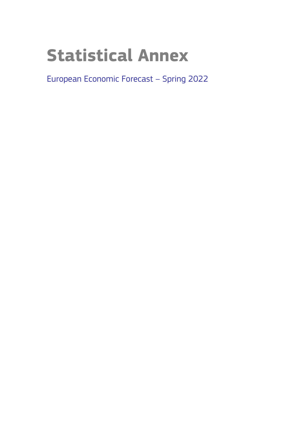# **Statistical Annex**

European Economic Forecast – Spring 2022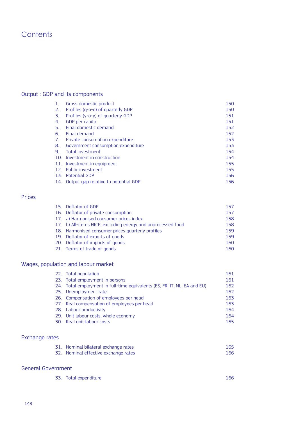# **Contents**

# Output : GDP and its components

| $\mathbf{1}$ .  | Gross domestic product               | 150 |
|-----------------|--------------------------------------|-----|
| 2.              | Profiles (q-o-q) of quarterly GDP    | 150 |
| 3.              | Profiles (y-o-y) of quarterly GDP    | 151 |
| 4.              | GDP per capita                       | 151 |
| -5.             | Final domestic demand                | 152 |
| 6.              | Final demand                         | 152 |
| 7.              | Private consumption expenditure      | 153 |
| 8.              | Government consumption expenditure   | 153 |
| 9.              | Total investment                     | 154 |
| 10.             | Investment in construction           | 154 |
| 11.             | Investment in equipment              | 155 |
| 12.             | Public investment                    | 155 |
| 13 <sub>1</sub> | <b>Potential GDP</b>                 | 156 |
| 14.             | Output gap relative to potential GDP | 156 |

## Prices

| 15. Deflator of GDP                                          | 157 |
|--------------------------------------------------------------|-----|
| 16. Deflator of private consumption                          | 157 |
| 17. a) Harmonised consumer prices index                      | 158 |
| 17. b) All-items HICP, excluding energy and unprocessed food | 158 |
| 18. Harmonised consumer prices quarterly profiles            | 159 |
| 19. Deflator of exports of goods                             | 159 |
| 20. Deflator of imports of goods                             | 160 |
| 21. Terms of trade of goods                                  | 160 |

# Wages, population and labour market

| 22. Total population                                                      | 161 |
|---------------------------------------------------------------------------|-----|
| 23. Total employment in persons                                           | 161 |
| 24. Total employment in full-time equivalents (ES, FR, IT, NL, EA and EU) | 162 |
| 25. Unemployment rate                                                     | 162 |
| 26. Compensation of employees per head                                    | 163 |
| 27. Real compensation of employees per head                               | 163 |
| 28. Labour productivity                                                   | 164 |
| 29. Unit labour costs, whole economy                                      | 164 |
| 30. Real unit labour costs                                                | 165 |

# Exchange rates

| 31. Nominal bilateral exchange rates | 165 |
|--------------------------------------|-----|
| 32. Nominal effective exchange rates | 166 |

# General Government

|  | 33. Total expenditure | 166 |
|--|-----------------------|-----|
|--|-----------------------|-----|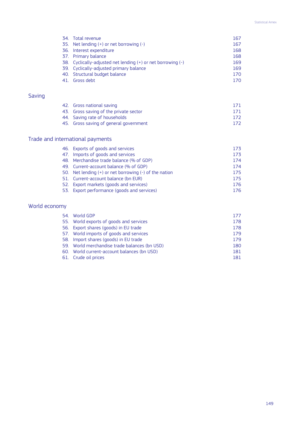## Statistical Annex

| 34. Total revenue                                                | 167 |
|------------------------------------------------------------------|-----|
| 35. Net lending $(+)$ or net borrowing $(-)$                     | 167 |
| 36. Interest expenditure                                         | 168 |
| 37. Primary balance                                              | 168 |
| 38. Cyclically-adjusted net lending $(+)$ or net borrowing $(-)$ | 169 |
| 39. Cyclically-adjusted primary balance                          | 169 |
| 40. Structural budget balance                                    | 170 |
| 41. Gross debt                                                   | 170 |

# Saving

| 42. Gross national saving              | 171 |
|----------------------------------------|-----|
| 43. Gross saving of the private sector | 171 |
| 44. Saving rate of households          | 172 |
| 45. Gross saving of general government | 172 |

# Trade and international payments

| 46. Exports of goods and services                          | 173 |
|------------------------------------------------------------|-----|
| 47. Imports of goods and services                          | 173 |
| 48. Merchandise trade balance (% of GDP)                   | 174 |
| 49. Current-account balance (% of GDP)                     | 174 |
| 50. Net lending $(+)$ or net borrowing $(-)$ of the nation | 175 |
| 51. Current-account balance (bn EUR)                       | 175 |
| 52. Export markets (goods and services)                    | 176 |
| 53. Export performance (goods and services)                | 176 |
|                                                            |     |

# World economy

| 54. World GDP                                 | 177 |
|-----------------------------------------------|-----|
| 55. World exports of goods and services       | 178 |
| 56. Export shares (goods) in EU trade         | 178 |
| 57. World imports of goods and services       | 179 |
| 58. Import shares (goods) in EU trade         | 179 |
| 59. World merchandise trade balances (bn USD) | 180 |
| 60. World current-account balances (bn USD)   | 181 |
| 61. Crude oil prices                          | 181 |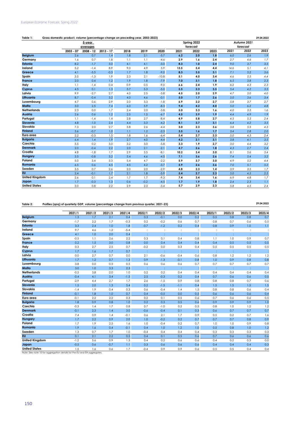## **Table 1: 29.04.2022 Gross domestic product, volume (percentage change on preceding year, 2003-2023)**

|                       |             | 5-year      |             |      |        |         |      | Spring 2022 |      |      | Autumn 2021 |      |
|-----------------------|-------------|-------------|-------------|------|--------|---------|------|-------------|------|------|-------------|------|
|                       |             | averages    |             |      |        |         |      | forecast    |      |      | forecast    |      |
|                       | $2003 - 07$ | $2008 - 12$ | $2013 - 17$ | 2018 | 2019   | 2020    | 2021 | 2022        | 2023 | 2021 | 2022        | 2023 |
| <b>Belgium</b>        | 2.6         | 0.7         | 1.4         | 1.8  | 2.1    | $-5.7$  | 6.2  | 2.0         | 1.8  | 6.0  | 2.6         | 1.9  |
| Germany               | 1.6         | 0.7         | 1.8         | 1.1  | 1.1    | $-4.6$  | 2.9  | 1.6         | 2.4  | 2.7  | 4.6         | 1.7  |
| <b>Estonia</b>        | 8.2         | $-1.7$      | 3.0         | 4.1  | 4.1    | $-3.0$  | 8.3  | 1.0         | 2.4  | 9.0  | 3.7         | 3.5  |
| Ireland               | 5.2         | $-1.4$      | 8.9         | 9.0  | 4.9    | 5.9     | 13.5 | 5.4         | 4.4  | 14.6 | 5.1         | 4.1  |
| Greece                | 4.1         | $-5.5$      | $-0.3$      | 1.7  | 1.8    | $-9.0$  | 8.3  | 3.5         | 3.1  | 7.1  | 5.2         | 3.6  |
| Spain                 | 3.5         | $-1.3$      | 1.9         | 2.3  | 2.1    | $-10.8$ | 5.1  | 4.0         | 3.4  | 4.6  | 5.5         | 4.4  |
| France                | 2.0         | 0.4         | 1.2         | 1.9  | 1.8    | $-7.9$  | 7.0  | 3.1         | 1.8  | 6.5  | 3.8         | 2.3  |
| Italy                 | 1.1         | $-1.4$      | 0.4         | 0.9  | 0.5    | $-9.0$  | 6.6  | 2.4         | 1.9  | 6.2  | 4.3         | 2.3  |
| Cyprus                | 4.5         | 0.1         | 1.3         | 5.7  | 5.3    | $-5.0$  | 5.5  | 2.3         | 3.5  | 5.4  | 4.2         | 3.5  |
| Latvia                | 9.9         | $-2.7$      | 2.7         | 4.0  | 2.5    | $-3.8$  | 4.5  | 2.0         | 2.9  | 4.7  | 5.0         | 4.0  |
| Lithuania             | 8.7         | $-0.4$      | 3.2         | 4.0  | 4.6    | $-0.1$  | 5.0  | 1.7         | 2.6  | 5.0  | 3.6         | 3.4  |
| Luxembourg            | 4.7         | 0.6         | 2.9         | 2.0  | 3.3    | $-1.8$  | 6.9  | 2.2         | 2.7  | 5.8  | 3.7         | 2.7  |
| Malta                 | 3.0         | 2.5         | 7.4         | 6.0  | 5.9    | $-8.3$  | 9.4  | 4.2         | 4.0  | 5.0  | 6.2         | 4.8  |
| <b>Netherlands</b>    | 2.3         | 0.0         | 1.7         | 2.4  | 2.0    | $-3.8$  | 5.0  | 3.3         | 1.6  | 4.0  | 3.3         | 1.6  |
| Austria               | 2.6         | 0.6         | 1.2         | 2.5  | 1.5    | $-6.7$  | 4.5  | 3.9         | 1.9  | 4.4  | 4.9         | 1.9  |
| Portugal              | 1.1         | $-1.4$      | 1.4         | 2.8  | 2.7    | $-8.4$  | 4.9  | 5.8         | 2.7  | 4.5  | 5.3         | 2.4  |
| <b>Slovenia</b>       | 4.8         | $-1.0$      | 2.4         | 4.4  | 3.3    | $-4.2$  | 8.1  | 3.7         | 3.1  | 6.4  | 4.2         | 3.5  |
| Slovakia              | 7.3         | 2.0         | 2.7         | 3.8  | 2.6    | $-4.4$  | 3.0  | 2.3         | 3.6  | 3.8  | 5.3         | 4.3  |
| <b>Finland</b>        | 3.6         | $-0.7$      | 1.0         | 1.1  | 1.2    | $-2.3$  | 3.5  | 1.6         | 1.7  | 3.4  | 2.8         | 2.0  |
| Euro area             | 2.2         | $-0.3$      | 1.5         | 1.8  | 1.6    | $-6.4$  | 5.4  | 2.7         | 2.3  | 5.0  | 4.3         | 2.4  |
| <b>Bulgaria</b>       | 6.4         | 1.4         | 1.9         | 2.7  | 4.0    | $-4.4$  | 4.2  | 2.1         | 3.1  | 3.8  | 4.1         | 3.5  |
| Czechia               | 5.5         | 0.2         | 3.0         | 3.2  | 3.0    | $-5.8$  | 3.3  | 1.9         | 2.7  | 3.0  | 4.4         | 3.2  |
| <b>Denmark</b>        | 2.0         | $-0.4$      | 2.2         | 2.0  | 2.1    | $-2.1$  | 4.7  | 2.6         | 1.8  | 4.3  | 2.7         | 2.4  |
| Croatia               | 4.8         | $-1.8$      | 1.7         | 2.9  | 3.5    | $-8.1$  | 10.2 | 3.4         | 3.0  | 8.1  | 5.6         | 3.4  |
| Hungary               | 3.5         | $-0.8$      | 3.2         | 5.4  | 4.6    | $-4.5$  | 7.1  | 3.6         | 2.6  | 7.4  | 5.4         | 3.2  |
| Poland                | 5.0         | 3.4         | 3.3         | 5.4  | 4.7    | $-2.2$  | 5.9  | 3.7         | 3.0  | 4.9  | 5.2         | 4.4  |
| Romania               | 6.5         | 0.6         | 4.5         | 4.5  | 4.2    | $-3.7$  | 5.9  | 2.6         | 3.6  | 7.0  | 5.1         | 5.2  |
| Sweden                | 3.5         | 0.7         | 2.6         | 2.0  | 2.0    | $-2.9$  | 4.8  | 2.3         | 1.4  | 3.9  | 3.5         | 1.7  |
| <b>EU</b>             | 2.4         | $-0.1$      | 1.7         | 2.1  | 1.8    | $-5.9$  | 5.4  | 2.7         | 2.3  | 5.0  | 4.3         | 2.5  |
| <b>United Kingdom</b> | 2.6         | 0.1         | 2.4         | 1.7  | 1.7    | $-9.3$  | 7.4  | 3.4         | 1.6  | 6.9  | 4.8         | 1.7  |
| Japan                 | 1.7         | $-0.3$      | 1.3         | 0.6  | $-0.2$ | $-4.5$  | 1.7  | 1.9         | 1.8  | 2.4  | 2.3         | 1.1  |
| <b>United States</b>  | 3.0         | 0.8         | 2.2         | 2.9  | 2.3    | $-3.4$  | 5.7  | 2.9         | 2.3  | 5.8  | 4.5         | 2.4  |

**Table 2: 29.04.2022 Profiles (qoq) of quarterly GDP, volume (percentage change from previous quarter, 2021-23)**

|                                                                                                 | 2021/1 | 2021/2 | 2021/3 | 2021/4 | 2022/1               | 2022/2               | 2022/3 | 2022/4 | 2023/1         | 2023/2 | 2023/3 | 2023/4 |
|-------------------------------------------------------------------------------------------------|--------|--------|--------|--------|----------------------|----------------------|--------|--------|----------------|--------|--------|--------|
| <b>Belgium</b>                                                                                  | 1.3    | 1.7    | 2.1    | 0.4    | 0.3                  | $-0.1$               | 0.0    | 0.2    | 0.5            | 0.8    | 0.8    | 0.7    |
| Germany                                                                                         | $-1.7$ | 2.2    | 1.7    | $-0.3$ | 0.2                  | $-0.2$               | 0.6    | 0.7    | 0.8            | 0.7    | 0.6    | 0.5    |
| Estonia                                                                                         | 3.3    | 2.4    | 1.0    | 1.8    | $-0.7$               | $-1.2$               | 0.2    | 0.4    | 0.8            | 0.9    | 1.0    | 1.1    |
| Ireland                                                                                         | 9.7    | 4.6    | 1.2    | $-5.4$ | $\ddot{\phantom{a}}$ | $\ddot{\phantom{a}}$ | :      |        | $\ddot{\cdot}$ |        | :      |        |
| Greece                                                                                          | 4.1    | 1.0    | 2.0    | 0.4    | t                    | ÷                    | t      |        | ÷              |        | ÷      |        |
| Spain                                                                                           | $-0.5$ | 1.1    | 2.6    | 2.2    | 0.3                  | 0.1                  | 0.4    | 0.8    | 1.1            | 1.0    | 0.9    | 0.7    |
| <b>France</b>                                                                                   | 0.2    | 1.5    | 3.0    | 0.8    | 0.0                  | 0.4                  | 0.4    | 0.4    | 0.4            | 0.5    | 0.5    | 0.5    |
| Italy                                                                                           | 0.3    | 2.7    | 2.5    | 0.7    | $-0.2$               | 0.0                  | 0.3    | 0.4    | 0.5            | 0.5    | 0.5    | 0.5    |
| Cyprus                                                                                          | 1.7    | 1.6    | 1.7    | 0.7    |                      | ÷                    |        |        |                |        |        |        |
| Latvia                                                                                          | 0.0    | 2.7    | 0.7    | 0.0    | 2.1                  | $-0.6$               | $-0.4$ | 0.6    | 0.8            | 1.2    | 1.2    | 1.2    |
| Lithuania                                                                                       | 1.7    | 1.2    | 0.7    | 1.3    | 0.9                  | $-1.3$               | $-0.1$ | 0.8    | 1.0            | 0.9    | 0.8    | 0.8    |
| Luxembourg                                                                                      | 3.8    | 0.0    | 0.5    | 0.5    | 0.6                  | 0.6                  | 0.6    | 0.7    | 0.7            | 0.7    | 0.7    | 0.7    |
| Malta                                                                                           | 3.0    | 1.0    | 3.3    | 2.3    |                      | ÷                    |        |        | ÷              |        | ÷      |        |
| <b>Netherlands</b>                                                                              | $-0.5$ | 3.8    | 2.0    | 1.0    | 0.2                  | 0.2                  | 0.4    | 0.4    | 0.4            | 0.4    | 0.4    | 0.4    |
| Austria                                                                                         | $-0.4$ | 4.1    | 3.4    | $-1.5$ | 2.5                  | $-0.3$               | 0.2    | 0.4    | 0.7            | 0.6    | 0.6    | 0.5    |
| Portugal                                                                                        | $-2.9$ | 4.4    | 2.7    | 1.7    | 2.6                  | $-1.5$               | 0.9    | 0.8    | 0.8            | 0.8    | 0.7    | 0.6    |
| Slovenia                                                                                        | 1.5    | 2.0    | 1.3    | 5.4    | 0.2                  | $-1.5$               | $-1.1$ | 0.4    | 1.5            | 1.5    | 1.5    | 1.5    |
| Slovakia                                                                                        | $-1.4$ | 1.9    | 0.4    | 0.3    | 0.6                  | $-0.4$               | 1.4    | 1.5    | 0.8            | 0.8    | 0.6    | 0.4    |
| <b>Finland</b>                                                                                  | $-0.1$ | 1.8    | 1.0    | 0.7    | 0.4                  | $-0.5$               | 0.0    | 0.5    | 0.6            | 0.6    | 0.6    | 0.4    |
| Euro area                                                                                       | $-0.1$ | 2.2    | 2.2    | 0.3    | 0.2                  | 0.1                  | 0.5    | 0.6    | 0.7            | 0.6    | 0.6    | 0.5    |
| <b>Bulgaria</b>                                                                                 | 1.8    | 0.9    | 0.8    | 1.0    | 0.2                  | 0.3                  | 0.5    | 0.6    | 0.9            | 0.9    | 0.9    | 1.0    |
| Czechia                                                                                         | $-0.3$ | 1.4    | 1.7    | 0.8    | 0.7                  | $-1.0$               | 0.2    | 0.5    | 0.8            | 1.0    | 1.2    | 1.2    |
| <b>Denmark</b>                                                                                  | $-0.1$ | 2.3    | 1.4    | 3.0    | $-0.6$               | $-0.4$               | 0.1    | 0.3    | 0.6            | 0.7    | 0.7    | 0.7    |
| Croatia                                                                                         | 7.4    | 0.9    | 1.4    | $-0.1$ | 0.6                  | 2.1                  | 1.7    | 0.9    | 0.5            | 0.2    | 0.7    | 1.6    |
| Hungary                                                                                         | 1.7    | 2.2    | 0.9    | 2.0    | 1.0                  | $-0.2$               | 0.2    | 0.7    | 0.7            | 0.7    | 0.8    | 0.9    |
| Poland                                                                                          | 1.7    | 1.9    | 2.5    | 1.6    | 1.0                  | $-0.4$               | 0.2    | 0.7    | 1.0            | 1.0    | 0.9    | 0.8    |
| Romania                                                                                         | 1.9    | 1.6    | 0.4    | $-0.1$ | 0.4                  | 1.0                  | 1.2    | 1.0    | 0.5            | 0.8    | 1.0    | 1.2    |
| Sweden                                                                                          | 1.3    | 0.7    | 1.7    | 1.0    | $-0.4$               | 0.4                  | 0.4    | 0.4    | 0.3            | 0.3    | 0.3    | 0.3    |
| <b>EU</b>                                                                                       | 0.1    | 2.1    | 2.2    | 0.5    | 0.4                  | 0.1                  | 0.5    | 0.6    | 0.7            | 0.6    | 0.6    | 0.6    |
| <b>United Kingdom</b>                                                                           | $-1.2$ | 5.6    | 0.9    | 1.3    | 0.4                  | 0.2                  | 0.6    | 0.6    | 0.4            | 0.2    | 0.3    | 0.0    |
| Japan                                                                                           | $-0.5$ | 0.6    | $-0.7$ | 1.1    | 0.3                  | 0.6                  | 0.6    | 0.6    | 0.4            | 0.4    | 0.4    | 0.3    |
|                                                                                                 | 1.5    | 1.6    | 0.6    | 1.7    | $-0.4$               | 0.9                  | 0.9    | 0.6    | 0.5            | 0.5    | 0.4    | 0.4    |
| <b>United States</b><br>Note: See note 10 for aggregation details for the EU and EA aggregates. |        |        |        |        |                      |                      |        |        |                |        |        |        |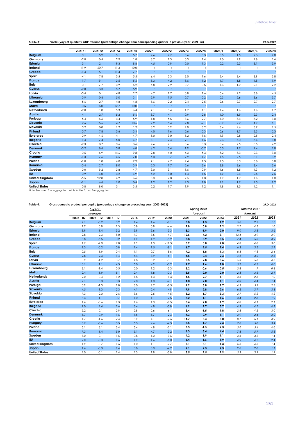| Profile (yoy) of quarterly GDP, volume (percentage change from corresponding quarter in previous year, 2021-23)<br>Table 3:<br>29.04.2022 |
|-------------------------------------------------------------------------------------------------------------------------------------------|
|-------------------------------------------------------------------------------------------------------------------------------------------|

|                                                                         | 2021/1 | 2021/2 | 2021/3 | 2021/4 | 2022/1         | 2022/2               | 2022/3 | 2022/4 | 2023/1 | 2023/2 | 2023/3 | 2023/4 |
|-------------------------------------------------------------------------|--------|--------|--------|--------|----------------|----------------------|--------|--------|--------|--------|--------|--------|
| <b>Belgium</b>                                                          | 0.1    | 15.2   | 5.1    | 5.7    | 4.6            | 2.7                  | 0.6    | 0.3    | 0.5    | 1.5    | 2.3    | 2.8    |
| Germany                                                                 | $-2.8$ | 10.4   | 2.9    | 1.8    | 3.7            | 1.3                  | 0.3    | 1.4    | 2.0    | 2.9    | 2.8    | 2.6    |
| <b>Estonia</b>                                                          | 3.1    | 12.1   | 9.3    | 8.8    | 4.5            | 0.9                  | 0.0    | $-1.3$ | 0.2    | 2.3    | 3.1    | 3.9    |
| Ireland                                                                 | 11.9   | 20.7   | 11.3   | 10.0   | $\ddot{\cdot}$ | $\ddot{\phantom{a}}$ |        |        | :      |        | ÷      |        |
| Greece                                                                  | $-1.4$ | 15.1   | 11.4   | 7.7    | ÷              | t                    | ÷      |        | ÷      |        |        |        |
| Spain                                                                   | $-4.1$ | 17.8   | 3.5    | 5.5    | 6.4            | 5.3                  | 3.0    | 1.6    | 2.4    | 3.4    | 3.9    | 3.8    |
| France                                                                  | 1.7    | 19.1   | 3.5    | 5.5    | 5.3            | 4.2                  | 1.6    | 1.2    | 1.7    | 1.8    | 1.8    | 1.9    |
| Italy                                                                   | 0.1    | 17.7   | 3.9    | 6.2    | 5.8            | 2.9                  | 0.7    | 0.5    | 1.3    | 1.9    | 2.1    | 2.2    |
| Cyprus                                                                  | $-2.0$ | 13.3   | 5.7    | 5.9    |                | ÷                    |        |        |        |        |        |        |
| Latvia                                                                  | $-0.4$ | 10.1   | 4.8    | 2.7    | 4.7            | 1.7                  | 0.8    | 1.6    | 0.4    | 2.2    | 3.8    | 4.5    |
| Lithuania                                                               | $-0.9$ | 10.6   | 5.0    | 3.1    | 5.9            | 1.5                  | 0.7    | 0.2    | 0.3    | 2.6    | 3.6    | 3.7    |
| Luxembourg                                                              | 5.6    | 12.7   | 4.8    | 4.8    | 1.6            | 2.2                  | 2.4    | 2.5    | 2.6    | 2.7    | 2.7    | 2.7    |
| Malta                                                                   | $-0.5$ | 16.0   | 12.7   | 10.0   |                |                      |        |        |        |        |        |        |
| <b>Netherlands</b>                                                      | $-2.0$ | 11.0   | 5.3    | 6.4    | 7.1            | 3.4                  | 1.7    | 1.1    | 1.4    | 1.6    | 1.6    | 1.7    |
| Austria                                                                 | $-4.1$ | 12.7   | 5.2    | 5.6    | 8.7            | 4.1                  | 0.9    | 2.8    | 1.0    | 1.9    | 2.3    | 2.4    |
| Portugal                                                                | $-5.4$ | 16.5   | 4.4    | 5.9    | 11.8           | 5.5                  | 3.6    | 2.7    | 1.0    | 3.4    | 3.2    | 3.0    |
| Slovenia                                                                | 2.6    | 15.5   | 4.7    | 10.5   | 9.2            | 5.4                  | 2.8    | $-2.1$ | $-0.9$ | 2.2    | 4.9    | 6.1    |
| Slovakia                                                                | 0.2    | 10.0   | 1.2    | 1.2    | 3.2            | 0.9                  | 2.0    | 3.2    | 3.4    | 4.6    | 3.7    | 2.5    |
| <b>Finland</b>                                                          | $-0.7$ | 7.8    | 3.6    | 3.4    | 4.0            | 1.6                  | 0.6    | 0.3    | 0.6    | 1.7    | 2.3    | 2.3    |
| Euro area                                                               | $-0.9$ | 14.6   | 4.1    | 4.7    | 5.0            | 3.0                  | 1.2    | 1.6    | 1.9    | 2.5    | 2.5    | 2.4    |
| <b>Bulgaria</b>                                                         | $-1.4$ | 7.4    | 5.0    | 4.7    | 3.1            | 2.4                  | 2.1    | 1.6    | 2.3    | 3.0    | 3.4    | 3.8    |
| Czechia                                                                 | $-2.3$ | 8.7    | 3.6    | 3.6    | 4.6            | 2.1                  | 0.6    | 0.3    | 0.4    | 2.5    | 3.5    | 4.2    |
| <b>Denmark</b>                                                          | $-0.2$ | 8.6    | 3.8    | 6.8    | 6.2            | 3.4                  | 1.9    | $-0.7$ | 0.5    | 1.7    | 2.4    | 2.8    |
| Croatia                                                                 | $-0.5$ | 16.9   | 14.6   | 9.8    | 2.8            | 4.0                  | 4.3    | 5.3    | 5.2    | 3.3    | 2.3    | 3.0    |
| Hungary                                                                 | $-1.3$ | 17.6   | 6.5    | 7.0    | 6.3            | 3.7                  | 2.9    | 1.7    | 1.5    | 2.5    | 3.1    | 3.2    |
| Poland                                                                  | $-1.0$ | 11.0   | 6.0    | 7.9    | 7.1            | 4.7                  | 2.4    | 1.5    | 1.5    | 3.0    | 3.8    | 3.8    |
| <b>Romania</b>                                                          | $-0.4$ | 12.7   | 8.0    | 3.9    | 2.3            | 1.7                  | 2.6    | 3.6    | 3.8    | 3.6    | 3.4    | 3.6    |
| Sweden                                                                  | 0.0    | 9.2    | 3.8    | 4.7    | 3.0            | 3.1                  | 1.6    | 0.9    | 1.6    | 1.5    | 1.3    | 1.2    |
| <b>EU</b>                                                               | $-0.9$ | 14.0   | 4.2    | 4.9    | 5.2            | 3.0                  | 1.4    | 1.5    | 1.9    | 2.4    | 2.6    | 2.5    |
| <b>United Kingdom</b>                                                   | $-5.5$ | 22.8   | 6.9    | 6.6    | 8.3            | 2.8                  | 2.5    | 1.8    | 1.9    | 1.9    | 1.6    | 1.0    |
| Japan                                                                   | $-1.1$ | 6.6    | 1.0    | 0.4    | 1.2            | 1.2                  | 2.3    | 1.8    | 1.9    | 1.7    | 1.5    | 1.2    |
| <b>United States</b>                                                    | 0.8    | 8.0    | 3.1    | 3.5    | 2.2            | 1.7                  | 1.9    | 1.2    | 1.8    | 1.5    | 1.2    | 1.1    |
| Note: See note 10 for aggregation details for the EU and EA aggregates. |        |        |        |        |                |                      |        |        |        |        |        |        |

## **Table 4: 29.04.2022 Gross domestic product per capita (percentage change on preceding year, 2003-2023)**

|                       |             | 5-year      |             |      |      |         | Spring 2022 |          |      |      | Autumn 2021 |      |  |  |
|-----------------------|-------------|-------------|-------------|------|------|---------|-------------|----------|------|------|-------------|------|--|--|
|                       |             | averages    |             |      |      |         |             | forecast |      |      | forecast    |      |  |  |
|                       | $2003 - 07$ | $2008 - 12$ | $2013 - 17$ | 2018 | 2019 | 2020    | 2021        | 2022     | 2023 | 2021 | 2022        | 2023 |  |  |
| <b>Belgium</b>        | 2.1         | $-0.2$      | 0.9         | 1.4  | 1.6  | $-6.1$  | 5.8         | 1.3      | 1.2  | 5.6  | 2.2         | 1.5  |  |  |
| Germany               | 1.7         | 0.8         | 1.3         | 0.8  | 0.8  | $-4.6$  | 2.8         | 0.8      | 2.2  | 2.7  | 4.5         | 1.6  |  |  |
| Estonia               | 8.9         | $-1.4$      | 3.2         | 3.9  | 3.6  | $-3.3$  | 8.3         | $-1.9$   | 2.0  | 9.0  | 3.8         | 3.6  |  |  |
| Ireland               | 2.8         | $-2.3$      | 8.0         | 7.7  | 3.5  | 4.7     | 12.6        | 4.2      | 3.1  | 13.4 | 3.9         | 2.9  |  |  |
| Greece                | 3.8         | $-5.5$      | 0.2         | 1.9  | 1.9  | $-8.9$  | 8.8         | 3.9      | 3.5  | 7.4  | 5.5         | 3.9  |  |  |
| Spain                 | 1.7         | $-2.0$      | 2.0         | 1.9  | 1.3  | $-11.3$ | 5.2         | 3.0      | 2.8  | 4.0  | 4.8         | 3.6  |  |  |
| France                | 1.3         | $-0.2$      | 0.8         | 1.4  | 1.5  | $-8.1$  | 6.7         | 2.5      | 1.4  | 6.3  | 3.5         | 2.1  |  |  |
| Italy                 | 0.5         | $-1.9$      | 0.4         | 1.1  | 0.7  | $-8.6$  | 7.2         | 1.8      | 1.3  | 6.3  | 4.3         | 2.4  |  |  |
| Cyprus                | 2.8         | $-2.3$      | 1.4         | 4.4  | 3.9  | $-6.1$  | 4.5         | 0.4      | 2.3  | 4.2  | 3.0         | 2.3  |  |  |
| Latvia                | 10.9        | $-1.2$      | 3.7         | 4.8  | 3.2  | $-3.1$  | 5.5         | 2.8      | 3.6  | 5.3  | 5.6         | 4.5  |  |  |
| Lithuania             | 10.1        | 1.1         | 4.3         | 5.0  | 4.9  | $-0.2$  | 4.7         | 1.6      | 1.8  | 5.2  | 4.3         | 4.0  |  |  |
| Luxembourg            | 3.1         | $-1.4$      | 0.5         | 0.0  | 1.2  | $-3.3$  | 5.2         | $-0.6$   | 0.5  | 3.8  | 1.7         | 0.8  |  |  |
| Malta                 | 2.4         | 1.9         | 5.1         | 2.4  | 1.8  | $-10.3$ | 8.5         | 2.0      | 2.0  | 2.3  | 3.5         | 2.1  |  |  |
| <b>Netherlands</b>    | 2.0         | $-0.4$      | 1.2         | 1.8  | 1.3  | $-4.3$  | 4.5         | 2.7      | 1.1  | 3.6  | 2.8         | 1.0  |  |  |
| Austria               | 2.1         | 0.3         | 0.3         | 2.0  | 1.0  | $-7.1$  | 4.0         | 2.0      | 1,1  | 4.0  | 4.4         | 1.4  |  |  |
| Portugal              | 0.9         | $-1.3$      | 1.8         | 3.0  | 2.7  | $-8.5$  | 4.9         | 5.8      | 2.7  | 4.5  | 5.2         | 2.3  |  |  |
| Slovenia              | 4.5         | $-1.3$      | 2.3         | 4.1  | 2.4  | $-4.9$  | 7.9         | 2.8      | 2.6  | 6.2  | 3.9         | 3.3  |  |  |
| Slovakia              | 7.3         | 2.0         | 2.6         | 3.6  | 2.5  | $-4.5$  | 3.2         | 1.7      | 3.3  | 3.7  | 5.2         | 4.2  |  |  |
| <b>Finland</b>        | 3.3         | $-1.1$      | 0.7         | 1.0  | 1.1  | $-2.5$  | 3.2         | 1,1      | 1.6  | 3.4  | 2.8         | 1.9  |  |  |
| Euro area             | 1.6         | $-0.6$      | 1.3         | 1.6  | 1.3  | $-6.5$  | 5.4         | 2.0      | 1.9  | 4.8  | 4.1         | 2.1  |  |  |
| <b>Bulgaria</b>       | 7.0         | 2.4         | 2.6         | 3.4  | 4.8  | $-3.8$  | 4.9         | 2.7      | 3.7  | 4.5  | 4.7         | 4.1  |  |  |
| Czechia               | 5.2         | $-0.1$      | 2.9         | 2.8  | 2.6  | $-6.1$  | 3.4         | $-1.5$   | 1.8  | 2.8  | 4.2         | 3.0  |  |  |
| <b>Denmark</b>        | 1.7         | $-0.9$      | 1.6         | 1.5  | 1.7  | $-2.3$  | 4.3         | 0.9      | 1,1  | 3.9  | 2.4         | 2.0  |  |  |
| Croatia               | 4.7         | $-1.6$      | 2.4         | 3.9  | 4.1  | $-7.6$  | 14.7        | 3.4      | 3.0  | 8.7  | 6.1         | 3.9  |  |  |
| Hungary               | 3.7         | $-0.6$      | 3.5         | 5.5  | 4.6  | $-4.3$  | 7.5         | 1.7      | 2.3  | 7.6  | 5.6         | 3.4  |  |  |
| Poland                | 5.1         | 3.1         | 3.4         | 5.4  | 4.8  | $-2.1$  | 6.5         | $-1.5$   | 2.3  | 5.0  | 5.4         | 4.6  |  |  |
| Romania               | 7.3         | 1.4         | 5.0         | 5.1  | 4.7  | $-3.2$  | 6.3         | 3.4      | 4.4  | 7.8  | 5.7         | 5.8  |  |  |
| Sweden                | 3.0         | $-0.1$      | 1.5         | 0.8  | 1.0  | $-3.6$  | 4.2         | 1.9      | 1.1  | 3.6  | 3.2         | 1.4  |  |  |
| <b>EU</b>             | 2.0         | $-0.3$      | 1.6         | 1.9  | 1.6  | $-6.0$  | 5.4         | 1.6      | 1.9  | 4.9  | 4.2         | 2.4  |  |  |
| <b>United Kingdom</b> | 1.9         | $-0.7$      | 1.6         | 1.0  | 1.1  | $-9.7$  | 7.1         | 3.1      | 1.3  | 6.6  | 4.5         | 1.4  |  |  |
| Japan                 | 1.6         | $-0.3$      | 1.4         | 0.8  | 0.0  | $-4.2$  | 2.1         | 2.3      | 2.3  | 2.6  | 2.6         | 1.1  |  |  |
| <b>United States</b>  | 2.0         | $-0.1$      | 1.4         | 2.3  | 1.8  | $-3.8$  | 5.5         | 2.5      | 1.9  | 5.3  | 3.9         | 1.9  |  |  |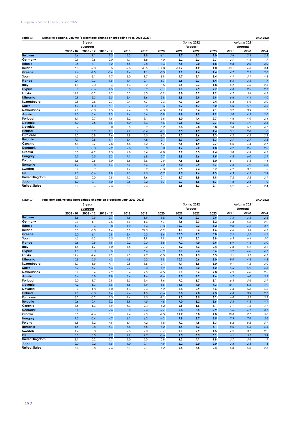| , volume (percentage change on preceding year, 2003-2023)<br>Table 5:<br>Domestic demand.<br>4.2022<br>ንዓ በ |
|-------------------------------------------------------------------------------------------------------------|
|-------------------------------------------------------------------------------------------------------------|

|                       |             | 5-year      |             |        |        |         |         | Spring 2022 |      | Autumn 2021 |          |      |  |
|-----------------------|-------------|-------------|-------------|--------|--------|---------|---------|-------------|------|-------------|----------|------|--|
|                       |             | averages    |             |        |        |         |         | forecast    |      |             | forecast |      |  |
|                       | $2003 - 07$ | $2008 - 12$ | $2013 - 17$ | 2018   | 2019   | 2020    | 2021    | 2022        | 2023 | 2021        | 2022     | 2023 |  |
| <b>Belgium</b>        | 2.6         | 1.1         | 1.5         | 2.5    | 1.8    | $-6.1$  | 5.7     | 2.2         | 2.0  | 5.6         | 3.3      | 2.2  |  |
| Germany               | 0.9         | 0.6         | 2.0         | 1.7    | 1.8    | $-4.0$  | 2.2     | 2.3         | 2.7  | 2.7         | 4.5      | 1.7  |  |
| <b>Estonia</b>        | 10.5        | $-3.1$      | 3.2         | 4.5    | 2.8    | 3.3     | 7.6     | $-2.0$      | 1.8  | 8.8         | 2.0      | 3.0  |  |
| Ireland               | 6.0         | $-2.8$      | 8.5         | $-2.8$ | 43.5   | $-14.8$ | $-16.7$ | 4.2         | 4.0  | $-13.1$     | 4.3      | 3.4  |  |
| Greece                | 4.6         | $-7.0$      | $-0.4$      | 1.4    | 1.1    | $-3.5$  | 7.1     | 2.4         | 1.4  | 4.7         | 2.5      | 2.0  |  |
| Spain                 | 4.5         | $-3.1$      | 1.7         | 3.0    | 1.7    | $-8.9$  | 4.7     | 2.1         | 3.4  | 4.4         | 5.1      | 4.2  |  |
| France                | 2.4         | 0.3         | 1.5         | 1.4    | 2.1    | $-6.7$  | 6.6     | 2.7         | 1.4  | 6.5         | 3.5      | 1.7  |  |
| Italy                 | 1.1         | $-2.0$      | 0.4         | 1.3    | $-0.2$ | $-8.5$  | 6.6     | 2.7         | 1.8  | 6.2         | 4.5      | 2.5  |  |
| Cyprus                | 5.9         | $-0.6$      | 1.5         | 3.5    | 5.9    | $-3.1$  | 2.1     | 2.9         | 2.7  | 4.4         | 2.5      | 2.1  |  |
| Latvia                | 12.7        | $-5.2$      | 2.2         | 5.2    | 3.0    | $-3.9$  | 8.8     | 3.2         | 2.9  | 4.2         | 5.4      | 4.2  |  |
| Lithuania             | 10.9        | $-3.3$      | 3.5         | 3.4    | 1.6    | $-3.8$  | 5.8     | 2.9         | 2.9  | 6.6         | 4.4      | 4.0  |  |
| Luxembourg            | 2.8         | 2.6         | 2.7         | 0.4    | 4.7    | $-2.3$  | 7.3     | 2.9         | 2.4  | 5.3         | 5.0      | 3.0  |  |
| Malta                 | 4.4         | 1.0         | 5.1         | 8.7    | 7.2    | $-3.6$  | 8.7     | 4.7         | 3.2  | 6.0         | 5.2      | 4.5  |  |
| <b>Netherlands</b>    | 2.1         | $-0.8$      | 1.5         | 2.4    | 3.0    | $-4.3$  | 3.7     | 3.4         | 2.1  | 3.2         | 3.9      | 1.7  |  |
| Austria               | 2.3         | 0.6         | 1.3         | 2.4    | 0.6    | $-5.8$  | 4.8     | 2.9         | 1.9  | 5.0         | 4.3      | 2.0  |  |
| Portugal              | 1.1         | $-2.7$      | 1.6         | 3.2    | 3.1    | $-5.6$  | 5.0     | 4.4         | 2.7  | 4.6         | 4.0      | 2.4  |  |
| Slovenia              | 5.0         | $-2.5$      | 1.6         | 5.0    | 3.3    | $-4.6$  | 10.8    | 3.2         | 2.7  | 8.6         | 4.9      | 3.8  |  |
| Slovakia              | 5.4         | $-0.1$      | 3.0         | 3.5    | 3.9    | $-5.2$  | 3.8     | 2.8         | 3.8  | 3.4         | 6.1      | 4.7  |  |
| <b>Finland</b>        | 3.6         | 0.2         | 1.1         | 2.7    | $-0.4$ | $-2.1$  | 3.5     | 1.9         | 1.4  | 3.1         | 2.8      | 1.8  |  |
| Euro area             | 2.2         | $-0.8$      | 1.6         | 1.8    | 2.5    | $-6.2$  | 4.2     | 2.6         | 2.3  | 4.2         | 4.2      | 2.2  |  |
| <b>Bulgaria</b>       | 9.7         | $-0.8$      | 1.1         | 5.4    | 4.8    | 0.1     | 5.3     | 2.4         | 3.3  | 2.7         | 2.7      | 3.2  |  |
| Czechia               | 4.4         | $-0.7$      | 2.8         | 4.8    | 3.2    | $-5.7$  | 7.6     | 1.9         | 2.7  | 6.0         | 4.4      | 2.7  |  |
| <b>Denmark</b>        | 3.1         | $-0.8$      | 2.2         | 2.8    | 0.8    | 0.0     | 4.7     | 2.2         | 1.8  | 4.2         | 2.5      | 2.3  |  |
| Croatia               | 5.3         | $-2.9$      | 1.5         | 4.8    | 3.4    | $-2.8$  | 3.2     | 3.3         | 4.4  | 5.8         | 4.4      | 4.3  |  |
| Hungary               | 2.7         | $-2.5$      | 3.3         | 7.1    | 6.8    | $-2.7$  | 5.8     | 2.6         | 1.5  | 4.8         | 6.0      | 2.9  |  |
| Poland                | 5.5         | 2.5         | 3.0         | 5.6    | 3.6    | $-2.9$  | 7.6     | 3.8         | 3.0  | 6.1         | 5.8      | 4.4  |  |
| Romania               | 11.2        | $-0.8$      | 4.4         | 5.9    | 5.6    | $-2.2$  | 7.0     | 2.9         | 3.7  | 7.4         | 4.9      | 5.3  |  |
| Sweden                | 3.2         | 0.9         | 3.1         | 1.7    | 0.2    | $-3.3$  | 5.5     | 2.4         | 0.7  | 4.2         | 3.2      | 1.5  |  |
| <b>EU</b>             | 2.5         | $-0.6$      | 1.8         | 2.1    | 2.5    | $-5.7$  | 4.5     | 2.6         | 2.3  | 4.3         | 4.2      | 2.4  |  |
| <b>United Kingdom</b> | 2.7         | 0.0         | 2.8         | 1.2    | 1.6    | $-10.1$ | 8.7     | 3.8         | 1.9  | 7.2         | 5.2      | 2.1  |  |
| Japan                 | 1.0         | $-0.1$      | 1.0         | 0.6    | 0.2    | $-3.7$  | 0.7     | 1.6         | 1.7  | $1.8\,$     | 2.3      | 1.0  |  |
| <b>United States</b>  | 3.0         | 0.4         | 2.3         | 3.1    | 2.4    | $-3.1$  | 6.6     | 3.3         | 2.1  | 6.9         | 4.7      | 2.4  |  |

#### **Table 6: 29.04.2022 Final demand, volume (percentage change on preceding year, 2003-2023)**

|                       |             | 5-year<br>averages |             |      |        |         |      | Spring 2022<br>forecast |      | Autumn 2021<br>forecast |      |      |
|-----------------------|-------------|--------------------|-------------|------|--------|---------|------|-------------------------|------|-------------------------|------|------|
|                       | $2003 - 07$ | $2008 - 12$        | $2013 - 17$ | 2018 | 2019   | 2020    | 2021 | 2022                    | 2023 | 2021                    | 2022 | 2023 |
| <b>Belgium</b>        | 3.6         | 0.9                | 2.7         | 1.6  | 1.9    | $-5.8$  | 7.5  | 2.7                     | 2.9  | 7.5                     | 3.5  | 2.5  |
| Germany               | 2.9         | 1.1                | 2.5         | 1.9  | 1.6    | $-5.7$  | 4.6  | 2.3                     | 3.2  | 4.3                     | 5.6  | 2.9  |
| <b>Estonia</b>        | 11.7        | 0.4                | 3.0         | 4.2  | 4.4    | $-0.3$  | 12.7 | 0.3                     | 3.2  | 9.8                     | 4.3  | 3.7  |
| Ireland               | 5.5         | $-0.5$             | 11.4        | 5.9  | 22.5   | $-0.9$  | 4.1  | 5.4                     | 4.6  | 4.6                     | 5.4  | 4.5  |
| Greece                | 5.0         | $-6.1$             | 0.8         | 3.4  | 2.2    | $-8.6$  | 10.5 | 4.9                     | 3.8  | 7.4                     | 5.7  | 4.1  |
| Spain                 | 4.5         | $-2.2$             | 2.5         | 2.7  | 1.9    | $-11.9$ | 7.1  | 5.1                     | 3.8  | 6.3                     | 6.4  | 5.0  |
| <b>France</b>         | 2.6         | 0.5                | 1.9         | 2.2  | 2.0    | $-8.8$  | 7.2  | 4.0                     | 2.9  | 6.9                     | 4.6  | 3.0  |
| Italy                 | 1.8         | $-1.7$             | 1.0         | 1.5  | 0.2    | $-9.7$  | 8.2  | 3.3                     | 2.4  | 7.8                     | 5.2  | 3.2  |
| Cyprus                | 4.5         | 0.0                | 3.5         | 5.1  | 6.6    | $-3.9$  | 7.1  | 2.4                     | 3.6  | 5.2                     | 4.6  | 4.1  |
| Latvia                | 12.6        | $-2.4$             | 2.9         | 4.9  | 2.7    | $-3.3$  | 7.8  | 2.5                     | 3.3  | 5.1                     | 5.2  | 4.1  |
| Lithuania             | 10.8        | 0.5                | 4.2         | 4.8  | 5.2    | $-1.9$  | 10.3 | 0.6                     | 3.0  | 9.0                     | 4.8  | 4.2  |
| Luxembourg            | 5.7         | 1.9                | 4.1         | 2.8  | 5.5    | 0.4     | 9.1  | 3.6                     | 3.0  | 9.1                     | 4.2  | 3.0  |
| Malta                 | 5.2         | 4.7                | 6.3         | 2.7  | 7.0    | $-4.9$  | 8.4  | 5.2                     | 4.2  | 5.5                     | 5.9  | 4.3  |
| <b>Netherlands</b>    | 3.6         | 0.4                | 2.9         | 3.4  | 2.5    | $-4.5$  | 5.1  | 3.6                     | 2.8  | 4.9                     | 4.6  | 2.3  |
| Austria               | 3.6         | 0.8                | 1.8         | 3.4  | 1.6    | $-7.6$  | 7.5  | 4.2                     | 2.6  | 6.2                     | 6.0  | 3.2  |
| Portugal              | 2.0         | $-1.7$             | 2.9         | 3.5  | 3.4    | $-9.6$  | 7.2  | 6.7                     | 3.1  | 6.3                     | 5.6  | 2.9  |
| Slovenia              | 7.2         | $-1.3$             | 3.6         | 5.6  | 3.9    | $-6.5$  | 11.9 | 4.0                     | 4.3  | 10.1                    | 6.2  | 4.9  |
| Slovakia              | 10.4        | 1.8                | 4.0         | 4.3  | 2.4    | $-6.2$  | 6.8  | 2.9                     | 5.6  | 7.3                     | 6.3  | 5.3  |
| <b>Finland</b>        | 4.5         | $-0.3$             | 1.4         | 2.4  | 1.5    | $-3.6$  | 3.8  | 2.0                     | 2.3  | 4.4                     | 3.9  | 2.7  |
| Euro area             | 3.2         | $-0.2$             | 2.5         | 2.4  | 2.5    | $-7.1$  | 6.3  | 3.5                     | 3.1  | 6.0                     | 5.2  | 3.2  |
| <b>Bulgaria</b>       | 10.6        | 0.4                | 3.2         | 3.9  | 4.5    | $-4.8$  | 7.0  | 3.2                     | 3.6  | 5.3                     | 4.8  | 4.1  |
| Czechia               | 8.5         | 1.3                | 3.9         | 4.3  | 2.4    | $-6.2$  | 6.5  | 1.6                     | 3.1  | 7.1                     | 4.5  | 4.1  |
| <b>Denmark</b>        | 3.6         | $-0.1$             | 2.6         | 3.0  | 2.4    | $-2.7$  | 5.8  | 3.5                     | 2.9  | 5.6                     | 4.1  | 3.1  |
| Croatia               | 5.5         | $-2.6$             | 3.1         | 4.4  | 4.5    | $-9.5$  | 11.7 | 5.0                     | 4.8  | 10.4                    | 7.7  | 5.8  |
| Hungary               | 7.3         | $-0.4$             | 4.7         | 6.1  | 6.2    | $-4.2$  | 7.8  | 3.7                     | 3.5  | 7.5                     | 7.6  | 5.6  |
| Poland                | 6.8         | 3.2                | 4.6         | 6.1  | 4.2    | $-1.8$  | 9.2  | 4.5                     | 3.3  | 8.2                     | 6.2  | 5.1  |
| <b>Romania</b>        | 11.5        | 0.8                | 6.4         | 5.8  | 5.5    | $-4.2$  | 8.4  | 3.3                     | 4.1  | 8.0                     | 5.5  | 5.5  |
| Sweden                | 4.4         | 0.8                | 3.1         | 2.5  | 2.0    | $-3.7$  | 6.1  | 2.9                     | 1.5  | 4.9                     | 3.7  | 2.2  |
| <b>EU</b>             | 3.5         | 0.0                | 2.7         | 2.7  | 2.7    | $-6.6$  | 6.5  | 3.5                     | 3.1  | 6.1                     | 5.2  | 3.4  |
| <b>United Kingdom</b> | 3.1         | 0.2                | 2.7         | 2.0  | 2.0    | $-10.8$ | 6.3  | 4.1                     | 1.8  | 5.7                     | 5.6  | 1.9  |
| Japan                 | 2.0         | $-0.2$             | 1.5         | 1.0  | $-0.1$ | $-4.9$  | 2.2  | 2.0                     | 2.0  | 3.3                     | 2.8  | 1.3  |
| <b>United States</b>  | 3.4         | 0.8                | 2.3         | 3.1  | 2.1    | $-4.2$  | 6.4  | 3.5                     | 2.4  | 6.8                     | 5.0  | 2.6  |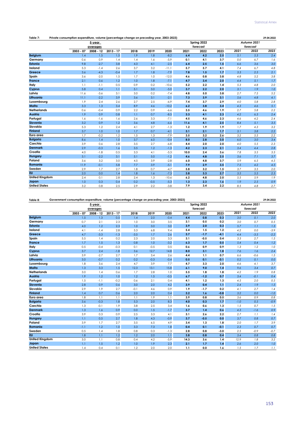| Table 7:              | Private consumption expenditure, volume (percentage change on preceding year, 2003-2023)<br>29.04.2022 |           |             |      |        |         |      |             |      |      |             |      |
|-----------------------|--------------------------------------------------------------------------------------------------------|-----------|-------------|------|--------|---------|------|-------------|------|------|-------------|------|
|                       |                                                                                                        | 5-year    |             |      |        |         |      | Spring 2022 |      |      | Autumn 2021 |      |
|                       |                                                                                                        | averages  |             |      |        |         |      | forecast    |      |      | forecast    |      |
|                       | $2003 - 07$                                                                                            | 2008 - 12 | $2013 - 17$ | 2018 | 2019   | 2020    | 2021 | 2022        | 2023 | 2021 | 2022        | 2023 |
| <b>Belgium</b>        | 1.4                                                                                                    | 1.5       | 1.5         | 1.9  | 1.8    | $-8.2$  | 6.4  | 4.2         | 2.5  | 5.1  | 5.3         | 2.4  |
| Germany               | 0.6                                                                                                    | 0.9       | 1.4         | 1.4  | 1.6    | $-5.9$  | 0.1  | 4.1         | 3.7  | 0.0  | 6.7         | 1.6  |
| <b>Estonia</b>        | 9.8                                                                                                    | $-2.7$    | 3.8         | 4.3  | 4.1    | $-2.5$  | 6.4  | 2.5         | 1.5  | 6.6  | 3.6         | 3.0  |
| Ireland               | 5.3                                                                                                    | $-1.4$    | 2.6         | 3.7  | 3.2    | $-11.1$ | 5.7  | 5.7         | 4.1  | 7.4  | 6.7         | 4.8  |
| Greece                | 3.6                                                                                                    | $-4.3$    | $-0.4$      | 1.7  | 1.8    | $-7.9$  | 7.8  | 1.5         | 1.7  | 3.3  | 2.5         | 2.1  |
| Spain                 | 3.6                                                                                                    | $-2.0$    | 1.5         | 1.7  | 1.0    | $-12.0$ | 4.6  | 0.8         | 3.8  | 4.8  | 5.2         | 3.8  |
| <b>France</b>         | 2.1                                                                                                    | 0.6       | 1.2         | 1.0  | 1.8    | $-7.1$  | 4.7  | 3.4         | 2.0  | 4.4  | 5.1         | 1.7  |
| Italy                 | 1.1                                                                                                    | $-1.1$    | 0.5         | 0.9  | 0.2    | $-10.6$ | 5.2  | 2.2         | 1.4  | 5.3  | 4.8         | 2.0  |
| Cyprus                | 5.8                                                                                                    | 0.4       | 1.1         | 5.1  | 3.0    | $-5.0$  | 3.7  | 2.2         | 2.0  | 3.1  | 1.9         | 1.0  |
| Latvia                | 11.6                                                                                                   | $-3.6$    | 3.1         | 3.0  | 0.2    | $-7.4$  | 4.8  | 5.0         | 3.8  | 2.7  | 7.5         | 5.2  |
| Lithuania             | 11.1                                                                                                   | $-2.2$    | 3.9         | 3.6  | 3.1    | $-2.1$  | 7.3  | 3.9         | 3.1  | 5.6  | 4.8         | 4.1  |
| Luxembourg            | 1.9                                                                                                    | 2.4       | 2.6         | 2.7  | 2.5    | $-6.9$  | 7.4  | 3.7         | 2.9  | 4.0  | 5.8         | 2.8  |
| Malta                 | 3.3                                                                                                    | 1.3       | 3.4         | 8.9  | 4.6    | $-10.2$ | 6.2  | 3.8         | 3.4  | 4.3  | 4.6         | 5.1  |
| <b>Netherlands</b>    | 0.6                                                                                                    | $-0.4$    | 0.9         | 2.2  | 0.9    | $-6.6$  | 3.5  | 4.6         | 1.9  | 2.7  | 5.8         | 2.2  |
| Austria               | 1.9                                                                                                    | 0.9       | 0.8         | 1.1  | 0.7    | $-8.5$  | 3.3  | 4.1         | 2.3  | 4.2  | 6.3         | 2.4  |
| Portugal              | 1.6                                                                                                    | $-1.6$    | 1.6         | 2.6  | 3.3    | $-7.1$  | 4.5  | 4.6         | 2.3  | 4.6  | 4.2         | 2.4  |
| Slovenia              | 3.2                                                                                                    | 0.9       | 1.2         | 3.6  | 4.8    | $-6.6$  | 11.6 | 4.1         | 2.5  | 8.4  | 5.1         | 3.5  |
| Slovakia              | 5.3                                                                                                    | 1.2       | 2.4         | 4.1  | 2.7    | $-1.3$  | 1.2  | 1.9         | 1.9  | 1.7  | 4.3         | 3.2  |
| <b>Finland</b>        | 3.7                                                                                                    | 1.0       | 1.0         | 1.7  | 0.7    | $-4.1$  | 3.1  | 2.1         | 1.7  | 3.1  | 3.8         | 2.2  |
| Euro area             | 1.7                                                                                                    | $-0.2$    | 1.2         | 1.5  | 1.3    | $-7.9$  | 3.5  | 3.2         | 2.6  | 3.2  | 5.5         | 2.2  |
| <b>Bulgaria</b>       | 8.6                                                                                                    | 1.4       | 1.0         | 3.7  | 6.0    | $-0.4$  | 8.0  | 2.8         | 3.0  | 6.0  | 3.0         | 3.4  |
| Czechia               | 3.9                                                                                                    | 0.6       | 2.8         | 3.5  | 2.7    | $-6.8$  | 4.4  | 2.0         | 2.0  | 4.0  | 5.5         | 2.3  |
| <b>Denmark</b>        | 2.9                                                                                                    | $-0.3$    | 1.6         | 3.5  | 1.2    | $-1.3$  | 4.2  | 2.3         | 2.1  | 3.4  | 4.4         | 2.8  |
| Croatia               | 4.0                                                                                                    | $-1.8$    | 0.5         | 3.3  | 4.1    | $-5.3$  | 10.0 | 2.4         | 3.6  | 7.8  | 3.5         | 3.3  |
| Hungary               | 3.1                                                                                                    | $-2.2$    | 3.1         | 5.1  | 5.0    | $-1.2$  | 4.6  | 4.8         | 2.5  | 3.6  | 7.1         | 3.7  |
| Poland                | 3.6                                                                                                    | 3.2       | 3.0         | 4.5  | 3.9    | $-2.8$  | 6.0  | 4.8         | 3.7  | 5.9  | 6.5         | 4.5  |
| Romania               | 11.9                                                                                                   | $-0.1$    | 5.8         | 7.7  | 3.9    | $-5.1$  | 7.9  | 2.9         | 3.5  | 7.5  | 4.2         | 4.5  |
| Sweden                | 2.9                                                                                                    | 1.7       | 2.7         | 1.8  | 0.7    | $-4.7$  | 5.8  | 3.2         | 1.5  | 3.7  | 3.5         | 2.0  |
| <b>EU</b>             | 2.0                                                                                                    | 0.0       | 1.4         | 1.8  | 1.6    | $-7.3$  | 3.8  | 3.3         | 2.7  | 3.5  | 5.5         | 2.3  |
| <b>United Kingdom</b> | 2.4                                                                                                    | 0.1       | 2.8         | 2.4  | 1.3    | $-10.6$ | 6.2  | 4.8         | 2.0  | 5.5  | 5.9         | 1.9  |
| Japan                 | 1.0                                                                                                    | 0.3       | 0.4         | 0.2  | $-0.5$ | $-5.3$  | 1.3  | 2.3         | 1.6  | 1.9  | 2.5         | 0.9  |
| <b>United States</b>  | 3.2                                                                                                    | 0.8       | 2.5         | 2.9  | 2.2    | $-3.8$  | 7.9  | 3.4         | 2.2  | 8.5  | 4.8         | 2.7  |

| Table 8:           |             | Government consumption expenditure, volume (percentage change on preceding year, 2003-2023) |             |        |        |        |      |             |        |        |             |        |
|--------------------|-------------|---------------------------------------------------------------------------------------------|-------------|--------|--------|--------|------|-------------|--------|--------|-------------|--------|
|                    |             | 5-year                                                                                      |             |        |        |        |      | Spring 2022 |        |        | Autumn 2021 |        |
|                    |             | averages                                                                                    |             |        |        |        |      | forecast    |        |        | forecast    |        |
|                    | $2003 - 07$ | 2008 - 12                                                                                   | $2013 - 17$ | 2018   | 2019   | 2020   | 2021 | 2022        | 2023   | 2021   | 2022        | 2023   |
| <b>Belgium</b>     | 1.5         | 1.3                                                                                         | 0.5         | 1.4    | 2.0    | $-0.4$ | 4.4  | 0.8         | 0.3    | 3.0    | 0.1         | 2.0    |
| Germany            | 0.7         | 2.1                                                                                         | 2.3         | 1.0    | 3.0    | 3.5    | 3.1  | 0.5         | 0.2    | 3.0    | 0.7         | 0.5    |
| <b>Estonia</b>     | 4.0         | 1.2                                                                                         | 2.3         | 1.0    | 3.0    | 3.0    | 3.9  | 2.0         | 0.3    | 5.7    | 1.1         | 1.3    |
| Ireland            | 4.1         | $-1.4$                                                                                      | 2.8         | 5.3    | 6.8    | 9.4    | 5.4  | 1.5         | 1.2    | 4.2    | 0.0         | $-3.9$ |
| Greece             | 4.7         | $-3.3$                                                                                      | $-1.3$      | $-3.5$ | 1.7    | 2.6    | 3.7  | $-1.7$      | $-4.1$ | 4.4    | $-3.5$      | $-2.2$ |
| Spain              | 5.5         | 1.4                                                                                         | 0.2         | 2.3    | 2.0    | 3.3    | 3.1  | $-0.5$      | 0.4    | 3.3    | 2.7         | 1.5    |
| France             | 1.7         | 1.5                                                                                         | 1.3         | 0.8    | 1.0    | $-3.2$ | 6.3  | 1.7         | 0.5    | 5.4    | 0.4         | 1.2    |
| Italy              | 0.5         | $-0.4$                                                                                      | $-0.3$      | 0.1    | $-0.5$ | 0.5    | 0.6  | 0.9         | 0.9    | 1.3    | 1.2         | 1.0    |
| Cyprus             | 3.7         | 2.4                                                                                         | $-1.8$      | 3.6    | 12.7   | 14.8   | 8.0  | 3.1         | 1.8    | 7.6    | 1.6         | 2.4    |
| Latvia             | 3.9         | $-2.7$                                                                                      | 2.7         | 1.7    | 3.4    | 2.6    | 4.4  | 1.1         | 0.7    | 6.6    | $-0.6$      | 1.5    |
| Lithuania          | 3.0         | $-0.7$                                                                                      | 0.2         | 0.2    | $-0.3$ | $-0.4$ | 0.5  | 0.1         | $-0.1$ | 0.2    | 0.1         | 0.0    |
| Luxembourg         | 1.8         | 3.6                                                                                         | 2.4         | 4.7    | 3.9    | 7.7    | 4.7  | 3.3         | 2.0    | 4.6    | 4.1         | 3.7    |
| Malta              | 1.3         | 3.3                                                                                         | 1.5         | 12.3   | 13.1   | 15.8   | 6.1  | 9.0         | 1.4    | 9.6    | 3.4         | 0.7    |
| <b>Netherlands</b> | 3.0         | 1.4                                                                                         | 0.6         | 1.7    | 2.8    | 1.0    | 5.5  | 1.8         | 1.8    | 4.2    | 1.9         | 0.8    |
| Austria            | 1.9         | 1.2                                                                                         | 1.0         | 1.2    | 1.5    | $-0.5$ | 6.7  | $-1.2$      | 0.7    | 3.4    | $-0.1$      | 0.4    |
| Portugal           | 1.5         | $-1.1$                                                                                      | $-0.2$      | 0.6    | 2.1    | 0.4    | 4.1  | 1.2         | 1.3    | 4.5    | 2.0         | 0.5    |
| <b>Slovenia</b>    | 2.8         | 0.9                                                                                         | 0.6         | 3.0    | 2.0    | 4.2    | 3.9  | 0.4         | 1.1    | 2.4    | 1.9         | 1.5    |
| Slovakia           | 2.9         | 1.9                                                                                         | 2.7         | $-0.1$ | 4.6    | 0.9    | 1.9  | $-1.7$      | 0.2    | 4.1    | 2.7         | 1.4    |
| <b>Finland</b>     | 1.4         | 0.7                                                                                         | 0.6         | 2.0    | 2.0    | 0.4    | 3.2  | 1.6         | $-0.8$ | 3.2    | 0.0         | $-1.0$ |
| Euro area          | 1.8         | 1.1                                                                                         | 1.1         | 1.1    | 1.9    | 1.1    | 3.9  | 0.8         | 0.5    | 3.6    | 0.9         | 0.8    |
| <b>Bulgaria</b>    | 3.6         | $-0.3$                                                                                      | 1.8         | 5.3    | 2.0    | 8.3    | 4.0  | 0.3         | 1.7    | $-1.0$ | 0.5         | $-0.9$ |
| Czechia            | 1.3         | $-0.1$                                                                                      | 1.9         | 3.8    | 2.5    | 3.4    | 1.6  | 0.6         | 1.3    | 1.5    | 0.7         | 1.5    |
| <b>Denmark</b>     | 1.3         | 1.6                                                                                         | 0.9         | 0.0    | 1.5    | $-1.7$ | 3.7  | 1.4         | 0.6    | 4.3    | $-1.6$      | 0.9    |
| Croatia            | 3.9         | 0.3                                                                                         | 0.9         | 2.5    | 3.3    | 4.1    | 3.1  | 2.6         | 2.2    | 2.7    | 1.1         | 1.4    |
| Hungary            | 1.1         | 0.5                                                                                         | 2.7         | 1.8    | 4.3    | $-0.9$ | 3.7  | $-0.5$      | 0.0    | 3.7    | 0.8         | 0.7    |
| Poland             | 3.9         | 1.7                                                                                         | 2.7         | 3.5    | 6.5    | 4.9    | 3.4  | 1.3         | 1.8    | 2.0    | 1.7         | 3.9    |
| Romania            | $-1.1$      | 1.2                                                                                         | 1.0         | 3.3    | 7.3    | 1.8    | 0.4  | 0.1         | $-0.1$ | 2.3    | 0.7         | 0.7    |
| Sweden             | 0.5         | 1.4                                                                                         | 1.8         | 0.8    | 0.3    | $-1.3$ | 2.8  | 0.8         | $-3.0$ | 2.5    | $-0.9$      | $-0.7$ |

**United States**

**United Kingdom Japan**

**EU**

0.5 1.4 1.8 0.8 0.3 -1.3 **2.8 0.8 -3.0** *2.5 -0.9 -0.7* 1.8 1.1 1.2 1.2 2.0 1.1 **3.8 0.8 0.4** *3.4 0.8 0.8* 3.0 1.1 0.8 0.4 4.2 -5.9 **14.3 3.6 1.4** *12.9 1.8 3.2* 1.1 1.5 1.2 1.0 1.9 2.3 **2.1 1.7 1.4** *2.6 2.0 1.0* 1.4 0.4 0.1 1.2 2.0 2.0 **1.1 0.0 1.6** *1.5 1.7 1.1*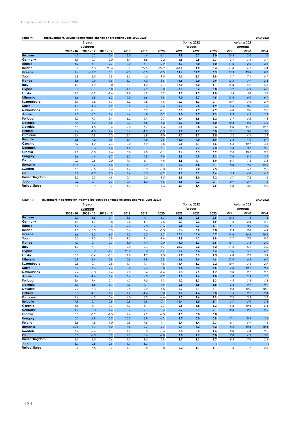| e (percentage change on preceding year, 2003-2023)<br>Table 9:<br>.04.2022<br>volume<br>Total investment<br>ንዓ በ |
|------------------------------------------------------------------------------------------------------------------|
|------------------------------------------------------------------------------------------------------------------|

|                       |             |             |             | Spring 2022 | Autumn 2021 |         |         |          |       |         |          |         |
|-----------------------|-------------|-------------|-------------|-------------|-------------|---------|---------|----------|-------|---------|----------|---------|
|                       |             | averages    |             |             |             |         |         | forecast |       |         | forecast |         |
|                       | $2003 - 07$ | $2008 - 12$ | $2013 - 17$ | 2018        | 2019        | 2020    | 2021    | 2022     | 2023  | 2021    | 2022     | 2023    |
| <b>Belgium</b>        | 4.7         | 0.2         | 2.4         | 3.0         | 4.4         | $-6.1$  | 7.8     | $-0.1$   | 3.0   | 10.5    | 2.0      | 1.6     |
| Germany               | 1.9         | 0.7         | 2.0         | 3.4         | 1.8         | $-2.2$  | 1.5     | 0.8      | 2.7   | 2.4     | 3.5      | 3.1     |
| <b>Estonia</b>        | 14.2        | $-4.1$      | 2.7         | 0.0         | 6.1         | 19.9    | 3.3     | $-7.0$   | 5.0   | 11.0    | 2.5      | 3.6     |
| Ireland               | 8.2         | $-6.3$      | 20.6        | $-8.9$      | 99.5        | $-22.9$ | $-37.6$ | 4.2      | 5.4   | $-31.8$ | 4.1      | 5.4     |
| Greece                | 7.6         | $-17.7$     | 0.1         | $-4.3$      | $-3.3$      | $-0.3$  | 19.6    | 14.7     | 8.5   | 15.3    | 13.4     | 8.2     |
| Spain                 | 5.8         | $-8.5$      | 2.8         | 6.3         | 4.5         | $-9.5$  | 4.3     | 8.3      | 5.8   | 3.7     | 7.4      | 8.1     |
| <b>France</b>         | 3.5         | $-0.9$      | 1.5         | 3.3         | 4.0         | $-8.6$  | 11.6    | 2.0      | 2.9   | 12.5    | 3.9      | 2.8     |
| Italy                 | 1.3         | $-4.9$      | 0.0         | 3.1         | 1.2         | $-9.1$  | 17.0    | 6.2      | 4.1   | 15.8    | 5.9      | 5.6     |
| Cyprus                | 8.3         | $-8.1$      | 6.8         | $-4.9$      | 2.9         | 0.0     | $-6.3$  | 5.4      | 5.8   | 5.2     | 4.9      | 4.8     |
| Latvia                | 19.2        | $-6.9$      | $-1.6$      | 11.8        | 6.9         | 0.2     | 2.9     | 1.3      | 2.8   | 5.5     | 5.8      | 3.8     |
| Lithuania             | 16.6        | $-6.8$      | 6.2         | 10.0        | 6.6         | $-1.8$  | 7.0     | 2.7      | 4.5   | 12.8    | 6.0      | 6.1     |
| Luxembourg            | 3.9         | 2.8         | 1.7         | $-6.2$      | 9.8         | $-4.6$  | 12.3    | 1.3      | 2.1   | 10.9    | 3.6      | 2.7     |
| Malta                 | 11.0        | $-1.3$      | 11.9        | 5.5         | 8.4         | $-7.6$  | 19.3    | 2.5      | 4.9   | 6.5     | 8.5      | 7.5     |
| <b>Netherlands</b>    | 4.5         | $-4.1$      | 3.7         | 3.6         | 6.2         | $-4.1$  | 3.5     | 2.9      | 2.9   | 4.0     | 2.6      | 2.0     |
| Austria               | 2.2         | $-0.2$      | 2.4         | 4.4         | 4.8         | $-5.2$  | 4.0     | 3.7      | 2.3   | 8.3     | 4.2      | 2.3     |
| Portugal              | $-1.0$      | $-7.7$      | 3.4         | 6.2         | 5.4         | $-2.7$  | 6.4     | 6.5      | 5.2   | 5.4     | 5.2      | 4.3     |
| Slovenia              | 7.4         | $-8.9$      | 1.6         | 9.7         | 5.5         | $-8.2$  | 12.3    | 3.8      | 5.0   | 10.3    | 8.0      | 7.0     |
| Slovakia              | 6.8         | $-1.5$      | 3.4         | 2.8         | 6.7         | $-11.6$ | 0.6     | 10.8     | 13.4  | 2.8     | 15.7     | 12.1    |
| <b>Finland</b>        | 4.4         | $-1.3$      | 1.4         | 3.6         | $-1.5$      | $-0.3$  | 1.2     | 2.1      | 3.0   | 3.1     | 3.6      | 3.8     |
| Euro area             | 3.4         | $-2.9$      | 2.3         | 3.1         | 6.8         | $-7.0$  | 4.2     | 3.1      | 3.5   | 5.2     | 4.4      | 3.9     |
| <b>Bulgaria</b>       | 15.8        | $-4.2$      | 0.6         | 5.4         | 4.5         | 0.6     | $-11.0$ | 4.0      | 6.9   | $-2.3$  | 4.0      | 6.9     |
| Czechia               | 6.2         | $-1.9$      | 2.4         | 10.0        | 5.9         | $-7.5$  | 0.9     | 3.1      | 5.6   | 6.4     | 10.7     | 4.3     |
| <b>Denmark</b>        | 5.0         | $-3.6$      | 4.6         | 4.2         | 0.1         | 5.1     | 5.6     | 2.7      | 2.3   | 6.3     | 3.1      | 2.8     |
| Croatia               | 7.8         | $-5.8$      | 2.6         | 3.8         | 9.8         | $-6.1$  | 7.6     | 6.5      | 8.2   | 7.4     | 10.5     | 9.5     |
| Hungary               | 3.6         | $-4.4$      | 6.7         | 16.3        | 12.8        | $-7.0$  | 5.9     | 0.9      | $1.2$ | 7.6     | 8.4      | 3.4     |
| Poland                | 10.0        | 2.5         | 2.0         | 9.4         | 6.1         | $-4.9$  | 3.8     | 4.1      | 3.9   | 8.7     | 7.8      | 5.3     |
| Romania               | 20.8        | $-3.7$      | 1.6         | $-1.1$      | 12.9        | 4.1     | 2.3     | 4.8      | 8.1   | 8.8     | 9.5      | 12.5    |
| Sweden                | 6.0         | $-0.5$      | 4.6         | 1.4         | $-0.3$      | $-0.3$  | 6.1     | 2.0      | 2.5   | 6.1     | 6.1      | 2.6     |
| <b>EU</b>             | 3.9         | $-2.7$      | 2.5         | 3.4         | 6.5         | $-6.2$  | 4.2     | 3.1      | 3.6   | 5.5     | 4.8      | 4.1     |
| <b>United Kingdom</b> | 3.3         | $-2.3$      | 4.9         | $-0.1$      | 0.5         | $-9.5$  | 5.9     | 3.0      | 2.2   | 5.7     | 7.2      | 1.6     |
| Japan                 | 0.2         | $-2.1$      | 2.3         | 0.4         | 1.0         | $-4.6$  | $-1.5$  | 0.3      | 2.1   | 0.9     | 2.1      | $1.2\,$ |
| <b>United States</b>  | 3.6         | $-0.9$      | 3.7         | 4.4         | 3.1         | $-1.6$  | 6.1     | 3.4      | 2.5   | 6.8     | 3.5      | 2.5     |

**Table 10: 29.04.2022 Investment in construction, volume (percentage change on preceding year, 2003-2023)**

|                       |             | 5-year      |             |         |         |         |         | Spring 2022 |      | Autumn 2021 |              |       |
|-----------------------|-------------|-------------|-------------|---------|---------|---------|---------|-------------|------|-------------|--------------|-------|
|                       |             | averages    |             |         |         |         |         | forecast    |      |             | forecast     |       |
|                       | $2003 - 07$ | $2008 - 12$ | $2013 - 17$ | 2018    | 2019    | 2020    | 2021    | 2022        | 2023 | 2021        | 2022         | 2023  |
| <b>Belgium</b>        | 5.0         | 1.5         | 1.1         | 3.9     | 4.1     | $-6.3$  | 8.8     | 0.5         | 2.5  | 10.5        | 1.8          | 1.3   |
| Germany               | $-1.1$      | 1.4         | 0.8         | 2.6     | 1.1     | 2.5     | 0.7     | 0.2         | 1.5  | 1.4         | 2.4          | 2.2   |
| Estonia               | 14.4        | $-5.4$      | 3.4         | $-9.6$  | 12.8    | $-3.6$  | $-0.8$  | 0.7         | 5.1  | 2.1         | 3.9          | 5.9   |
| Ireland               | 7.0         | $-18.3$     | 10.3        | 10.6    | 5.6     | $-5.5$  | $-3.3$  | 6.2         | 6.8  | 9.9         | 7.6          | 6.9   |
| Greece                | 6.6         | $-18.2$     | $-6.5$      | $-11.0$ | $-15.0$ | 3.7     | 10.6    | 15.4        | 8.7  | 14.6        | 16.2         | 10.5  |
| Spain                 | 5.1         | $-11.3$     | 0.8         | 9.5     | 7.1     | $-9.6$  | $-2.8$  | 4.2         | 6.8  | $-2.7$      | 7.6          | 9.0   |
| <b>France</b>         | 4.0         | $-2.1$      | 0.3         | 3.0     | 4.4     | $-12.0$ | 14.0    | 1.3         | 2.5  | 15.1        | 3.3          | 2.0   |
| Italy                 | 1.4         | $-6.1$      | $-3.1$      | 2.0     | 2.4     | $-6.7$  | 22.3    | 9.2         | 3.2  | 21.4        | 6.2          | 5.0   |
| Cyprus                | 12.3        | $-10.2$     | $-1.7$      | 25.6    | 15.0    | $-5.7$  | 0.7     | 6.4         | 6.4  | 6.6         | 5.2          | 4.7   |
| Latvia                | 18.9        | $-6.4$      | $-3.1$      | 17.8    | 1.2     | 1.5     | $-6.7$  | 0.5         | 2.5  | 4.8         | 7.3          | 3.4   |
| Lithuania             | 15.9        | $-8.4$      | 3.8         | 10.8    | 9.8     | $-0.8$  | $-1.6$  | 2.4         | 4.6  | 12.0        | 6.8          | $6.0$ |
| Luxembourg            | 2.5         | 0.1         | 2.8         | 1.1     | 9.1     | $-7.6$  | 11.4    | 1.3         | 2.2  | 10.9        | 3.6          | 2.7   |
| Malta                 | 3.9         | $-4.4$      | 12.4        | 10.8    | 12.4    | $-3.8$  | 3.8     | 6.4         | 6.5  | 7.0         | 10.1         | 9.5   |
| <b>Netherlands</b>    | 2.4         | $-5.8$      | 4.4         | 7.0     | 5.4     | $-1.4$  | 2.3     | 2.5         | 4.7  | 3.0         | 2.7          | 2.7   |
| Austria               | 1.4         | $-1.6$      | 0.4         | 5.6     | 4.0     | $-3.7$  | 3.1     | 2.6         | 2.0  | 6.0         | 2.9          | 2.7   |
| Portugal              | $-3.4$      | $-9.4$      | $-0.1$      | 4.7     | 7.5     | 1.3     | 4.2     | 3.3         | 3.3  | 4.3         | 3.3          | 3.3   |
| Slovenia              | 5.9         | $-11.8$     | $-1.4$      | 9.9     | 9.1     | $-4.9$  | 0.5     | 3.5         | 5.8  | 2.6         | 9.7          | 9.9   |
| Slovakia              | 9.2         | $-5.3$      | 2.1         | 2.5     | $-2.2$  | 4.5     | $-5.7$  | 7.1         | 5.1  | 0.4         | 12.5         | 10.8  |
| <b>Finland</b>        | 5.0         | $-1.1$      | 1.7         | 4.7     | $-1.4$  | 0.0     | 1.6     | 1.4         | 0.0  | 1.5         | 2.7          | 2.4   |
| Euro area             | 2.6         | $-4.3$      | 0.4         | 4.0     | 3.3     | $-4.6$  | 6.3     | 2.6         | 2.9  | 7.4         | 3.9          | 3.5   |
| <b>Bulgaria</b>       | 17.9        | 0.1         | $-2.8$      | 0.8     | $-5.9$  | $-0.1$  | $-11.4$ | 5.0         | 8.1  | $-3.7$      | 5.0          | 7.3   |
| Czechia               | 4.8         | $-3.1$      | 0.7         | 8.3     | 5.1     | $-2.7$  | 0.6     | 3.8         | 6.3  | 5.8         | 10.4         | 6.4   |
| <b>Denmark</b>        | 4.9         | $-5.8$      | 4.4         | 3.4     | 2.1     | 10.4    | 5.7     | 3.1         | 2.1  | 10.0        | 2.9          | 2.3   |
| Croatia               | 5.5         | $-6.2$      | $-1.3$      | 4.4     | 12.9    | $-4.5$  | 4.5     | 3.0         | 3.0  |             | $\therefore$ |       |
| Hungary               | 0.2         | $-6.8$      | 5.7         | 20.7    | 13.8    | $-4.2$  | 5.7     | 0.0         | 0.8  | 7.1         | 9.2          | 2.4   |
| Poland                | 8.6         | 4.5         | $-1.0$      | 10.9    | 7.5     | $-7.1$  | 2.4     | 3.4         | 2.3  | 0.1         | 5.9          | 4.6   |
| <b>Romania</b>        | 22.8        | $-3.4$      | 6.2         | $-8.5$  | 12.7    | 2.7     | 6.1     | 3.2         | 7.2  | 8.4         | 10.4         | 10.4  |
| Sweden                | 6.4         | $-2.4$      | 6.1         | 1.9     | 0.0     | $-0.4$  | 0.8     | 0.3         | 1.6  | 2.8         | 4.4          | 2.3   |
| EU                    | 3.0         | $-4.0$      | 0.7         | 4.1     | 3.6     | $-4.0$  | 5.8     | 2.5         | 3.0  | 7.0         | 4.3          | 3.6   |
| <b>United Kingdom</b> | 3.1         | $-3.5$      | 5.6         | 1.7     | 1.5     | $-10.9$ | 8.7     | 1.3         | 1.7  | 9.5         | 7.6          | 2.5   |
| Japan                 | $-3.7$      | $-2.8$      | 2.6         | $-1.7$  | 1.7     | t       | ÷       | ÷           | ÷    |             | ÷            |       |
| <b>United States</b>  | 0.6         | $-5.5$      | 3.7         | 1.1     | 0.8     | $-0.8$  | 0.2     | $-1.1$      | 1.1  | 1.4         | 1.7          | 2.3   |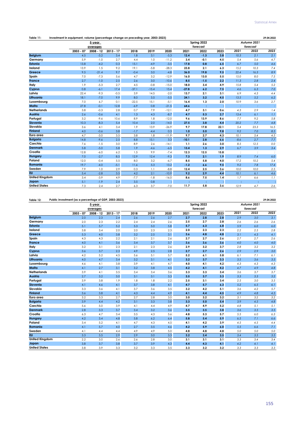| Table 11:             | Investment in equipment, volume (percentage change on preceding year, 2003-2023) |             |             |         |         |         |         |             |      |           |             |      |
|-----------------------|----------------------------------------------------------------------------------|-------------|-------------|---------|---------|---------|---------|-------------|------|-----------|-------------|------|
|                       |                                                                                  | 5-year      |             |         |         |         |         | Spring 2022 |      |           | Autumn 2021 |      |
|                       |                                                                                  | averages    |             |         |         |         |         | forecast    |      |           | forecast    |      |
|                       | $2003 - 07$                                                                      | $2008 - 12$ | $2013 - 17$ | 2018    | 2019    | 2020    | 2021    | 2022        | 2023 | 2021      | 2022        | 2023 |
| <b>Belgium</b>        | 4.5                                                                              | $-3.2$      | 3.4         | 1.8     | 3.1     | $-5.3$  | 12.4    | $-1.3$      | 3.8  | 10.3      | 2.1         | 2.1  |
| Germany               | 5.9                                                                              | $-1.0$      | 2.7         | 4.4     | 1.0     | $-11.2$ | 3.4     | $-0.1$      | 4.5  | 5.4       | 5.6         | 4.7  |
| Estonia               | 13.8                                                                             | $-4.2$      | 0.3         | 15.1    | $-4.9$  | $-3.5$  | 17.8    | 0.8         | 6.5  | 6.7       | 5.0         | 4.6  |
| Ireland               | 13.9                                                                             | 1.5         | 9.2         | 19.1    | $-5.8$  | $-28.3$ | 23.8    | 2.1         | 6.3  | 15.2      | 10.3        | 7.4  |
| Greece                | 9.5                                                                              | $-21.4$     | 9.7         | $-0.4$  | 3.0     | $-4.8$  | 36.0    | 19.8        | 9.5  | 22.4      | 16.3        | 8.9  |
| Spain                 | 7.0                                                                              | $-7.3$      | 5.6         | 4.7     | 3.2     | $-12.9$ | 16.0    | 13.0        | 5.5  | 15.0      | 8.0         | 7.5  |
| France                | 2.7                                                                              | $-1.0$      | 2.5         | 2.6     | 3.0     | $-10.6$ | 8.5     | $-1.5$      | 2.2  | 11.3      | 2.8         | 2.4  |
| Italy                 | 1.9                                                                              | $-5.3$      | 2.7         | 4.5     | $-0.8$  | $-15.0$ | 18.0    | 3.4         | 4.9  | 15.8      | 5.4         | 5.2  |
| Cyprus                | 0.8                                                                              | $-6.1$      | 17.4        | $-37.1$ | $-15.4$ | 15.4    | $-27.8$ | 6.2         | 7.5  | 4.6       | 6.3         | 7.0  |
| Latvia                | 22.4                                                                             | $-9.3$      | $-0.5$      | 3.9     | 14.5    | $-2.0$  | 13.7    | 2.1         | 3.1  | 6.9       | 4.3         | 4.4  |
| Lithuania             | 18.1                                                                             | $-7.0$      | 9.9         | 8.0     | 3.5     | $-5.5$  | 24.1    | 3.2         | 4.5  | 13.5      | 5.2         | 6.2  |
| Luxembourg            | 7.0                                                                              | 6.7         | 0.1         | $-22.5$ | 15.1    | $-5.1$  | 16.4    | 1.3         | 2.0  | 10.9      | 3.6         | 2.7  |
| Malta                 | 27.8                                                                             | $-0.1$      | 12.8        | $-6.9$  | 0.8     | $-21.5$ | 64.6    | ÷           | ÷    | ÷         | ÷           | Ð    |
| <b>Netherlands</b>    | 3.8                                                                              | $-0.3$      | 2.8         | 0.7     | 7.9     | $-12.1$ | 4.7     | 3.1         | 0.6  | 4.3       | 2.9         | 1.4  |
| Austria               | 2.6                                                                              | $-0.6$      | 4.1         | 1.3     | 4.3     | $-8.7$  | 4.7     | 5.3         | 2.7  | 13.4      | 6.1         | 1.1  |
| Portugal              | 3.2                                                                              | $-9.6$      | 10.6        | 8.9     | 1.8     | $-12.0$ | 9.6     | 13.9        | 8.6  | 7.7       | 9.2         | 5.8  |
| Slovenia              | 10.3                                                                             | $-8.3$      | 5.4         | 10.4    | 2.0     | $-14.0$ | 27.5    | 3.8         | 4.4  | 20.2      | 7.7         | 4.8  |
| Slovakia              | 3.6                                                                              | 4.1         | 3.4         | 1.9     | 13.9    | $-26.9$ | 9.7     | 17.8        | 22.1 | 5.4       | 23.3        | 16.5 |
| <b>Finland</b>        | 4.0                                                                              | $-0.6$      | 3.8         | $-1.7$  | $-4.4$  | 0.3     | 1.0     | 5.0         | 9.8  | 9.2       | 7.0         | 8.5  |
| Euro area             | 4.7                                                                              | $-3.0$      | 3.5         | 3.8     | 1.8     | $-11.9$ | 9.7     | 2.7         | 4.3  | 10.1      | 5.4         | 4.5  |
| <b>Bulgaria</b>       | 14.8                                                                             | $-9.6$      | 2.5         | 8.8     | 15.1    | 3.3     | $-10.1$ | 2.8         | 6.6  | $-8.6$    | 2.7         | 7.7  |
| Czechia               | 7.6                                                                              | $-1.5$      | 3.0         | 8.9     | 2.6     | $-14.1$ | 1.1     | 2.6         | 3.0  | 8.5       | 12.5        | 0.0  |
| <b>Denmark</b>        | 5.8                                                                              | $-5.0$      | 5.8         | 1.9     | $-4.6$  | $-6.5$  | 13.4    | 1.3         | 2.9  | 6.7       | 3.9         | 3.4  |
| Croatia               | 12.8                                                                             | $-6.0$      | 6.2         | 1.5     | 9.9     | $-7.4$  | 12.3    | 12.5        | 15.8 | $\cdot$ : | $\cdot$ :   |      |
| Hungary               | 7.0                                                                              | $-2.7$      | 8.5         | 12.9    | 12.4    | $-9.3$  | 7.3     | 2.1         | 1.9  | 8.9       | 7.4         | 6.0  |
| Poland                | 12.0                                                                             | $-0.4$      | 5.5         | 8.0     | 3.2     | $-6.7$  | 8.5     | 5.8         | 4.0  | 17.2      | 10.2        | 5.4  |
| Romania               | 19.7                                                                             | $-4.0$      | $-5.1$      | 11.6    | 5.3     | 13.2    | $-1.2$  | 6.6         | 9.5  | 9.2       | 7.8         | 17.4 |
| Sweden                | 7.9                                                                              | 1.0         | 2.9         | 0.3     | 1.1     | $-8.8$  | 12.4    | 2.5         | 3.6  | 10.0      | 10.0        | 2.5  |
| $E$ U                 | 5.4                                                                              | $-2.8$      | 3.5         | 4.2     | 2.1     | $-10.9$ | 9.2     | 2.9         | 4.4  | 10.1      | 6.1         | 4.6  |
| <b>United Kingdom</b> | 3.4                                                                              | $-3.9$      | 4.9         | $-7.7$  | $-1.8$  | $-16.0$ | 8.6     | 7.5         | 1.4  | 1.7       | 6.6         | 1.1  |
| Japan                 | 5.1                                                                              | $-1.9$      | 2.4         | 3.5     | 0.8     | t       | ÷       | ÷           | ÷    | ÷         | ÷           |      |
| <b>United States</b>  | 7.3                                                                              | 2.4         | 2.7         | 6.3     | 3.7     | $-7.0$  | 11.7    | 5.8         | 3.6  | 12.9      | 4.7         | 2.6  |

## **Table 12: 29.04.2022 Public investment (as a percentage of GDP, 2003-2023)**

|                       |             | 5-year      |             |      |      |      |      | Spring 2022 |      |      | Autumn 2021 |      |
|-----------------------|-------------|-------------|-------------|------|------|------|------|-------------|------|------|-------------|------|
|                       |             | averages    |             |      |      |      |      | forecast    |      |      | forecast    |      |
|                       | $2003 - 07$ | $2008 - 12$ | $2013 - 17$ | 2018 | 2019 | 2020 | 2021 | 2022        | 2023 | 2021 | 2022        | 2023 |
| <b>Belgium</b>        | 2.0         | 2.3         | 2.4         | 2.6  | 2.6  | 2.7  | 2.7  | 2.8         | 2.8  | 2.9  | 3.0         | 3.1  |
| Germany               | 2.0         | 2.3         | 2.2         | 2.4  | 2.4  | 2.6  | 2.5  | 2.7         | 2.8  | 2.6  | 2.6         | 2.6  |
| Estonia               | 5.1         | 5.7         | 5.2         | 5.3  | 5.0  | 5.8  | 5.7  | 6.3         | 6.8  | 5.9  | 6.0         | 6.0  |
| Ireland               | 3.8         | 3.4         | 2.0         | 2.0  | 2.3  | 2.3  | 2.0  | 2.3         | 2.3  | 2.2  | 2.5         | 2.8  |
| Greece                | 5.3         | 4.0         | 3.8         | 3.2  | 2.5  | 3.1  | 3.6  | 4.8         | 4.8  | 3.1  | 4.3         | 4.1  |
| Spain                 | 4.3         | 4.3         | 2.2         | 2.1  | 2.1  | 2.6  | 2.7  | 2.7         | 2.6  | 2.7  | 2.7         | 2.6  |
| France                | 4.0         | 4.1         | 3.6         | 3.4  | 3.7  | 3.7  | 3.6  | 3.6         | 3.6  | 4.0  | 4.0         | 4.0  |
| Italy                 | 3.2         | 3.1         | 2.3         | 2.1  | 2.3  | 2.6  | 2.9  | 3.2         | 3.7  | 2.8  | 3.2         | 3.2  |
| Cyprus                | 3.6         | 3.7         | 2.3         | 4.9  | 2.5  | 2.8  | 2.7  | 2.7         | 2.6  | 2.9  | 2.9         | 3.0  |
| Latvia                | 4.2         | 5.2         | 4.5         | 5.6  | 5.1  | 5.7  | 5.2  | 6.1         | 5.8  | 6.1  | 7.1         | 6.1  |
| Lithuania             | 4.0         | 4.7         | 3.4         | 3.2  | 3.1  | 4.1  | 3.2  | 3.7         | 3.3  | 3.5  | 3.6         | 3.5  |
| Luxembourg            | 4.6         | 4.1         | 3.8         | 3.9  | 4.1  | 4.7  | 4.0  | 4.1         | 4.2  | 4.3  | 4.3         | 4.3  |
| Malta                 | 4.1         | 2.7         | 3.1         | 3.2  | 3.8  | 4.5  | 4.2  | 4.1         | 4.2  | 4.7  | 4.9         | 4.8  |
| <b>Netherlands</b>    | 3.9         | 4.1         | 3.5         | 3.4  | 3.4  | 3.6  | 3.3  | 3.3         | 3.4  | 3.6  | 3.7         | 3.7  |
| Austria               | 2.7         | 3.2         | 3.0         | 3.1  | 3.1  | 3.3  | 3.5  | 3.7         | 3.3  | 3.3  | 3.3         | 3.2  |
| Portugal              | 3.9         | 3.8         | 1.9         | 1.8  | 1.8  | 2.2  | 2.5  | 3.1         | 3.4  | 2.5  | 3.0         | 3.5  |
| Slovenia              | 4.1         | 4.6         | 4.1         | 3.7  | 3.8  | 4.1  | 4.7  | 5.7         | 6.3  | 5.2  | 6.5         | 6.1  |
| Slovakia              | 3.3         | 3.6         | 4.1         | 3.7  | 3.6  | 3.5  | 3.2  | 4.2         | 5.1  | 3.6  | 4.2         | 5.7  |
| <b>Finland</b>        | 3.6         | 3.8         | 4.1         | 4.3  | 4.4  | 4.9  | 4.1  | 4.4         | 4.5  | 4.9  | 4.8         | 4.5  |
| Euro area             | 3.2         | 3.3         | 2.7         | 2.7  | 2.8  | 3.0  | 3.0  | 3.2         | 3.2  | 3.1  | 3.2         | 3.2  |
| <b>Bulgaria</b>       | 3.9         | 4.4         | 4.2         | 3.1  | 3.3  | 3.8  | 3.3  | 5.0         | 5.4  | 3.9  | 4.5         | 4.8  |
| Czechia               | 5.6         | 5.0         | 3.9         | 4.1  | 4.4  | 4.9  | 4.7  | 4.9         | 5.2  | 4.8  | 5.1         | 5.1  |
| <b>Denmark</b>        | 2.8         | 3.3         | 3.7         | 3.4  | 3.2  | 3.6  | 3.5  | 3.5         | 3.8  | 3.6  | 3.5         | 3.5  |
| Croatia               | 6.3         | 4.7         | 3.4         | 3.5  | 4.3  | 5.6  | 4.8  | 5.3         | 5.7  | 5.5  | 6.0         | 6.3  |
| Hungary               | 4.2         | 3.4         | 4.8         | 5.8  | 6.2  | 6.4  | 5.8  | 5.4         | 5.9  | 6.5  | 7.1         | 6.6  |
| Poland                | 3.4         | 5.2         | 4.1         | 4.7  | 4.3  | 4.5  | 4.1  | 4.2         | 3.9  | 4.5  | 4.5         | 4.4  |
| Romania               | 4.1         | 5.7         | 4.0         | 2.7  | 3.5  | 4.6  | 4.2  | 5.9         | 6.0  | 5.5  | 6.6         | 7.1  |
| Sweden                | 4.1         | 4.4         | 4.4         | 4.9  | 4.9  | 5.0  | 4.8  | 4.8         | 4.8  | 5.0  | 5.0         | 5.0  |
| <b>EU</b>             | 3.3         | 3.5         | 2.9         | 2.9  | 3.0  | 3.3  | 3.2  | 3.4         | 3.5  | 3.4  | 3.5         | 3.5  |
| <b>United Kingdom</b> | 2.2         | 3.0         | 2.6         | 2.6  | 2.8  | 3.0  | 3.1  | 3.1         | 3.1  | 3.3  | 3.4         | 3.4  |
| Japan                 | 3.8         | 3.7         | 3.8         | 3.7  | 3.9  | 4.3  | 4.4  | 4.3         | 4.1  | 4.2  | 4.1         | 4.1  |
| <b>United States</b>  | 3.8         | 3.9         | 3.3         | 3.2  | 3.3  | 3.5  | 3.3  | 3.2         | 3.2  | 3.3  | 3.3         | 3.3  |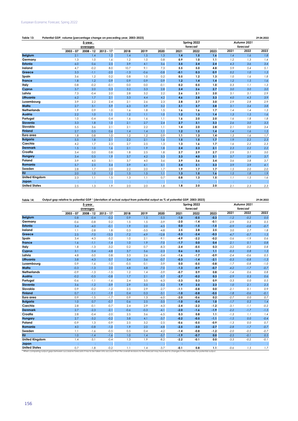| Table 13:             | Potential GDP, volume (percentage change on preceding year, 2003-2023) |             |             |        |        |        |        |             |      |      |             | 29.04.2022 |
|-----------------------|------------------------------------------------------------------------|-------------|-------------|--------|--------|--------|--------|-------------|------|------|-------------|------------|
|                       |                                                                        | 5-year      |             |        |        |        |        | Spring 2022 |      |      | Autumn 2021 |            |
|                       |                                                                        | averages    |             |        |        |        |        | forecast    |      |      | forecast    |            |
|                       | $2003 - 07$                                                            | $2008 - 12$ | $2013 - 17$ | 2018   | 2019   | 2020   | 2021   | 2022        | 2023 | 2021 | 2022        | 2023       |
| <b>Belgium</b>        | 2.1                                                                    | 1.4         | 1.2         | 1.4    | 1.5    | 1.3    | 1.4    | 1.5         | 1.6  | 1.4  | 1.6         | 1.8        |
| Germany               | 1.3                                                                    | 1.0         | 1.6         | 1.2    | 1.0    | 0.8    | 0.9    | 1.0         | 1.1  | 1.2  | 1.3         | 1.4        |
| <b>Estonia</b>        | 6.0                                                                    | 0.6         | 2.5         | 3.9    | 4.1    | 3.6    | 3.5    | 2.4         | 2.4  | 4.3  | 3.6         | 3.4        |
| Ireland               | 4.7                                                                    | $-0.2$      | 8.0         | 10.7   | 9.1    | 7.3    | 5.5    | 5.0         | 4.8  | 5.9  | 5.4         | 5.1        |
| Greece                | 3.3                                                                    | $-1.1$      | $-2.0$      | $-1.3$ | $-0.6$ | $-0.8$ | $-0.1$ | 0.3         | 0.9  | 0.2  | 1.0         | 1.3        |
| Spain                 | 3.6                                                                    | 1.2         | 0.2         | 0.8    | 1.0    | 0.2    | 0.5    | 1.2         | 1.3  | 1.0  | 1.6         | 1.8        |
| France                | 1.8                                                                    | 1.2         | 0.9         | 0.9    | 0.9    | 0.9    | 1.2    | 1.4         | 1.4  | 1.2  | 1.5         | 1.6        |
| Italy                 | 0.8                                                                    | $-0.2$      | $-0.1$      | 0.0    | 0.0    | $-0.1$ | 0.2    | 0.5         | 1.0  | 0.3  | 1.1         | 1.3        |
| Cyprus                | 3.7                                                                    | 2.0         | 0.3         | 3.2    | 3.3    | 2.8    | 2.4    | 2.6         | 2.7  | 3.0  | 3.0         | 3.0        |
| Latvia                | 7.3                                                                    | $-0.4$      | 2.0         | 2.8    | 3.2    | 2.2    | 2.6    | 2.1         | 2.0  | 3.1  | 3.1         | 2.9        |
| Lithuania             | 6.2                                                                    | 1.7         | 2.1         | 3.3    | 4.4    | 4.2    | 4.6    | 2.8         | 3.3  | 4.0  | 4.3         | 3.9        |
| Luxembourg            | 3.9                                                                    | 2.2         | 2.4         | 2.1    | 2.6    | 2.3    | 2.8    | 2.7         | 3.0  | 2.9  | 2.8         | 2.9        |
| Malta                 | 2.7                                                                    | 3.1         | 5.9         | 6.3    | 5.9    | 3.2    | 3.1    | 3.7         | 3.8  | 3.1  | 3.4         | 3.8        |
| <b>Netherlands</b>    | 1.9                                                                    | 0.9         | 1.0         | 1.6    | 1.8    | 1.5    | 1.6    | 1.6         | 1.7  | 1.4  | 1.4         | 1.3        |
| Austria               | 2.2                                                                    | 1.0         | 1.1         | 1.2    | 1.1    | 1.0    | 1.2    | 1.3         | 1.4  | 1.3  | 1.5         | 1.6        |
| Portugal              | 1.0                                                                    | $-0.4$      | 0.4         | 1.6    | 1.6    | 1.1    | 1.6    | 2.0         | 2.0  | 1.6  | 1.8         | 1.8        |
| Slovenia              | 3.3                                                                    | 1.8         | 1.0         | 2.1    | 2.7    | 2.4    | 2.7    | 3.1         | 3.3  | 2.6  | 3.0         | 3.3        |
| Slovakia              | 5.5                                                                    | 3.6         | 2.1         | 2.1    | 2.2    | 1.1    | 1.4    | 2.0         | 2.8  | 2.1  | 3.0         | 3.4        |
| <b>Finland</b>        | 2.7                                                                    | 0.5         | 0.6         | 1.4    | 1.4    | 1.1    | 1.2    | 1.5         | 1.4  | 1.4  | 1.6         | 1.5        |
| Euro area             | 1.8                                                                    | 0.8         | 1.0         | 1.2    | 1.2    | 0.9    | 1.1    | 1.3         | 1.4  | 1.3  | 1.6         | 1.7        |
| <b>Bulgaria</b>       | 5.5                                                                    | 1.8         | 2.1         | 2.2    | 2.1    | 1.6    | 1.5    | 1.5         | 1.7  | 1.9  | 2.2         | 2.3        |
| Czechia               | 4.2                                                                    | 1.7         | 2.3         | 2.7    | 2.5    | 1.3    | 1.3    | 1.6         | 1.7  | 1.6  | 2.2         | 2.3        |
| <b>Denmark</b>        | 1.5                                                                    | 1.0         | 1.6         | 2.1    | 1.9    | 1.8    | 2.4    | 2.3         | 2.1  | 2.3  | 2.2         | 2.2        |
| Croatia               | 3.4                                                                    | 0.0         | 0.8         | 1.8    | 2.5    | 1.8    | 2.7    | 2.9         | 2.7  | 2.9  | 3.1         | 3.0        |
| Hungary               | 3.4                                                                    | 0.5         | 1.9         | 3.7    | 4.2    | 3.3    | 3.3    | 4.0         | 3.1  | 3.7  | 3.9         | 3.7        |
| Poland                | 3.9                                                                    | 4.0         | 3.1         | 3.7    | 4.0    | 3.6    | 3.9    | 3.6         | 3.4  | 3.6  | 3.8         | 3.7        |
| Romania               | 5.7                                                                    | 2.5         | 3.4         | 3.9    | 4.1    | 3.1    | 3.4    | 3.1         | 3.3  | 3.9  | 3.9         | 4.1        |
| Sweden                | 2.8                                                                    | 1.7         | 2.0         | 2.2    | 2.0    | 1.7    | 1.9    | 1.7         | 1.7  | 1.5  | 2.0         | 2.0        |
| <b>EU</b>             | 2.0                                                                    | 1.0         | 1.2         | 1.5    | 1.5    | 1.1    | 1.3    | 1.5         | 1.6  | 1.5  | 1.8         | 1.9        |
| <b>United Kingdom</b> | 2.3                                                                    | 1.1         | 1.5         | 1.3    | 1.1    | 0.7    | 0.8    | 1.3         | 1.5  | 1.1  | 1.5         | 1.6        |
| Japan                 |                                                                        |             |             |        |        |        |        |             |      |      |             |            |
| <b>United States</b>  | 2.5                                                                    | 1.3         | 1.9         | 2.0    | 2.0    | 1.8    | 1.8    | 2.0         | 2.0  | 2.1  | 2.3         | 2.3        |

Table 14: Output gap relative to potential GDP <sup>1</sup> (deviation of actual output from potential output as % of potential GDP, 2003-2023) 29.04.2022

|                       |             |           |             |        | Autumn 2021 |         |        |          |        |        |          |         |
|-----------------------|-------------|-----------|-------------|--------|-------------|---------|--------|----------|--------|--------|----------|---------|
|                       |             | averages  |             |        |             |         |        | forecast |        |        | forecast |         |
|                       | $2003 - 07$ | 2008 - 12 | $2013 - 17$ | 2018   | 2019        | 2020    | 2021   | 2022     | 2023   | 2021   | 2022     | 2023    |
| <b>Belgium</b>        | 0.8         | $-0.4$    | $-0.2$      | 0.9    | 1.5         | $-5.5$  | $-1.0$ | $-0.5$   | $-0.3$ | $-1.2$ | $-0.2$   | 0.0     |
| Germany               | $-0.6$      | $-0.8$    | 0.2         | 1.5    | 1.5         | $-3.9$  | $-2.0$ | $-1.4$   | $-0.1$ | $-2.9$ | 0.2      | 0.5     |
| <b>Estonia</b>        | 5.4         | $-4.0$    | $-0.1$      | 1.9    | 2.0         | $-4.5$  | 0.0    | $-1.5$   | $-1.5$ | $-0.9$ | $-0.8$   | $-0.7$  |
| Ireland               | 1.1         | $-2.8$    | 1.8         | 0.3    | $-3.5$      | $-4.8$  | 2.5    | 2.8      | 2.5    | 3.0    | 2.7      | 1.8     |
| Greece                | 2.5         | $-7.0$    | $-13.3$     | $-7.2$ | $-4.9$      | $-12.8$ | $-5.3$ | $-2.4$   | $-0.3$ | $-4.7$ | $-0.7$   | 1.5     |
| Spain                 | 3.4         | $-4.3$    | $-5.2$      | 1.0    | 2.1         | $-9.1$  | $-4.9$ | $-2.2$   | $-0.2$ | $-5.6$ | $-1.9$   | 0.6     |
| France                | 1.6         | $-1.1$    | $-1.4$      | 1.0    | 1.9         | $-7.0$  | $-1.7$ | 0.0      | 0.4    | $-2.1$ | 0.1      | $0.8\,$ |
| Italy                 | 1.8         | $-1.3$    | $-3.2$      | 0.2    | 0.7         | $-8.3$  | $-2.4$ | $-0.5$   | 0.3    | $-3.2$ | $-0.2$   | 0.8     |
| Cyprus                | 3.1         | 0.4       | $-4.8$      | 3.7    | 5.6         | $-2.3$  | 0.6    | 0.3      | 1,1    | $-0.3$ | 0.8      | 1.3     |
| Latvia                | 4.8         | $-5.0$    | 0.8         | 3.3    | 2.6         | $-3.4$  | $-1.6$ | $-1.7$   | $-0.9$ | $-2.4$ | $-0.6$   | 0.5     |
| Lithuania             | 3.8         | $-4.3$    | 0.7         | 3.4    | 3.6         | $-0.7$  | $-0.3$ | $-1.4$   | $-2.1$ | $-0.3$ | $-0.8$   | $-1.3$  |
| Luxembourg            | 0.9         | $-1.6$    | $-1.0$      | $-0.5$ | 0.1         | $-3.9$  | 0.0    | $-0.5$   | $-0.8$ | $-1.7$ | $-0.8$   | $-1.0$  |
| Malta                 | $-0.3$      | $-1.3$    | 2.0         | 4.8    | 4.8         | $-7.0$  | $-1.3$ | $-0.9$   | $-0.7$ | $-4.2$ | $-1.7$   | $-0.7$  |
| <b>Netherlands</b>    | $-0.9$      | $-1.3$    | $-1.5$      | 1.2    | 1.4         | $-3.9$  | $-0.7$ | 0.9      | 0.8    | $-1.4$ | 0.6      | 0.8     |
| Austria               | $-0.2$      | $-0.5$    | $-0.8$      | 1.7    | 2.1         | $-5.7$  | $-2.7$ | $-0.2$   | 0.3    | $-2.9$ | 0.3      | 0.6     |
| Portugal              | $-0.6$      | $-1.1$    | $-1.6$      | 2.4    | 3.5         | $-6.3$  | $-3.3$ | 0.3      | 0.9    | $-3.3$ | 0.0      | 0.5     |
| Slovenia              | 3.6         | $-1.2$    | $-3.9$      | 2.9    | 3.5         | $-3.2$  | 1.9    | 2.5      | 2.3    | 1.0    | 2.1      | 2.3     |
| Slovakia              | 0.9         | $-0.2$    | $-1.2$      | 2.5    | 2.9         | $-2.7$  | $-1.1$ | $-0.8$   | 0.0    | $-2.1$ | 0.1      | 0.9     |
| <b>Finland</b>        | 0.7         | $-1.1$    | $-1.9$      | 0.4    | 0.3         | $-3.1$  | $-1.0$ | $-0.8$   | $-0.5$ | $-1.8$ | $-0.6$   | $-0.1$  |
| Euro area             | 0.9         | $-1.5$    | $-1.7$      | 0.9    | 1.3         | $-6.0$  | $-2.0$ | $-0.6$   | 0.2    | $-2.7$ | 0.0      | 0.7     |
| <b>Bulgaria</b>       | 1.0         | 0.7       | $-0.7$      | 0.6    | 2.5         | $-3.5$  | $-1.0$ | $-0.4$   | 1.0    | $-1.7$ | 0.2      | 1.4     |
| Czechia               | 2.8         | $-0.1$    | $-0.7$      | 2.4    | 2.9         | $-4.3$  | $-2.4$ | $-2.2$   | $-1.2$ | $-3.1$ | $-1.1$   | $-0.2$  |
| <b>Denmark</b>        | 2.7         | $-2.3$    | $-2.1$      | $-0.6$ | $-0.3$      | $-4.1$  | $-2.0$ | $-1.6$   | $-1.9$ | $-2.2$ | $-1.7$   | $-1.5$  |
| Croatia               | 2.8         | $-0.4$    | $-2.0$      | 2.5    | 3.6         | $-6.5$  | 0.3    | 0.8      | 1.1    | $-1.3$ | 1.1      | 1.4     |
| Hungary               | 2.7         | $-3.2$    | $-0.2$      | 3.8    | 4.1         | $-3.7$  | $-0.2$ | $-0.5$   | $-1.1$ | $-1.5$ | 0.0      | $-0.4$  |
| Poland                | $-0.9$      | 1.3       | $-0.9$      | 2.5    | 3.2         | $-2.5$  | $-0.6$ | $-0.5$   | $-0.9$ | $-1.3$ | 0.0      | 0.7     |
| Romania               | 4.0         | $-0.8$    | $-1.0$      | 1.9    | 2.0         | $-4.8$  | $-2.5$ | $-3.0$   | $-2.7$ | $-2.8$ | $-1.7$   | $-0.7$  |
| Sweden                | 1.1         | $-1.6$    | $-0.5$      | 0.5    | 0.4         | $-4.2$  | $-1.4$ | $-0.8$   | $-1.2$ | $-2.0$ | $-0.5$   | $-0.7$  |
| EU                    | 1.0         | $-1.4$    | $-1.6$      | 1.0    | 1.4         | $-5.7$  | $-1.9$ | $-0.7$   | 0.0    | $-2.5$ | $-0.1$   | 0.5     |
| <b>United Kingdom</b> | 1.4         | $-3.1$    | $-0.4$      | 1.3    | 1.9         | $-8.2$  | $-2.2$ | $-0.1$   | 0.0    | $-3.3$ | $-0.2$   | $-0.1$  |
| Japan                 |             |           |             |        |             |         | ÷      |          | ÷      |        | ÷        | ÷       |
| <b>United States</b>  | 0.7         | $-1.8$    | $-0.2$      | 1.1    | 1.4         | $-3.7$  | $-0.1$ | 0.8      | 1.1    | $-0.6$ | 1.5      | 1.7     |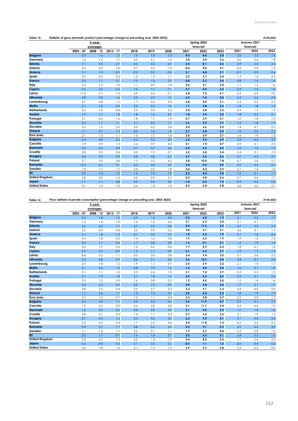| Table 15: | Deflator of gross domestic product (percentage change on preceding year, 2003-2023) | .104.2022<br><u>ഹം പ</u> |
|-----------|-------------------------------------------------------------------------------------|--------------------------|
|-----------|-------------------------------------------------------------------------------------|--------------------------|

|                       |             | 5-year      |             |        |      |        |        | Spring 2022 |      |        | Autumn 2021 |         |
|-----------------------|-------------|-------------|-------------|--------|------|--------|--------|-------------|------|--------|-------------|---------|
|                       |             | averages    |             |        |      |        |        | forecast    |      |        | forecast    |         |
|                       | $2003 - 07$ | $2008 - 12$ | $2013 - 17$ | 2018   | 2019 | 2020   | 2021   | 2022        | 2023 | 2021   | 2022        | 2023    |
| <b>Belgium</b>        | 2.0         | 1.6         | 1.5         | 1.5    | 1.8  | 1.3    | 4.5    | 4.5         | 3.0  | 2.0    | 2.3         | 1.6     |
| Germany               | 1.0         | 1.2         | 1.7         | 2.0    | 2.1  | 1.6    | 3.0    | 5.4         | 3.6  | 2.6    | 2.4         | 1.8     |
| <b>Estonia</b>        | 7.1         | 3.5         | 2.7         | 4.0    | 3.2  | $-0.3$ | 5.5    | 8.1         | 3.2  | 2.9    | 3.0         | 2.4     |
| Ireland               | 2.4         | $-0.9$      | 2.0         | 0.7    | 4.2  | $-1.2$ | $-0.4$ | 4.8         | 4.1  | $-0.2$ | 2.0         | 1.4     |
| Greece                | 3.1         | 1.5         | $-0.9$      | $-0.2$ | 0.2  | $-0.8$ | 2.1    | 4.8         | 2.1  | $-0.1$ | 0.9         | 0.4     |
| Spain                 | 3.9         | 0.5         | 0.5         | 1.2    | 1.3  | 1.1    | 2.2    | 3.7         | 2.4  | 1.5    | 1.6         | 0.9     |
| France                | 2.0         | 1.1         | 0.7         | 1.0    | 1.3  | 2.5    | 0.8    | 2.2         | 3.0  | 0.8    | 1.4         | 1.4     |
| Italy                 | 2.5         | 1.5         | 1.0         | 1.1    | 0.9  | 1.4    | 0.5    | 3.1         | 2.4  | 1.1    | 1.5         | 1.4     |
| Cyprus                | 3.5         | 2.0         | $-0.5$      | 1.0    | 1.1  | $-1.1$ | 2.7    | 4.5         | 3.2  | 2.4    | 1.6         | $1.0\,$ |
| Latvia                | 11.0        | 2.1         | 1.5         | 3.9    | 2.6  | $-0.1$ | 6.8    | 7.2         | 5.1  | 3.5    | 2.9         | 2.0     |
| Lithuania             | 4.8         | 3.3         | 1.6         | 3.5    | 2.7  | 1.5    | 6.5    | 7.4         | 3.0  | 4.3    | 2.6         | 2.0     |
| Luxembourg            | 3.7         | 3.8         | 1.7         | 1.7    | 0.6  | 4.3    | 6.8    | 4.0         | 2.1  | 2.3    | 2.2         | 2.2     |
| Malta                 | 2.1         | 2.3         | 2.6         | 2.2    | 2.4  | 1.5    | 1.7    | 2.8         | 2.6  | 1.8    | 1.8         | $1.5\,$ |
| <b>Netherlands</b>    | 2.0         | 1.0         | 0.8         | 2.4    | 3.0  | 2.3    | 2.4    | 3.8         | 3.3  | 2.4    | 1.7         | 1.5     |
| Austria               | 1.9         | 1.7         | 1.8         | 1.8    | 1.6  | 2.3    | 1.8    | 3.4         | 3.2  | 1.8    | 2.2         | 2.1     |
| Portugal              | 3.1         | 0.6         | 1.6         | 1.8    | 1.7  | 1.9    | 0.7    | 2.9         | 3.1  | 1.0    | 1.8         | 1.4     |
| Slovenia              | 3.4         | 1.7         | 1.1         | 2.1    | 2.2  | 1.2    | 2.6    | 3.3         | 3.7  | 1.5    | 1.8         | $1.7\,$ |
| Slovakia              | 3.5         | 1.0         | 0.2         | 2.0    | 2.5  | 2.4    | 2.4    | 6.6         | 5.5  | 1.4    | 4.7         | 2.2     |
| <b>Finland</b>        | 1.1         | 2.1         | 1.3         | 2.0    | 1.5  | 1.6    | 2.7    | 3.8         | 2.3  | 1.9    | 2.0         | 2.3     |
| Euro area             | 2.1         | 1.2         | 1.1         | 1.5    | 1.7  | 1.6    | 2.0    | 3.9         | 3.1  | 1.6    | 1.9         | 1.5     |
| <b>Bulgaria</b>       | 6.4         | 4.0         | 2.5         | 4.2    | 5.2  | 4.2    | 6.2    | 9.5         | 3.9  | 3.9    | 4.6         | 3.5     |
| Czechia               | 1.9         | 0.9         | 1.5         | 2.6    | 3.9  | 4.4    | 4.1    | 7.4         | 4.7  | 3.9    | 3.1         | 2.5     |
| <b>Denmark</b>        | 2.2         | 2.2         | 0.8         | 0.7    | 0.7  | 2.6    | 2.4    | 3.3         | 2.3  | 1.0    | 1.6         | 1.5     |
| Croatia               | 3.8         | 2.5         | 0.4         | 2.0    | 1.9  | $-0.1$ | 3.2    | 3.8         | 2.4  | 2.4    | 2.1         | 1.9     |
| Hungary               | 4.4         | 3.3         | 2.9         | 4.8    | 4.8  | 6.3    | 6.9    | 5.6         | 4.6  | 4.7    | 4.5         | 3.7     |
| Poland                | 2.7         | 3.0         | 0.8         | 1.2    | 3.2  | 4.2    | 5.8    | 10.0        | 7.8  | 4.7    | 5.4         | 2.7     |
| Romania               | 15.3        | 6.1         | 3.1         | 6.2    | 6.8  | 3.9    | 5.4    | 9.5         | 4.9  | 3.9    | 4.4         | 4.1     |
| Sweden                | 1.5         | 1.7         | 1.7         | 2.4    | 2.5  | 1.8    | 3.0    | 4.3         | 3.9  | 2.1    | 1.4         | 1.6     |
| <b>EU</b>             | 2.2         | 1.4         | 1.2         | 1.6    | 1.9  | 1.9    | 2.3    | 4.4         | 3.4  | 1.9    | 2.1         | $1.7\,$ |
| <b>United Kingdom</b> | 2.8         | 2.0         | 1.6         | 2.0    | 2.0  | 5.1    | 0.3    | 3.8         | 2.6  | 0.7    | 0.4         | 1.7     |
| Japan                 | $-1.1$      | $-1.1$      | 0.8         | 0.0    | 0.6  | 0.9    | $-1.0$ | 0.5         | 1.5  | $-0.5$ | 0.3         | 0.2     |
| <b>United States</b>  | 2.7         | 1.5         | 1.5         | 2.4    | 1.8  | 1.2    | 4.2    | 6.4         | 2.8  | 3.6    | 2.6         | 2.1     |

## **Table 16: 29.04.2022 Price deflator of private consumption (percentage change on preceding year, 2003-2023)**

|                       |             | 5-year<br>averages |             |      |      |        | Spring 2022<br>forecast |      |      | Autumn 2021<br>forecast |      |      |  |
|-----------------------|-------------|--------------------|-------------|------|------|--------|-------------------------|------|------|-------------------------|------|------|--|
|                       | $2003 - 07$ | $2008 - 12$        | $2013 - 17$ | 2018 | 2019 | 2020   | 2021                    | 2022 | 2023 | 2021                    | 2022 | 2023 |  |
| <b>Belgium</b>        | 2.5         | 1.8                | 1.2         | 2.0  | 1.4  | 0.6    | 2.2                     | 6.4  | 1.9  | 2.1                     | 2.3  | 1.7  |  |
| Germany               | 1.4         | 1.4                | 1.0         | 1.5  | 1.3  | 0.6    | 3.1                     | 6.3  | 3.0  | 3.1                     | 2.1  | 1.7  |  |
| <b>Estonia</b>        | 4.5         | 3.9                | 1.7         | 3.7  | 2.5  | $-0.8$ | 4.4                     | 11.2 | 2.5  | 3.7                     | 3.9  | 2.4  |  |
| Ireland               | 2.5         | $-0.9$             | 0.8         | 2.0  | 2.0  | 0.5    | 3.8                     | 6.1  | 3.1  | 3.6                     | 3.1  | 1.5  |  |
| Greece                | 3.1         | 1.8                | $-1.2$      | 0.1  | 0.0  | $-1.0$ | 1.0                     | 6.3  | 1.9  | 0.1                     | 1.0  | 0.4  |  |
| Spain                 | 3.4         | 1.8                | 0.5         | 1.4  | 1.0  | 0.0    | 1.9                     | 6.2  | 1.9  | 1.9                     | 1.2  | 1.0  |  |
| France                | 2.0         | 1.1                | 0.4         | 1.7  | 0.8  | 0.8    | 1.6                     | 4.1  | 3.1  | 1.5                     | 1.9  | 1.4  |  |
| Italy                 | 2.5         | 1.9                | 0.5         | 1.0  | 0.6  | $-0.2$ | 1.7                     | 5.9  | 2.3  | 1.8                     | 2.1  | 1.4  |  |
| Cyprus                | 2.9         | 2.6                | $-0.9$      | 1.3  | 1.1  | $-0.9$ | 2.1                     | 6.2  | 3.7  | 1.9                     | 1.7  | 1.2  |  |
| Latvia                | 8.6         | 3.2                | 1.1         | 3.0  | 3.0  | 0.8    | 3.4                     | 9.4  | 3.5  | 3.1                     | 3.8  | 2.3  |  |
| Lithuania             | 2.2         | 4.8                | 0.9         | 2.6  | 2.1  | 0.8    | 4.6                     | 12.5 | 3.0  | 3.8                     | 3.1  | 2.0  |  |
| Luxembourg            | 2.5         | 1.8                | 1.2         | 1.9  | 1.7  | 0.7    | 2.4                     | 5.9  | 2.2  | 2.1                     | 1.9  | 1.7  |  |
| Malta                 | 2.1         | 2.6                | 1.0         | 0.8  | 1.9  | 1.2    | 1.2                     | 4.5  | 3.4  | 1.6                     | 2.1  | 1.6  |  |
| <b>Netherlands</b>    | 2.1         | 1.1                | 1.0         | 2.2  | 2.6  | 1.5    | 3.1                     | 7.4  | 2.7  | 2.2                     | 2.2  | 1.5  |  |
| Austria               | 2.1         | 1.9                | 1.8         | 2.1  | 1.8  | 1.4    | 2.4                     | 5.5  | 2.6  | 2.9                     | 3.1  | 2.2  |  |
| Portugal              | 3.3         | 1.2                | 0.9         | 1.6  | 0.8  | 0.7    | 1.2                     | 4.5  | 2.0  | 1.2                     | 1.8  | 1.4  |  |
| Slovenia              | 3.4         | 2.3                | 0.5         | 2.0  | 1.3  | $-0.5$ | 3.8                     | 5.8  | 3.3  | 1.7                     | 2.1  | 1.7  |  |
| Slovakia              | 4.8         | 2.6                | 0.4         | 2.3  | 2.7  | 2.2    | 3.3                     | 9.1  | 6.3  | 2.8                     | 4.0  | 2.0  |  |
| <b>Finland</b>        | 1.1         | 2.6                | 1.1         | 1.3  | 1.0  | 0.5    | 2.0                     | 4.4  | 2.2  | 1.8                     | 1.9  | 1.9  |  |
| Euro area             | 2.2         | 1.5                | 0.7         | 1.5  | 1.1  | 0.5    | 2.3                     | 5.8  | 2.7  | 2.2                     | 2.0  | 1.5  |  |
| <b>Bulgaria</b>       | 4.3         | 3.0                | 1.7         | 2.4  | 2.0  | $-0.6$ | 3.6                     | 11.9 | 4.7  | 2.2                     | 6.1  | 2.2  |  |
| Czechia               | 1.9         | 2.0                | 0.9         | 2.5  | 2.8  | 2.8    | 3.1                     | 11.7 | 5.4  | 3.4                     | 4.0  | 1.9  |  |
| <b>Denmark</b>        | 1.6         | 2.3                | 0.6         | 0.6  | 0.8  | 0.5    | 2.1                     | 4.5  | 2.3  | 1.7                     | 1.8  | 1.6  |  |
| Croatia               | 2.8         | 3.1                | 0.2         | 1.4  | 1.1  | 0.3    | 2.7                     | 6.0  | 2.5  | 2.1                     | 1.9  | 1.4  |  |
| Hungary               | 4.7         | 4.5                | 1.6         | 3.3  | 4.6  | 3.3    | 6.3                     | 9.0  | 4.1  | 5.1                     | 4.8  | 3.4  |  |
| Poland                | 2.2         | 3.5                | 0.2         | 1.7  | 2.4  | 3.4    | 5.4                     | 11.8 | 7.3  | 4.2                     | 5.2  | 2.2  |  |
| Romania               | 9.4         | 5.7                | 1.7         | 3.8  | 5.4  | 2.4    | 5.5                     | 9.1  | 5.3  | 4.2                     | 4.2  | 3.0  |  |
| Sweden                | 1.1         | 1.6                | 1.1         | 2.5  | 2.1  | 1.1    | 1.9                     | 5.7  | 4.0  | 2.5                     | 2.0  | 1.2  |  |
| <b>EU</b>             | 2.2         | 1.7                | 0.7         | 1.6  | 1.4  | 0.7    | 2.5                     | 6.3  | 3.1  | 2.4                     | 2.3  | 1.6  |  |
| <b>United Kingdom</b> | 2.2         | 2.2                | 1.2         | 2.0  | 1.3  | 1.0    | 2.4                     | 8.3  | 2.5  | 1.7                     | 2.4  | 2.0  |  |
| Japan                 | $-0.6$      | $-0.8$             | 0.5         | 0.7  | 0.5  | 0.3    | $-0.5$                  | 1.1  | 1.5  | $-0.4$                  | 0.4  | 0.4  |  |
| <b>United States</b>  | 2.6         | 1.8                | 1.2         | 2.1  | 1.5  | 1.2    | 3.9                     | 5.9  | 2.8  | 3.3                     | 2.5  | 2.0  |  |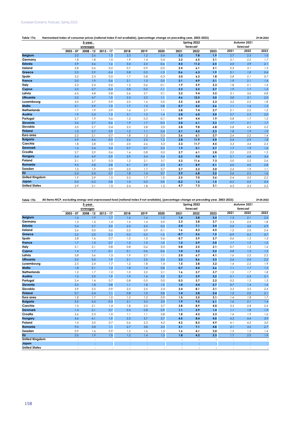| Table 17a:            | Harmonised index of consumer prices (national index if not available), (percentage change on preceding year, 2003-2023) |           |             |      |      |        |        |             |      |        |             | 29.04.2022 |
|-----------------------|-------------------------------------------------------------------------------------------------------------------------|-----------|-------------|------|------|--------|--------|-------------|------|--------|-------------|------------|
|                       |                                                                                                                         | 5-year    |             |      |      |        |        | Spring 2022 |      |        | Autumn 2021 |            |
|                       |                                                                                                                         | averages  |             |      |      |        |        | forecast    |      |        | forecast    |            |
|                       | 2003 - 07                                                                                                               | 2008 - 12 | $2013 - 17$ | 2018 | 2019 | 2020   | 2021   | 2022        | 2023 | 2021   | 2022        | 2023       |
| <b>Belgium</b>        | 2.0                                                                                                                     | 2.6       | 1.3         | 2.3  | 1.2  | 0.4    | 3.2    | 7.8         | 1.9  | 2.7    | 2.3         | 1.6        |
| Germany               | 1.8                                                                                                                     | 1.8       | 1.0         | 1.9  | 1.4  | 0.4    | 3.2    | 6.5         | 3.1  | 3.1    | 2.2         | 1.7        |
| <b>Estonia</b>        | 3.9                                                                                                                     | 4.6       | 1.6         | 3.4  | 2.3  | $-0.6$ | 4.5    | 11.2        | 2.5  | 4.0    | 3.9         | 2.1        |
| Ireland               | 2.8                                                                                                                     | 0.6       | 0.2         | 0.7  | 0.9  | $-0.5$ | 2.4    | 6.1         | 3.1  | 2.3    | 3.1         | 1.5        |
| Greece                | 3.3                                                                                                                     | 2.9       | $-0.4$      | 0.8  | 0.5  | $-1.3$ | 0.6    | 6.3         | 1.9  | 0.1    | 1.0         | 0.4        |
| Spain                 | 3.2                                                                                                                     | 2.3       | 0.5         | 1.7  | 0.8  | $-0.3$ | 3.0    | 6.3         | 1.8  | 2.8    | 2.1         | 0.7        |
| France                | 2.0                                                                                                                     | 1.9       | 0.6         | 2.1  | 1.3  | 0.5    | 2.1    | 4.9         | 3.1  | 1.9    | 2.1         | 1.4        |
| Italy                 | 2.3                                                                                                                     | 2.4       | 0.6         | 1.2  | 0.6  | $-0.1$ | 1.9    | 5.9         | 2.3  | 1.8    | 2.1         | 1.4        |
| Cyprus                | 2.5                                                                                                                     | 2.7       | $-0.4$      | 0.8  | 0.5  | $-1.1$ | 2.3    | 5.2         | 2.7  | 1.9    | 1.7         | 1.2        |
| Latvia                | 6.5                                                                                                                     | 4.8       | 0.8         | 2.6  | 2.7  | 0.1    | 3.2    | 9.4         | 3.5  | 3.1    | 3.6         | 0.8        |
| Lithuania             | 2.5                                                                                                                     | 4.7       | 1.0         | 2.5  | 2.2  | 1.1    | 4.6    | 12.5        | 3.0  | 3.8    | 3.1         | $2.0\,$    |
| Luxembourg            | 3.0                                                                                                                     | 2.7       | 0.9         | 2.0  | 1.6  | 0.0    | 3.5    | 6.8         | 2.3  | 3.2    | 2.2         | 1.8        |
| Malta                 | 2.1                                                                                                                     | 2.9       | 1.0         | 1.7  | 1.5  | 0.8    | 0.7    | 4.5         | 2.6  | 1.1    | 1.6         | 1.5        |
| <b>Netherlands</b>    | 1.7                                                                                                                     | 1.9       | 0.9         | 1.6  | 2.7  | 1.1    | 2.8    | 7.4         | 2.7  | 2.1    | 2.2         | 1.5        |
| Austria               | 1.9                                                                                                                     | 2.3       | 1.5         | 2.1  | 1.5  | 1.4    | 2.8    | 6.0         | 3.0  | 2.7    | 2.5         | 2.0        |
| Portugal              | 2.7                                                                                                                     | 1.9       | 0.6         | 1.2  | 0.3  | $-0.1$ | 0.9    | 4.4         | 1.9  | 0.8    | 1.7         | 1.2        |
| Slovenia              | 3.6                                                                                                                     | 2.7       | 0.6         | 1.9  | 1.7  | $-0.3$ | 2.0    | 6.1         | 3.3  | 1.7    | 2.1         | 1.7        |
| Slovakia              | 5.0                                                                                                                     | 2.7       | 0.4         | 2.5  | 2.8  | 2.0    | 2.8    | 9.8         | 6.8  | 2.8    | 4.3         | 2.2        |
| <b>Finland</b>        | 1.0                                                                                                                     | 2.7       | 0.9         | 1.2  | 1.1  | 0.4    | 2.1    | 4.5         | 2.3  | 1.8    | 1.9         | 1.9        |
| Euro area             | 2.2                                                                                                                     | 2.1       | 0.7         | 1.8  | 1.2  | 0.3    | 2.6    | 6.1         | 2.7  | 2.4    | 2.2         | 1.4        |
| <b>Bulgaria</b>       | 5.9                                                                                                                     | 4.6       | $-0.5$      | 2.6  | 2.5  | 1.2    | 2.8    | 11.9        | 5.0  | 2.4    | 2.9         | $1.8\,$    |
| Czechia               | 1.8                                                                                                                     | 2.8       | 1.0         | 2.0  | 2.6  | 3.3    | 3.3    | 11.7        | 4.5  | 3.3    | 3.4         | 2.3        |
| <b>Denmark</b>        | 1.6                                                                                                                     | 2.4       | 0.4         | 0.7  | 0.7  | 0.3    | 1.9    | 5.1         | 2.7  | 1.7    | 1.9         | 1.6        |
| Croatia               | 2.7                                                                                                                     | 2.9       | 0.6         | 1.6  | 0.8  | 0.0    | 2.7    | 6.1         | 2.8  | 2.2    | 2.0         | 1.5        |
| Hungary               | 5.4                                                                                                                     | 4.9       | 0.9         | 2.9  | 3.4  | 3.4    | 5.2    | 9.0         | 4.1  | 5.1    | 4.8         | 3.4        |
| Poland                | 2.1                                                                                                                     | 3.7       | 0.3         | 1.2  | 2.1  | 3.7    | 5.2    | 11.6        | 7.3  | 5.0    | 5.2         | 2.6        |
| Romania               | 9.5                                                                                                                     | 5.8       | 0.8         | 4.1  | 3.9  | 2.3    | 4.1    | 8.9         | 5.1  | 4.0    | $4.0$       | 2.8        |
| Sweden                | 1.5                                                                                                                     | 1.9       | 0.9         | 2.0  | 1.7  | 0.7    | 2.7    | 5.3         | 3.0  | 2.4    | 1.9         | 1.1        |
| <b>EU</b>             | 2.4                                                                                                                     | 2.4       | 0.7         | 1.8  | 1.4  | 0.7    | 2.9    | 6.8         | 3.2  | 2.6    | 2.5         | 1.6        |
| <b>United Kingdom</b> | 1.9                                                                                                                     | 2.9       | 1.5         | 2.3  | 1.7  | 1.0    | 2.5    | 7.0         | 3.6  | 2.4    | 3.2         | 2.2        |
| Japan                 | 0.0                                                                                                                     | $-0.2$    | 0.8         | 1.0  | 0.5  | 0.0    | $-0.2$ | 1.6         | 1.5  | $-0.5$ | 0.2         | 0.4        |
| <b>United States</b>  | 2.9                                                                                                                     | 2.1       | 1.3         | 2.4  | 1.8  | 1.2    | 4.7    | 7.3         | 3.1  | 4.3    | 3.3         | 2.2        |

**Table 17b: 29.04.2022 All-items HICP, excluding energy and unprocessed food (national index if not available), (percentage change on preceding year, 2003-2023)**

|                       | <b>All lights their, excluding cheigy</b> | 5-year      | ana onprocessea loog |      | $100$ and $200$ and $200$ and $200$ and $200$ |        | creeninge enange on preceding year, 2000 2020, | Spring 2022 |      |        | Autumn 2021 |      |
|-----------------------|-------------------------------------------|-------------|----------------------|------|-----------------------------------------------|--------|------------------------------------------------|-------------|------|--------|-------------|------|
|                       |                                           | averages    |                      |      |                                               |        |                                                | forecast    |      |        | forecast    |      |
|                       | $2003 - 07$                               | $2008 - 12$ | $2013 - 17$          | 2018 | 2019                                          | 2020   | 2021                                           | 2022        | 2023 | 2021   | 2022        | 2023 |
| <b>Belgium</b>        | 1.6                                       | 1.9         | 1.7                  | 1.6  | 1.6                                           | 1.5    | 1.4                                            | 3.8         | 3.4  | 1.3    | 2.1         | 2.0  |
| Germany               | 1.3                                       | 1.3         | 1.4                  | 1.5  | 1.4                                           | 0.9    | 2.3                                            | 3.8         | 3.7  | 2.3    | 2.0         | 1.8  |
| <b>Estonia</b>        | 3.4                                       | 3.7         | 2.0                  | 2.5  | 2.3                                           | 0.2    | 2.4                                            | 7.1         | 3.4  | 2.0    | 3.0         | 2.9  |
| Ireland               | 2.6                                       | 0.0         | 0.6                  | 0.2  | 0.9                                           | $-0.1$ | 1.6                                            | 4.3         | 4.5  | 1.2    | 2.0         | 2.4  |
| Greece                | 3.2                                       | 2.0         | $-0.3$               | 0.5  | 0.5                                           | $-1.0$ | $-0.7$                                         | 2.6         | 1.5  | $-0.9$ | 0.5         | 0.7  |
| Spain                 | 2.8                                       | 1.6         | 0.7                  | 1.0  | 1.0                                           | 0.6    | 0.7                                            | 3.9         | 2.7  | 0.6    | 1.5         | 1.3  |
| France                | 1.7                                       | 1.5         | 0.7                  | 1.3  | 1.2                                           | 1.0    | 1.2                                            | 2.9         | 3.0  | 1.1    | 1.5         | 1.5  |
| Italy                 | 2.1                                       | 2.1         | 0.8                  | 0.8  | 0.6                                           | 0.5    | 0.8                                            | 2.5         | 2.1  | 0.7    | 1.5         | 1.6  |
| Cyprus                | 1.4                                       | 1.7         | $-0.1$               | 0.1  | 0.6                                           | $-0.6$ | 1.0                                            | 3.2         | 3.2  | 0.8    | 1.3         | 1.5  |
| Latvia                | 5.8                                       | 3.6         | 1.3                  | 1.9  | 2.7                                           | 1.1    | 2.0                                            | 6.7         | 4.1  | 1.6    | 2.2         | 2.5  |
| Lithuania             | 2.0                                       | 3.5         | 1.9                  | 2.1  | 2.5                                           | 2.5    | 3.2                                            | 8.6         | 3.3  | 2.6    | 2.0         | 2.2  |
| Luxembourg            | 2.5                                       | 2.4         | 1.7                  | 1.2  | 1.8                                           | 1.4    | 1.5                                            | 3.8         | 3.2  | 1.4    | 2.2         | 1.9  |
| Malta                 | 1.8                                       | 2.1         | 1.2                  | 1.8  | 1.4                                           | 0.8    | 0.7                                            | 4.4         | 2.6  | 1.1    | 1.7         | 1.5  |
| <b>Netherlands</b>    | 1.2                                       | 1.7         | 1.2                  | 1.0  | 2.2                                           | 2.1    | 1.6                                            | 3.7         | 3.7  | 1.5    | 1.7         | 1.8  |
| Austria               | 1.5                                       | 2.0         | 1.9                  | 1.9  | 1.6                                           | 2.0    | 2.1                                            | 3.9         | 3.2  | 2.1    | 2.3         | 2.1  |
| Portugal              | 2.4                                       | 1.4         | 0.7                  | 0.8  | 0.5                                           | 0.0    | 0.3                                            | 3.7         | 2.2  | 0.2    | 1.5         | 1.3  |
| Slovenia              | 3.2                                       | 1.8         | 0.8                  | 1.1  | 1.8                                           | 1.0    | 1.0                                            | 4.4         | 2.7  | 0.7    | 1.4         | 1.4  |
| Slovakia              | 3.9                                       | 2.5         | 0.9                  | 2.2  | 2.5                                           | 2.4    | 3.4                                            | 8.1         | 3.1  | 3.3    | 3.5         | 2.4  |
| <b>Finland</b>        | 0.7                                       | 2.4         | 1.1                  | 0.8  | 1.0                                           | 0.8    | 1.4                                            | 3.8         | 2.4  | 1.2    | 2.0         | 2.1  |
| Euro area             | 1.8                                       | 1.7         | 1.0                  | 1.2  | 1.2                                           | 0.9    | 1.5                                            | 3.5         | 3.1  | 1.4    | 1.8         | 1.7  |
| <b>Bulgaria</b>       | 5.5                                       | 4.5         | $-0.3$               | 2.1  | 2.5                                           | 2.0    | 1.9                                            | 9.5         | 6.1  | 1.6    | 2.1         | 1.4  |
| Czechia               | 1.5                                       | 2.1         | 1.4                  | 1.8  | 2.3                                           | 3.7    | 3.8                                            | 8.9         | 4.0  | 3.5    | 2.8         | 2.4  |
| <b>Denmark</b>        | 1.4                                       | 2.1         | 0.7                  | 0.5  | 0.8                                           | 0.9    | 1,1                                            | 2.9         | 1.4  | 1.1    | 1.8         | 1.9  |
| Croatia               | 2.6                                       | 2.3         | 1.0                  | 1.1  | 1.1                                           | 0.8    | 1.8                                            | 4.3         | 3.3  | 1.6    | 1.9         | 1.6  |
| Hungary               | 4.6                                       | 4.1         | 1.9                  | 2.3  | 3.7                                           | 3.7    | 4.5                                            | 8.4         | 4.0  | 4.3    | 4.4         | 3.9  |
| Poland                | 1.4                                       | 3.0         | 0.7                  | 0.6  | 2.3                                           | 4.2    | 4.2                                            | 8.3         | 4.9  | 4.1    | 4.2         | 3.0  |
| Romania               | 9.0                                       | 5.8         | 1.1                  | 2.7  | 3.8                                           | 3.3    | 3.1                                            | 7.1         | 4.8  | 3.1    | 3.2         | 2.7  |
| Sweden                | 0.9                                       | 1.6         | 0.9                  | 1.2  | 1.6                                           | 1.5    | 1.6                                            | 4.1         | 3.0  | 1.5    | 1.3         | 1.4  |
| <b>EU</b>             | 2.0                                       | 1.9         | 1.0                  | 1.2  | 1.4                                           | 1.3    | 1.8                                            | 4.2         | 3.3  | 1.7    | 2.0         | 1.9  |
| <b>United Kingdom</b> | $\vdots$                                  |             |                      | ÷    |                                               |        | ÷                                              |             |      |        |             |      |
| Japan                 | t                                         |             |                      |      |                                               |        | ÷                                              | t           |      |        |             |      |
| <b>United States</b>  |                                           |             |                      |      |                                               |        |                                                |             |      |        |             |      |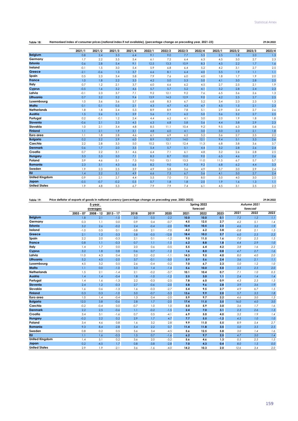| Table 18: | Harmonised index of consumer prices (national index if not available), (percentage change on preceding year, 2021-23) |  | 29.04.2022 |
|-----------|-----------------------------------------------------------------------------------------------------------------------|--|------------|
|-----------|-----------------------------------------------------------------------------------------------------------------------|--|------------|

| 29.04.2022 |  |
|------------|--|

|                       | 2021/1 | 2021/2 | 2021/3 | 2021/4 | 2022/1 | 2022/2 | 2022/3 | 2022/4 | 2023/1 | 2023/2 | 2023/3 | 2023/4 |
|-----------------------|--------|--------|--------|--------|--------|--------|--------|--------|--------|--------|--------|--------|
| <b>Belgium</b>        | 0.8    | 2.4    | 3.3    | 6.4    | 9.1    | 9.0    | 7.7    | 5.5    | 2.5    | 1.8    | 2.0    | 1.3    |
| Germany               | 1.7    | 2.2    | 3.5    | 5.4    | 6.1    | 7.2    | 6.4    | 6.3    | 4.5    | 3.0    | 2.7    | 2.3    |
| <b>Estonia</b>        | 0.6    | 2.8    | 5.4    | 9.1    | 12.5   | 13.3   | 10.9   | 8.3    | 4.5    | 2.2    | 1.7    | 1.6    |
| Ireland               | $-0.1$ | 1.5    | 3.0    | 5.4    | 5.9    | 6.8    | 6.4    | 5.2    | 4.2    | 3.1    | 2.7    | 2.5    |
| Greece                | $-2.1$ | $-0.6$ | 1.3    | 3.7    | 6.6    | 8.1    | 6.4    | 4.0    | 3.5    | 1.9    | 1.1    | 1.1    |
| Spain                 | 0.5    | 2.3    | 3.4    | 5.8    | 7.9    | 7.6    | 6.0    | 4.0    | 1.8    | 1.7    | 1.9    | 2.0    |
| <b>France</b>         | 1.0    | 1.8    | 2.2    | 3.3    | 4.2    | 5.0    | 5.3    | 5.0    | 4.1    | 3.0    | 2.8    | 2.5    |
| Italy                 | 0.7    | 1.2    | 2.1    | 3.7    | 6.0    | 6.6    | 6.2    | 4.5    | 2.7    | 2.5    | 2.1    | 1.9    |
| Cyprus                | $-0.5$ | 1.6    | 3.2    | 4.6    | 5.7    | 5.7    | 5.2    | 4.1    | 3.2    | 2.8    | 2.4    | 2.3    |
| Latvia                | $-0.1$ | 2.3    | 3.7    | 7.1    | 9.2    | 12.1   | 9.2    | 7.6    | 6.5    | 3.6    | 2.6    | 1.3    |
| Lithuania             | 0.7    | 3.2    | 5.2    | 9.4    | 13.9   | 14.5   | 12.9   | 9.0    | 4.2    | 2.5    | 2.7    | 2.5    |
| Luxembourg            | 1.0    | 3.6    | 3.6    | 5.7    | 6.8    | 8.3    | 6.7    | 5.2    | 3.4    | 2.3    | 2.3    | 1.3    |
| Malta                 | 0.1    | 0.1    | 0.5    | 2.1    | 4.3    | 4.7    | 4.3    | 4.7    | 4.5    | 1.5    | 2.1    | 2.3    |
| <b>Netherlands</b>    | 1.8    | 1.8    | 2.4    | 5.3    | 8.9    | 8.9    | 7.8    | 5.1    | 2.9    | 2.4    | 2.7    | 2.6    |
| Austria               | 1.5    | 2.6    | 3.1    | 3.9    | 5.6    | 7.1    | 6.2    | 5.0    | 3.6    | 3.2    | 2.7    | 2.5    |
| Portugal              | 0.2    | $-0.1$ | 1.2    | 2.4    | 4.4    | 6.2    | 4.1    | 3.0    | 2.0    | 1.9    | 1.8    | 1.8    |
| Slovenia              | $-0.6$ | 2.1    | 2.3    | 4.5    | 6.3    | 6.8    | 5.8    | 5.6    | 4.4    | 3.8    | 2.9    | 2.3    |
| Slovakia              | 1.0    | 2.1    | 3.4    | 4.8    | 8.5    | 11.1   | 10.4   | 9.2    | 9.5    | 6.3    | 5.8    | 5.6    |
| <b>Finland</b>        | 1.1    | 2.1    | 1.9    | 3.1    | 4.8    | 6.0    | 4.1    | 3.0    | 3.0    | 2.3    | 2.1    | 1.8    |
| Euro area             | 1.1    | 1.8    | 2.8    | 4.6    | 6.1    | 6.9    | 6.2    | 5.2    | 3.6    | 2.7    | 2.5    | 2.2    |
| <b>Bulgaria</b>       | 0.2    | 2.2    | 2.9    | 6.0    | 8.9    | 12.7   | 14.0   | 12.1   | 9.4    | 5.1    | 3.3    | 2.6    |
| Czechia               | 2.2    | 2.8    | 3.3    | 5.0    | 10.2   | 13.1   | 12.4   | 11.3   | 6.8    | 3.8    | 3.6    | 3.7    |
| <b>Denmark</b>        | 0.6    | 1.7    | 2.0    | 3.5    | 5.4    | 5.7    | 5.1    | 4.4    | 3.2    | 2.8    | 2.6    | 2.4    |
| Croatia               | 0.7    | 2.2    | 3.1    | 4.6    | 6.4    | 7.1    | 6.1    | 4.8    | 3.2    | 2.6    | 2.8    | 2.5    |
| <b>Hungary</b>        | 3.3    | 5.3    | 5.0    | 7.1    | 8.3    | 8.7    | 10.0   | 9.0    | 6.5    | 4.6    | 2.7    | 2.6    |
| Poland                | 3.9    | 4.6    | 5.1    | 7.3    | 9.0    | 13.1   | 13.3   | 11.0   | 11.5   | 6.7    | 5.7    | 5.7    |
| Romania               | 2.3    | 3.1    | 4.3    | 6.6    | 8.2    | 9.0    | 9.3    | 9.2    | 6.8    | 6.2    | 4.4    | 3.3    |
| Sweden                | 1.9    | 2.3    | 2.5    | 3.9    | 4.9    | 5.8    | 5.6    | 4.9    | 3.7    | 3.0    | 2.9    | 2.4    |
| <b>EU</b>             | 1.4    | 2.2    | 3.1    | 4.9    | 6.6    | 7.3    | 6.7    | 5.6    | 4.1    | 3.0    | 2.7    | 2.4    |
| <b>United Kingdom</b> | 0.9    | 2.1    | 2.7    | 4.4    | 5.5    | 7.0    | 7.5    | 8.0    | 5.0    | 4.0    | 3.0    | 2.5    |
| Japan                 | $-0.5$ | $-0.7$ | $-0.2$ | 0.5    | 0.7    | 1.8    | 1.8    | 2.0    | 1.9    | 1.6    | 1.3    | 1.1    |
| <b>United States</b>  | 1.9    | 4.8    | 5.3    | 6.7    | 7.9    | 7.9    | 7.4    | 6.1    | 4.5    | 3.1    | 2.5    | 2.3    |

## **Table 19: 29.04.2022 Price deflator of exports of goods in national currency (percentage change on preceding year, 2003-2023)**

|                       |             | 5-year                |             |        |        |         |        | Spring 2022      |        |        | Autumn 2021      |         |
|-----------------------|-------------|-----------------------|-------------|--------|--------|---------|--------|------------------|--------|--------|------------------|---------|
|                       | $2003 - 07$ | averages<br>2008 - 12 | $2013 - 17$ | 2018   | 2019   | 2020    | 2021   | forecast<br>2022 | 2023   | 2021   | forecast<br>2022 | 2023    |
| <b>Belgium</b>        | 1.8         | 2.1                   | $-1.0$      | 3.0    | 0.5    | $-2.2$  | 10.0   | 10.0             | 0.1    | 7.2    | 1.2              | 1.1     |
| Germany               | 0.3         | 1.1                   | 0.0         | 0.9    | 0.4    | $-0.7$  | 4.5    | 12.5             | 2.7    | 4.2    | 5.1              | 1.4     |
| <b>Estonia</b>        | 3.2         | 2.6                   | $-0.2$      | 2.4    | $-0.4$ | $-2.0$  | 10.4   | 10.5             | 2.5    | 4.6    | 3.2              | 1.9     |
| Ireland               | $-1.0$      | 0.5                   | 0.1         | $-3.8$ | 2.1    | $-7.0$  | $-4.2$ | 6.2              | 3.8    | $-0.8$ | 2.1              | 1.3     |
| Greece                | 2.1         | 1.2                   | $-3.3$      | 5.8    | $-0.5$ | $-12.8$ | 18.4   | 10.2             | 2.7    | 6.0    | 2.5              | 2.2     |
| Spain                 | 2.2         | 2.0                   | $-0.3$      | 2.1    | 0.1    | $-1.2$  | 9.0    | 11.5             | 1.6    | 7.0    | 2.5              | 1.5     |
| France                | 0.8         | 1.1                   | $-0.3$      | 0.7    | 1.1    | $-1.5$  | 6.2    | 8.8              | 1.8    | 4.4    | 2.9              | 1.0     |
| Italy                 | 1.4         | 1.7                   | 0.0         | 2.0    | 0.6    | $-0.5$  | 5.5    | 6.4              | 4.2    | 3.8    | 1.6              | 2.2     |
| Cyprus                | 3.2         | 1.8                   | 0.8         | 0.6    | 0.7    | $-1.2$  | 1.6    | 8.0              | 0.8    | 4.7    | 2.7              | 1.6     |
| Latvia                | 11.0        | 4.3                   | 0.4         | 3.2    | $-0.2$ | $-1.1$  | 14.3   | 9.5              | 4.0    | 8.0    | 4.0              | 2.0     |
| Lithuania             | 5.2         | 4.5                   | $-2.0$      | 3.7    | $-0.1$ | $-5.0$  | 5.9    | 5.6              | 2.4    | 3.6    | 2.1              | 1.1     |
| Luxembourg            | 4.5         | 3.2                   | 0.5         | 2.6    | $-0.4$ | $-0.2$  | 7.0    | 6.7              | 2.3    | 5.0    | 1.2              | 1.0     |
| Malta                 | 1.1         | 0.0                   | $-1.0$      | 3.3    | 1.4    | $-1.4$  | 5.6    | 10.0             | 5.0    | 3.5    | 2.5              | 2.0     |
| <b>Netherlands</b>    | 1.5         | 2.1                   | $-1.4$      | 2.1    | $-0.2$ | $-3.7$  | 10.1   | 10.4             | 0.7    | 7.1    | 1.0              | 0.3     |
| Austria               | 1.4         | 1.4                   | $-0.4$      | 1.8    | $-1.0$ | $-1.2$  | 2.5    | 3.0              | 1.1    | 2.4    | 1.4              | 1.4     |
| Portugal              | 1.4         | 1.6                   | $-1.3$      | 2.2    | $-0.3$ | $-2.5$  | 7.8    | 6.0              | 0.9    | 4.3    | 2.3              | 1.3     |
| Slovenia              | 2.4         | 1.2                   | $-0.3$      | 2.7    | $-0.6$ | $-2.0$  | 5.8    | 9.6              | 2.8    | 3.9    | 3.6              | 1.9     |
| Slovakia              | 1.6         | 0.6                   | $-1.3$      | 1.6    | $-0.3$ | $-2.7$  | 5.4    | 9.5              | 2.7    | 4.9    | 6.7              | 1.5     |
| <b>Finland</b>        | 0.3         | 0.3                   | $-1.0$      | 5.0    | $-0.7$ | $-5.3$  | 13.6   | 9.9              | 2.0    | 5.7    | 3.5              | 1.8     |
| Euro area             | 1.0         | 1.4                   | $-0.4$      | 1.3    | 0.4    | $-2.0$  | 5.9    | 9.7              | 2.2    | 4.6    | 3.0              | 1.3     |
| <b>Bulgaria</b>       | 12.0        | 3.8                   | $-0.6$      | 2.8    | 1.7    | $-2.0$  | 17.4   | 11.5             | 3.5    | 16.0   | 4.0              | 3.0     |
| Czechia               | $-0.2$      | $-0.4$                | 0.0         | $-0.7$ | 1.0    | 1.0     | 5.0    | 5.9              | 3.0    | 3.6    | 1.7              | 1.6     |
| <b>Denmark</b>        | 2.2         | 2.5                   | $-0.6$      | 1.1    | $-0.2$ | $-1.5$  | 2.4    | 7.0              | 3.1    | 2.3    | 2.6              | 1.3     |
| Croatia               | 3.4         | 3.1                   | $-1.6$      | 0.7    | 0.5    | $-4.1$  | 6.9    | 5.0              | 4.0    | 3.2    | 1.9              | 1.4     |
| Hungary               | $-0.2$      | 2.2                   | 0.2         | 2.9    | 1.7    | 4.7     | 7.7    | 5.5              | $-1.2$ | 4.5    | 1.0              | 1.0     |
| Poland                | 3.4         | 4.6                   | 0.8         | 1.6    | 3.2    | 2.8     | 9.9    | 11.0             | 5.5    | 8.9    | 5.4              | 2.7     |
| Romania               | 9.3         | 8.4                   | $-2.8$      | 5.4    | 2.2    | 0.7     | 11.4   | 11.8             | 3.5    | 5.0    | 3.5              | 2.5     |
| Sweden                | 0.8         | 0.2                   | 0.5         | 5.6    | 3.4    | $-4.5$  | 5.6    | 12.5             | 5.8    | 3.0    | 1.4              | 1.6     |
| <b>EU</b>             | 1.1         | 1.6                   | $-0.3$      | 1.5    | 0.7    | $-1.6$  | 6.2    | 9.7              | 2.5    | 4.7    | 3.0              | 1.4     |
| <b>United Kingdom</b> | 1.4         | 5.1                   | 0.2         | 3.6    | 2.0    | $-3.2$  | 5.6    | 4.6              | 1.3    | 0.5    | 2.5              | 1.5     |
| Japan                 | 0.2         | $-4.5$                | 1.7         | 0.8    | $-3.8$ | $-2.8$  | 7.0    | 4.3              | 0.4    | 8.0    | 1.5              | $0.0\,$ |
| <b>United States</b>  | 2.9         | 1.9                   | $-2.1$      | 3.6    | $-1.6$ | $-4.0$  | 14.2   | 10.3             | 2.0    | 12.6   | 3.4              | 2.0     |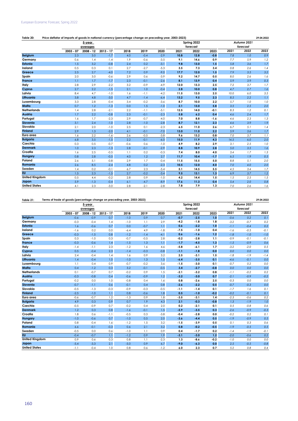| Table 20:             | Price deflator of imports of goods in national currency (percentage change on preceding year, 2003-2023)<br>29.04.2022 |             |             |        |        |        |      |             |        |      |             |      |  |
|-----------------------|------------------------------------------------------------------------------------------------------------------------|-------------|-------------|--------|--------|--------|------|-------------|--------|------|-------------|------|--|
|                       |                                                                                                                        | 5-year      |             |        |        |        |      | Spring 2022 |        |      | Autumn 2021 |      |  |
|                       |                                                                                                                        | averages    |             |        |        |        |      | forecast    |        |      | forecast    |      |  |
|                       | $2003 - 07$                                                                                                            | $2008 - 12$ | $2013 - 17$ | 2018   | 2019   | 2020   | 2021 | 2022        | 2023   | 2021 | 2022        | 2023 |  |
| <b>Belgium</b>        | 2.3                                                                                                                    | 3.0         | $-1.7$      | 4.0    | $-0.4$ | $-2.9$ | 10.8 | 12.8        | $-0.8$ | 7.8  | 1.0         | 0.9  |  |
| Germany               | 0.6                                                                                                                    | 1.4         | $-1.4$      | 1.9    | $-0.6$ | $-3.5$ | 9.1  | 14.6        | 0.9    | 7.7  | 5.9         | 1.2  |  |
| <b>Estonia</b>        | 1.5                                                                                                                    | 3.2         | $-0.8$      | 2.4    | 0.2    | $-3.1$ | 9.8  | 13.0        | 1.5    | 5.8  | 3.6         | 1.7  |  |
| Ireland               | 0.5                                                                                                                    | 0.3         | 0.1         | 2.7    | $-2.7$ | $-5.3$ | 3.5  | 7.3         | 3.4    | 0.8  | 2.6         | 1.4  |  |
| Greece                | 2.5                                                                                                                    | 2.7         | $-4.0$      | 7.2    | 0.9    | $-9.0$ | 17.7 | 12.0        | 1.5    | 7.9  | 3.5         | 3.2  |  |
| Spain                 | 2.0                                                                                                                    | 3.0         | $-0.6$      | 2.9    | 0.6    | $-3.9$ | 9.2  | 14.7        | 0.5    | 8.0  | 2.6         | 1.6  |  |
| <b>France</b>         | 1.1                                                                                                                    | 1.7         | $-1.7$      | 2.3    | $-0.1$ | $-2.6$ | 8.1  | 13.9        | 0.4    | 5.9  | 3.9         | 0.3  |  |
| Italy                 | 2.8                                                                                                                    | 2.9         | $-2.2$      | 3.2    | $-0.9$ | $-4.9$ | 12.0 | 13.3        | 2.5    | 7.2  | 3.7         | 1.7  |  |
| Cyprus                | 2.7                                                                                                                    | 2.2         | $-1.5$      | 2.1    | 1.0    | $-0.4$ | 2.8  | 10.0        | 0.8    | 4.7  | 2.7         | 1.6  |  |
| Latvia                | 8.4                                                                                                                    | 4.7         | $-1.0$      | 1.6    | $-1.1$ | $-4.2$ | 11.5 | 13.0        | 2.5    | 10.0 | 6.0         | 3.5  |  |
| Lithuania             | 3.8                                                                                                                    | 4.8         | $-3.0$      | 4.7    | $-1.4$ | $-6.4$ | 13.2 | 9.5         | 2.3    | 8.5  | 2.2         | 1.1  |  |
| Luxembourg            | 3.3                                                                                                                    | 2.8         | $-0.4$      | 3.4    | $-0.2$ | $-3.6$ | 8.7  | 10.0        | 2.2    | 5.7  | 1.0         | 1.0  |  |
| Malta                 | 0.7                                                                                                                    | 1.2         | $-1.3$      | 0.0    | 1.5    | $-1.0$ | 2.1  | 13.0        | 5.8    | 3.5  | 2.5         | 2.0  |  |
| <b>Netherlands</b>    | 1.4                                                                                                                    | 2.8         | $-2.1$      | 2.2    | $-1.1$ | $-5.1$ | 12.5 | 14.0        | $-0.1$ | 8.3  | 1.2         | 0.1  |  |
| Austria               | 1.7                                                                                                                    | 2.2         | $-0.8$      | 2.3    | $-0.1$ | $-2.3$ | 5.8  | 6.2         | 0.4    | 4.6  | 2.4         | 1.7  |  |
| Portugal              | 1.6                                                                                                                    | 1.7         | $-2.3$      | 2.9    | $-0.7$ | $-4.0$ | 7.0  | 8.8         | $-1.6$ | 4.6  | 2.3         | 1.3  |  |
| Slovenia              | 3.1                                                                                                                    | 2.4         | $-1.0$      | 2.8    | $-1.0$ | $-2.8$ | 8.7  | 12.1        | 2.3    | 4.6  | 3.9         | 1.9  |  |
| Slovakia              | 2.1                                                                                                                    | 2.0         | $-1.0$      | 2.5    | 0.1    | $-2.3$ | 6.5  | 11.0        | 2.6    | 6.7  | 5.1         | 1.4  |  |
| <b>Finland</b>        | 2.9                                                                                                                    | 1.3         | $-2.0$      | 4.1    | $-0.1$ | $-7.0$ | 13.0 | 11.0        | 2.2    | 5.9  | 3.6         | 1.7  |  |
| Euro area             | 1.6                                                                                                                    | 2.2         | $-1.6$      | 2.6    | $-0.5$ | $-3.8$ | 9.6  | 13.2        | 0.8    | 7.0  | 3.7         | 1.1  |  |
| <b>Bulgaria</b>       | 6.8                                                                                                                    | 3.5         | $-1.5$      | 2.2    | $-0.1$ | $-6.0$ | 15.0 | 11.9        | 4.3    | 14.5 | 6.0         | 2.0  |  |
| Czechia               | 0.3                                                                                                                    | 0.5         | $-0.7$      | $-0.6$ | 0.6    | $-1.0$ | 4.9  | 8.2         | 2.9    | 3.1  | 2.5         | 1.0  |  |
| <b>Denmark</b>        | 1.0                                                                                                                    | 2.3         | $-1.3$      | 2.8    | $-0.1$ | $-2.9$ | 8.8  | 10.9        | 2.8    | 5.0  | 3.5         | 1.6  |  |
| Croatia               | 1.6                                                                                                                    | 2.5         | $-0.5$      | 1.1    | 0.2    | $-0.3$ | 7.4  | 8.0         | 4.0    | 3.4  | 1.7         | 1.3  |  |
| Hungary               | 0.8                                                                                                                    | 2.8         | $-0.5$      | 4.0    | 1.2    | 2.7    | 11.7 | 10.4        | $-1.7$ | 6.5  | 1.9         | 0.5  |  |
| Poland                | 2.6                                                                                                                    | 5.1         | $-0.8$      | 2.9    | 1.7    | $-0.4$ | 11.5 | 15.5        | 5.0    | 8.8  | 5.1         | 2.0  |  |
| Romania               | 2.6                                                                                                                    | 8.5         | $-2.4$      | 4.8    | 0.2    | $-2.3$ | 10.5 | 12.0        | 4.0    | 7.0  | 4.0         | 2.0  |  |
| Sweden                | 1.4                                                                                                                    | 0.2         | $-0.1$      | 6.7    | 2.3    | $-5.4$ | 5.1  | 14.5        | 5.5    | 4.5  | 3.4         | 1.7  |  |
| EU                    | 1.5                                                                                                                    | 2.3         | $-1.5$      | 2.7    | $-0.2$ | $-3.4$ | 9.5  | 13.1        | 1.3    | 6.9  | 3.7         | 1.2  |  |
| <b>United Kingdom</b> | 0.5                                                                                                                    | 4.4         | $-0.2$      | 2.8    | 0.9    | $-1.0$ | 4.2  | 14.4        | 1.5    | 1.5  | 2.5         | 1.5  |  |
| Japan                 | 5.9                                                                                                                    | $-1.3$      | $-0.4$      | 6.1    | $-4.7$ | $-8.9$ | 17.6 | 11.3        | 0.4    | 5.4  | 2.0         | 0.8  |  |
| <b>United States</b>  | 4.1                                                                                                                    | 2.3         | $-3.0$      | 2.8    | $-2.1$ | $-2.8$ | 7.8  | 7.9         | 1.3    | 7.0  | 2.6         | 1.6  |  |

## **Table 21: 29.04.2022 Terms of trade of goods (percentage change on preceding year, 2003-2023)**

|                       |             | 5-year      |             |        |        |        |        | Spring 2022 |        |        | Autumn 2021 |        |
|-----------------------|-------------|-------------|-------------|--------|--------|--------|--------|-------------|--------|--------|-------------|--------|
|                       |             | averages    |             |        |        |        |        | forecast    |        |        | forecast    |        |
|                       | $2003 - 07$ | $2008 - 12$ | $2013 - 17$ | 2018   | 2019   | 2020   | 2021   | 2022        | 2023   | 2021   | 2022        | 2023   |
| <b>Belgium</b>        | $-0.6$      | $-0.9$      | 0.7         | $-1.0$ | 0.9    | 0.7    | $-0.7$ | $-2.5$      | 1.0    | $-0.6$ | 0.2         | 0.1    |
| Germany               | $-0.3$      | $-0.4$      | 1.4         | $-1.0$ | 1.1    | 2.9    | $-4.2$ | $-1.8$      | 1.8    | $-3.2$ | $-0.7$      | 0.2    |
| <b>Estonia</b>        | 1.6         | $-0.6$      | 0.7         | 0.0    | $-0.7$ | 1.1    | 0.6    | $-2.2$      | 1.0    | $-1.1$ | $-0.4$      | 0.2    |
| Ireland               | $-1.6$      | 0.2         | 0.0         | $-6.4$ | 4.9    | $-1.8$ | $-7.5$ | $-1.0$      | 0.4    | $-1.6$ | $-0.5$      | $-0.1$ |
| Greece                | $-0.3$      | $-1.5$      | 0.8         | $-1.2$ | $-1.4$ | $-4.1$ | 0.6    | $-1.6$      | 1.2    | $-1.8$ | $-1.0$      | $-1.0$ |
| Spain                 | 0.3         | $-1.0$      | 0.3         | $-0.7$ | $-0.5$ | 2.8    | $-0.2$ | $-2.8$      | 1.1    | $-0.9$ | $-0.1$      | $-0.1$ |
| <b>France</b>         | $-0.3$      | $-0.6$      | 1.4         | $-1.5$ | 1.3    | 1.1    | $-1.7$ | $-4.5$      | 1.3    | $-1.5$ | $-0.9$      | 0.6    |
| Italy                 | $-1.4$      | $-1.1$      | 2.3         | $-1.2$ | 1.6    | 4.6    | $-5.8$ | $-6.1$      | 1.7    | $-3.2$ | $-2.0$      | 0.5    |
| <b>Cyprus</b>         | 0.5         | $-0.4$      | 2.3         | $-1.4$ | $-0.3$ | $-0.8$ | $-1.1$ | $-1.8$      | 0.0    | 0.0    | 0.0         | 0.0    |
| Latvia                | 2.4         | $-0.4$      | 1.4         | 1.6    | 0.9    | 3.2    | 2.5    | $-3.1$      | 1.5    | $-1.8$ | $-1.9$      | $-1.4$ |
| Lithuania             | 1.4         | $-0.4$      | 1.0         | $-1.0$ | 1.3    | 1.5    | $-6.4$ | $-3.5$      | 0.1    | $-4.6$ | $-0.1$      | 0.0    |
| Luxembourg            | 1.1         | 0.4         | 0.9         | $-0.7$ | $-0.2$ | 3.6    | $-1.5$ | $-3.0$      | 0.1    | $-0.7$ | 0.2         | $0.0$  |
| Malta                 | 0.4         | $-1.2$      | 0.3         | 3.2    | $-0.1$ | $-0.5$ | 3.4    | $-2.7$      | $-0.8$ | 0.0    | 0.0         | 0.0    |
| <b>Netherlands</b>    | 0.1         | $-0.7$      | 0.7         | $-0.2$ | 0.9    | 1.5    | $-2.1$ | $-3.2$      | 0.8    | $-1.1$ | $-0.2$      | 0.2    |
| Austria               | $-0.3$      | $-0.8$      | 0.4         | $-0.6$ | $-0.9$ | 1.2    | $-3.2$ | $-3.0$      | 0.7    | $-2.1$ | $-0.9$      | $-0.2$ |
| Portugal              | $-0.2$      | 0.0         | 1.0         | $-0.8$ | 0.4    | 1.6    | 0.8    | $-2.6$      | 2.5    | $-0.3$ | 0.0         | 0.0    |
| Slovenia              | $-0.7$      | $-1.1$      | 0.6         | $-0.1$ | 0.4    | 0.8    | $-2.6$ | $-2.2$      | 0.5    | $-0.7$ | $-0.3$      | 0.0    |
| Slovakia              | $-0.5$      | $-1.3$      | $-0.3$      | $-0.9$ | $-0.3$ | $-0.5$ | $-1.1$ | $-1.4$      | 0.1    | $-1.7$ | 1.6         | 0.1    |
| <b>Finland</b>        | $-2.5$      | $-1.0$      | 1.1         | 0.8    | $-0.6$ | 1.8    | 0.5    | $-1.0$      | $-0.2$ | $-0.2$ | $-0.1$      | 0.1    |
| Euro area             | $-0.6$      | $-0.7$      | 1.2         | $-1.3$ | 0.9    | 1.8    | $-3.5$ | $-3.1$      | 1.4    | $-2.3$ | $-0.6$      | 0.2    |
| <b>Bulgaria</b>       | 4.9         | 0.3         | 0.9         | 0.7    | 1.9    | 4.3    | 2.1    | $-0.3$      | $-0.8$ | 1.3    | $-1.9$      | 1.0    |
| Czechia               | $-0.5$      | $-0.9$      | 0.7         | $-0.2$ | 0.4    | 2.0    | 0.2    | $-2.1$      | 0.1    | 0.5    | $-0.8$      | 0.6    |
| <b>Denmark</b>        | 1.2         | 0.3         | 0.8         | $-1.6$ | $-0.1$ | 1.5    | $-5.9$ | $-3.5$      | 0.3    | $-2.6$ | $-0.9$      | $-0.3$ |
| Croatia               | 1.8         | 0.6         | $-1.1$      | $-0.5$ | 0.3    | $-3.8$ | $-0.4$ | $-2.8$      | 0.0    | $-0.2$ | 0.2         | 0.1    |
| Hungary               | $-1.0$      | $-0.6$      | 0.7         | $-1.0$ | 0.5    | 2.0    | $-3.6$ | $-4.4$      | 0.5    | $-1.9$ | $-0.9$      | 0.5    |
| Poland                | 0.8         | $-0.4$      | 1.6         | $-1.2$ | 1.5    | 3.2    | $-1.5$ | $-3.9$      | 0.5    | 0.1    | 0.3         | 0.6    |
| <b>Romania</b>        | 6.6         | $-0.1$      | $-0.3$      | 0.6    | 2.1    | 3.2    | 0.8    | $-0.2$      | $-0.5$ | $-1.9$ | $-0.5$      | 0.5    |
| Sweden                | $-0.5$      | 0.0         | 0.6         | $-1.0$ | 1.1    | 0.9    | 0.4    | $-1.7$      | 0.2    | $-1.4$ | $-1.9$      | $-0.1$ |
| <b>EU</b>             | $-0.4$      | $-0.7$      | 1.1         | $-1.2$ | 0.9    | 1.9    | $-3.1$ | $-3.0$      | 1.2    | $-2.0$ | $-0.6$      | 0.2    |
| <b>United Kingdom</b> | 0.9         | 0.6         | 0.3         | 0.8    | 1.1    | $-2.3$ | 1.3    | $-8.6$      | $-0.2$ | $-1.0$ | 0.0         | 0.0    |
| Japan                 | $-5.4$      | $-3.3$      | 2.1         | $-5.0$ | 0.9    | 6.7    | $-9.0$ | $-6.3$      | 0.0    | 2.5    | $-0.5$      | $-0.8$ |
| <b>United States</b>  | $-1.1$      | $-0.4$      | 1.0         | 0.8    | 0.6    | $-1.2$ | 6.0    | 2.3         | 0.7    | 5.2    | 0.8         | 0.4    |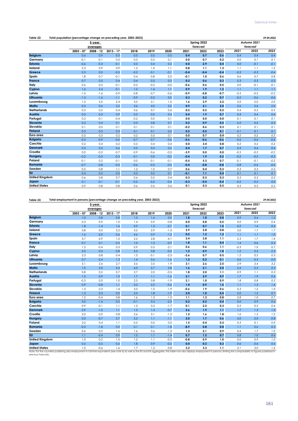| Table 22: | Total population (percentage change on preceding year, 2003-2023) | 29.04.2022 |
|-----------|-------------------------------------------------------------------|------------|
|-----------|-------------------------------------------------------------------|------------|

|                       |             | 5-year      |             |        |        | Spring 2022<br>Autumn 2021 |        |          |        |        |          |         |  |
|-----------------------|-------------|-------------|-------------|--------|--------|----------------------------|--------|----------|--------|--------|----------|---------|--|
|                       |             | averages    |             |        |        |                            |        | forecast |        |        | forecast |         |  |
|                       | $2003 - 07$ | $2008 - 12$ | $2013 - 17$ | 2018   | 2019   | 2020                       | 2021   | 2022     | 2023   | 2021   | 2022     | 2023    |  |
| <b>Belgium</b>        | 0.6         | 0.9         | 0.5         | 0.5    | 0.5    | 0.5                        | 0.4    | 0.7      | 0.6    | 0.4    | 0.4      | 0.4     |  |
| Germany               | $-0.1$      | $-0.1$      | 0.5         | 0.3    | 0.2    | 0.1                        | 0.0    | 0.7      | 0.2    | 0.0    | 0.1      | 0.1     |  |
| <b>Estonia</b>        | $-0.6$      | $-0.3$      | $-0.1$      | 0.3    | 0.4    | 0.3                        | 0.0    | 2.9      | 0.4    | 0.0    | $-0.1$   | $-0.1$  |  |
| Ireland               | 2.3         | 0.9         | 0.9         | 1.2    | 1.4    | 1.1                        | 0.8    | 1.1      | 1.3    | 1.1    | 1.1      | 1.2     |  |
| Greece                | 0.3         | 0.0         | $-0.5$      | $-0.2$ | $-0.1$ | $-0.1$                     | $-0.4$ | $-0.4$   | $-0.4$ | $-0.3$ | $-0.3$   | $-0.4$  |  |
| Spain                 | 1.8         | 0.7         | $-0.1$      | 0.4    | 0.8    | 0.5                        | $-0.1$ | 1.0      | 0.6    | 0.6    | 0.7      | 0.8     |  |
| France                | 0.7         | 0.5         | 0.4         | 0.4    | 0.3    | 0.3                        | 0.3    | 0.6      | 0.3    | 0.3    | 0.3      | 0.3     |  |
| Italy                 | 0.6         | 0.5         | $-0.1$      | $-0.2$ | $-0.2$ | $-0.5$                     | $-0.6$ | 0.6      | 0.5    | 0.0    | $-0.1$   | $-0.1$  |  |
| Cyprus                | 1.6         | 2.4         | $-0.1$      | 1.2    | 1.4    | 1.1                        | 0.9    | 1.9      | 1.2    | 1.1    | 1.1      | 1.1     |  |
| Latvia                | $-1.0$      | $-1.6$      | $-0.9$      | $-0.8$ | $-0.7$ | $-0.6$                     | $-0.9$ | $-0.8$   | $-0.7$ | $-0.5$ | $-0.5$   | $-0.5$  |  |
| Lithuania             | $-1.3$      | $-1.6$      | $-1.1$      | $-0.9$ | $-0.3$ | 0.0                        | 0.3    | 0.2      | 0.7    | $-0.2$ | $-0.6$   | $-0.6$  |  |
| Luxembourg            | 1.5         | 2.0         | 2.4         | 2.0    | 2.1    | 1.5                        | 1.6    | 2.9      | 2.2    | 2.0    | 2.0      | 2.0     |  |
| Malta                 | 0.5         | 0.6         | 2.2         | 3.6    | 4.0    | 2.2                        | 0.9    | 2.1      | 2.0    | 2.6    | 2.6      | 2.6     |  |
| <b>Netherlands</b>    | 0.3         | 0.5         | 0.4         | 0.6    | 0.7    | 0.6                        | 0.5    | 0.5      | 0.5    | 0.4    | 0.5      | 0.5     |  |
| Austria               | 0.5         | 0.3         | 0.9         | 0.5    | 0.5    | 0.4                        | 0.4    | 1.9      | 0.7    | 0.4    | 0.4      | 0.4     |  |
| Portugal              | 0.2         | $-0.1$      | $-0.4$      | $-0.2$ | 0.0    | 0.1                        | 0.0    | 0.0      | 0.0    | 0.1    | 0.1      | 0.1     |  |
| Slovenia              | 0.2         | 0.4         | 0.1         | 0.3    | 0.8    | 0.7                        | 0.2    | 0.9      | 0.5    | 0.2    | 0.2      | 0.2     |  |
| Slovakia              | 0.1         | 0.0         | 0.1         | 0.1    | 0.1    | 0.1                        | $-0.2$ | 0.6      | 0.3    | 0.1    | 0.1      | 0.1     |  |
| <b>Finland</b>        | 0.3         | 0.5         | 0.3         | 0.1    | 0.1    | 0.2                        | 0.2    | 0.5      | 0.1    | 0.1    | 0.1      | 0.1     |  |
| Euro area             | 0.5         | 0.3         | 0.2         | 0.2    | 0.3    | 0.1                        | 0.0    | 0.7      | 0.4    | 0.2    | 0.2      | 0.2     |  |
| <b>Bulgaria</b>       | $-0.5$      | $-0.9$      | $-0.6$      | $-0.7$ | $-0.7$ | $-0.6$                     | $-0.6$ | $-0.6$   | $-0.6$ | $-0.6$ | $-0.6$   | $-0.6$  |  |
| Czechia               | 0.2         | 0.4         | 0.2         | 0.3    | 0.4    | 0.3                        | 0.0    | 3.4      | 0.8    | 0.2    | 0.2      | 0.2     |  |
| <b>Denmark</b>        | 0.3         | 0.5         | 0.6         | 0.5    | 0.4    | 0.2                        | 0.4    | 1.7      | 0.7    | 0.3    | 0.4      | 0.4     |  |
| Croatia               | 0.0         | $-0.2$      | $-0.7$      | $-0.9$ | $-0.6$ | $-0.5$                     | $-3.9$ | 0.0      | 0.0    | $-0.5$ | $-0.5$   | $-0.5$  |  |
| <b>Hungary</b>        | $-0.2$      | $-0.3$      | $-0.3$      | $-0.1$ | 0.0    | $-0.2$                     | $-0.4$ | 1.9      | 0.2    | $-0.2$ | $-0.2$   | $-0.2$  |  |
| Poland                | $-0.1$      | 0.2         | $-0.1$      | 0.0    | $-0.1$ | $-0.1$                     | $-0.5$ | 5.3      | 0.7    | $-0.1$ | $-0.1$   | $-0.2$  |  |
| Romania               | $-0.7$      | $-0.8$      | $-0.5$      | $-0.6$ | $-0.5$ | $-0.5$                     | $-0.4$ | $-0.8$   | $-0.8$ | $-0.8$ | $-0.6$   | $-0.6$  |  |
| Sweden                | 0.5         | 0.8         | 1.1         | 1.2    | 1.0    | 0.7                        | 0.6    | 0.4      | 0.3    | 0.3    | 0.3      | 0.3     |  |
| <b>EU</b>             | 0.4         | 0.2         | 0.2         | 0.2    | 0.2    | 0.1                        | $-0.1$ | 1,1      | 0.4    | 0.1    | 0.1      | 0.1     |  |
| <b>United Kingdom</b> | 0.6         | 0.8         | 0.7         | 0.6    | 0.5    | 0.4                        | 0.3    | 0.3      | 0.3    | 0.3    | 0.3      | 0.3     |  |
| Japan                 | 0.1         | $-0.1$      | $-0.1$      | $-0.2$ | $-0.2$ | $-0.4$                     | $-0.3$ | $-0.4$   | $-0.4$ | $-0.2$ | $-0.2$   | $0.0\,$ |  |
| <b>United States</b>  | 0.9         | 0.8         | 0.8         | 0.6    | 0.5    | 0.4                        | 0.1    | 0.3      | 0.5    | 0.5    | 0.5      | 0.5     |  |

## **Table 23: 29.04.2022 Total employment in persons (percentage change on preceding year, 2003-2023)**

|             | 5-year      |             |        |        |        |        |      |                         |        |      |                                                                                                                                                                                                                                                           |
|-------------|-------------|-------------|--------|--------|--------|--------|------|-------------------------|--------|------|-----------------------------------------------------------------------------------------------------------------------------------------------------------------------------------------------------------------------------------------------------------|
|             | averages    |             |        |        |        |        |      |                         |        |      |                                                                                                                                                                                                                                                           |
| $2003 - 07$ | $2008 - 12$ | $2013 - 17$ | 2018   | 2019   | 2020   | 2021   | 2022 | 2023                    | 2021   | 2022 | 2023                                                                                                                                                                                                                                                      |
| 1.0         | 0.8         | 0.8         | 1.5    | 1.6    | 0.0    | 1.8    | 1.0  | 0.8                     | 0.9    | 0.4  | 1.2                                                                                                                                                                                                                                                       |
| 0.3         | 0.9         | 1.0         | 1.4    | 0.9    | $-0.8$ | 0.0    | 0.8  | 0.5                     | 0.0    | 0.9  | 0.4                                                                                                                                                                                                                                                       |
| 1.8         | $-1.4$      | 1.6         | 0.9    | 1.3    | $-2.7$ | 0.1    | 0.7  | 1.0                     | 0.2    | 1.4  | 0.6                                                                                                                                                                                                                                                       |
| 3.8         | $-3.0$      | 3.2         | 3.2    | 2.9    | $-1.5$ | 3.9    | 2.8  | 0.8                     | 3.0    | 1.7  | 1.7                                                                                                                                                                                                                                                       |
| 1.6         | $-2.0$      | 0.6         | 4.6    | 0.9    | $-1.2$ | 0.5    | 1.2  | 1.2                     | 1.1    | 1.1  | 1.0                                                                                                                                                                                                                                                       |
| 3.7         | $-2.9$      | 1.2         | 2.2    | 2.8    | $-4.1$ | 2.4    | 2.8  | 1.1                     | 2.3    | 1.7  | 1.4                                                                                                                                                                                                                                                       |
| 0.7         | 0.1         | 0.5         | 1.0    | 1.2    | $-0.9$ | 1.8    | 1.1  | 0.4                     | 1.4    | 0.6  | 0.5                                                                                                                                                                                                                                                       |
| 1.2         | $-0.4$      | 0.3         | 0.9    | 0.5    | $-2.1$ | 0.6    | 0.6  | 1.1                     | $-0.3$ | 1.0  | 0.7                                                                                                                                                                                                                                                       |
| 3.5         | 0.2         | 0.8         | 5.3    | 3.8    | $-0.5$ | 1.2    | 0.9  | 1.8                     | 1.2    | 2.2  | 2.3                                                                                                                                                                                                                                                       |
| 2.3         | $-3.8$      | 0.4         | 1.5    | $-0.1$ | $-2.3$ | $-2.6$ | 0.7  | 0.5                     | 1.2    | 0.5  | 0.3                                                                                                                                                                                                                                                       |
| 0.7         | $-2.4$      | 1.3         | 1.4    | 0.6    | $-1.6$ | 1.2    | 0.2  | 0.1                     | 0.6    | 0.5  | 0.0                                                                                                                                                                                                                                                       |
| 3.1         | 2.6         | 2.7         | 3.6    | 3.5    | 1.9    | 3.1    | 2.6  | 2.5                     | 2.9    | 3.4  | 3.2                                                                                                                                                                                                                                                       |
| 1.0         | 2.0         | 5.4         | 6.0    | 5.7    | 2.8    | 1.6    | 2.1  | 2.0                     | 2.4    | 2.5  | 2.5                                                                                                                                                                                                                                                       |
| 0.8         | 0.2         | 0.7         | 2.7    | 2.0    | $-0.5$ | 1.8    | 2.0  | 1.1                     | 0.9    | 1.1  | 0.3                                                                                                                                                                                                                                                       |
| 1.2         | 0.9         | 1.0         | 1.7    | 1.1    | $-1.6$ | 2.1    | 2.9  | 0.9                     | 1.7    | 1.9  | 0.6                                                                                                                                                                                                                                                       |
| $-0.3$      | $-2.0$      | 1.0         | 2.3    | 0.8    | $-1.9$ | 2.1    | 1.0  | 0.9                     | 1.8    | 0.8  | 0.5                                                                                                                                                                                                                                                       |
| 0.9         | $-0.8$      | 1.1         | 3.2    | 2.5    | $-0.6$ | 1.4    | 0.9  | 1.5                     | 1.1    | 1.3  | 1.4                                                                                                                                                                                                                                                       |
| 1.3         | 0.3         | 1.4         | 2.0    | 1.0    | $-1.9$ | $-0.6$ | 1.9  | 0.6                     | 0.3    | 1.2  | 1.0                                                                                                                                                                                                                                                       |
| 1.3         | 0.3         | 0.0         | 2.5    | 1.8    | $-1.9$ | 2.0    | 1.0  | 0.4                     | 2.0    | 1.5  | 0.7                                                                                                                                                                                                                                                       |
| 1.2         | $-0.4$      | 0.8         | 1.6    | 1.3    | $-1.5$ | 1.1    | 1.3  | 0.8                     | 0.8    | 1.0  | 0.7                                                                                                                                                                                                                                                       |
| 3.0         | $-1.6$      | 0.5         | $-0.1$ | 0.3    | $-2.3$ | 0.2    | 0.2  | 0.4                     | 0.0    | 0.9  | 0.6                                                                                                                                                                                                                                                       |
| 0.9         | $-0.1$      | 1.1         | 1.3    | 0.2    | $-1.7$ | 0.1    | 2.2  | 0.3                     | 0.5    | 0.5  | 0.4                                                                                                                                                                                                                                                       |
| 0.9         | $-1.0$      | 1.1         | 1.5    | 1.4    | $-0.7$ | 2.6    | 1.9  | 1,1                     | 1.7    | 1.3  | 1.0                                                                                                                                                                                                                                                       |
| 2.0         | $-2.0$      | 0.8         | 2.6    | 3.1    | $-1.2$ | 1.2    | 1.6  | 1.8                     | 1.6    | 1.3  | 1.2                                                                                                                                                                                                                                                       |
| 0.0         | $-0.7$      | 2.7         | 2.3    | 1.1    | $-1.1$ | 2.0    | 1.7  | 0.6                     | 3.0    | 2.0  | 0.8                                                                                                                                                                                                                                                       |
| 2.0         | 0.4         | 1.1         | 0.5    | 0.0    | 0.0    | 1.5    | 0.4  | 0.3                     | 0.3    | 0.1  | 0.0                                                                                                                                                                                                                                                       |
| $-0.2$      | $-1.8$      | 0.0         | 0.1    | 0.1    | $-1.8$ | $-8.9$ | 0.8  | 0.8                     | 1.1    | 0.6  | 0.5                                                                                                                                                                                                                                                       |
| 0.6         | 0.5         | 1.6         | 1.6    | 0.6    | $-1.3$ | 1.3    | 2.1  | 0.9                     | 0.4    | 1.7  | 1.0                                                                                                                                                                                                                                                       |
| 1.1         | $-0.4$      | 0.9         | 1.5    | 1.1    | $-1.4$ | 0.7    | 1.2  | 0.7                     | 0.8    | 1.0  | 0.6                                                                                                                                                                                                                                                       |
| 1.0         | 0.2         | 1.5         | 1.2    | 1.1    | $-0.5$ | $-0.8$ | 0.9  | 1.0                     | 0.0    | 0.9  | 1.0                                                                                                                                                                                                                                                       |
| 0.6         | $-0.5$      | 0.6         | 1.8    | 0.9    | $-0.5$ | 0.0    | 0.3  | 0.3                     | 0.6    | 0.6  | 0.6                                                                                                                                                                                                                                                       |
| 1.0         | $-0.6$      | 1.6         | 1.7    | 1.2    | $-5.8$ | 3.2    | 3.3  | 1.1                     | 3.1    | 3.0  | 1.2                                                                                                                                                                                                                                                       |
|             |             |             |        |        |        |        |      | Spring 2022<br>forecast |        |      | Autumn 2021<br>forecast<br>Note: For the countries publishing also employment in full-time equivalents (see note 6) as well as the EU and EA goarenates, this table now also displays employment in persons limiting the comparability to figures publish |

Note: For the countries publishing also employment in full-time equivalents (see note 6) as well as the EU and EA aggregates, this table now also displays employment in persons, limiting the comparability to figures publis Note: For the count<br>previous forecasts.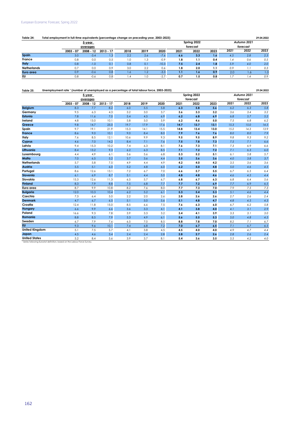## European Economic Forecast, Spring 2022

| Table 24:          | Total employment in full-time equivalents (percentage change on preceding year, 2003-2023) |           | 29.04.2022  |      |                  |         |      |             |      |      |             |      |
|--------------------|--------------------------------------------------------------------------------------------|-----------|-------------|------|------------------|---------|------|-------------|------|------|-------------|------|
|                    |                                                                                            | 5-year    |             |      |                  |         |      | Spring 2022 |      |      | Autumn 2021 |      |
|                    |                                                                                            | averages  |             |      |                  |         |      | forecast    |      |      | forecast    |      |
|                    | $2003 - 07$                                                                                | 2008 - 12 | $2013 - 17$ | 2018 | 2019             | 2020    | 2021 | 2022        | 2023 | 2021 | 2022        | 2023 |
| <b>Spain</b>       | 3.0                                                                                        | $-3.4$    | (.3)        | 2.2  | 2.6              | $-7.6$  | 6.6  | 3.3         | 1.6  | 4.5  | 2.8         | 2.3  |
| <b>France</b>      | 0.8                                                                                        | 0.0       | 0.5         | 1.0  | 1.3              | $-0.9$  | 1.8  | 1.1         | 0.4  | 1.4  | 0.6         | 0.5  |
| <b>Italy</b>       | 0.8                                                                                        | $-1.0$    | 0.1         | 0.8  | 0.1              | $-10.3$ | 7.5  | 2.4         | 1.8  | 5.9  | 4.0         | 2.0  |
| <b>Netherlands</b> | 0.7                                                                                        | 0.0       | 0.9         | 3.0  | 2.2              | 0.6     | 1.8  | 2.0         |      | 0.9  | .           | 0.3  |
| Euro area          | 0.9                                                                                        | $-0.6$    | 0.8         | 1.6  | $\overline{1.2}$ | $-3.3$  | 1.1  | 1.6         | 0.9  | 2.0  | 1.6         | 1.0  |
| EU                 | 0.8                                                                                        | $-0.6$    | 0.8         | 1.4  | 0. ا             | $-2.7$  | 0.7  | 1.5         | 0.8  |      | 1.4         | 0.9  |

| Table 25:             | Unemployment rate 1 (number of unemployed as a percentage of total labour force, 2003-2023)<br>29.04.2022 |             |             |      |      |         |      |             |      |       |             |       |  |  |
|-----------------------|-----------------------------------------------------------------------------------------------------------|-------------|-------------|------|------|---------|------|-------------|------|-------|-------------|-------|--|--|
|                       |                                                                                                           | 5-year      |             |      |      |         |      | Spring 2022 |      |       | Autumn 2021 |       |  |  |
|                       |                                                                                                           | averages    |             |      |      |         |      | forecast    |      |       | forecast    |       |  |  |
|                       | $2003 - 07$                                                                                               | $2008 - 12$ | $2013 - 17$ | 2018 | 2019 | 2020    | 2021 | 2022        | 2023 | 2021  | 2022        | 2023  |  |  |
| <b>Belgium</b>        | 8.3                                                                                                       | 7.7         | 8.2         | 6.0  | 5.5  | 5.8     | 6.3  | 5.8         | 5.6  | 6.2   | 6.3         | 5.8   |  |  |
| Germany               | 9.5                                                                                                       | 6.3         | 4.3         | 3.2  | 3.0  | 3.7     | 3.6  | 3.3         | 3.2  | 3.6   | 3.4         | 3.2   |  |  |
| <b>Estonia</b>        | 7.8                                                                                                       | 11.6        | 7.0         | 5.4  | 4.5  | 6.9     | 6.2  | 6.8         | 6.9  | 6.8   | 5.7         | 5.2   |  |  |
| Ireland               | 4.8                                                                                                       | 13.0        | 10.1        | 5.8  | 5.0  | 5.9     | 6.2  | 4.6         | 5.0  | 7.5   | 6.8         | 6.2   |  |  |
| Greece                | 9.8                                                                                                       | 14.7        | 25.0        | 19.7 | 17.9 | 17.6    | 14.7 | 13.7        | 13.1 | 15.3  | 15.0        | 14.5  |  |  |
| Spain                 | 9.7                                                                                                       | 19.1        | 21.9        | 15.3 | 14.1 | 15.5    | 14.8 | 13.4        | 13.0 | 15.2  | 14.3        | 13.9  |  |  |
| France                | 8.6                                                                                                       | 9.0         | 10.1        | 9.0  | 8.4  | 8.0     | 7.9  | 7.6         | 7.6  | 8.0   | 8.0         | 7.9   |  |  |
| Italy                 | 7.6                                                                                                       | 8.5         | 12.1        | 10.6 | 9.9  | 9.3     | 9.5  | 9.5         | 8.9  | 9.8   | 9.3         | 9.2   |  |  |
| Cyprus                | 4.6                                                                                                       | 7.0         | 14.2        | 8.4  | 7.1  | 7.6     | 7.5  | 7.8         | 7.3  | 7.5   | 7.1         | 6.6   |  |  |
| Latvia                | 9.4                                                                                                       | 15.3        | 10.2        | 7.4  | 6.3  | 8.1     | 7.6  | 7.3         | 7.1  | 7.3   | 6.9         | 6.6   |  |  |
| Lithuania             | 8.4                                                                                                       | 13.2        | 9.3         | 6.2  | 6.3  | 8.5     | 7.1  | 7.2         | 7.2  | 7.1   | 6.3         | $6.0$ |  |  |
| Luxembourg            | 4.4                                                                                                       | 4.9         | 6.1         | 5.6  | 5.6  | 6.8     | 5.3  | 5.2         | 5.1  | 6.1   | 5.8         | 5.7   |  |  |
| Malta                 | 7.0                                                                                                       | 6.5         | 5.2         | 3.7  | 3.6  | 4.4     | 3.5  | 3.6         | 3.6  | 4.0   | 3.8         | 3.7   |  |  |
| <b>Netherlands</b>    | 5.7                                                                                                       | 5.8         | 7.5         | 4.9  | 4.4  | 4.9     | 4.2  | 4.0         | 4.2  | 3.5   | 3.6         | 3.6   |  |  |
| Austria               | 5.5                                                                                                       | 5.1         | 6.0         | 5.2  | 4.8  | 6.0     | 6.2  | 5.0         | 4.8  | 5.0   | 4.6         | 4.5   |  |  |
| Portugal              | 8.6                                                                                                       | 12.6        | 13.1        | 7.2  | 6.7  | 7.0     | 6.6  | 5.7         | 5.5  | 6.7   | 6.5         | 6.4   |  |  |
| Slovenia              | 6.1                                                                                                       | 6.9         | 8.7         | 5.1  | 4.4  | 5.0     | 4.8  | 4.8         | 4.6  | 4.6   | 4.5         | 4.4   |  |  |
| Slovakia              | 15.3                                                                                                      | 12.6        | 11.3        | 6.5  | 5.7  | 6.7     | 6.8  | 6.7         | 6.3  | 6.8   | 6.4         | 5.6   |  |  |
| <b>Finland</b>        | 8.3                                                                                                       | 7.9         | 8.8         | 7.5  | 6.8  | 7.7     | 7.7  | 7.2         | 6.9  | 7.7   | 6.9         | 6.5   |  |  |
| Euro area             | 8.7                                                                                                       | 9.9         | 10.8        | 8.2  | 7.6  | 8.0     | 7.7  | 7.3         | 7.0  | 7.9   | 7.5         | 7.3   |  |  |
| <b>Bulgaria</b>       | 12.0                                                                                                      | 10.3        | 10.4        | 6.2  | 5.2  | 6.1     | 5.3  | 5.4         | 5.3  | 5.1   | 4.6         | 4.4   |  |  |
| Czechia               | 7.3                                                                                                       | 6.4         | 5.0         | 2.2  | 2.0  | 2.6     | 2.8  | 2.6         | 2.6  | 2.7   | 2.6         | 2.4   |  |  |
| <b>Denmark</b>        | 4.7                                                                                                       | 6.7         | 6.5         | 5.1  | 5.0  | 5.6     | 5.1  | 4.8         | 4.7  | 4.8   | 4.5         | 4.3   |  |  |
| Croatia               | 12.4                                                                                                      | 11.8        | 15.0        | 8.5  | 6.6  | 7.5     | 7.6  | 6.3         | 6.0  | 6.7   | 6.2         | 5.8   |  |  |
| Hungary               | 6.6                                                                                                       | 9.9         | 6.6         | 3.6  | 3.3  | 4.1     | 4.1  | 3.8         | 4.0  | 4.1   | 3.1         | 2.9   |  |  |
| Poland                | 16.6                                                                                                      | 9.3         | 7.8         | 3.9  | 3.3  | 3.2     | 3.4  | 4.1         | 3.9  | 3.3   | 3.1         | 3.0   |  |  |
| Romania               | 8.8                                                                                                       | 8.5         | 7.9         | 5.3  | 4.9  | 6.1     | 5.6  | 5.5         | 5.3  | $5.0$ | 4.8         | 4.5   |  |  |
| Sweden                | 6.7                                                                                                       | 7.9         | 7.6         | 6.5  | 7.0  | 8.5     | 8.8  | 7.8         | 7.0  | 8.2   | 7.1         | 6.7   |  |  |
| <b>EU</b>             | 9.3                                                                                                       | 9.6         | 10.1        | 7.4  | 6.8  | 7.2     | 7.0  | 6.7         | 6.5  | 7.1   | 6.7         | 6.5   |  |  |
| <b>Unifed Kingdom</b> | 5.1                                                                                                       | 7.5         | 5.7         | 4.1  | 3.8  | 4.5     | 4.5  | 4.0         | 4.0  | 4.9   | 4.7         | 4.4   |  |  |
| Japan                 | 4.5                                                                                                       | 4.6         | 3.4         | 2.4  | 2.4  | $2.8\,$ | 2.8  | 2.7         | 2.6  | 2.8   | 2.6         | 2.4   |  |  |
| <b>United States</b>  | 5.2                                                                                                       | 8.4         | 5.6         | 3.9  | 3.7  | 8.1     | 5.4  | 3.6         | 3.5  | 5.5   | 4.2         | 4.0   |  |  |

ries following Eurostat definition, based on the Labour Force Survey.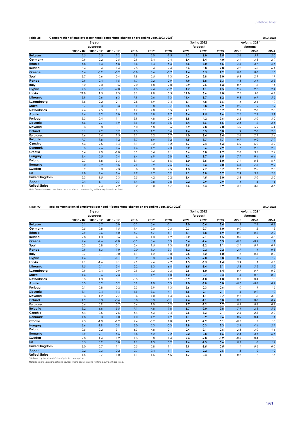| Table 26:                                                                                                                | Compensation of employees per head (percentage change on preceding year, 2003-2023)<br>29.04.2022 |           |             |        |        |        |        |             |      |        |             |      |  |  |
|--------------------------------------------------------------------------------------------------------------------------|---------------------------------------------------------------------------------------------------|-----------|-------------|--------|--------|--------|--------|-------------|------|--------|-------------|------|--|--|
|                                                                                                                          |                                                                                                   | 5-vear    |             |        |        |        |        | Spring 2022 |      |        | Autumn 2021 |      |  |  |
|                                                                                                                          |                                                                                                   | averages  |             |        |        |        |        | forecast    |      |        | forecast    |      |  |  |
|                                                                                                                          | $2003 - 07$                                                                                       | 2008 - 12 | $2013 - 17$ | 2018   | 2019   | 2020   | 2021   | 2022        | 2023 | 2021   | 2022        | 2023 |  |  |
| <b>Belgium</b>                                                                                                           | 2.5                                                                                               | 2.5       | 1.2         | 1.8    | 2.0    | $-1.5$ | 4.2    | 6.0         | 5.5  | 3.6    | 5.1         | 2.0  |  |  |
| Germany                                                                                                                  | 0.9                                                                                               | 2.2       | 2.5         | 2.9    | 3.4    | 0.4    | 3.4    | 3.4         | 4.0  | 3.1    | 3.3         | 2.9  |  |  |
| <b>Estonia</b>                                                                                                           | 14.8                                                                                              | 3.3       | 5.8         | 8.6    | 8.4    | 5.3    | 7.6    | 7.0         | 4.5  | 4.6    | 3.7         | 4.6  |  |  |
| Ireland                                                                                                                  | 5.4                                                                                               | 0.4       | 1.4         | 2.5    | 3.4    | 2.4    | 3.6    | 3.8         | 7.8  | 4.2    | 5.0         | 6.1  |  |  |
| Greece                                                                                                                   | 5.6                                                                                               | $-0.9$    | $-3.2$      | $-3.8$ | 0.6    | $-0.7$ | 1.4    | 3.5         | 2.2  | 0.0    | 0.6         | 1.5  |  |  |
| Spain                                                                                                                    | 3.7                                                                                               | 2.6       | 0.4         | 1.8    | 2.5    | 1.3    | $-0.6$ | 2.8         | 3.0  | $-0.3$ | 2.1         | 1.7  |  |  |
| France                                                                                                                   | 2.9                                                                                               | 2.4       | 1.5         | 1.7    | $-0.2$ | $-2.9$ | 4.9    | 3.8         | 3.3  | 4.3    | 3.1         | 2.3  |  |  |
| Italy                                                                                                                    | 3.2                                                                                               | 2.0       | 0.6         | 2.0    | 1.8    | 2.8    | $-0.9$ | 2.5         | 1.3  | 0.7    | 1.5         | 1.1  |  |  |
| Cyprus                                                                                                                   | 4.5                                                                                               | 2.7       | $-2.0$      | 1.5    | 4.4    | $-3.2$ | 4.7    | 4.1         | 4.5  | 2.5    | 2.7         | 2.4  |  |  |
| Latvia                                                                                                                   | 21.8                                                                                              | 1.5       | 7.3         | 8.1    | 7.8    | 5.5    | 11.0   | 5.6         | 6.0  | 7.1    | 5.0         | 6.7  |  |  |
| Lithuania                                                                                                                | 13.9                                                                                              | 2.6       | 6.3         | 7.9    | 10.6   | 7.3    | 11.4   | 8.7         | 6.2  | 9.3    | 6.7         | 5.5  |  |  |
| Luxembourg                                                                                                               | 3.5                                                                                               | 2.2       | 2.1         | 2.8    | 1.9    | 0.4    | 5.1    | 4.8         | 3.6  | 1.4    | 2.6         | 1.9  |  |  |
| Malta                                                                                                                    | 3.7                                                                                               | 3.3       | 3.3         | 3.9    | 3.8    | $-0.7$ | 5.5    | 3.8         | 2.9  | 2.9    | 1.9         | 1.9  |  |  |
| <b>Netherlands</b>                                                                                                       | 2.6                                                                                               | 2.5       | 1.1         | 1.7    | 2.8    | 3.5    | 2.1    | 3.1         | 3.7  | 2.3    | 2.6         | 2.8  |  |  |
| Austria                                                                                                                  | 2.4                                                                                               | 2.2       | 2.0         | 2.9    | 2.8    | 1.7    | 3.4    | 1.5         | 2.6  | 2.1    | 2.3         | 3.1  |  |  |
| Portugal                                                                                                                 | 3.3                                                                                               | 0.4       | 1.1         | 3.9    | 4.8    | 2.0    | 3.8    | 4.2         | 2.6  | 2.2    | 3.0         | 3.0  |  |  |
| Slovenia                                                                                                                 | 6.6                                                                                               | 2.7       | 1.9         | 3.9    | 5.0    | 3.5    | 5.4    | 3.6         | 5.5  | 3.4    | 1.2         | 3.6  |  |  |
| Slovakia                                                                                                                 | 8.3                                                                                               | 3.8       | 3.1         | 6.0    | 6.8    | 3.6    | 5.9    | 7.8         | 7.0  | 5.0    | 5.9         | 5.4  |  |  |
| <b>Finland</b>                                                                                                           | 3.1                                                                                               | 2.9       | 0.7         | 1.3    | 1.2    | 0.4    | 4.4    | 3.3         | 3.0  | 1.9    | 2.6         | 2.8  |  |  |
| Euro area                                                                                                                | 2.6                                                                                               | 2.4       | 1.5         | 2.1    | 2.2    | 0.7    | 4.0    | 3.4         | 3.4  | 2.6    | 2.9         | 2.4  |  |  |
| <b>Bulgaria</b>                                                                                                          | 7.7                                                                                               | 9.8       | 7.2         | 9.7    | 6.9    | 7.2    | 9.5    | 9.7         | 7.7  | 9.7    | 9.0         | 7.9  |  |  |
| Czechia                                                                                                                  | 6.3                                                                                               | 2.5       | 3.4         | 8.1    | 7.2    | 3.2    | 5.7    | 2.4         | 5.3  | 6.0    | 6.9         | 4.9  |  |  |
| <b>Denmark</b>                                                                                                           | 3.5                                                                                               | 2.6       | 1.6         | 1.6    | 1.9    | 2.3    | 3.2    | 3.6         | 2.9  | 1.7    | 2.2         | 2.7  |  |  |
| Croatia                                                                                                                  | 5.4                                                                                               | 2.0       | $-1.0$      | 3.9    | 0.4    | 2.1    | 5.6    | 3.0         | 2.7  | 2.0    | 3.3         | 2.4  |  |  |
| Hungary                                                                                                                  | 8.4                                                                                               | 2.5       | 2.4         | 6.4    | 6.9    | 3.0    | 9.2    | 8.7         | 6.5  | 7.7    | 9.4         | 6.4  |  |  |
| Poland                                                                                                                   | 2.7                                                                                               | 5.8       | 3.3         | 8.1    | 7.3    | 5.6    | 5.0    | 9.5         | 8.0  | 7.1    | 8.3         | 6.7  |  |  |
| Romania                                                                                                                  | 18.0                                                                                              | 7.9       | 8.5         | 12.9   | 10.9   | 2.6    | 5.7    | 8.3         | 7.0  | 6.8    | 7.5         | 9.9  |  |  |
| Sweden                                                                                                                   | 3.9                                                                                               | 3.0       | 2.3         | 3.8    | 3.0    | 2.5    | 4.3    | 2.7         | 3.7  | 2.2    | 2.5         | 2.5  |  |  |
| <b>EU</b>                                                                                                                | 2.8                                                                                               | 2.6       | 1.6         | 2.7    | 2.7    | 0.9    | 4.1    | 3.8         | 3.7  | 2.9    | 3.3         | 2.8  |  |  |
| <b>United Kingdom</b>                                                                                                    | 5.3                                                                                               | 1.5       | 2.3         | 2.5    | 4.2    | 2.2    | 5.4    | 4.5         | 3.0  | 2.8    | 3.0         | 2.0  |  |  |
| Japan                                                                                                                    | $-0.4$                                                                                            | $-1.1$    | 0.7         | 1.4    | 0.8    | $-0.8$ | 0.2    | 0.9         | 0.9  | 1.4    | 1.4         | 1.4  |  |  |
| <b>United States</b><br>Note: See note 6 on concepts and sources where countries using full time equivalents are listed. | 4.1                                                                                               | 2.4       | 2.2         | 3.2    | 3.0    | 6.7    | 5.6    | 5.4         | 3.9  | 3.1    | 3.8         | 3.6  |  |  |

#### **Table 27: 29.04.2022** Real compensation of employees per head <sup>1</sup> (percentage change on preceding year, 2003-2023)

| forecast<br>forecast<br>2022<br>2021<br>$2013 - 17$<br>2018<br>2019<br>2020<br>$2003 - 07$<br>$2008 - 12$<br>2021<br>2022<br>2023<br><b>Belgium</b><br>0.0<br>0.7<br>$-0.2$<br>0.6<br>$-2.1$<br>$-0.4$<br>3.4<br>2.8<br>0.1<br>2.0<br>1.5<br>Germany<br>$-0.5$<br>0.8<br>2.0<br>$-0.3$<br>$-2.7$<br>0.0<br>1.2<br>1.5<br>1.4<br>0.3<br>1.0<br>6.1<br>Estonia<br>9.9<br>$-0.6$<br>4.0<br>4.7<br>5.7<br>$-3.8$<br>1.9<br>0.9<br>$-0.2$<br>3.1<br>Ireland<br>2.8<br>1.3<br>0.6<br>1.3<br>1.9<br>$-0.2$<br>$-2.1$<br>0.6<br>1.9<br>0.6<br>4.5<br>0.4<br>$-2.6$<br>0.3<br>$-2.6$<br>$-2.0$<br>$-3.9$<br>0.6<br>0.3<br>$-0.1$<br>$-0.4$<br>2.4<br>0.3<br>0.8<br>$-0.1$<br>0.4<br>1.5<br>1.3<br>$-2.5$<br>$-3.2$<br>$-2.1$<br>0.9<br>1.1<br>0.9<br>1.3<br>1.0<br>0.0<br>$-1.0$<br>$-3.7$<br>$-0.2$<br>0.2<br>2.7<br>3.2<br>1.1<br>ltaly<br>0.7<br>0.1<br>$-1.2$<br>0.0<br>1.1<br>1.2<br>3.0<br>$-2.5$<br>$-3.2$<br>$-0.5$<br>$-1.0$<br>0.1<br>$-1.1$<br>0.2<br>3.3<br>$-2.3$<br>0.5<br>1.0<br>1.6<br>2.5<br>$-2.0$<br>0.8<br>Latvia<br>12.1<br>$-1.6$<br>4.9<br>4.7<br>7.3<br>$-3.5$<br>3.9<br>1.1<br>6.1<br>4.6<br>2.4<br>Lithuania<br>5.4<br>6.4<br>$-3.4$<br>5.3<br>11.5<br>$-2.1$<br>5.2<br>8.3<br>6.5<br>3.1<br>3.5<br>$-1.0$<br>2.6<br>1.4<br>0.9<br>0.4<br>0.9<br>0.9<br>0.3<br>$-0.3$<br>$-0.7$<br>0.7<br>1.6<br>2.3<br>3.1<br>1.9<br>$-1.8$<br>$-0.7$<br>1.3<br>0.6<br>4.2<br>$-0.4$<br>$-0.2$<br>0.5<br>1.3<br>0.1<br>$-0.5$<br>0.1<br>1.9<br>$-0.9$<br>$-4.0$<br>0.1<br>0.4<br>1.0<br>0.2<br>0.2<br>0.3<br>0.3<br>0.9<br>1.0<br>$-3.8$<br>0.0<br>$-0.7$<br>$-0.8$<br>1.0<br>$-0.1$<br>$-0.8$<br>0.2<br>2.3<br>3.9<br>1.3<br>2.6<br>$-0.3$<br>1.0<br>0.6<br>1.1<br>4.1<br>1.4<br>1.6<br>$-2.1$<br>2.1<br>3.1<br>0.4<br>1.9<br>1.6<br>$-0.9$<br>3.6<br>2.1<br>3.3<br>1.2<br>2.7<br>3.6<br>4.0<br>1.4<br>2.6<br>$-1.1$<br>0.7<br>1.8<br>2.4<br>$-1.1$<br>1.9<br>0.3<br>$-0.4$<br>0.0<br>$-0.1$<br>0.8<br>0.1<br>0.6<br>0.3<br>0.9<br>1.7<br>0.4<br>0.7<br>0.6<br>1.0<br>0.2<br>$-2.2$<br>0.7<br>0.4<br>0.8<br>3.2<br>5.5<br>7.1<br>4.8<br>7.8<br>5.7<br>2.8<br>7.4<br>2.8<br>6.6<br>$-2.0$<br>0.5<br>2.5<br>4.3<br>0.4<br>$-8.3$<br>2.5<br>2.8<br>4.4<br>5.4<br>2.6<br>$-0.1$<br>0.3<br>1.0<br>1.2<br>1.8<br>1.0<br>1.9<br>1.1<br>0.6<br>0.0<br>0.4<br>$-0.9$<br>$-2.9$<br>0.1<br>2.9<br>$-0.1$<br>2.5<br>$-1.0$<br>$-1.2$<br>2.4<br>$-0.7$<br>1.8<br>1.3<br>0.9<br>3.6<br>$-1.9$<br>2.3<br>$-0.3$<br>$-0.3$<br>2.4<br>4.4<br>3.0<br>2.8<br>2.3<br>$-0.4$<br>$-2.1$<br>0.6<br>0.5<br>2.2<br>3.1<br>6.3<br>4.8<br>2.1<br>2.8<br>3.0<br>7.9<br>2.1<br>6.6<br>8.8<br>5.2<br>0.2<br>2.4<br>3.1<br>0.2<br>$-0.8$<br>1.6<br>2.8<br>1.4<br>1.2<br>1.3<br>0.8<br>2.4<br>$-2.8$<br>$-0.3$<br>0.4<br>1.4<br>$-0.2$<br>0.9<br>0.8<br>0.2<br>$-2.3$<br>0.5<br>1.1<br>1.3<br>1.6<br>0.6<br>0.5<br>1.0<br>3.0<br>$-0.7$<br>1.1<br>0.5<br>2.8<br>1.1<br>2.9<br>$-3.5$<br>1.1<br>0.6<br>0.5 |  | 5-year   |  |  | Spring 2022 |  | Autumn 2021 |        |
|------------------------------------------------------------------------------------------------------------------------------------------------------------------------------------------------------------------------------------------------------------------------------------------------------------------------------------------------------------------------------------------------------------------------------------------------------------------------------------------------------------------------------------------------------------------------------------------------------------------------------------------------------------------------------------------------------------------------------------------------------------------------------------------------------------------------------------------------------------------------------------------------------------------------------------------------------------------------------------------------------------------------------------------------------------------------------------------------------------------------------------------------------------------------------------------------------------------------------------------------------------------------------------------------------------------------------------------------------------------------------------------------------------------------------------------------------------------------------------------------------------------------------------------------------------------------------------------------------------------------------------------------------------------------------------------------------------------------------------------------------------------------------------------------------------------------------------------------------------------------------------------------------------------------------------------------------------------------------------------------------------------------------------------------------------------------------------------------------------------------------------------------------------------------------------------------------------------------------------------------------------------------------------------------------------------------------------------------------------------------------------------------------------------------------------------------------------------------------------------------------------------------------------------------------------------------------------------------------------------------------------------------------------------------------------------------------------------------------------------------------------------------------------------------------------------------------------------------------------------------------|--|----------|--|--|-------------|--|-------------|--------|
|                                                                                                                                                                                                                                                                                                                                                                                                                                                                                                                                                                                                                                                                                                                                                                                                                                                                                                                                                                                                                                                                                                                                                                                                                                                                                                                                                                                                                                                                                                                                                                                                                                                                                                                                                                                                                                                                                                                                                                                                                                                                                                                                                                                                                                                                                                                                                                                                                                                                                                                                                                                                                                                                                                                                                                                                                                                                              |  | averages |  |  |             |  |             | 2023   |
|                                                                                                                                                                                                                                                                                                                                                                                                                                                                                                                                                                                                                                                                                                                                                                                                                                                                                                                                                                                                                                                                                                                                                                                                                                                                                                                                                                                                                                                                                                                                                                                                                                                                                                                                                                                                                                                                                                                                                                                                                                                                                                                                                                                                                                                                                                                                                                                                                                                                                                                                                                                                                                                                                                                                                                                                                                                                              |  |          |  |  |             |  |             | 0.3    |
|                                                                                                                                                                                                                                                                                                                                                                                                                                                                                                                                                                                                                                                                                                                                                                                                                                                                                                                                                                                                                                                                                                                                                                                                                                                                                                                                                                                                                                                                                                                                                                                                                                                                                                                                                                                                                                                                                                                                                                                                                                                                                                                                                                                                                                                                                                                                                                                                                                                                                                                                                                                                                                                                                                                                                                                                                                                                              |  |          |  |  |             |  |             | 1.2    |
| Greece<br>Spain<br>France<br>Cyprus<br>Luxembourg<br>Malta<br>Netherlands<br>Austria<br>Portugal<br>Slovenia<br>Slovakia<br><b>Finland</b><br>Euro area<br><b>Bulgaria</b><br>Czechia<br><b>Denmark</b><br>Croatia<br>Hungary<br>Poland<br>Romania<br>Sweden<br>EU<br><b>United Kingdom</b>                                                                                                                                                                                                                                                                                                                                                                                                                                                                                                                                                                                                                                                                                                                                                                                                                                                                                                                                                                                                                                                                                                                                                                                                                                                                                                                                                                                                                                                                                                                                                                                                                                                                                                                                                                                                                                                                                                                                                                                                                                                                                                                                                                                                                                                                                                                                                                                                                                                                                                                                                                                  |  |          |  |  |             |  |             | 2.2    |
|                                                                                                                                                                                                                                                                                                                                                                                                                                                                                                                                                                                                                                                                                                                                                                                                                                                                                                                                                                                                                                                                                                                                                                                                                                                                                                                                                                                                                                                                                                                                                                                                                                                                                                                                                                                                                                                                                                                                                                                                                                                                                                                                                                                                                                                                                                                                                                                                                                                                                                                                                                                                                                                                                                                                                                                                                                                                              |  |          |  |  |             |  |             | 4.5    |
|                                                                                                                                                                                                                                                                                                                                                                                                                                                                                                                                                                                                                                                                                                                                                                                                                                                                                                                                                                                                                                                                                                                                                                                                                                                                                                                                                                                                                                                                                                                                                                                                                                                                                                                                                                                                                                                                                                                                                                                                                                                                                                                                                                                                                                                                                                                                                                                                                                                                                                                                                                                                                                                                                                                                                                                                                                                                              |  |          |  |  |             |  |             | 1.1    |
|                                                                                                                                                                                                                                                                                                                                                                                                                                                                                                                                                                                                                                                                                                                                                                                                                                                                                                                                                                                                                                                                                                                                                                                                                                                                                                                                                                                                                                                                                                                                                                                                                                                                                                                                                                                                                                                                                                                                                                                                                                                                                                                                                                                                                                                                                                                                                                                                                                                                                                                                                                                                                                                                                                                                                                                                                                                                              |  |          |  |  |             |  |             | 0.7    |
|                                                                                                                                                                                                                                                                                                                                                                                                                                                                                                                                                                                                                                                                                                                                                                                                                                                                                                                                                                                                                                                                                                                                                                                                                                                                                                                                                                                                                                                                                                                                                                                                                                                                                                                                                                                                                                                                                                                                                                                                                                                                                                                                                                                                                                                                                                                                                                                                                                                                                                                                                                                                                                                                                                                                                                                                                                                                              |  |          |  |  |             |  |             | 0.8    |
|                                                                                                                                                                                                                                                                                                                                                                                                                                                                                                                                                                                                                                                                                                                                                                                                                                                                                                                                                                                                                                                                                                                                                                                                                                                                                                                                                                                                                                                                                                                                                                                                                                                                                                                                                                                                                                                                                                                                                                                                                                                                                                                                                                                                                                                                                                                                                                                                                                                                                                                                                                                                                                                                                                                                                                                                                                                                              |  |          |  |  |             |  |             | $-0.2$ |
|                                                                                                                                                                                                                                                                                                                                                                                                                                                                                                                                                                                                                                                                                                                                                                                                                                                                                                                                                                                                                                                                                                                                                                                                                                                                                                                                                                                                                                                                                                                                                                                                                                                                                                                                                                                                                                                                                                                                                                                                                                                                                                                                                                                                                                                                                                                                                                                                                                                                                                                                                                                                                                                                                                                                                                                                                                                                              |  |          |  |  |             |  |             | 1.2    |
|                                                                                                                                                                                                                                                                                                                                                                                                                                                                                                                                                                                                                                                                                                                                                                                                                                                                                                                                                                                                                                                                                                                                                                                                                                                                                                                                                                                                                                                                                                                                                                                                                                                                                                                                                                                                                                                                                                                                                                                                                                                                                                                                                                                                                                                                                                                                                                                                                                                                                                                                                                                                                                                                                                                                                                                                                                                                              |  |          |  |  |             |  |             | 4.3    |
|                                                                                                                                                                                                                                                                                                                                                                                                                                                                                                                                                                                                                                                                                                                                                                                                                                                                                                                                                                                                                                                                                                                                                                                                                                                                                                                                                                                                                                                                                                                                                                                                                                                                                                                                                                                                                                                                                                                                                                                                                                                                                                                                                                                                                                                                                                                                                                                                                                                                                                                                                                                                                                                                                                                                                                                                                                                                              |  |          |  |  |             |  |             | 3.5    |
|                                                                                                                                                                                                                                                                                                                                                                                                                                                                                                                                                                                                                                                                                                                                                                                                                                                                                                                                                                                                                                                                                                                                                                                                                                                                                                                                                                                                                                                                                                                                                                                                                                                                                                                                                                                                                                                                                                                                                                                                                                                                                                                                                                                                                                                                                                                                                                                                                                                                                                                                                                                                                                                                                                                                                                                                                                                                              |  |          |  |  |             |  |             | 0.2    |
|                                                                                                                                                                                                                                                                                                                                                                                                                                                                                                                                                                                                                                                                                                                                                                                                                                                                                                                                                                                                                                                                                                                                                                                                                                                                                                                                                                                                                                                                                                                                                                                                                                                                                                                                                                                                                                                                                                                                                                                                                                                                                                                                                                                                                                                                                                                                                                                                                                                                                                                                                                                                                                                                                                                                                                                                                                                                              |  |          |  |  |             |  |             | 0.2    |
|                                                                                                                                                                                                                                                                                                                                                                                                                                                                                                                                                                                                                                                                                                                                                                                                                                                                                                                                                                                                                                                                                                                                                                                                                                                                                                                                                                                                                                                                                                                                                                                                                                                                                                                                                                                                                                                                                                                                                                                                                                                                                                                                                                                                                                                                                                                                                                                                                                                                                                                                                                                                                                                                                                                                                                                                                                                                              |  |          |  |  |             |  |             | 1.3    |
|                                                                                                                                                                                                                                                                                                                                                                                                                                                                                                                                                                                                                                                                                                                                                                                                                                                                                                                                                                                                                                                                                                                                                                                                                                                                                                                                                                                                                                                                                                                                                                                                                                                                                                                                                                                                                                                                                                                                                                                                                                                                                                                                                                                                                                                                                                                                                                                                                                                                                                                                                                                                                                                                                                                                                                                                                                                                              |  |          |  |  |             |  |             | 0.9    |
|                                                                                                                                                                                                                                                                                                                                                                                                                                                                                                                                                                                                                                                                                                                                                                                                                                                                                                                                                                                                                                                                                                                                                                                                                                                                                                                                                                                                                                                                                                                                                                                                                                                                                                                                                                                                                                                                                                                                                                                                                                                                                                                                                                                                                                                                                                                                                                                                                                                                                                                                                                                                                                                                                                                                                                                                                                                                              |  |          |  |  |             |  |             | 1.6    |
|                                                                                                                                                                                                                                                                                                                                                                                                                                                                                                                                                                                                                                                                                                                                                                                                                                                                                                                                                                                                                                                                                                                                                                                                                                                                                                                                                                                                                                                                                                                                                                                                                                                                                                                                                                                                                                                                                                                                                                                                                                                                                                                                                                                                                                                                                                                                                                                                                                                                                                                                                                                                                                                                                                                                                                                                                                                                              |  |          |  |  |             |  |             | 1.9    |
|                                                                                                                                                                                                                                                                                                                                                                                                                                                                                                                                                                                                                                                                                                                                                                                                                                                                                                                                                                                                                                                                                                                                                                                                                                                                                                                                                                                                                                                                                                                                                                                                                                                                                                                                                                                                                                                                                                                                                                                                                                                                                                                                                                                                                                                                                                                                                                                                                                                                                                                                                                                                                                                                                                                                                                                                                                                                              |  |          |  |  |             |  |             | 3.3    |
|                                                                                                                                                                                                                                                                                                                                                                                                                                                                                                                                                                                                                                                                                                                                                                                                                                                                                                                                                                                                                                                                                                                                                                                                                                                                                                                                                                                                                                                                                                                                                                                                                                                                                                                                                                                                                                                                                                                                                                                                                                                                                                                                                                                                                                                                                                                                                                                                                                                                                                                                                                                                                                                                                                                                                                                                                                                                              |  |          |  |  |             |  |             | 0.9    |
|                                                                                                                                                                                                                                                                                                                                                                                                                                                                                                                                                                                                                                                                                                                                                                                                                                                                                                                                                                                                                                                                                                                                                                                                                                                                                                                                                                                                                                                                                                                                                                                                                                                                                                                                                                                                                                                                                                                                                                                                                                                                                                                                                                                                                                                                                                                                                                                                                                                                                                                                                                                                                                                                                                                                                                                                                                                                              |  |          |  |  |             |  |             | 0.9    |
|                                                                                                                                                                                                                                                                                                                                                                                                                                                                                                                                                                                                                                                                                                                                                                                                                                                                                                                                                                                                                                                                                                                                                                                                                                                                                                                                                                                                                                                                                                                                                                                                                                                                                                                                                                                                                                                                                                                                                                                                                                                                                                                                                                                                                                                                                                                                                                                                                                                                                                                                                                                                                                                                                                                                                                                                                                                                              |  |          |  |  |             |  |             | 5.5    |
|                                                                                                                                                                                                                                                                                                                                                                                                                                                                                                                                                                                                                                                                                                                                                                                                                                                                                                                                                                                                                                                                                                                                                                                                                                                                                                                                                                                                                                                                                                                                                                                                                                                                                                                                                                                                                                                                                                                                                                                                                                                                                                                                                                                                                                                                                                                                                                                                                                                                                                                                                                                                                                                                                                                                                                                                                                                                              |  |          |  |  |             |  |             | 2.9    |
|                                                                                                                                                                                                                                                                                                                                                                                                                                                                                                                                                                                                                                                                                                                                                                                                                                                                                                                                                                                                                                                                                                                                                                                                                                                                                                                                                                                                                                                                                                                                                                                                                                                                                                                                                                                                                                                                                                                                                                                                                                                                                                                                                                                                                                                                                                                                                                                                                                                                                                                                                                                                                                                                                                                                                                                                                                                                              |  |          |  |  |             |  |             | 1.1    |
|                                                                                                                                                                                                                                                                                                                                                                                                                                                                                                                                                                                                                                                                                                                                                                                                                                                                                                                                                                                                                                                                                                                                                                                                                                                                                                                                                                                                                                                                                                                                                                                                                                                                                                                                                                                                                                                                                                                                                                                                                                                                                                                                                                                                                                                                                                                                                                                                                                                                                                                                                                                                                                                                                                                                                                                                                                                                              |  |          |  |  |             |  |             | 1.0    |
|                                                                                                                                                                                                                                                                                                                                                                                                                                                                                                                                                                                                                                                                                                                                                                                                                                                                                                                                                                                                                                                                                                                                                                                                                                                                                                                                                                                                                                                                                                                                                                                                                                                                                                                                                                                                                                                                                                                                                                                                                                                                                                                                                                                                                                                                                                                                                                                                                                                                                                                                                                                                                                                                                                                                                                                                                                                                              |  |          |  |  |             |  |             | 2.9    |
|                                                                                                                                                                                                                                                                                                                                                                                                                                                                                                                                                                                                                                                                                                                                                                                                                                                                                                                                                                                                                                                                                                                                                                                                                                                                                                                                                                                                                                                                                                                                                                                                                                                                                                                                                                                                                                                                                                                                                                                                                                                                                                                                                                                                                                                                                                                                                                                                                                                                                                                                                                                                                                                                                                                                                                                                                                                                              |  |          |  |  |             |  |             | 4.4    |
|                                                                                                                                                                                                                                                                                                                                                                                                                                                                                                                                                                                                                                                                                                                                                                                                                                                                                                                                                                                                                                                                                                                                                                                                                                                                                                                                                                                                                                                                                                                                                                                                                                                                                                                                                                                                                                                                                                                                                                                                                                                                                                                                                                                                                                                                                                                                                                                                                                                                                                                                                                                                                                                                                                                                                                                                                                                                              |  |          |  |  |             |  |             | 6.6    |
|                                                                                                                                                                                                                                                                                                                                                                                                                                                                                                                                                                                                                                                                                                                                                                                                                                                                                                                                                                                                                                                                                                                                                                                                                                                                                                                                                                                                                                                                                                                                                                                                                                                                                                                                                                                                                                                                                                                                                                                                                                                                                                                                                                                                                                                                                                                                                                                                                                                                                                                                                                                                                                                                                                                                                                                                                                                                              |  |          |  |  |             |  |             | 1.3    |
|                                                                                                                                                                                                                                                                                                                                                                                                                                                                                                                                                                                                                                                                                                                                                                                                                                                                                                                                                                                                                                                                                                                                                                                                                                                                                                                                                                                                                                                                                                                                                                                                                                                                                                                                                                                                                                                                                                                                                                                                                                                                                                                                                                                                                                                                                                                                                                                                                                                                                                                                                                                                                                                                                                                                                                                                                                                                              |  |          |  |  |             |  |             | 1.2    |
|                                                                                                                                                                                                                                                                                                                                                                                                                                                                                                                                                                                                                                                                                                                                                                                                                                                                                                                                                                                                                                                                                                                                                                                                                                                                                                                                                                                                                                                                                                                                                                                                                                                                                                                                                                                                                                                                                                                                                                                                                                                                                                                                                                                                                                                                                                                                                                                                                                                                                                                                                                                                                                                                                                                                                                                                                                                                              |  |          |  |  |             |  |             | 0.0    |
| $-0.2$<br>Japan<br>0.2<br>0.7<br>$-0.6$<br>1.8<br>0.2<br>$-0.3$<br>0.7<br>$-1.1$<br>1.0<br>0.4                                                                                                                                                                                                                                                                                                                                                                                                                                                                                                                                                                                                                                                                                                                                                                                                                                                                                                                                                                                                                                                                                                                                                                                                                                                                                                                                                                                                                                                                                                                                                                                                                                                                                                                                                                                                                                                                                                                                                                                                                                                                                                                                                                                                                                                                                                                                                                                                                                                                                                                                                                                                                                                                                                                                                                               |  |          |  |  |             |  |             | 1.0    |
| <b>United States</b><br>1.5<br>5.5<br>0.7<br>1.0<br>1.5<br>1.7<br>$-0.4$<br>$-0.2$<br>1.2<br>1.1<br>1.1<br><sup>1</sup> Deflated by the price deflator of private consumption.                                                                                                                                                                                                                                                                                                                                                                                                                                                                                                                                                                                                                                                                                                                                                                                                                                                                                                                                                                                                                                                                                                                                                                                                                                                                                                                                                                                                                                                                                                                                                                                                                                                                                                                                                                                                                                                                                                                                                                                                                                                                                                                                                                                                                                                                                                                                                                                                                                                                                                                                                                                                                                                                                               |  |          |  |  |             |  |             | 1.5    |

Note: See note 6 on concepts and sources where countries using full time equivalents are listed.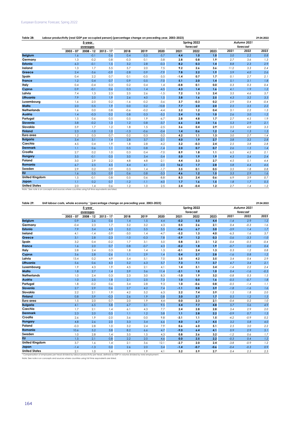| Table 28:             | Labour productivity (real GDP per occupied person) (percentage change on preceding year, 2003-2023)<br>29.04.2022 |           |             |        |        |         |        |             |      |      |             |         |  |  |
|-----------------------|-------------------------------------------------------------------------------------------------------------------|-----------|-------------|--------|--------|---------|--------|-------------|------|------|-------------|---------|--|--|
|                       |                                                                                                                   | 5-year    |             |        |        |         |        | Spring 2022 |      |      | Autumn 2021 |         |  |  |
|                       |                                                                                                                   | averages  |             |        |        |         |        | forecast    |      |      | forecast    |         |  |  |
|                       | $2003 - 07$                                                                                                       | 2008 - 12 | $2013 - 17$ | 2018   | 2019   | 2020    | 2021   | 2022        | 2023 | 2021 | 2022        | 2023    |  |  |
| <b>Belgium</b>        | 1.6                                                                                                               | $-0.1$    | 0.6         | 0.4    | 0.5    | $-5.7$  | 4.4    | 1.0         | 1.0  | 5.0  | 2.2         | $0.8\,$ |  |  |
| Germany               | 1.3                                                                                                               | $-0.2$    | 0.8         | $-0.3$ | 0.1    | $-3.8$  | 2.8    | 0.8         | 1.9  | 2.7  | 3.6         | 1.3     |  |  |
| <b>Estonia</b>        | 6.3                                                                                                               | $-0.1$    | 1.5         | 3.2    | 2.8    | $-0.3$  | 8.2    | 0.3         | 1.4  | 8.8  | 2.3         | 2.9     |  |  |
| Ireland               | 1.3                                                                                                               | 1.7       | 5.5         | 5.7    | 2.0    | 7.5     | 9.2    | 2.6         | 3.6  | 11.2 | 3.3         | 2.4     |  |  |
| Greece                | 2.4                                                                                                               | $-3.6$    | $-0.9$      | $-2.8$ | 0.9    | $-7.9$  | 7.8    | 2.2         | 1.9  | 5.9  | 4.0         | 2.6     |  |  |
| Spain                 | 0.4                                                                                                               | 2.2       | 0.7         | 0.1    | $-0.5$ | $-3.5$  | $-1.4$ | 0.7         | 1.7  | 0.1  | 2.7         | 2.1     |  |  |
| France                | 1.2                                                                                                               | 0.4       | 0.7         | 0.9    | 0.5    | $-7.0$  | 5.1    | 2.0         | 1.4  | 5.1  | 3.1         | $1.8\,$ |  |  |
| Italy                 | 0.4                                                                                                               | $-0.4$    | 0.3         | 0.2    | 0.4    | 1.4     | $-0.8$ | 0.1         | 0.0  | 0.3  | 0.3         | 0.4     |  |  |
| Cyprus                | 0.9                                                                                                               | $-0.1$    | 0.6         | 0.3    | 1.4    | $-4.5$  | 4.3    | 1.4         | 1.6  | 4.1  | 1.9         | 1.2     |  |  |
| Latvia                | 7.4                                                                                                               | 1.3       | 2.3         | 2.5    | 2.6    | $-1.5$  | 7.2    | 1.3         | 2.4  | 3.5  | 4.6         | 3.7     |  |  |
| Lithuania             | 7.9                                                                                                               | 2.0       | 1.9         | 2.6    | 4.0    | 1.5     | 3.8    | 1.6         | 2.5  | 4.3  | 3.2         | 3.3     |  |  |
| Luxembourg            | 1.6                                                                                                               | $-2.0$    | 0.2         | $-1.6$ | $-0.2$ | $-3.6$  | 3.7    | $-0.3$      | 0.2  | 2.9  | 0.4         | $-0.4$  |  |  |
| Malta                 | 2.0                                                                                                               | 0.5       | 1.9         | 0.0    | 0.2    | $-10.8$ | 7.7    | 2.0         | 2.0  | 2.5  | 3.5         | 2.2     |  |  |
| <b>Netherlands</b>    | 1.6                                                                                                               | 0.0       | 0.8         | $-0.6$ | $-0.2$ | $-4.4$  | 3.2    | 1.2         | 0.4  | 3.1  | 2.2         | 1.3     |  |  |
| Austria               | 1.4                                                                                                               | $-0.3$    | 0.2         | 0.8    | 0.3    | $-5.2$  | 2.4    | 1.0         | 1.0  | 2.6  | 3.0         | 1.2     |  |  |
| Portugal              | 1.5                                                                                                               | 0.6       | 0.5         | 0.5    | 1.9    | $-6.7$  | 2.8    | 4.8         | 1.7  | 2.7  | 4.5         | 1.9     |  |  |
| Slovenia              | 3.8                                                                                                               | $-0.2$    | 1.3         | 1.2    | 0.8    | $-3.7$  | 6.6    | 2.8         | 1.6  | 5.3  | 2.9         | 2.1     |  |  |
| Slovakia              | 5.9                                                                                                               | 1.7       | 1.2         | 1.8    | 1.5    | $-2.5$  | 3.6    | 0.4         | 2.9  | 3.5  | 4.0         | 3.3     |  |  |
| <b>Finland</b>        | 2.3                                                                                                               | $-1.0$    | 1.0         | $-1.3$ | $-0.6$ | $-0.4$  | 1.4    | 0.6         | 1.2  | 1.4  | 1.3         | 1.3     |  |  |
| Euro area             | 1.2                                                                                                               | 0.3       | 0.7         | 0.2    | 0.3    | $-3.2$  | 4.2    | 1.1         | 1.3  | 3.0  | 2.7         | 1.4     |  |  |
| <b>Bulgaria</b>       | 3.4                                                                                                               | 3.1       | 1.4         | 2.8    | 3.7    | $-2.1$  | 4.0    | 1.9         | 2.7  | 3.8  | 3.2         | 2.8     |  |  |
| Czechia               | 4.5                                                                                                               | 0.4       | 1.9         | 1.8    | 2.8    | $-4.2$  | 3.2    | $-0.3$      | 2.4  | 2.5  | 3.8         | 2.8     |  |  |
| <b>Denmark</b>        | 1.1                                                                                                               | 0.6       | 1.1         | 0.5    | 0.8    | $-1.4$  | 2.0    | 0.7         | 0.7  | 2.6  | 1.5         | 1.4     |  |  |
| Croatia               | 2.7                                                                                                               | 0.2       | 1.0         | 0.3    | 0.4    | $-7.0$  | 8.9    | 1.8         | 1.1  | 6.5  | 4.2         | 2.1     |  |  |
| Hungary               | 3.5                                                                                                               | $-0.1$    | 0.5         | 3.0    | 3.4    | $-3.4$  | 5.0    | 1.9         | 1.9  | 4.3  | 3.4         | 2.4     |  |  |
| Poland                | 3.0                                                                                                               | 2.9       | 2.2         | 4.8    | 4.8    | $-2.1$  | 4.4    | 3.3         | 2.7  | 4.5  | 5.1         | 4.4     |  |  |
| Romania               | 6.7                                                                                                               | 2.5       | 4.5         | 4.4    | 4.1    | $-2.0$  | 16.2   | 1.7         | 2.8  | 5.8  | 4.4         | 4.6     |  |  |
| Sweden                | 2.9                                                                                                               | 0.2       | 0.9         | 0.3    | 1.4    | $-1.7$  | 3.5    | 0.1         | 0.5  | 3.5  | 1.8         | $0.8\,$ |  |  |
| <b>EU</b>             | 1.6                                                                                                               | 0.5       | 0.9         | 0.6    | 0.8    | $-3.3$  | 4.6    | 1.2         | 1.5  | 3.3  | 2.9         | 1.6     |  |  |
| <b>United Kingdom</b> | 1.5                                                                                                               | $-0.1$    | 0.8         | 0.5    | 0.6    | $-8.8$  | 8.3    | 2.4         | 0.6  | 6.9  | 3.9         | 0.7     |  |  |
| Japan                 | 1.1                                                                                                               | 0.2       | 0.7         | $-1.2$ | $-1.1$ | $-4.0$  | 1.7    | 1.6         | 1.5  | 1.8  | 1.7         | $0.5\,$ |  |  |
| <b>United States</b>  | 2.0<br>Note : See note 6 on concepts and sources where countries using full time equivalents are listed.          | 1.4       | 0.6         | 1.2    | 1.0    | 2.5     | 2.4    | $-0.4$      | 1.2  | 2.7  | 1.4         | 1.2     |  |  |

#### **Table 29: 29.04.2022 Unit labour costs, whole economy ¹ (percentage change on preceding year, 2003-2023)**

|                       |             | 5-year      | averages    |        |        |        |        | Spring 2022<br>forecast |        |        | Autumn 2021<br>forecast |        |
|-----------------------|-------------|-------------|-------------|--------|--------|--------|--------|-------------------------|--------|--------|-------------------------|--------|
|                       | $2003 - 07$ | $2008 - 12$ | $2013 - 17$ | 2018   | 2019   | 2020   | 2021   | 2022                    | 2023   | 2021   | 2022                    | 2023   |
| <b>Belgium</b>        | 0.9         | 2.6         | 0.6         | 1.4    | 1.5    | 4.4    | $-0.2$ | 5.0                     | 4.4    | $-1.4$ | 2.9                     | 1.2    |
| Germany               | $-0.4$      | 2.3         | 1.7         | 3.2    | 3.2    | 4.3    | 0.5    | 2.6                     | 2.1    | 0.4    | $-0.3$                  | 1.6    |
| <b>Estonia</b>        | 7.9         | 3.4         | 4.3         | 5.2    | 5.5    | 5.5    | $-0.6$ | 6.7                     | 3.0    | $-3.9$ | 1.4                     | 1.7    |
| Ireland               | 4.1         | $-1.4$      | $-3.9$      | $-3.0$ | 1.4    | $-4.7$ | $-5.2$ | 1.3                     | 4.0    | $-6.3$ | 1.6                     | 3.7    |
| Greece                | 3.1         | 2.8         | $-2.3$      | $-1.0$ | $-0.3$ | 7.8    | $-5.9$ | 1.2                     | 0.3    | $-5.6$ | $-3.3$                  | $-1.0$ |
| Spain                 | 3.2         | 0.4         | $-0.2$      | 1.7    | 3.1    | 5.0    | 0.8    | 2.1                     | 1.2    | $-0.4$ | $-0.5$                  | $-0.4$ |
| France                | 1.6         | 2.0         | 0.7         | 0.8    | $-0.7$ | 4.3    | $-0.2$ | 1.8                     | 1.9    | $-0.7$ | 0.0                     | 0.4    |
| Italy                 | 2.8         | 2.4         | 0.3         | 1.8    | 1.4    | 1.3    | $-0.1$ | 2.4                     | 1.3    | 0.3    | 1.2                     | 0.8    |
| Cyprus                | 3.6         | 2.8         | $-2.6$      | 1.1    | 2.9    | 1.4    | 0.4    | 2.7                     | 2.8    | $-1.6$ | 0.8                     | 1.2    |
| Latvia                | 13.4        | 0.2         | 4.9         | 5.4    | 5.1    | 7.0    | 3.5    | 4.2                     | 3.5    | 3.4    | 0.4                     | 2.9    |
| Lithuania             | 5.6         | 0.6         | 4.3         | 5.2    | 6.3    | 5.7    | 7.3    | 7.1                     | 3.7    | 4.7    | 3.4                     | 2.1    |
| Luxembourg            | 1.9         | 4.3         | 1.9         | 4.5    | 2.1    | 4.1    | 1.4    | 5.1                     | 3.4    | $-1.4$ | 2.2                     | 2.4    |
| Malta                 | 1.8         | 2.7         | 1.4         | 3.9    | 3.6    | 11.4   | $-2.1$ | 1.8                     | 1.0    | 0.4    | $-1.6$                  | $-0.3$ |
| <b>Netherlands</b>    | 1.0         | 2.4         | 0.3         | 2.3    | 3.0    | 8.3    | $-1.0$ | 1.9                     | 3.2    | $-0.8$ | 0.3                     | 1.5    |
| Austria               | 1.0         | 2.5         | 1.8         | 2.1    | 2.5    | 7.3    | 1.0    | 0.5                     | 1.6    | $-0.5$ | $-0.7$                  | 1.8    |
| Portugal              | 1.8         | $-0.2$      | 0.6         | 3.4    | 2.8    | 9.3    | 1.0    | $-0.6$                  | 0.8    | $-0.5$ | $-1.4$                  | 1.1    |
| Slovenia              | 2.7         | 2.9         | 0.6         | 2.7    | 4.2    | 7.4    | $-1.1$ | 0.8                     | 3.9    | $-1.8$ | $-1.6$                  | 1.6    |
| Slovakia              | 2.2         | 2.1         | 1.9         | 4.2    | 5.2    | 6.3    | 2.2    | 7.4                     | 3.9    | 1.5    | 1.8                     | 2.0    |
| <b>Finland</b>        | 0.8         | 3.9         | $-0.3$      | 2.6    | 1.9    | 0.8    | 3.0    | 2.7                     | 1.7    | 0.5    | 1.2                     | 1.5    |
| Euro area             | 1.5         | 2.0         | 0.7         | 2.0    | 1.9    | 4.4    | 0.0    | 2.3                     | 2.1    | $-0.4$ | 0.2                     | 1.0    |
| <b>Bulgaria</b>       | 4.1         | 6.5         | 5.8         | 6.7    | 3.1    | 9.5    | 5.4    | 7.7                     | 4.8    | 5.7    | 5.6                     | 4.9    |
| Czechia               | 1.7         | 2.1         | 1.4         | 6.1    | 4.3    | 7.7    | 2.4    | 2.8                     | 2.8    | 3.4    | 2.9                     | 2.0    |
| <b>Denmark</b>        | 2.3         | 2.0         | 0.5         | 1.1    | 1.2    | 3.8    | 1,1    | 2.8                     | 2.2    | $-0.9$ | 0.7                     | 1.3    |
| Croatia               | 2.6         | 1.9         | $-2.0$      | 3.6    | 0.0    | 9.8    | $-3.1$ | 1.1                     | 1.5    | $-4.2$ | $-0.9$                  | 0.2    |
| Hungary               | 4.8         | 2.6         | 2.0         | 3.3    | 3.4    | 6.6    | 4.0    | 6.7                     | 4.5    | 3.2    | 5.8                     | 4.0    |
| Poland                | $-0.3$      | 2.8         | 1.0         | 3.2    | 2.4    | 7.9    | 0.6    | 6.0                     | 5.1    | 2.5    | 3.0                     | 2.2    |
| Romania               | 10.6        | 5.2         | 3.8         | 8.2    | 6.6    | 4.7    | $-9.0$ | 6.4                     | 4.1    | 0.9    | 2.9                     | 5.1    |
| Sweden                | 1.0         | 2.8         | 1.4         | 3.5    | 1.5    | 4.3    | 0.8    | 2.6                     | 3.2    | $-1.2$ | 0.6                     | 1.7    |
| <b>EU</b>             | 1.5         | 2.1         | 0.8         | 2.2    | 2.0    | 4.6    | 0.0    | 2.5                     | 2.2    | $-0.3$ | 0.4                     | 1.2    |
| <b>United Kingdom</b> | 3.7         | 1.6         | 1.4         | 2.1    | 3.6    | 12.1   | $-2.7$ | 2.0                     | 2.4    | $-3.8$ | $-0.9$                  | 1.2    |
| Japan                 | $-1.4$      | $-1.3$      | 0.0         | 2.6    | 2.0    | 3.4    | $-1.4$ | $-0.7$                  | $-0.6$ | $-0.4$ | $-0.3$                  | 0.9    |
| <b>United States</b>  | 2.1         | 1.0         | 1.6         | 1.9    | 1.9    | 4.1    | 3.2    | 5.9                     | 2.7    | 0.4    | 2.3                     | 2.3    |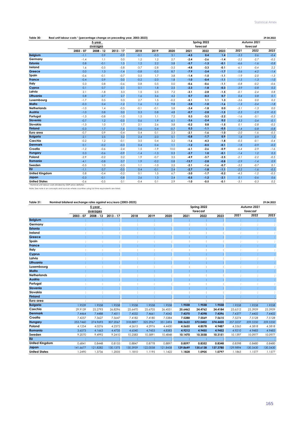## Table 30: **Real unit labour costs ' (percentage change on preceding year, 2003-2023)**

|                                                                                                  | w           |             |             |        |        | Spring 2022<br>forecast |         |        | Autumn 2021<br>forecast |        |        |        |
|--------------------------------------------------------------------------------------------------|-------------|-------------|-------------|--------|--------|-------------------------|---------|--------|-------------------------|--------|--------|--------|
|                                                                                                  | $2003 - 07$ | $2008 - 12$ | $2013 - 17$ | 2018   | 2019   | 2020                    | 2021    | 2022   | 2023                    | 2021   | 2022   | 2023   |
| <b>Belgium</b>                                                                                   | $-1.1$      | 0.9         | $-0.9$      | $-0.1$ | $-0.3$ | 3.1                     | $-4.5$  | 0.4    | 1.4                     | $-3.3$ | 0.6    | $-0.4$ |
| Germany                                                                                          | $-1.4$      | 1.1         | 0.0         | 1.2    | 1.2    | 2.7                     | $-2.4$  | $-2.6$ | $-1.4$                  | $-2.2$ | $-2.7$ | $-0.2$ |
| Estonia                                                                                          | 0.8         | $-0.1$      | 1.5         | 1.2    | 2.2    | 5.8                     | $-5.7$  | $-1.3$ | $-0.1$                  | $-6.6$ | $-1.6$ | $-0.8$ |
| Ireland                                                                                          | 1.6         | $-0.5$      | $-5.8$      | $-3.7$ | $-2.8$ | $-3.5$                  | $-4.8$  | $-3.3$ | $-0.1$                  | $-6.1$ | $-0.4$ | 2.2    |
| Greece                                                                                           | 0.0         | 1.3         | $-1.4$      | $-0.8$ | $-0.5$ | 8.7                     | $-7.9$  | $-3.4$ | $-1.7$                  | $-5.6$ | $-4.2$ | $-1.4$ |
| Spain                                                                                            | $-0.6$      | $-0.1$      | $-0.7$      | 0.5    | 1.7    | 3.8                     | $-1.4$  | $-1.5$ | $-1.1$                  | $-1.9$ | $-2.0$ | $-1.3$ |
| <b>France</b>                                                                                    | $-0.4$      | 0.9         | 0.0         | $-0.2$ | $-2.0$ | 1.8                     | $-1.0$  | $-0.4$ | $-1.1$                  | $-1.5$ | $-1.3$ | $-1.0$ |
| Italy                                                                                            | 0.3         | 0.8         | $-0.6$      | 0.8    | 0.5    | 0.0                     | $-0.6$  | $-0.6$ | $-1.1$                  | $-0.8$ | $-0.2$ | $-0.6$ |
| Cyprus                                                                                           | 0.1         | 0.7         | $-2.1$      | 0.1    | 1.8    | 2.5                     | $-2.3$  | $-1.8$ | $-0.3$                  | $-3.9$ | $-0.8$ | 0.2    |
| Latvia                                                                                           | 2.1         | $-1.8$      | 3.3         | 1.5    | 2.5    | 7.2                     | $-3.1$  | $-2.8$ | $-1.5$                  | $-0.1$ | $-2.4$ | 0.8    |
| Lithuania                                                                                        | 0.8         | $-2.7$      | 2.7         | 1.6    | 3.6    | 4.2                     | 0.7     | $-0.3$ | 0.7                     | 0.4    | 0.8    | 0.1    |
| Luxembourg                                                                                       | $-1.7$      | 0.5         | 0.3         | 2.7    | 1.5    | $-0.2$                  | $-5.1$  | 1.1    | 1.3                     | $-3.6$ | 0.0    | 0.2    |
| Malta                                                                                            | $-0.3$      | 0.4         | $-1.2$      | 1.6    | 1.2    | 9.8                     | $-3.8$  | $-1.0$ | $-1.6$                  | $-1.3$ | $-3.4$ | $-1.8$ |
| <b>Netherlands</b>                                                                               | $-1.0$      | 1.4         | $-0.5$      | $-0.1$ | $-0.1$ | 5.8                     | $-3.4$  | $-1.8$ | 0.0                     | $-3.1$ | $-1.3$ | 0.0    |
| Austria                                                                                          | $-1.0$      | 0.8         | 0.0         | 0.3    | 0.8    | 4.8                     | $-0.7$  | $-2.8$ | $-1.5$                  | $-2.3$ | $-2.9$ | $-0.3$ |
| Portugal                                                                                         | $-1.3$      | $-0.8$      | $-1.0$      | 1.5    | 1.1    | 7.2                     | 0.3     | $-3.3$ | $-2.2$                  | $-1.6$ | $-3.1$ | $-0.3$ |
| Slovenia                                                                                         | $-0.7$      | 1.2         | $-0.5$      | 0.6    | 1.9    | 6.1                     | $-3.6$  | $-2.4$ | 0.2                     | $-3.3$ | $-3.4$ | $-0.1$ |
| Slovakia                                                                                         | $-1.3$      | 1.0         | 1.7         | 2.1    | 2.6    | 3.8                     | $-0.2$  | 0.8    | $-1.5$                  | 0.1    | $-2.8$ | $-0.2$ |
| <b>Finland</b>                                                                                   | $-0.3$      | 1.7         | $-1.6$      | 0.6    | 0.4    | $-0.7$                  | 0.3     | $-1.1$ | $-0.5$                  | $-1.4$ | $-0.8$ | $-0.8$ |
| Euro area                                                                                        | $-0.7$      | 0.9         | $-0.4$      | 0.4    | 0.1    | 2.3                     | $-2.1$  | $-1.6$ | $-1.0$                  | $-2.0$ | $-1.6$ | $-0.5$ |
| <b>Bulgaria</b>                                                                                  | $-2.1$      | 2.5         | 3.2         | 2.4    | $-2.0$ | 5.1                     | $-0.8$  | $-1.7$ | 0.9                     | 1.8    | 0.9    | 1.3    |
| Czechia                                                                                          | $-0.2$      | 1.2         | $-0.1$      | 3.5    | 0.4    | 3.2                     | $-1.6$  | $-4.3$ | $-1.8$                  | $-0.5$ | $-0.1$ | $-0.4$ |
| <b>Denmark</b>                                                                                   | 0.1         | $-0.2$      | $-0.3$      | 0.4    | 0.4    | 1.1                     | $-1.2$  | $-0.5$ | $-0.1$                  | $-1.8$ | $-0.9$ | $-0.2$ |
| Croatia                                                                                          | $-1.2$      | $-0.6$      | $-2.4$      | 1.5    | $-1.9$ | 10.0                    | $-6.1$  | $-2.6$ | $-0.9$                  | $-6.4$ | $-2.9$ | $-1.6$ |
| <b>Hungary</b>                                                                                   | 0.3         | $-0.6$      | $-0.9$      | $-1.4$ | $-1.3$ | 0.3                     | $-2.7$  | 1.0    | $-0.1$                  | $-1.4$ | 1.2    | 0.3    |
| Poland                                                                                           | $-2.9$      | $-0.2$      | 0.2         | 1.9    | $-0.7$ | 3.5                     | $-4.9$  | $-3.7$ | $-2.5$                  | $-2.1$ | $-2.2$ | $-0.5$ |
| Romania                                                                                          | $-4.1$      | $-0.8$      | 0.7         | 1.9    | $-0.2$ | 0.8                     | $-13.7$ | $-2.8$ | $-0.8$                  | $-2.9$ | $-1.4$ | 0.9    |
| Sweden                                                                                           | $-0.5$      | 1.0         | $-0.3$      | 1.1    | $-1.0$ | 2.5                     | $-2.1$  | $-1.6$ | $-0.7$                  | $-3.2$ | $-0.7$ | 0.1    |
| <b>EU</b>                                                                                        | $-1.1$      | 0.7         | $-0.5$      | 0.4    | $-0.1$ | 2.4                     | $-2.7$  | $-1.8$ | $-1.1$                  | $-2.2$ | $-1.6$ | $-0.5$ |
| <b>United Kingdom</b>                                                                            | 0.8         | $-0.4$      | $-0.2$      | 0.1    | 1.5    | 6.7                     | $-3.0$  | $-1.7$ | $-0.2$                  | $-4.5$ | $-1.2$ | $-0.5$ |
| Japan                                                                                            | $-0.3$      | $-0.1$      | $-0.8$      | 2.6    | 1.3    | 2.4                     | $-0.5$  | $-1.2$ | $-2.1$                  | 0.1    | $-0.6$ | 0.6    |
| <b>United States</b>                                                                             | $-0.6$      | $-0.5$      | 0.1         | $-0.4$ | 0.1    | 2.9                     | $-1.0$  | $-0.5$ | $-0.1$                  | $-3.1$ | $-0.3$ | 0.2    |
| Nominal unit labour costs divided by GDP price deflator.                                         |             |             |             |        |        |                         |         |        |                         |        |        |        |
| Note: See note 6 on concepts and sources where countries using full time equivalents are listed. |             |             |             |        |        |                         |         |        |                         |        |        |        |

## **Table 31: 29.04.2022 Nominal bilateral exchange rates against ecu/euro (2003-2023)**

|                       | 5-year      |           |             |          |          |          | Spring 2022 |          |          |          | Autumn 2021 |          |  |  |
|-----------------------|-------------|-----------|-------------|----------|----------|----------|-------------|----------|----------|----------|-------------|----------|--|--|
|                       |             | averages  |             |          |          |          |             | forecast |          |          | forecast    |          |  |  |
|                       | $2003 - 07$ | 2008 - 12 | $2013 - 17$ | 2018     | 2019     | 2020     | 2021        | 2022     | 2023     | 2021     | 2022        | 2023     |  |  |
| <b>Belgium</b>        |             |           |             |          |          |          |             |          |          |          |             |          |  |  |
| Germany               |             | :         |             | t        |          |          |             |          |          |          |             |          |  |  |
| <b>Estonia</b>        |             | t         |             | ŧ.       |          |          |             |          |          |          |             |          |  |  |
| Ireland               |             |           |             |          |          |          |             |          |          |          |             |          |  |  |
| Greece                |             | t         |             |          |          |          |             |          |          |          |             |          |  |  |
| Spain                 |             |           |             |          |          |          |             |          |          |          |             |          |  |  |
| <b>France</b>         | $\cdot$     | t         |             | ċ        |          |          | ÷           |          |          |          |             |          |  |  |
| Italy                 |             |           |             |          |          |          |             |          |          |          |             |          |  |  |
| Cyprus                |             | t         |             |          |          |          |             |          |          |          |             |          |  |  |
| Latvia                |             |           |             |          |          |          |             |          |          |          |             |          |  |  |
| Lithuania             |             |           |             |          |          |          |             |          |          |          |             |          |  |  |
| Luxembourg            |             |           |             |          |          |          |             |          |          |          |             |          |  |  |
| Malta                 |             | t         |             |          |          |          |             |          |          |          |             |          |  |  |
| <b>Netherlands</b>    |             |           |             |          |          |          |             |          |          |          |             |          |  |  |
| Austria               |             |           |             |          |          |          |             |          |          |          |             |          |  |  |
| Portugal              |             |           |             |          |          |          |             |          |          |          |             |          |  |  |
| Slovenia              |             | ÷         |             | ř.       |          |          | ÷           |          |          |          | ř           |          |  |  |
| Slovakia              |             |           |             |          |          |          |             |          |          |          |             |          |  |  |
| <b>Finland</b>        |             |           |             |          |          |          |             |          |          |          |             |          |  |  |
| Euro area             |             |           |             |          |          |          |             |          |          |          |             |          |  |  |
| <b>Bulgaria</b>       | 1.9539      | 1.9558    | 1.9558      | 1.9558   | 1.9558   | 1.9558   | 1.9558      | 1.9558   | 1.9558   | 1.9558   | 1.9558      | 1.9558   |  |  |
| Czechia               | 29.9139     | 25.2793   | 26.8296     | 25.6470  | 25.6705  | 26.4551  | 25.6462     | 24.4762  | 24.4184  | 25.6512  | 25.3959     | 25.3959  |  |  |
| <b>Denmark</b>        | 7.4464      | 7.4488    | 7.4511      | 7.4532   | 7.4661   | 7.4542   | 7.4370      | 7.4398   | 7.4396   | 7.4377   | 7.4402      | 7.4402   |  |  |
| Croatia               | 7.4257      | 7.3627    | 7.5647      | 7.4182   | 7.4180   | 7.5384   | 7.5288      | 7.5569   | 7.5615   | 7.5274   | 7.5128      | 7.5128   |  |  |
| Hungary               | 253,7460    | 274.9693  | 307.2067    | 318.8897 | 325.2967 | 351.2494 | 358.5622    | 372.0402 | 374.4420 | 357.3237 | 359.5550    | 359.5550 |  |  |
| Poland                | 4.1254      | 4.0276    | 4.2372      | 4.2615   | 4.2976   | 4.4430   | 4.5655      | 4.8578   | 4.9487   | 4.5565   | 4.5818      | 4.5818   |  |  |
| Romania               | 3.6573      | 4.1663    | 4.4735      | 4.6540   | 4.7453   | 4.8383   | 4.9212      | 4.9455   | 4.9452   | 4.9210   | 4.9483      | 4.9483   |  |  |
| Sweden                | 9.2070      | 9.4992    | 9.2410      | 10.2583  | 10.5891  | 10.4848  | 10.1470     | 10.3558  | 10.3151  | 10.1397  | 10.0977     | 10.0977  |  |  |
| <b>EU</b>             |             |           |             |          |          |          |             |          |          |          |             |          |  |  |
| <b>United Kingdom</b> | 0.6841      | 0.8448    | 0.8155      | 0.8847   | 0.8778   | 0.8897   | 0.8597      | 0.8352   | 0.8348   | 0.8598   | 0.8480      | 0.8480   |  |  |
| Japan                 | 141.6677    | 121.8282  | 130.1375    | 130.3959 | 122.0058 | 121.8458 | 129.8649    | 135.6138 | 137.3780 | 129.9894 | 130.5430    | 130.5430 |  |  |
| <b>United States</b>  | 1.2490      | 1.3736    | 1.2005      | 1.1810   | 1.1195   | 1.1422   | 1.1828      | 1.0905   | 1.0797   | 1.1865   | 1.1577      | 1.1577   |  |  |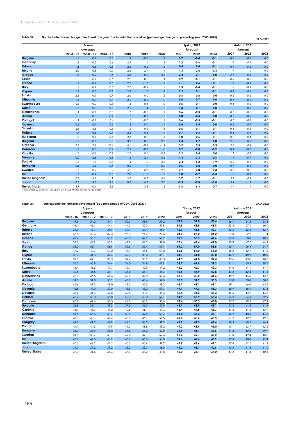## Table 32: Nominal effective exchange rates to rest of a group **' of industrialised countries (percentage** change on preceding year, 2003-2023) 29.04.2022

|                       |             | 5-year<br>averages |             |        |        |        |        | Spring 2022<br>forecast | Autumn 2021<br>forecast |        |        |         |
|-----------------------|-------------|--------------------|-------------|--------|--------|--------|--------|-------------------------|-------------------------|--------|--------|---------|
|                       | $2003 - 07$ | $2008 - 12$        | $2013 - 17$ | 2018   | 2019   | 2020   | 2021   | 2022                    | 2023                    | 2021   | 2022   | 2023    |
| <b>Belgium</b>        | 1.4         | $-0.2$             | 0.5         | 1.9    | $-0.6$ | 1.2    | 0.7    | $-0.4$                  | $-0.1$                  | 0.6    | $-0.3$ | 0.0     |
| Germany               | 1.8         | $-0.5$             | 0.6         | 2.5    | $-1.1$ | 1.6    | $1.2$  | $-0.6$                  | $-0.1$                  | 1.1    | $-0.5$ | 0.0     |
| <b>Estonia</b>        | 1.1         | $-0.3$             | 0.8         | 2.2    | $-0.2$ | 1.3    | 0.4    | 0.0                     | $-0.1$                  | 0.1    | $-0.3$ | 0.0     |
| Ireland               | 2.5         | $-0.3$             | 0.0         | 2.5    | $-2.1$ | 1.4    | 1.3    | $-2.8$                  | $-0.3$                  | 1.1    | $-1.0$ | 0.0     |
| Greece                | 1.3         | 0.2                | 1.4         | 3.8    | 0.0    | 2.5    | 2.4    | 2.1                     | 0.0                     | 2.1    | 0.1    | 0.0     |
| Spain                 | 1.3         | $-0.1$             | 0.6         | 2.2    | $-0.6$ | 1.4    | 0.9    | $-0.1$                  | $-0.1$                  | 0.9    | $-0.3$ | 0.0     |
| France                | 1.7         | $-0.4$             | 0.6         | 2.3    | $-1.0$ | 1.4    | 1,1    | $-0.6$                  | $-0.1$                  | 1.0    | $-0.4$ | 0.0     |
| Italy                 | 1.7         | $-0.4$             | 0.6         | 2.6    | $-0.9$ | 1.5    | 1.3    | $-0.4$                  | $-0.1$                  | 1.2    | $-0.4$ | 0.0     |
| Cyprus                | 1.2         | 0.0                | 0.5         | 2.8    | $-1.0$ | 1.9    | 1.2    | 0.1                     | $-0.1$                  | 0.8    | $-0.4$ | 0.0     |
| Latvia                | $-2.8$      | 0.1                | 0.7         | 2.0    | 0.0    | 1.5    | 0.6    | 0.8                     | 0.0                     | 0.5    | $-0.2$ | 0.0     |
| Lithuania             | 1.3         | 0.0                | 0.7         | 2.1    | $-0.2$ | 1.6    | 0.8    | 0.7                     | 0.0                     | 0.7    | $-0.2$ | 0.0     |
| Luxembourg            | 0.8         | 0.0                | 0.5         | 1.3    | $-0.3$ | 1.0    | 0.5    | $-0.1$                  | 0.0                     | 0.4    | $-0.2$ | 0.0     |
| Malta                 | 1.7         | $-0.8$             | 0.3         | 2.1    | $-1.4$ | 1.2    | 1.3    | 0.1                     | 0.0                     | 1.2    | $-0.3$ | 0.0     |
| <b>Netherlands</b>    | 1.1         | $-0.1$             | 0.5         | 1.7    | $-0.5$ | 1.2    | 0.6    | $-0.3$                  | $-0.1$                  | 0.5    | $-0.3$ | 0.0     |
| Austria               | 1.0         | $-0.3$             | 0.4         | 1.7    | $-0.6$ | 1.2    | 0.8    | $-0.4$                  | 0.0                     | 0.7    | $-0.3$ | 0.0     |
| Portugal              | 1.1         | $-0.1$             | 0.4         | 1.5    | $-0.5$ | 1.1    | 0.6    | $-0.3$                  | $-0.1$                  | 0.5    | $-0.3$ | 0.0     |
| Slovenia              | $-0.6$      | 0.1                | 0.5         | 1.3    | $-0.1$ | 1.2    | 0.8    | 0.4                     | 0.0                     | 0.6    | $-0.1$ | $0.0\,$ |
| Slovakia              | 5.3         | 2.6                | 0.5         | 1.2    | $-0.2$ | 1.3    | 0.5    | 0.1                     | 0.1                     | 0.5    | $-0.2$ | 0.0     |
| <b>Finland</b>        | 1.7         | $-0.6$             | 0.9         | 2.5    | $-0.6$ | 1.4    | 0.7    | $-0.3$                  | $-0.1$                  | 0.6    | $-0.4$ | 0.0     |
| Euro area             | 1.6         | $-0.3$             | 0.6         | 2.3    | $-0.9$ | 1.5    | 1.0    | $-0.5$                  | $-0.1$                  | 0.9    | $-0.4$ | 0.0     |
| <b>Bulgaria</b>       | 1.2         | 0.6                | 1.3         | 3.9    | 0.5    | 2.6    | 2.4    | 2.7                     | 0.0                     | 2.2    | 0.3    | 0.0     |
| Czechia               | 2.7         | 2.2                | $-0.4$      | 4.1    | $-0.2$ | $-1.9$ | 3.9    | 5.3                     | 0.3                     | 3.8    | 0.9    | 0.0     |
| <b>Denmark</b>        | 1.4         | $-0.5$             | 0.9         | 2.2    | $-0.7$ | 1.8    | 0.7    | $-0.8$                  | $-0.2$                  | 0.4    | $-0.6$ | 0.0     |
| Croatia               | 1.0         | $-0.6$             | 0.8         | 2.5    | $-0.1$ | $-0.3$ | 1.2    | 0.4                     | 0.0                     | 1.1    | 0.1    | 0.0     |
| Hungary               | 0.0         | $-2.6$             | $-0.8$      | $-1.6$ | $-2.1$ | $-6.3$ | $-1.3$ | $-3.3$                  | $-0.6$                  | $-1.1$ | $-0.7$ | 0.0     |
| Poland                | 1.3         | $-1.6$             | 0.3         | 1.4    | $-1.0$ | $-2.2$ | $-2.4$ | $-6.2$                  | $-1.9$                  | $-2.2$ | $-0.8$ | 0.0     |
| Romania               | 0.1         | $-5.3$             | 0.4         | 0.2    | $-1.9$ | $-0.2$ | $-0.5$ | 0.8                     | 0.0                     | $-0.7$ | $-0.6$ | 0.0     |
| Sweden                | 1.7         | 0.9                | $-1.2$      | $-4.2$ | $-3.7$ | 2.9    | 3.7    | $-3.0$                  | 0.3                     | 3.7    | $-0.2$ | 0.0     |
| <b>EU</b>             | 1.6         | $-0.4$             | 0.5         | 2.0    | $-1.0$ | 1.2    | 1.0    | $-0.7$                  | $-0.4$                  | 1.0    | $-0.4$ | 0.0     |
| <b>United Kingdom</b> | 0.3         | $-4.1$             | $-1.1$      | 2.0    | $-0.5$ | 0.1    | 5.2    | 1.9                     | $-0.1$                  | 5.1    | 0.9    | 0.0     |
| Japan                 | $-2.6$      | 8.5                | $-3.8$      | 0.6    | 4.7    | 2.0    | $-5.5$ | $-7.8$                  | $-1.8$                  | $-5.4$ | $-1.5$ | 0.0     |
| <b>United States</b>  | $-4.7$      | $-0.4$             | 5.3         | $-1.1$ | 3.3    | 1.3    | $-3.6$ | 6.3                     | 0.7                     | $-3.9$ | 1.9    | 0.0     |

| Table 33:             | Total expenditure, general government (as a percentage of GDP, 2003-2023) |           |             |      |      |      |      |             |      |      |             | 29.04.2022 |
|-----------------------|---------------------------------------------------------------------------|-----------|-------------|------|------|------|------|-------------|------|------|-------------|------------|
|                       |                                                                           | 5-year    |             |      |      |      |      | Spring 2022 |      |      | Autumn 2021 |            |
|                       |                                                                           | averages  |             |      |      |      |      | forecast    |      |      | forecast    |            |
|                       | $2003 - 07$                                                               | 2008 - 12 | $2013 - 17$ | 2018 | 2019 | 2020 | 2021 | 2022        | 2023 | 2021 | 2022        | 2023       |
| <b>Belgium</b>        | 49.9                                                                      | 54.2      | 54.1        | 52.3 | 51.9 | 59.2 | 54.8 | 54.0        | 53.4 | 56.7 | 54.2        | 53.8       |
| Germany               | 46.1                                                                      | 46.1      | 44.4        | 44.3 | 45.0 | 50.8 | 51.5 | 48.8        | 46.9 | 52.3 | 47.4        | 46.0       |
| <b>Estonia</b>        | 34.0                                                                      | 40.4      | 38.9        | 39.4 | 39.4 | 45.9 | 42.3 | 43.6        | 42.7 | 43.5 | 42.6        | 42.1       |
| Ireland               | 33.5                                                                      | 48.6      | 32.3        | 25.3 | 24.2 | 27.3 | 24.9 | 23.0        | 21.2 | 25.0 | 22.9        | 21.4       |
| Greece                | 46.4                                                                      | 53.9      | 53.2        | 48.5 | 47.9 | 59.9 | 56.9 | 53.5        | 47.6 | 57.9 | 50.8        | 48.3       |
| Spain                 | 38.7                                                                      | 45.9      | 43.9        | 41.8 | 42.3 | 51.8 | 50.6 | 48.4        | 47.0 | 50.9 | 47.2        | 44.9       |
| France                | 53.0                                                                      | 56.1      | 56.9        | 55.6 | 55.4 | 61.4 | 59.2 | 57.0        | 55.8 | 60.1 | 56.4        | 54.7       |
| Italy                 | 47.2                                                                      | 49.7      | 50.0        | 48.4 | 48.5 | 57.0 | 55.5 | 54.0        | 53.0 | 56.2 | 52.7        | 51.0       |
| Cyprus                | 38.9                                                                      | 41.3      | 41.4        | 42.7 | 38.4 | 45.1 | 44.1 | 41.0        | 40.0 | 44.9 | 40.9        | 40.0       |
| Latvia                | 34.9                                                                      | 42.1      | 38.5        | 39.4 | 38.2 | 43.3 | 44.9 | 44.0        | 39.4 | 47.6 | 43.0        | 40.6       |
| Lithuania             | 34.3                                                                      | 40.8      | 34.6        | 34.0 | 34.8 | 42.9 | 38.7 | 41.5        | 39.3 | 41.1 | 40.9        | 39.1       |
| Luxembourg            | 41.4                                                                      | 41.2      | 40.7        | 42.1 | 42.9 | 47.2 | 42.3 | 42.7        | 42.3 | 44.6 | 44.1        | 44.1       |
| Malta                 | 42.5                                                                      | 41.5      | 38.1        | 35.8 | 36.1 | 46.3 | 45.5 | 43.9        | 42.8 | 47.2 | 42.4        | 41.3       |
| <b>Netherlands</b>    | 43.1                                                                      | 46.5      | 44.6        | 42.2 | 42.0 | 47.6 | 46.3 | 45.2        | 44.6 | 48.2 | 45.0        | 43.7       |
| Austria               | 51.2                                                                      | 51.8      | 50.9        | 48.7 | 48.6 | 57.0 | 55.9 | 51.9        | 50.3 | 55.0 | 50.8        | 50.0       |
| Portugal              | 45.6                                                                      | 49.3      | 48.0        | 43.2 | 42.5 | 49.3 | 48.1 | 46.1        | 45.1 | 49.1 | 46.6        | 45.6       |
| Slovenia              | 45.8                                                                      | 49.0      | 50.0        | 43.5 | 43.3 | 51.3 | 49.1 | 47.3        | 46.3 | 50.9 | 48.7        | 47.3       |
| Slovakia              | 38.6                                                                      | 41.3      | 42.8        | 39.8 | 40.7 | 45.3 | 46.8 | 44.2        | 43.3 | 47.6 | 43.9        | 44.6       |
| <b>Finland</b>        | 48.4                                                                      | 53.0      | 56.0        | 53.3 | 53.3 | 57.1 | 54.9 | 53.9        | 53.4 | 56.9 | 54.3        | 52.9       |
| Euro area             | 46.7                                                                      | 49.6      | 48.5        | 46.9 | 46.9 | 53.6 | 52.4 | 50.3        | 48.8 | 53.2 | 49.4        | 47.9       |
| <b>Bulgaria</b>       | 36.9                                                                      | 36.1      | 38.3        | 37.0 | 36.3 | 42.0 | 43.1 | 43.9        | 43.1 | 42.2 | 41.8        | 41.4       |
| Czechia               | 43.1                                                                      | 43.3      | 41.2        | 40.6 | 41.1 | 47.3 | 46.4 | 44.5        | 43.7 | 47.3 | 44.5        | 43.9       |
| <b>Denmark</b>        | 51.5                                                                      | 55.6      | 53.7        | 50.5 | 49.5 | 53.4 | 51.0 | 48.3        | 47.1 | 52.2 | 48.6        | 47.3       |
| Croatia               | 47.3                                                                      | 48.1      | 47.4        | 45.5 | 46.1 | 54.5 | 49.2 | 48.6        | 48.5 | 51.2 | 49.7        | 49.5       |
| Hungary               | 49.7                                                                      | 49.2      | 48.8        | 46.1 | 46.0 | 51.2 | 47.9 | 47.3        | 46.4 | 48.5 | 48.1        | 46.4       |
| Poland                | 44.1                                                                      | 44.5      | 41.9        | 41.5 | 41.8 | 48.2 | 44.2 | 43.9        | 43.0 | 45.1 | 42.9        | 42.5       |
| Romania               | 35.0                                                                      | 38.9      | 35.0        | 34.8 | 36.2 | 42.0 | 39.9 | 41.1        | 39.6 | 41.3 | 40.5        | 39.9       |
| Sweden                | 51.8                                                                      | 50.7      | 50.1        | 49.8 | 49.1 | 52.6 | 50.2 | 49.1        | 47.2 | 51.0 | 49.4        | 48.8       |
| <b>EU</b>             | 46.8                                                                      | 49.3      | 48.2        | 46.5 | 46.5 | 53.0 | 51.6 | 49.6        | 48.2 | 52.4 | 48.8        | 47.4       |
| <b>United Kingdom</b> | 40.5                                                                      | 46.2      | 42.1        | 40.5 | 40.6 | 51.7 | 47.8 | 43.6        | 42.1 | 47.0 | 42.1        | 41.2       |
| Japan                 | 34.7                                                                      | 39.2      | 39.2        | 38.3 | 38.7 | 46.0 | 44.2 | 43.1        | 40.6 | 43.5 | 41.8        | 41.0       |
| <b>United States</b>  | 37.0                                                                      | 41.6      | 38.3        | 37.9 | 38.2 | 47.8 | 45.0 | 38.1        | 37.0 | 44.2 | 41.4        | 40.3       |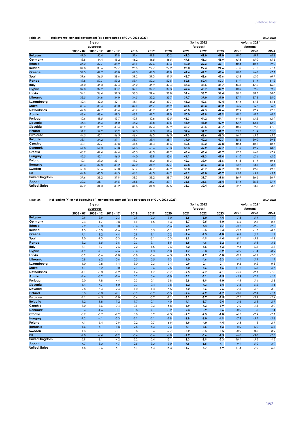| .104.2022<br>no n. |
|--------------------|
|                    |

|                       |             | 5-year      |             |      |      |      |      |          | Spring 2022 |      | Autumn 2021 |      |
|-----------------------|-------------|-------------|-------------|------|------|------|------|----------|-------------|------|-------------|------|
|                       |             | averages    |             |      |      |      |      | forecast |             |      | forecast    |      |
|                       | $2003 - 07$ | $2008 - 12$ | $2013 - 17$ | 2018 | 2019 | 2020 | 2021 | 2022     | 2023        | 2021 | 2022        | 2023 |
| <b>Belgium</b>        | 49.0        | 50.4        | 51.8        | 51.4 | 49.9 | 50.2 | 49.3 | 49.0     | 49.0        | 49.0 | 49.1        | 48.8 |
| Germany               | 43.8        | 44.4        | 45.2        | 46.2 | 46.5 | 46.5 | 47.8 | 46.3     | 45.9        | 45.8 | 45.0        | 45.5 |
| Estonia               | 36.2        | 39.7        | 38.9        | 38.9 | 39.6 | 40.3 | 40.0 | 39.3     | 39.1        | 40.4 | 40.1        | 39.9 |
| Ireland               | 34.8        | 33.6        | 29.7        | 25.5 | 24.7 | 22.2 | 23.0 | 22.4     | 21.6        | 21.8 | 21.2        | 21.1 |
| Greece                | 39.3        | 42.7        | 48.8        | 49.5 | 49.0 | 49.8 | 49.4 | 49.2     | 46.6        | 48.0 | 46.8        | 47.1 |
| Spain                 | 39.6        | 36.5        | 38.6        | 39.2 | 39.3 | 41.5 | 43.7 | 43.6     | 42.6        | 42.8 | 42.0        | 40.7 |
| <b>France</b>         | 49.8        | 50.7        | 53.2        | 53.4 | 52.3 | 52.5 | 52.8 | 52.4     | 52.7        | 51.9 | 51.1        | 51.2 |
| Italy                 | 44.0        | 46.0        | 47.4        | 46.2 | 46.9 | 47.4 | 48.3 | 48.5     | 48.7        | 46.8 | 47.0        | 46.8 |
| Cyprus                | 37.0        | 37.2        | 38.7        | 39.1 | 39.7 | 39.3 | 42.4 | 40.7     | 39.9        | 40.0 | 39.5        | 39.2 |
| Latvia                | 34.1        | 36.4        | 37.5        | 38.5 | 37.6 | 38.8 | 37.6 | 36.7     | 36.4        | 38.1 | 38.7        | 38.6 |
| Lithuania             | 33.5        | 34.6        | 34.0        | 34.5 | 35.2 | 35.7 | 37.7 | 37.0     | 37.0        | 37.1 | 37.8        | 38.0 |
| Luxembourg            | 42.4        | 42.0        | 42.1        | 45.1 | 45.2 | 43.7 | 43.2 | 42.6     | 42.4        | 44.4 | 44.3        | 44.4 |
| Malta                 | 38.4        | 38.4        | 38.0        | 37.9 | 36.7 | 36.9 | 37.5 | 38.3     | 38.2        | 36.0 | 36.7        | 36.6 |
| <b>Netherlands</b>    | 42.0        | 42.7        | 43.4        | 43.7 | 43.7 | 43.9 | 43.8 | 42.5     | 42.6        | 42.9 | 42.9        | 42.7 |
| Austria               | 48.6        | 48.6        | 49.3        | 48.9 | 49.2 | 49.0 | 50.0 | 48.8     | 48.9        | 49.1 | 48.5        | 48.7 |
| Portugal              | 40.6        | 41.5        | 43.7        | 42.9 | 42.6 | 43.5 | 45.3 | 44.2     | 44.1        | 44.6 | 43.2        | 42.9 |
| Slovenia              | 44.4        | 44.3        | 45.0        | 44.2 | 43.8 | 43.5 | 43.9 | 43.0     | 42.9        | 43.7 | 43.5        | 42.9 |
| Slovakia              | 35.9        | 35.9        | 40.4        | 38.8 | 39.4 | 39.9 | 40.7 | 40.5     | 40.7        | 40.3 | 39.6        | 41.3 |
| <b>Finland</b>        | 51.7        | 52.2        | 53.9        | 52.5 | 52.3 | 51.6 | 52.4 | 51.7     | 51.7        | 53.1 | 51.9        | 51.8 |
| Euro area             | 44.5        | 45.1        | 46.5        | 46.4 | 46.3 | 46.5 | 47.3 | 46.6     | 46.3        | 46.1 | 45.5        | 45.5 |
| <b>Bulgaria</b>       | 38.1        | 34.2        | 37.1        | 38.7 | 38.4 | 38.1 | 39.0 | 40.2     | 40.7        | 38.6 | 39.0        | 39.3 |
| Czechia               | 40.1        | 39.7        | 40.8        | 41.5 | 41.4 | 41.6 | 40.5 | 40.2     | 39.8        | 40.4 | 40.2        | 40.1 |
| <b>Denmark</b>        | 54.8        | 54.0        | 53.8        | 51.3 | 53.6 | 53.3 | 53.3 | 49.2     | 47.7        | 51.3 | 49.9        | 48.6 |
| Croatia               | 43.7        | 42.4        | 44.4        | 45.5 | 46.3 | 47.2 | 46.4 | 46.4     | 46.7        | 47.2 | 46.8        | 47.4 |
| Hungary               | 42.5        | 45.1        | 46.5        | 44.0 | 43.9 | 43.4 | 41.1 | 41.3     | 41.4        | 41.0 | 42.4        | 42.6 |
| Poland                | 40.1        | 39.0        | 39.1        | 41.3 | 41.0 | 41.3 | 42.3 | 39.9     | 38.6        | 41.8 | 41.1        | 40.4 |
| Romania               | 33.3        | 32.8        | 33.2        | 32.0 | 31.9 | 32.7 | 32.8 | 33.6     | 33.3        | 33.2 | 33.5        | 33.5 |
| Sweden                | 53.0        | 50.6        | 50.0        | 50.7 | 49.7 | 49.9 | 50.0 | 48.7     | 47.7        | 50.1 | 49.8        | 49.7 |
| <b>EU</b>             | 44.8        | 45.0        | 46.3        | 46.1 | 46.0 | 46.2 | 46.9 | 46.0     | 45.7        | 45.8 | 45.2        | 45.1 |
| <b>United Kingdom</b> | 37.6        | 38.2        | 37.9        | 38.3 | 38.2 | 38.7 | 39.5 | 39.7     | 39.8        | 36.9 | 36.6        | 36.7 |
| Japan                 | 30.3        | 31.1        | 34.5        | 35.8 | 35.7 | 37.1 | 36.6 | 36.6     | 36.4        | 34.4 | 36.8        | 37.1 |
| <b>United States</b>  | 32.2        | 31.0        | 33.2        | 31.8 | 31.8 | 32.5 | 33.3 | 32.4     | 32.2        | 32.7 | 33.5        | 33.5 |

**Table 35: 29.04.2022 Net lending (+) or net borrowing (-), general government (as a percentage of GDP, 2003-2023)**

|                       |             | 5-year      |             |        |        |         |         | Spring 2022 |        |         | Autumn 2021 |        |
|-----------------------|-------------|-------------|-------------|--------|--------|---------|---------|-------------|--------|---------|-------------|--------|
|                       |             | averages    |             |        |        |         |         | forecast    |        |         | forecast    |        |
|                       | $2003 - 07$ | $2008 - 12$ | $2013 - 17$ | 2018   | 2019   | 2020    | 2021    | 2022        | 2023   | 2021    | 2022        | 2023   |
| <b>Belgium</b>        | $-0.9$      | $-3.9$      | $-2.3$      | $-0.9$ | $-2.0$ | $-9.0$  | $-5.5$  | $-5.0$      | $-4.4$ | $-7.8$  | $-5.1$      | $-4.9$ |
| Germany               | $-2.4$      | $-1.7$      | 0.8         | 1.9    | 1.5    | $-4.3$  | $-3.7$  | $-2.5$      | $-1.0$ | $-6.5$  | $-2.5$      | $-0.5$ |
| <b>Estonia</b>        | 2.2         | $-0.8$      | 0.0         | $-0.6$ | 0.1    | $-5.6$  | $-2.4$  | $-4.4$      | $-3.7$ | $-3.1$  | $-2.5$      | $-2.2$ |
| Ireland               | 1.3         | $-15.0$     | $-2.6$      | 0.1    | 0.5    | $-5.1$  | $-1.9$  | $-0.5$      | 0.4    | $-3.2$  | $-1.7$      | $-0.3$ |
| Greece                | $-7.1$      | $-11.2$     | $-4.4$      | 0.9    | 1.1    | $-10.2$ | $-7.4$  | $-4.3$      | $-1.0$ | $-9.9$  | $-3.9$      | $-1.1$ |
| Spain                 | 1.0         | $-9.3$      | $-5.3$      | $-2.6$ | $-3.1$ | $-10.3$ | $-6.9$  | $-4.9$      | $-4.4$ | $-8.1$  | $-5.2$      | $-4.2$ |
| France                | $-3.2$      | $-5.5$      | $-3.6$      | $-2.3$ | $-3.1$ | $-8.9$  | $-6.5$  | $-4.6$      | $-3.2$ | $-8.1$  | $-5.3$      | $-3.5$ |
| Italy                 | $-3.1$      | $-3.7$      | $-2.6$      | $-2.2$ | $-1.5$ | $-9.6$  | $-7.2$  | $-5.5$      | $-4.3$ | $-9.4$  | $-5.8$      | $-4.3$ |
| Cyprus                | $-1.9$      | $-4.1$      | $-2.6$      | $-3.6$ | 1.3    | $-5.8$  | $-1.7$  | $-0.3$      | $-0.2$ | $-4.9$  | $-1.4$      | $-0.9$ |
| Latvia                | $-0.9$      | $-5.6$      | $-1.0$      | $-0.8$ | $-0.6$ | $-4.5$  | $-7.3$  | $-7.2$      | $-3.0$ | $-9.5$  | $-4.2$      | $-2.0$ |
| Lithuania             | $-0.8$      | $-6.2$      | $-0.6$      | 0.5    | 0.5    | $-7.3$  | $-1.0$  | $-4.6$      | $-2.3$ | $-4.1$  | $-3.1$      | $-1.1$ |
| Luxembourg            | 1.0         | 0.8         | 1.4         | 3.0    | 2.3    | $-3.4$  | 0.9     | $-0.1$      | 0.1    | $-0.2$  | 0.2         | 0.3    |
| Malta                 | $-4.1$      | $-3.2$      | 0.0         | 2.1    | 0.6    | $-9.5$  | $-8.0$  | $-5.6$      | $-4.6$ | $-11.1$ | $-5.8$      | $-4.7$ |
| <b>Netherlands</b>    | $-1.1$      | $-3.8$      | $-1.2$      | 1.4    | 1.7    | $-3.7$  | $-2.5$  | $-2.7$      | $-2.1$ | $-5.3$  | $-2.1$      | $-1.0$ |
| Austria               | $-2.6$      | $-3.2$      | $-1.6$      | 0.2    | 0.6    | $-8.0$  | $-5.9$  | $-3.1$      | $-1.5$ | $-5.9$  | $-2.3$      | $-1.3$ |
| Portugal              | $-5.0$      | $-7.8$      | $-4.4$      | $-0.3$ | 0.1    | $-5.8$  | $-2.8$  | $-1.9$      | $-1.0$ | $-4.5$  | $-3.4$      | $-2.8$ |
| Slovenia              | $-1.4$      | $-4.7$      | $-5.0$      | 0.7    | 0.4    | $-7.8$  | $-5.2$  | $-4.3$      | $-3.4$ | $-7.2$  | $-5.2$      | $-4.4$ |
| Slovakia              | $-2.8$      | $-5.4$      | $-2.4$      | $-1.0$ | $-1.3$ | $-5.5$  | $-6.2$  | $-3.6$      | $-2.6$ | $-7.3$  | $-4.2$      | $-3.2$ |
| <b>Finland</b>        | 3.3         | $-0.8$      | $-2.1$      | $-0.9$ | $-0.9$ | $-5.5$  | $-2.6$  | $-2.2$      | $-1.7$ | $-3.8$  | $-2.4$      | $-1.1$ |
| Euro area             | $-2.1$      | $-4.5$      | $-2.0$      | $-0.4$ | $-0.7$ | $-7.1$  | $-5.1$  | $-3.7$      | $-2.5$ | $-7.1$  | $-3.9$      | $-2.4$ |
| <b>Bulgaria</b>       | 1.2         | $-1.8$      | $-1.2$      | 1.7    | 2.1    | $-4.0$  | $-4.1$  | $-3.7$      | $-2.4$ | $-3.6$  | $-2.8$      | $-2.1$ |
| Czechia               | $-3.0$      | $-3.6$      | $-0.4$      | 0.9    | 0.3    | $-5.8$  | $-5.9$  | $-4.3$      | $-3.9$ | $-7.0$  | $-4.3$      | $-3.9$ |
| <b>Denmark</b>        | 3.4         | $-1.6$      | 0.1         | 0.8    | 4.1    | $-0.2$  | 2.3     | 0.9         | 0.6    | $-0.9$  | 1.3         | 1.4    |
| Croatia               | $-3.7$      | $-5.7$      | $-2.9$      | 0.0    | 0.2    | $-7.3$  | $-2.9$  | $-2.3$      | $-1.8$ | $-4.1$  | $-2.9$      | $-2.1$ |
| Hungary               | $-7.2$      | $-4.1$      | $-2.3$      | $-2.1$ | $-2.1$ | $-7.8$  | $-6.8$  | $-6.0$      | $-4.9$ | $-7.5$  | $-5.7$      | $-3.8$ |
| Poland                | $-4.1$      | $-5.4$      | $-2.9$      | $-0.2$ | $-0.7$ | $-6.9$  | $-1.9$  | $-4.0$      | $-4.4$ | $-3.3$  | $-1.8$      | $-2.1$ |
| Romania               | $-1.6$      | $-6.1$      | $-1.8$      | $-2.8$ | $-4.3$ | $-9.3$  | $-7.1$  | $-7.5$      | $-6.3$ | $-8.0$  | $-6.9$      | $-6.3$ |
| Sweden                | 1.3         | $-0.1$      | $-0.1$      | 0.8    | 0.6    | $-2.7$  | $-0.2$  | $-0.5$      | 0.5    | $-0.9$  | 0.3         | 0.9    |
| <b>EU</b>             | $-2.0$      | $-4.4$      | $-1.9$      | $-0.4$ | $-0.6$ | $-6.8$  | $-4.7$  | $-3.6$      | $-2.5$ | $-6.6$  | $-3.6$      | $-2.3$ |
| <b>United Kingdom</b> | $-2.9$      | $-8.1$      | $-4.2$      | $-2.2$ | $-2.4$ | $-13.1$ | $-8.3$  | $-3.9$      | $-2.3$ | $-10.1$ | $-5.5$      | $-4.5$ |
| Japan                 | $-4.7$      | $-8.0$      | $-4.7$      | $-2.5$ | $-3.0$ | $-9.0$  | $-7.6$  | $-6.5$      | $-4.1$ | $-9.1$  | $-5.0$      | $-3.9$ |
| <b>United States</b>  | $-4.8$      | $-10.6$     | $-5.1$      | $-6.1$ | $-6.4$ | $-15.3$ | $-11.7$ | $-5.7$      | $-4.9$ | $-11.4$ | $-7.9$      | $-6.8$ |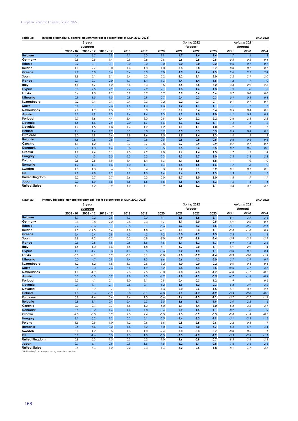## **Table 36: 29.04.2022 Interest expenditure, general government (as a percentage of GDP, 2003-2023)**

|                       |             | 5-year      |             | Spring 2022 |      |      |      |          | Autumn 2021 |      |          |      |
|-----------------------|-------------|-------------|-------------|-------------|------|------|------|----------|-------------|------|----------|------|
|                       |             | averages    |             |             |      |      |      | forecast |             |      | forecast |      |
|                       | $2003 - 07$ | $2008 - 12$ | $2013 - 17$ | 2018        | 2019 | 2020 | 2021 | 2022     | 2023        | 2021 | 2022     | 2023 |
| <b>Belgium</b>        | 4.6         | 3.7         | 2.9         | 2.1         | 2.0  | 1.9  | 1.7  | 1.4      | 1.4         | 1.7  | 1.4      | 1.3  |
| Germany               | 2.8         | 2.5         | 1.4         | 0.9         | 0.8  | 0.6  | 0.6  | 0.5      | 0.5         | 0.5  | 0.5      | 0.4  |
| <b>Estonia</b>        | 0.2         | 0.1         | 0.1         | 0.0         | 0.0  | 0.0  | 0.0  | 0.0      | 0.2         | 0.0  | 0.1      | 0.1  |
| Ireland               | 1.1         | 2.7         | 3.0         | 1.6         | 1.3  | 1.0  | 0.8  | 0.8      | 0.7         | 0.8  | 0.7      | 0.7  |
| Greece                | 4.7         | 5.8         | 3.6         | 3.4         | 3.0  | 3.0  | 2.5  | 2.4      | 2.3         | 2.6  | 2.5      | 2.4  |
| Spain                 | 1.8         | 2.1         | 3.1         | 2.4         | 2.3  | 2.2  | 2.2  | 2.1      | 2.0         | 2.2  | 2.1      | 2.0  |
| France                | 2.7         | 2.7         | 2.0         | 1.7         | 1.4  | 1.3  | 1.4  | 1.4      | 1.5         | 1.2  | 1.1      | 1.0  |
| Italy                 | 4.6         | 4.7         | 4.2         | 3.6         | 3.4  | 3.5  | 3.5  | 3.5      | 3.2         | 3.4  | 2.9      | 2.8  |
| Cyprus                | 3.0         | 2.5         | 2.9         | 2.4         | 2.2  | 2.1  | 1.8  | 1.6      | 1.3         | 1.9  | 1.6      | 1.3  |
| Latvia                | 0.6         | 1.5         | 1.2         | 0.7         | 0.7  | 0.7  | 0.5  | 0.6      | 0.6         | 0.7  | 0.6      | 0.6  |
| Lithuania             | 0.9         | 1.5         | 1.5         | 0.9         | 0.9  | 0.7  | 0.4  | 0.3      | 0.3         | 0.4  | 0.3      | 0.3  |
| Luxembourg            | 0.2         | 0.4         | 0.4         | 0.4         | 0.3  | 0.2  | 0.2  | 0.1      | 0.1         | 0.1  | 0.1      | 0.1  |
| Malta                 | 3.6         | 3.1         | 2.3         | 1.5         | 1.3  | 1.3  | 1.2  | 1,1      | 1,1         | 1.1  | 1.1      | 1.1  |
| <b>Netherlands</b>    | 2.2         | 1.9         | 1.3         | 0.9         | 0.8  | 0.7  | 0.6  | 0.4      | 0.4         | 0.5  | 0.4      | 0.3  |
| Austria               | 3.1         | 2.9         | 2.3         | 1.6         | 1.4  | 1.3  | 1,1  | 1.0      | 1.0         | 1.1  | 0.9      | 0.9  |
| Portugal              | 2.7         | 3.6         | 4.4         | 3.4         | 3.0  | 2.9  | 2.4  | 2.2      | 2.2         | 2.6  | 2.3      | 2.2  |
| Slovenia              | 1.5         | 1.6         | 2.9         | 2.0         | 1.7  | 1.6  | 1.3  | 1.2      | 1,1         | 1.4  | 1.3      | 1.2  |
| Slovakia              | 1.9         | 1.5         | 1.8         | 1.4         | 1.2  | 1.2  | 1.1  | 1.1      | 1.0         | 1.2  | 1.1      | 1.1  |
| <b>Finland</b>        | 1.6         | 1.4         | 1.2         | 0.9         | 0.8  | 0.7  | 0.5  | 0.5      | 0.5         | 0.5  | 0.4      | 0.3  |
| Euro area             | 3.0         | 2.9         | 2.4         | 1.8         | 1.6  | 1.5  | 1.5  | 1.4      | 1.3         | 1.4  | 1.2      | 1.2  |
| <b>Bulgaria</b>       | 1.6         | 0.8         | 0.8         | 0.7         | 0.6  | 0.5  | 0.5  | 0.5      | 0.5         | 0.6  | 0.6      | 0.6  |
| Czechia               | 1.1         | 1.2         | 1.1         | 0.7         | 0.7  | 0.8  | 0.7  | 0.9      | 0.9         | 0.7  | 0.7      | 0.7  |
| <b>Denmark</b>        | 2.1         | 1.8         | 1.4         | 0.8         | 0.7  | 0.5  | 0.5  | 0.6      | 0.5         | 0.7  | 0.5      | 0.6  |
| Croatia               | 1.7         | 2.4         | 3.1         | 2.3         | 2.2  | 2.0  | 1.6  | 1.4      | 1.3         | 1.7  | 1.5      | 1.4  |
| Hungary               | 4.1         | 4.3         | 3.5         | 2.3         | 2.2  | 2.3  | 2.3  | 2.7      | 3.0         | 2.3  | 2.3      | 2.3  |
| Poland                | 2.5         | 2.5         | 1.9         | 1.4         | 1.4  | 1.3  | 1.1  | 1.5      | 1.8         | 1.1  | 1.0      | 1.0  |
| Romania               | 1.2         | 1.4         | 1.6         | 1.0         | 1.1  | 1.4  | 1.4  | 1.5      | 1.6         | 1.7  | 1.8      | 1.9  |
| Sweden                | 1.8         | 1.3         | 0.6         | 0.5         | 0.4  | 0.3  | 0.2  | 0.1      | 0.2         | 0.1  | 0.1      | 0.2  |
| <b>EU</b>             | 2.9         | 2.8         | 2.2         | 1.7         | 1.5  | 1.4  | 1.4  | 1.3      | 1.3         | 1.3  | 1.2      | 1.1  |
| <b>United Kingdom</b> | 2.2         | 2.7         | 2.7         | 2.6         | 2.3  | 2.0  | 2.7  | 3.0      | 3.0         | 1.8  | 1.7      | 1.7  |
| Japan                 | 2.0         | 1.9         | 1.8         | 1.5         | 1.5  | 1.5  | 1.5  | 1.4      | 1.3         | 1.5  | 1.4      | 1.4  |
| <b>United States</b>  | 4.0         | 4.2         | 3.9         | 4.0         | 4.1  | 3.9  | 3.5  | 3.2      | 3.1         | 3.3  | 3.2      | 3.1  |

<code>Table 37: Primary balance, general government '</code> (as a percentage of GDP, 2003-2023)</code>

|                       | $\sim$<br>5-year |                         |             |        |        | Spring 2022<br>Autumn 2021<br>forecast<br>forecast |        |        |        |         |        |        |
|-----------------------|------------------|-------------------------|-------------|--------|--------|----------------------------------------------------|--------|--------|--------|---------|--------|--------|
|                       | $2003 - 07$      | averages<br>$2008 - 12$ | $2013 - 17$ | 2018   | 2019   | 2020                                               | 2021   | 2022   | 2023   | 2021    | 2022   | 2023   |
| <b>Belgium</b>        | 3.7              | $-0.2$                  | 0.6         | 1.3    | 0.0    | $-7.1$                                             | $-3.9$ | $-3.5$ | $-3.1$ | $-6.1$  | $-3.7$ | $-3.6$ |
| Germany               | 0.4              | 0.8                     | 2.2         | 2.8    | 2.3    | $-3.7$                                             | $-3.1$ | $-2.0$ | $-0.5$ | $-5.9$  | $-2.0$ | $-0.1$ |
| <b>Estonia</b>        | 2.4              | $-0.6$                  | 0.1         | $-0.5$ | 0.1    | $-5.6$                                             | $-2.3$ | $-4.3$ | $-3.5$ | $-3.1$  | $-2.5$ | $-2.1$ |
| Ireland               | 2.3              | $-12.3$                 | 0.4         | 1.8    | 1.8    | $-4.1$                                             | $-1.1$ | 0.3    | 1.1    | $-2.4$  | $-1.0$ | 0.4    |
| Greece                | $-2.4$           | $-5.4$                  | $-0.8$      | 4.3    | 4.2    | $-7.2$                                             | $-5.0$ | $-1.9$ | 1.3    | $-7.3$  | $-1.4$ | 1.3    |
| Spain                 | 2.8              | $-7.2$                  | $-2.2$      | $-0.2$ | $-0.8$ | $-8.0$                                             | $-4.7$ | $-2.8$ | $-2.4$ | $-5.9$  | $-3.1$ | $-2.1$ |
| France                | $-0.5$           | $-2.8$                  | $-1.6$      | $-0.6$ | $-1.6$ | $-7.6$                                             | $-5.1$ | $-3.2$ | $-1.7$ | $-6.9$  | $-4.2$ | $-2.5$ |
| Italy                 | 1.5              | 1.0                     | 1.6         | 1.5    | 1.8    | $-6.1$                                             | $-3.7$ | $-2.0$ | $-1.1$ | $-5.9$  | $-2.9$ | $-1.4$ |
| Cyprus                | 1.1              | $-1.7$                  | 0.3         | $-1.3$ | 3.5    | $-3.6$                                             | 0.2    | 1.3    | 1,1    | $-3.0$  | 0.2    | 0.4    |
| Latvia                | $-0.3$           | $-4.1$                  | 0.2         | $-0.1$ | 0.1    | $-3.8$                                             | $-6.8$ | $-6.7$ | $-2.4$ | $-8.9$  | $-3.6$ | $-1.4$ |
| Lithuania             | 0.0              | $-4.7$                  | 0.9         | 1.4    | 1.3    | $-6.6$                                             | $-0.6$ | $-4.2$ | $-2.0$ | $-3.7$  | $-2.9$ | $-0.9$ |
| Luxembourg            | 1.2              | 1.2                     | 1.8         | 3.3    | 2.6    | $-3.2$                                             | 1.0    | 0.0    | 0.2    | 0.0     | 0.3    | 0.4    |
| Malta                 | $-0.5$           | 0.0                     | 2.3         | 3.6    | 1.9    | $-8.2$                                             | $-6.8$ | $-4.4$ | $-3.5$ | $-10.0$ | $-4.7$ | $-3.6$ |
| <b>Netherlands</b>    | 1.1              | $-1.9$                  | 0.1         | 2.3    | 2.5    | $-3.0$                                             | $-2.0$ | $-2.3$ | $-1.7$ | $-4.8$  | $-1.7$ | $-0.7$ |
| Austria               | 0.5              | $-0.3$                  | 0.7         | 1.8    | 2.0    | $-6.7$                                             | $-4.8$ | $-2.1$ | $-0.5$ | $-4.7$  | $-1.4$ | $-0.4$ |
| Portugal              | $-2.3$           | $-4.1$                  | 0.1         | 3.0    | 3.1    | $-2.9$                                             | $-0.4$ | 0.3    | 1.2    | $-1.9$  | $-1.1$ | $-0.5$ |
| Slovenia              | 0.1              | $-3.1$                  | $-2.1$      | 2.8    | 2.1    | $-6.2$                                             | $-3.9$ | $-3.2$ | $-2.3$ | $-5.8$  | $-3.9$ | $-3.2$ |
| Slovakia              | $-0.9$           | $-3.9$                  | $-0.7$      | 0.3    | $-0.1$ | $-4.3$                                             | $-5.0$ | $-2.6$ | $-1.5$ | $-6.1$  | $-3.1$ | $-2.1$ |
| <b>Finland</b>        | 4.9              | 0.6                     | $-0.9$      | 0.0    | $-0.1$ | $-4.8$                                             | $-2.1$ | $-1.7$ | $-1.2$ | $-3.3$  | $-2.0$ | $-0.8$ |
| Euro area             | 0.8              | $-1.6$                  | 0.4         | 1.4    | 1.0    | $-5.6$                                             | $-3.6$ | $-2.3$ | $-1.1$ | $-5.7$  | $-2.7$ | $-1.2$ |
| <b>Bulgaria</b>       | 2.8              | $-1.1$                  | $-0.4$      | 2.4    | 2.7    | $-3.5$                                             | $-3.6$ | $-3.1$ | $-1.9$ | $-3.0$  | $-2.2$ | $-1.5$ |
| Czechia               | $-2.0$           | $-2.4$                  | 0.7         | 1.6    | 1.0    | $-5.0$                                             | $-5.1$ | $-3.4$ | $-3.0$ | $-6.2$  | $-3.5$ | $-3.1$ |
| <b>Denmark</b>        | 5.5              | 0.2                     | 1.4         | 1.6    | 4.8    | 0.4                                                | 2.9    | 1.5    | 1,1    | $-0.2$  | 1.8    | 1.9    |
| Croatia               | $-2.0$           | $-3.3$                  | 0.2         | 2.3    | 2.4    | $-5.3$                                             | $-1.3$ | $-0.9$ | $-0.5$ | $-2.4$  | $-1.4$ | $-0.7$ |
| Hungary               | $-3.1$           | 0.2                     | 1.2         | 0.2    | 0.1    | $-5.5$                                             | $-4.4$ | $-3.3$ | $-1.9$ | $-5.1$  | $-3.3$ | $-1.5$ |
| Poland                | $-1.5$           | $-2.9$                  | $-1.0$      | 1.2    | 0.6    | $-5.6$                                             | $-0.8$ | $-2.5$ | $-2.6$ | $-2.2$  | $-0.8$ | $-1.1$ |
| Romania               | $-0.5$           | $-4.6$                  | $-0.2$      | $-1.8$ | $-3.2$ | $-8.0$                                             | $-5.7$ | $-6.0$ | $-4.7$ | $-6.4$  | $-5.1$ | $-4.4$ |
| Sweden                | 3.1              | 1.2                     | 0.5         | 1.3    | 1.0    | $-2.4$                                             | 0.0    | $-0.3$ | 0.7    | $-0.8$  | 0.5    | 1.1    |
| <b>EU</b>             | 0.9              | $-1.6$                  | 0.3         | 1.3    | 1.0    | $-5.3$                                             | $-3.3$ | $-2.2$ | $-1.2$ | $-5.3$  | $-2.4$ | $-1.1$ |
| <b>United Kingdom</b> | $-0.8$           | $-5.3$                  | $-1.5$      | 0.3    | $-0.2$ | $-11.0$                                            | $-5.6$ | $-0.8$ | 0.7    | $-8.3$  | $-3.8$ | $-2.8$ |
| Japan                 | $-2.7$           | $-6.1$                  | $-2.9$      | $-0.9$ | $-1.6$ | $-7.5$                                             | $-6.2$ | $-5.1$ | $-2.8$ | $-7.6$  | $-3.6$ | $-2.6$ |
| <b>United States</b>  | $-0.8$           | $-6.4$                  | $-1.2$      | $-2.2$ | $-2.3$ | $-11.4$                                            | $-8.2$ | $-2.5$ | $-1.8$ | $-8.1$  | $-4.7$ | $-3.6$ |

<sup>1</sup> Net lending/borrowing excluding interest expenditure.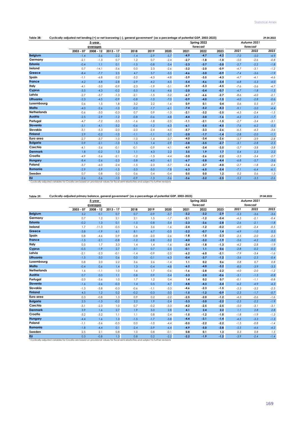| Table 38:          | Cyclically-adjusted net lending (+) or net borrowing (-), general government <sup>1</sup> (as a percentage of potential GDP, 2003-2023) |             |             |        |        |        |        |             |        |        |             |         |
|--------------------|-----------------------------------------------------------------------------------------------------------------------------------------|-------------|-------------|--------|--------|--------|--------|-------------|--------|--------|-------------|---------|
|                    |                                                                                                                                         | 5-year      |             |        |        |        |        | Spring 2022 |        |        | Autumn 2021 |         |
|                    |                                                                                                                                         | averages    |             |        |        |        |        | forecast    |        |        | forecast    |         |
|                    | $2003 - 07$                                                                                                                             | $2008 - 12$ | $2013 - 17$ | 2018   | 2019   | 2020   | 2021   | 2022        | 2023   | 2021   | 2022        | 2023    |
| <b>Belgium</b>     | $-1.4$                                                                                                                                  | $-3.6$      | $-2.2$      | $-1.4$ | $-2.9$ | $-5.7$ | $-4.9$ | $-4.7$      | $-4.2$ | $-7.0$ | $-5.0$      | $-4.9$  |
| Germany            | $-2.1$                                                                                                                                  | $-1.3$      | 0.7         | 1.2    | 0.7    | $-2.4$ | $-2.7$ | $-1.8$      | $-1.0$ | $-5.0$ | $-2.6$      | $-0.8$  |
| Estonia            | $-0.4$                                                                                                                                  | 1.1         | 0.1         | $-1.5$ | $-0.8$ | $-3.4$ | $-2.3$ | $-3.7$      | $-3.0$ | $-2.7$ | $-2.2$      | $-1.8$  |
| Ireland            | 0.7                                                                                                                                     | $-14.1$     | $-3.6$      | 0.0    | 2.3    | $-2.6$ | $-3.2$ | $-2.0$      | $-0.9$ | $-4.7$ | $-3.1$      | $-1.2$  |
| Greece             | $-8.4$                                                                                                                                  | $-7.7$      | 2.5         | 4.7    | 3.7    | $-3.5$ | $-4.6$ | $-3.0$      | $-0.9$ | $-7.4$ | $-3.6$      | $-1.9$  |
| Spain              | $-1.1$                                                                                                                                  | $-6.8$      | $-2.2$      | $-3.2$ | $-4.3$ | $-4.8$ | $-3.9$ | $-3.5$      | $-4.3$ | $-4.7$ | $-4.1$      | $-4.6$  |
| <b>France</b>      | $-4.2$                                                                                                                                  | $-4.8$      | $-2.8$      | $-2.9$ | $-4.2$ | $-4.5$ | $-5.4$ | $-4.6$      | 3.4    | $-6.8$ | $-5.3$      | $-4.0$  |
| Italy              | $-4.1$                                                                                                                                  | $-3.0$      | $-0.9$      | $-2.3$ | $-1.9$ | $-5.1$ | $-5.9$ | $-5.3$      | $-4.5$ | $-7.6$ | $-5.6$      | $-4.7$  |
| Cyprus             | $-3.5$                                                                                                                                  | $-4.3$      | $-0.2$      | $-5.5$ | $-1.6$ | $-4.6$ | $-2.0$ | $-0.4$      | $-0.7$ | $-4.7$ | $-1.8$      | $-1.5$  |
| Latvia             | $-2.7$                                                                                                                                  | $-3.7$      | $-1.3$      | $-2.1$ | $-1.5$ | $-3.2$ | $-6.7$ | $-6.6$      | $-2.7$ | $-8.6$ | $-4.0$      | $-2.1$  |
| Lithuania          | $-2.3$                                                                                                                                  | $-4.5$      | $-0.9$      | $-0.8$ | $-1.0$ | $-7.0$ | $-0.9$ | $-4.0$      | $-1.5$ | $-4.0$ | $-2.8$      | $-0.6$  |
| Luxembourg         | 0.6                                                                                                                                     | 1.5         | 1.8         | 3.2    | 2.2    | $-1.6$ | 0.9    | 0.1         | 0.4    | 0.6    | 0.5         | 0.7     |
| Malta              | $-4.0$                                                                                                                                  | $-2.6$      | $-1.0$      | $-0.2$ | $-1.7$ | $-6.1$ | 7.4    | $-5.2$      | $-4.3$ | $-9.1$ | $-5.0$      | $-4.4$  |
| <b>Netherlands</b> | $-0.6$                                                                                                                                  | $-3.0$      | $-0.3$      | 0.7    | 0.9    | $-1.3$ | $-2.1$ | $-3.2$      | $-2.5$ | $-4.5$ | $-2.4$      | $-1.5$  |
| Austria            | $-2.5$                                                                                                                                  | $-2.9$      | $-1.2$      | $-0.8$ | $-0.6$ | $-4.8$ | $-4.4$ | $-3.0$      | $-1.6$ | $-4.2$ | $-2.5$      | $-1.7$  |
| Portugal           | $-4.7$                                                                                                                                  | $-7.2$      | $-3.5$      | $-1.6$ | $-1.8$ | $-2.5$ | $-1.1$ | $-2.1$      | $-1.5$ | $-2.7$ | $-3.4$      | $-3.1$  |
| Slovenia           | $-3.1$                                                                                                                                  | $-4.1$      | $-3.2$      | $-0.6$ | $-1.2$ | $-6.3$ | $-6.1$ | $-5.5$      | $-4.5$ | $-7.6$ | $-6.2$      | $-5.5$  |
| Slovakia           | $-3.1$                                                                                                                                  | $-5.3$      | $-2.0$      | $-2.0$ | $-2.4$ | $-4.5$ | $-5.7$ | $-3.3$      | $-2.6$ | $-6.5$ | $-4.3$      | $-3.6$  |
| <b>Finland</b>     | 2.9                                                                                                                                     | $-0.2$      | $-1.0$      | $-1.1$ | $-1.1$ | $-3.7$ | $-2.0$ | $-1.7$      | $-1.4$ | $-2.8$ | $-2.0$      | $-1.1$  |
| Euro area          | $-2.7$                                                                                                                                  | $-3.7$      | $-1.0$      | $-1.0$ | $-1.4$ | $-3.7$ | $-4.0$ | $-3.4$      | $-2.6$ | $-5.7$ | $-3.9$      | $-2.8$  |
| <b>Bulgaria</b>    | 0.9                                                                                                                                     | $-2.1$      | $-1.0$      | 1.5    | 1.4    | $-2.9$ | $-3.8$ | $-3.5$      | $-2.7$ | $-3.1$ | $-2.8$      | $-2.5$  |
| Czechia            | $-4.1$                                                                                                                                  | $-3.6$      | $-0.1$      | $-0.1$ | $-0.9$ | $-4.1$ | $-4.9$ | $-3.4$      | $-3.5$ | $-5.7$ | $-3.8$      | $-3.8$  |
| <b>Denmark</b>     | 1.8                                                                                                                                     | $-0.2$      | 1.3         | 1.1    | 4.3    | 2.2    | 3.5    | 1.9         | 1.7    | 0.4    | 2.3         | $2.2\,$ |
| Croatia            | $-4.9$                                                                                                                                  | $-5.6$      | $-2.1$      | $-1.2$ | $-1.3$ | $-4.4$ | $-3.0$ | $-2.6$      | $-2.2$ | $-3.5$ | $-3.4$      | $-2.7$  |
| Hungary            | $-8.4$                                                                                                                                  | $-2.6$      | $-2.3$      | $-3.8$ | $-4.0$ | $-6.1$ | $-6.7$ | $-5.8$      | $-4.4$ | $-6.8$ | $-5.7$      | $-3.6$  |
| Poland             | $-3.7$                                                                                                                                  | $-6.0$      | $-2.4$      | $-1.5$ | $-2.3$ | $-5.7$ | $-1.6$ | $-3.7$      | $-4.0$ | $-2.7$ | $-1.8$      | $-2.4$  |
| Romania            | $-2.9$                                                                                                                                  | $-5.9$      | $-1.5$      | $-3.5$ | $-5.0$ | $-7.8$ | $-6.3$ | $-6.5$      | $-5.4$ | $-7.1$ | $-6.4$      | $-6.1$  |
| Sweden             | 0.7                                                                                                                                     | 0.8         | 0.2         | 0.6    | 0.4    | $-0.4$ | 0.5    | 0.0         | 1,2    | 0.2    | 0.6         | 1.3     |
| <b>EU</b>          | $-2.6$                                                                                                                                  | $-3.6$      | $-1.0$      | $-0.9$ | $-1.3$ | $-3.6$ | $-3.6$ | $-3.2$      | $-2.5$ | $-5.2$ | $-3.5$      | $-2.6$  |

| Table 39:          |                                                                                                                                                             | Cyclically-adjusted primary balance, general government <sup>1</sup> (as a percentage of potential GDP, 2003-2023) |             |        |        |        |        |             |        |        |             |        |  |  |
|--------------------|-------------------------------------------------------------------------------------------------------------------------------------------------------------|--------------------------------------------------------------------------------------------------------------------|-------------|--------|--------|--------|--------|-------------|--------|--------|-------------|--------|--|--|
|                    |                                                                                                                                                             | 5-year                                                                                                             |             |        |        |        |        | Spring 2022 |        |        | Autumn 2021 |        |  |  |
|                    |                                                                                                                                                             | averages                                                                                                           |             |        |        |        |        | forecast    |        |        | forecast    |        |  |  |
|                    | $2003 - 07$                                                                                                                                                 | $2008 - 12$                                                                                                        | $2013 - 17$ | 2018   | 2019   | 2020   | 2021   | 2022        | 2023   | 2021   | 2022        | 2023   |  |  |
| <b>Belgium</b>     | 3.2                                                                                                                                                         | 0.1                                                                                                                | 0.7         | 0.7    | $-0.9$ | $-3.7$ | $-3.2$ | $-3.2$      | $-2.9$ | $-5.3$ | $-3.6$      | $-3.6$ |  |  |
| Germany            | 0.7                                                                                                                                                         | 1.2                                                                                                                | 2.1         | 2.1    | 1.5    | $-1.7$ | $-2.1$ | $-1.2$      | $-0.4$ | $-4.5$ | $-2.1$      | $-0.4$ |  |  |
| Estonia            | $-0.2$                                                                                                                                                      | 1.3                                                                                                                | 0.1         | $-1.5$ | $-0.8$ | $-3.4$ | $-2.3$ | $-3.6$      | $-2.8$ | $-2.6$ | $-2.1$      | $-1.8$ |  |  |
| Ireland            | 1.7                                                                                                                                                         | $-11.3$                                                                                                            | $-0.5$      | 1.6    | 3.6    | $-1.6$ | $-2.4$ | $-1.2$      | $-0.2$ | $-4.0$ | $-2.4$      | $-0.5$ |  |  |
| Greece             | $-3.8$                                                                                                                                                      | $-1.9$                                                                                                             | 6.1         | 8.1    | 6.7    | $-0.5$ | $-2.2$ | $-0.7$      | 1.4    | $-4.9$ | $-1.0$      | 0.5    |  |  |
| Spain              | 0.8                                                                                                                                                         | $-4.6$                                                                                                             | 0.9         | $-0.8$ | $-2.0$ | $-2.6$ | $-1.8$ | $-1.5$      | $-2.3$ | $-2.5$ | $-2.0$      | $-2.5$ |  |  |
| France             | $-1.5$                                                                                                                                                      | $-2.1$                                                                                                             | $-0.8$      | $-1.2$ | $-2.8$ | $-3.2$ | $-4.0$ | $-3.2$      | $-1.9$ | $-5.6$ | $-4.2$      | $-3.0$ |  |  |
| Italy              | 0.5                                                                                                                                                         | 1.7                                                                                                                | 3.3         | 1.4    | 1.4    | $-1.6$ | $-2.4$ | $-1.8$      | $-1.3$ | $-4.2$ | $-2.8$      | $-1.9$ |  |  |
| Cyprus             | $-0.5$                                                                                                                                                      | $-1.9$                                                                                                             | 2.7         | $-3.1$ | 0.7    | $-2.5$ | $-0.1$ | 1.1         | 0.6    | $-2.8$ | $-0.2$      | $-0.2$ |  |  |
| Latvia             | $-2.1$                                                                                                                                                      | $-2.3$                                                                                                             | $-0.1$      | $-1.4$ | $-0.9$ | $-2.5$ | $-6.2$ | $-6.0$      | $-2.1$ | $-7.9$ | $-3.4$      | $-1.6$ |  |  |
| Lithuania          | $-1.5$                                                                                                                                                      | $-3.0$                                                                                                             | 0.6         | 0.0    | $-0.1$ | $-6.3$ | $-0.4$ | $-3.7$      | $-1.2$ | $-3.6$ | $-2.5$      | $-0.4$ |  |  |
| Luxembourg         | 0.8                                                                                                                                                         | 2.0                                                                                                                | 2.2         | 3.6    | 2.6    | $-1.4$ | 1.1    | 0.2         | 0.6    | 0.8    | 0.7         | 0.8    |  |  |
| Malta              | $-0.4$                                                                                                                                                      | 0.6                                                                                                                | 1.4         | 1.3    | $-0.4$ | $-4.8$ | $-6.2$ | $-4.0$      | $-3.2$ | $-8.0$ | $-3.9$      | $-3.3$ |  |  |
| <b>Netherlands</b> | 1.6                                                                                                                                                         | $-1.1$                                                                                                             | 1.0         | 1.6    | 1.7    | $-0.6$ | $-1.6$ | $-2.8$      | $-2.2$ | $-4.0$ | $-2.0$      | $-1.2$ |  |  |
| Austria            | 0.7                                                                                                                                                         | 0.0                                                                                                                | 1.1         | 0.8    | 0.9    | $-3.4$ | $-3.3$ | $-2.0$      | $-0.6$ | $-3.1$ | $-1.5$      | $-0.8$ |  |  |
| Portugal           | $-2.0$                                                                                                                                                      | $-3.6$                                                                                                             | 1.0         | 1.7    | 1.2    | 0.4    | 1.4    | 0.2         | 0.7    | $-0.1$ | $-1.1$      | $-0.8$ |  |  |
| Slovenia           | $-1.6$                                                                                                                                                      | $-2.6$                                                                                                             | $-0.3$      | 1.4    | 0.5    | $-4.7$ | $-4.8$ | $-4.3$      | $-3.4$ | $-6.2$ | $-4.9$      | $-4.3$ |  |  |
| Slovakia           | $-1.3$                                                                                                                                                      | $-3.8$                                                                                                             | $-0.3$      | $-0.6$ | $-1.1$ | $-3.3$ | $-4.6$ | $-2.3$      | $-1.5$ | $-5.3$ | $-3.2$      | $-2.5$ |  |  |
| <b>Finland</b>     | 4.5                                                                                                                                                         | 1.2                                                                                                                | 0.2         | $-0.2$ | $-0.3$ | $-3.0$ | $-1.5$ | $-1.2$      | $-0.9$ | $-2.3$ | $-1.7$      | $-0.7$ |  |  |
| Euro area          | 0.3                                                                                                                                                         | $-0.8$                                                                                                             | 1.3         | 0.9    | 0.2    | $-2.2$ | $-2.5$ | $-2.0$      | $-1,2$ | $-4.3$ | $-2.6$      | $-1.6$ |  |  |
| <b>Bulgaria</b>    | 2.5                                                                                                                                                         | $-1.3$                                                                                                             | $-0.2$      | 2.2    | 1.9    | $-2.4$ | $-3.3$ | $-3.0$      | $-2.2$ | $-2.5$ | $-2.2$      | $-1.9$ |  |  |
| Czechia            | $-3.1$                                                                                                                                                      | $-2.3$                                                                                                             | 1.0         | 0.7    | $-0.2$ | $-3.3$ | $-4.2$ | $-2.5$      | $-2.5$ | $-5.0$ | $-3.1$      | $-3.1$ |  |  |
| <b>Denmark</b>     | 3.9                                                                                                                                                         | 1.6                                                                                                                | 2.7         | 1.9    | 5.0    | 2.8    | 4.1    | 2.4         | 2.2    | 1.1    | 2.8         | 2.8    |  |  |
| Croatia            | $-3.2$                                                                                                                                                      | $-3.2$                                                                                                             | 1.1         | 1.1    | 0.8    | $-2.4$ | $-1.5$ | $-1.2$      | $-1.0$ | $-1.8$ | $-1.9$      | $-1.3$ |  |  |
| Hungary            | $-4.4$                                                                                                                                                      | 1.6                                                                                                                | 1.3         | $-1.5$ | $-1.7$ | $-3.8$ | $-4.4$ | $-3.1$      | $-1.4$ | $-4.5$ | $-3.3$      | $-1.3$ |  |  |
| Poland             | $-1.1$                                                                                                                                                      | $-3.6$                                                                                                             | $-0.5$      | 0.0    | $-1.0$ | $-4.4$ | $-0.5$ | $-2.2$      | $-2.2$ | $-1.5$ | $-0.8$      | $-1.4$ |  |  |
| Romania            | $-1.8$                                                                                                                                                      | $-4.4$                                                                                                             | 0.1         | $-2.4$ | $-3.9$ | $-6.4$ | $-4.9$ | $-5.0$      | $-3.8$ | $-5.5$ | $-4.6$      | $-4.2$ |  |  |
| Sweden             | 2.5                                                                                                                                                         | 2.1                                                                                                                | 0.8         | 1.0    | 0.8    | $-0.1$ | 0.8    | 0.1         | 1.3    | 0.3    | $0.8\,$     | 1.5    |  |  |
| <b>EU</b>          | 0.3<br><sup>1</sup> Cyclically-adjusted variables for Croatia are based on provisional values for fiscal semi-elasticities and subject to further revisions | $-0.8$                                                                                                             | 1.3         | 0.8    | 0.2    | $-2.2$ | $-2.2$ | $-1.9$      | $-1.2$ | $-3.9$ | $-2.4$      | $-1.4$ |  |  |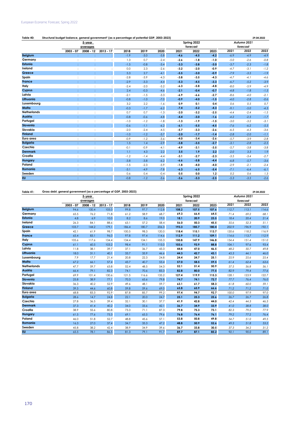## European Economic Forecast, Spring 2022

| Table 40:          | Structural budget balance, general government <sup>1</sup> (as a percentage of potential GDP, 2003-2023) |                      |             | 29.04.2022 |        |        |        |             |        |        |             |        |
|--------------------|----------------------------------------------------------------------------------------------------------|----------------------|-------------|------------|--------|--------|--------|-------------|--------|--------|-------------|--------|
|                    |                                                                                                          | 5-year               |             |            |        |        |        | Spring 2022 |        |        | Autumn 2021 |        |
|                    |                                                                                                          | averages             |             |            |        |        |        | forecast    |        |        | forecast    |        |
|                    | $2003 - 07$                                                                                              | 2008 - 12            | $2013 - 17$ | 2018       | 2019   | 2020   | 2021   | 2022        | 2023   | 2021   | 2022        | 2023   |
| <b>Belgium</b>     |                                                                                                          | t                    |             | $-1.9$     | $-3.0$ | $-5.8$ | $-4.6$ | $-4.5$      | $-4.2$ | $-6.9$ | $-4.9$      | $-4.9$ |
| Germany            |                                                                                                          | $\vdots$             |             | 1.3        | 0.7    | $-2.4$ | $-2.6$ | $-1.8$      | $-1.0$ | $-5.0$ | $-2.6$      | $-0.8$ |
| <b>Estonia</b>     | t                                                                                                        | ÷                    |             | $-1.5$     | $-0.8$ | $-3.4$ | $-3.3$ | $-3.8$      | $-3.0$ | $-3.7$ | $-2.3$      | $-1.8$ |
| Ireland            |                                                                                                          | $\vdots$             |             | 0.0        | 2.3    | $-2.6$ | $-3.2$ | $-2.0$      | $-0.9$ | $-4.7$ | $-3.1$      | $-1.2$ |
| Greece             | t                                                                                                        | ÷                    |             | 5.3        | 2.7    | $-4.1$ | $-5.5$ | $-3.0$      | $-0.9$ | $-7.9$ | $-3.5$      | $-1.9$ |
| Spain              | t                                                                                                        | $\vdots$             |             | $-2.8$     | $-3.9$ | $-4.3$ | $-3.8$ | $-3.5$      | $-4.3$ | $-4.7$ | $-4.1$      | $-4.6$ |
| <b>France</b>      | t                                                                                                        | ÷                    |             | $-2.9$     | $-3.3$ | $-4.4$ | $-5.3$ | $-4.5$      | $-3.3$ | $-6.7$ | $-5.2$      | $-3.9$ |
| Italy              | t                                                                                                        | $\vdots$             |             | $-2.4$     | $-2.0$ | $-5.2$ | $-6.3$ | $-5.8$      | $-4.8$ | $-8.0$ | $-5.9$      | $-4.9$ |
| Cyprus             | ċ                                                                                                        | $\cdot$              |             | 2.4        | $-0.3$ | $-4.6$ | $-2.1$ | $-0.4$      | $-0.7$ | $-4.8$ | $-1.8$      | $-1.5$ |
| Latvia             | t                                                                                                        | $\cdot$<br>÷         |             | $-2.1$     | $-1.5$ | $-3.3$ | $-6.9$ | $-6.6$      | $-2.7$ | $-8.6$ | $-4.0$      | $-2.1$ |
| Lithuania          |                                                                                                          | ÷                    |             | $-0.8$     | $-1.0$ | $-7.0$ | $-0.9$ | $-4.0$      | $-1.5$ | $-4.0$ | $-2.8$      | $-0.6$ |
| Luxembourg         |                                                                                                          |                      |             | 3.2        | 2.2    | $-1.6$ | 0.9    | 0.1         | 0.4    | 0.6    | 0.5         | 0.7    |
| Malta              | t                                                                                                        |                      |             | $-0.3$     | $-1.7$ | $-6.2$ | $-7.4$ | $-5.2$      | $-4.3$ | $-9.1$ | $-5.0$      | $-4.3$ |
| <b>Netherlands</b> | $\lambda$                                                                                                | $\vdots$             |             | 0.7        | 0.7    | $-1.3$ | $-2.0$ | $-3.2$      | $-2.5$ | $-4.4$ | $-2.4$      | $-1.5$ |
| Austria            |                                                                                                          |                      |             | $-0.8$     | $-0.6$ | $-4.8$ | $-4.4$ | $-3.0$      | $-1.6$ | $-4.2$ | $-2.5$      | $-1.7$ |
| Portugal           |                                                                                                          |                      |             | $-1.0$     | $-1.2$ | $-1.8$ | $-1.3$ | $-1.9$      | $-1.5$ | $-3.0$ | $-3.2$      | $-3.1$ |
| Slovenia           | ł                                                                                                        | ÷                    |             | $-0.6$     | $-1.1$ | $-6.2$ | $-6.1$ | $-5.5$      | $-4.5$ | $-7.6$ | $-6.2$      | $-5.5$ |
| Slovakia           | t                                                                                                        | $\vdots$             |             | $-2.0$     | $-2.4$ | $-4.5$ | $-5.7$ | $-3.3$      | $-2.6$ | $-6.5$ | $-4.3$      | $-3.6$ |
| <b>Finland</b>     |                                                                                                          | ÷                    |             | $-1.0$     | $-1.2$ | $-3.7$ | $-2.0$ | $-1.7$      | $-1.4$ | $-2.8$ | $-2.0$      | $-1.1$ |
| Euro area          |                                                                                                          | $\ddot{\cdot}$       |             | $-0.9$     | $-1.2$ | $-3.6$ | $-4.0$ | $-3.4$      | $-2.6$ | $-5.7$ | $-3.9$      | $-2.8$ |
| <b>Bulgaria</b>    | ÷                                                                                                        | ÷                    |             | 1.5        | 1.4    | $-2.9$ | $-3.8$ | $-3.5$      | $-2.7$ | $-3.1$ | $-2.8$      | $-2.5$ |
| Czechia            | t                                                                                                        | $\vdots$             |             | $-0.1$     | $-0.9$ | $-4.1$ | $-4.9$ | $-3.1$      | $-3.5$ | $-5.7$ | $-3.8$      | $-3.8$ |
| <b>Denmark</b>     | t                                                                                                        | ÷                    |             | 1.1        | 4.3    | 2.2    | 3.5    | 1.9         | 2.2    | $-2.0$ | 3.3         | 1.9    |
| Croatia            |                                                                                                          |                      |             | $-1.2$     | $-1.4$ | $-4.4$ | $-3.1$ | $-2.7$      | $-2.3$ | $-3.5$ | $-3.4$      | $-2.7$ |
| <b>Hungary</b>     |                                                                                                          | ÷                    |             | $-3.8$     | $-3.8$ | $-6.2$ | $-6.6$ | $-5.8$      | $-4.4$ | $-6.8$ | $-5.7$      | $-3.6$ |
| Poland             | t                                                                                                        | $\ddot{\phantom{a}}$ |             | $-1.5$     | $-2.3$ | $-5.9$ | $-1.8$ | $-4.0$      | $-4.0$ | $-2.9$ | $-2.1$      | $-2.4$ |
| Romania            | t                                                                                                        | t                    |             | $-3.1$     | $-4.9$ | $-7.8$ | $-6.3$ | $-6.5$      | $-5.4$ | $-7.1$ | $-6.4$      | $-6.1$ |
| Sweden             |                                                                                                          | ÷                    |             | 0.6        | 0.4    | $-0.4$ | 0.5    | 0.0         | 1.2    | 0.2    | 0.6         | 1.3    |
| <b>EU</b>          |                                                                                                          |                      |             | $-0.8$     | $-1.2$ | $-3.6$ | $-3.6$ | $-3.3$      | $-2.5$ | $-5.3$ | $-3.5$      | $-2.6$ |

**Table 41: 29.04.2022 Gross debt, general government (as a percentage of GDP, 2003-2023)**

|                    |             | Spring 2022 |             |       |       | Autumn 2021 |       |          |       |       |          |       |
|--------------------|-------------|-------------|-------------|-------|-------|-------------|-------|----------|-------|-------|----------|-------|
|                    |             | averages    |             |       |       |             |       | forecast |       |       | forecast |       |
|                    | $2003 - 07$ | 2008 - 12   | $2013 - 17$ | 2018  | 2019  | 2020        | 2021  | 2022     | 2023  | 2021  | 2022     | 2023  |
| <b>Belgium</b>     | 94.6        | 100.4       | 105.0       | 99.8  | 97.7  | 112.8       | 108.2 | 107.5    | 107.6 | 112.7 | 113.1    | 114.6 |
| Germany            | 65.5        | 76.2        | 71.8        | 61.2  | 58.9  | 68.7        | 69.3  | 66.4     | 64.5  | 71.4  | 69.2     | 68.1  |
| Estonia            | 4.8         | 6.9         | 10.0        | 8.2   | 8.6   | 19.0        | 18.1  | 20.9     | 23.5  | 18.4  | 20.4     | 21.4  |
| Ireland            | 26.3        | 84.1        | 88.6        | 63.1  | 57.2  | 58.4        | 56.0  | 50.3     | 45.5  | 55.6  | 52.3     | 51.1  |
| Greece             | 103.7       | 144.2       | 179.1       | 186.4 | 180.7 | 206.3       | 193.3 | 185.7    | 180.4 | 202.9 | 196.9    | 192.1 |
| Spain              | 42.1        | 61.9        | 98.7        | 100.5 | 98.3  | 120.0       | 118.4 | 115.1    | 113.7 | 120.6 | 118.2    | 116.9 |
| France             | 65.4        | 83.1        | 96.0        | 97.8  | 97.4  | 114.6       | 112.9 | 111.2    | 109.1 | 114.6 | 113.7    | 112.9 |
| Italy              | 105.6       | 117.6       | 134.4       | 134.4 | 134.1 | 155.3       | 150.8 | 147.9    | 146.8 | 154.4 | 151.4    | 151.0 |
| Cyprus             | 61.1        | 60.5        | 103.2       | 98.4  | 91.1  | 115.0       | 103.6 | 93.9     | 88.8  | 104.1 | 97.6     | 93.4  |
| Latvia             | 11.8        | 38.1        | 39.7        | 37.1  | 36.7  | 43.3        | 44.8  | 47.0     | 46.5  | 48.2  | 50.7     | 49.8  |
| Lithuania          | 18.0        | 31.1        | 40.1        | 33.7  | 35.9  | 46.6        | 44.3  | 42.7     | 43.1  | 45.3  | 44.1     | 46.0  |
| Luxembourg         | 7.9         | 17.7        | 21.4        | 20.8  | 22.3  | 24.8        | 24.4  | 24.7     | 25.1  | 25.9  | 25.6     | 25.4  |
| Malta              | 67.2        | 66.1        | 57.4        | 43.7  | 40.7  | 53.4        | 57.0  | 58.5     | 59.5  | 61.4  | 62.4     | 63.6  |
| <b>Netherlands</b> | 47.7        | 59.7        | 63.8        | 52.4  | 48.5  | 54.3        | 52.1  | 51.4     | 50.9  | 57.5  | 56.8     | 56.1  |
| Austria            | 66.4        | 79.1        | 82.3        | 74.1  | 70.6  | 83.3        | 82.8  | 80.0     | 77.5  | 82.9  | 79.4     | 77.6  |
| Portugal           | 69.9        | 101.4       | 130.6       | 121.5 | 116.6 | 135.2       | 127.4 | 119.9    | 115.3 | 128.1 | 123.9    | 122.7 |
| Slovenia           | 25.8        | 38.9        | 77.1        | 70.3  | 65.6  | 79.8        | 74.7  | 74.1     | 72.7  | 77.7  | 76.4     | 76.0  |
| Slovakia           | 36.3        | 40.2        | 52.9        | 49.6  | 48.1  | 59.7        | 63.1  | 61.7     | 58.3  | 61.8  | 60.0     | 59.1  |
| <b>Finland</b>     | 39.5        | 44.6        | 60.8        | 59.8  | 59.6  | 69.0        | 65.8  | 65.9     | 66.6  | 71.2  | 71.2     | 71.0  |
| Euro area          | 68.8        | 83.3        | 92.9        | 87.8  | 85.7  | 99.2        | 97.4  | 94.7     | 92.7  | 100.0 | 97.9     | 97.0  |
| <b>Bulgaria</b>    | 28.6        | 14.7        | 24.8        | 22.1  | 20.0  | 24.7        | 25.1  | 25.3     | 25.6  | 26.7  | 26.7     | 26.8  |
| Czechia            | 27.8        | 36.5        | 39.4        | 32.1  | 30.1  | 37.7        | 41.9  | 42.8     | 44.0  | 42.4  | 44.3     | 46.3  |
| <b>Denmark</b>     | 37.3        | 41.4        | 40.2        | 34.0  | 33.6  | 42.1        | 36.7  | 34.9     | 33.9  | 41.0  | 38.8     | 38.0  |
| Croatia            | 38.9        | 55.6        | 80.8        | 73.3  | 71.1  | 87.3        | 79.8  | 75.3     | 73.1  | 82.3  | 79.2     | 77.9  |
| Hungary            | 61.5        | 77.6        | 75.3        | 69.1  | 65.5  | 79.6        | 76.8  | 76.4     | 76.1  | 79.2  | 77.2     | 76.4  |
| Poland             | 46.0        | 51.8        | 52.7        | 48.8  | 45.6  | 57.1        | 53.8  | 50.8     | 49.8  | 54.7  | 51.0     | 49.5  |
| Romania            | 16.3        | 27.0        | 37.4        | 34.7  | 35.3  | 47.2        | 48.8  | 50.9     | 52.6  | 49.3  | 51.8     | 53.2  |
| Sweden             | 45.8        | 38.2        | 42.4        | 38.9  | 34.9  | 39.6        | 36.7  | 33.8     | 30.5  | 37.3  | 34.2     | 31.2  |
| EU                 | 65.5        | 78.1        | 86.5        | 81.3  | 79.1  | 91.7        | 89.7  | 87.1     | 85.2  | 92.1  | 90.0     | 89.1  |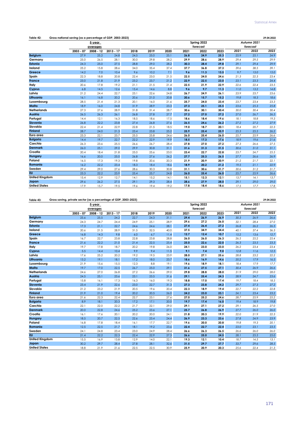| Table 42:             | Gross national saving (as a percentage of GDP, 2003-2023) |           |             |      |      |      |      |             |      |      |             | 29.04.2022 |
|-----------------------|-----------------------------------------------------------|-----------|-------------|------|------|------|------|-------------|------|------|-------------|------------|
|                       |                                                           | 5-year    |             |      |      |      |      | Spring 2022 |      |      | Autumn 2021 |            |
|                       |                                                           | averages  |             |      |      |      |      | forecast    |      |      | forecast    |            |
|                       | $2003 - 07$                                               | 2008 - 12 | $2013 - 17$ | 2018 | 2019 | 2020 | 2021 | 2022        | 2023 | 2021 | 2022        | 2023       |
| <b>Belgium</b>        | 27.9                                                      | 25.2      | 24.8        | 24.5 | 25.0 | 25.1 | 26.8 | 24.9        | 25.3 | 25.9 | 25.1        | 24.9       |
| Germany               | 25.0                                                      | 26.5      | 28.1        | 30.0 | 29.8 | 28.2 | 29.9 | 28.6        | 28.9 | 29.4 | 29.5        | 29.9       |
| Estonia               | 24.3                                                      | 25.0      | 27.5        | 28.8 | 29.0 | 28.2 | 30.3 | 28.4        | 29.8 | 29.1 | 29.4        | 29.9       |
| Ireland               | 25.2                                                      | 15.8      | 28.6        | 34.0 | 35.4 | 37.4 | 37.7 | 36.8        | 37.3 | 39.6 | 38.5        | 39.1       |
| Greece                | 14.2                                                      | 7.0       | 10.4        | 9.6  | 10.2 | 7.1  | 9.6  | 11.3        | 13.5 | 9.7  | 13.0        | 15.0       |
| Spain                 | 22.3                                                      | 18.8      | 20.8        | 22.4 | 23.0 | 21.5 | 22.5 | 24.0        | 24.6 | 21.3 | 22.3        | 23.4       |
| <b>France</b>         | 23.0                                                      | 21.8      | 21.9        | 23.2 | 23.7 | 21.2 | 22.9 | 22.5        | 23.0 | 23.1 | 23.3        | 24.4       |
| Italy                 | 20.6                                                      | 17.8      | 19.2        | 21.1 | 21.5 | 21.4 | 22.5 | 21.9        | 22.9 | 22.6 | 22.4        | 23.5       |
| Cyprus                | 6.8                                                       | 14.5      | 12.6        | 15.4 | 14.6 | 8.8  | 9.6  | 9.7         | 11.3 | 11.0 | 13.2        | 14.8       |
| Latvia                | 21.2                                                      | 24.4      | 22.7        | 23.1 | 22.6 | 24.8 | 26.7 | 24.9        | 26.1 | 23.9 | 23.7        | 23.6       |
| Lithuania             | 16.1                                                      | 16.8      | 20.2        | 20.6 | 21.0 | 20.8 | 20.6 | 15.7        | 15.2 | 19.8 | 18.3        | 18.6       |
| Luxembourg            | 28.5                                                      | 21.4      | 21.3        | 20.1 | 16.0 | 21.6 | 25.7 | 24.0        | 23.4 | 23.7 | 23.4        | 23.3       |
| Malta                 | 18.9                                                      | 16.0      | 24.8        | 31.9 | 28.9 | 23.3 | 27.3 | 25.1        | 25.5 | 23.6 | 25.3        | 25.8       |
| <b>Netherlands</b>    | 27.3                                                      | 27.6      | 28.9        | 31.8 | 31.4 | 28.7 | 30.6 | 30.1        | 30.4 | 30.0 | 30.4        | 30.4       |
| Austria               | 26.5                                                      | 26.3      | 26.1        | 26.8 | 27.8 | 27.7 | 27.2 | 27.0        | 27.2 | 27.0 | 26.7        | 26.5       |
| Portugal              | 14.4                                                      | 12.1      | 16.3        | 18.5 | 18.6 | 17.5 | 18.6 | 18.4        | 19.6 | 18.1 | 18.8        | 19.3       |
| Slovenia              | 26.8                                                      | 22.2      | 23.8        | 27.4 | 26.8 | 27.6 | 26.5 | 24.6        | 26.2 | 27.2 | 27.2        | 27.9       |
| Slovakia              | 22.4                                                      | 21.4      | 22.9        | 22.8 | 21.5 | 18.5 | 19.0 | 18.7        | 20.1 | 18.4 | 20.7        | 22.3       |
| <b>Finland</b>        | 28.7                                                      | 24.0      | 21.3        | 23.4 | 23.8 | 25.2 | 25.9 | 25.4        | 25.9 | 25.3 | 25.5        | 26.2       |
| Euro area             | 23.3                                                      | 22.1      | 23.7        | 25.5 | 25.8 | 24.6 | 26.0 | 25.4        | 26.0 | 25.7 | 25.9        | 26.6       |
| <b>Bulgaria</b>       | 14.4                                                      | 19.7      | 22.7        | 22.2 | 22.9 | 19.9 | 18.5 | 17.3        | 17.6 | 18.9 | 19.6        | 21.6       |
| Czechia               | 26.3                                                      | 23.6      | 25.5        | 26.6 | 26.7 | 28.4 | 27.8 | 27.0        | 27.2 | 27.3 | 26.6        | 27.5       |
| <b>Denmark</b>        | 26.0                                                      | 25.1      | 29.0        | 29.9 | 30.8 | 31.1 | 31.6 | 31.3        | 31.5 | 30.6 | 31.0        | 31.1       |
| Croatia               | 20.4                                                      | 18.4      | 21.8        | 25.0 | 25.6 | 23.0 | 23.4 | 22.7        | 22.8 | 23.7 | 24.7        | 25.5       |
| <b>Hungary</b>        | 16.6                                                      | 20.0      | 25.0        | 26.8 | 27.6 | 26.2 | 27.7 | 25.3        | 26.5 | 27.7 | 26.6        | 26.9       |
| Poland                | 16.5                                                      | 17.3      | 19.3        | 19.8 | 20.6 | 20.3 | 21.9 | 20.9        | 20.9 | 21.2 | 21.7        | 22.1       |
| Romania               | 16.2                                                      | 22.2      | 23.4        | 18.3 | 18.4 | 18.6 | 18.9 | 20.2        | 21.2 | 19.5 | 21.1        | 22.9       |
| Sweden                | 29.4                                                      | 29.0      | 27.6        | 28.6 | 30.3 | 30.8 | 31.1 | 30.6        | 31.7 | 30.6 | 31.2        | 31.7       |
| <b>EU</b>             | 23.3                                                      | 22.2      | 23.9        | 25.4 | 25.7 | 24.8 | 26.0 | 25.4        | 26.0 | 25.7 | 25.9        | 26.6       |
| <b>United Kingdom</b> | 15.4                                                      | 12.9      | 12.7        | 14.1 | 15.2 | 14.1 | 15.1 | 12.3        | 12.1 | 13.7 | 14.1        | 13.7       |
| Japan                 | 29.6                                                      | 26.2      | 27.5        | 29.1 | 29.3 | 28.4 | 28.6 | 27.9        | 28.0 | 29.1 | 29.0        | 29.0       |
| <b>United States</b>  | 17.9                                                      | 15.7      | 19.5        | 19.6 | 19.4 | 19.2 | 17.8 | 18.4        | 18.6 | 17.5 | 17.7        | 17.8       |

#### **Table 43: 29.04.2022 Gross saving, private sector (as a percentage of GDP, 2003-2023)**

|                       |             | 5-year      |             |      |      |      |      | Spring 2022 |      |      | Autumn 2021 |      |
|-----------------------|-------------|-------------|-------------|------|------|------|------|-------------|------|------|-------------|------|
|                       |             | averages    |             |      |      |      |      | forecast    |      |      | forecast    |      |
|                       | $2003 - 07$ | $2008 - 12$ | $2013 - 17$ | 2018 | 2019 | 2020 | 2021 | 2022        | 2023 | 2021 | 2022        | 2023 |
| <b>Belgium</b>        | 25.6        | 25.5        | 24.2        | 22.7 | 24.3 | 31.1 | 29.4 | 26.9        | 26.9 | 30.3 | 26.9        | 26.6 |
| Germany               | 24.3        | 24.7        | 24.4        | 24.9 | 25.1 | 28.9 | 29.6 | 27.2        | 26.0 | 32.1 | 28.4        | 27.0 |
| Estonia               | 17.3        | 21.1        | 22.7        | 24.6 | 24.6 | 28.1 | 27.4 | 26.4        | 27.2 | 26.8 | 26.2        | 26.5 |
| Ireland               | 20.6        | 21.5        | 28.9        | 31.5 | 32.5 | 40.0 | 37.5 | 34.9        | 34.4 | 40.1 | 37.4        | 36.3 |
| Greece                | 16.8        | 14.3        | 9.8         | 6.0  | 6.7  | 11.4 | 12.7 | 12.4        | 10.7 | 15.2 | 13.6        | 12.7 |
| Spain                 | 16.7        | 22.7        | 23.8        | 22.8 | 23.8 | 28.8 | 26.0 | 26.0        | 26.3 | 26.5 | 25.2        | 25.4 |
| France                | 21.6        | 22.2        | 21.0        | 21.4 | 22.5 | 25.4 | 25.0 | 22.6        | 22.0 | 26.3 | 23.5        | 23.3 |
| Italy                 | 19.7        | 17.8        | 18.7        | 20.2 | 19.8 | 26.0 | 24.1 | 23.0        | 23.0 | 26.2 | 23.4        | 23.4 |
| Cyprus                | 5.5         | 14.4        | 10.4        | 9.9  | 9.4  | 11.5 | 9.1  | 7.4         | 9.0  | 12.8 | 11.6        | 12.5 |
| Latvia                | 17.6        | 25.2        | 20.2        | 19.2 | 19.5 | 23.9 | 28.0 | 27.1        | 25.6 | 28.8 | 23.2        | 22.2 |
| Lithuania             | 13.2        | 19.1        | 18.1        | 17.2 | 18.0 | 23.7 | 18.6 | 16.9        | 14.6 | 20.2 | 17.9        | 16.5 |
| Luxembourg            | 21.9        | 15.6        | 15.5        | 12.3 | 8.8  | 19.1 | 19.6 | 18.9        | 18.1 | 18.4 | 17.9        | 17.7 |
| Malta                 | 19.7        | 17.0        | 22.5        | 26.7 | 25.0 | 29.1 | 31.6 | 27.5        | 27.1 | 30.4 | 26.9        | 26.6 |
| <b>Netherlands</b>    | 24.6        | 27.0        | 26.8        | 27.2 | 26.6 | 29.0 | 29.8 | 28.8        | 28.0 | 31.9 | 29.0        | 28.0 |
| Austria               | 24.5        | 25.1        | 23.6        | 23.1 | 23.5 | 31.6 | 29.1 | 25.4        | 24.3 | 28.9 | 24.7        | 23.6 |
| Portugal              | 15.8        | 16.1        | 17.3        | 16.3 | 16.0 | 19.3 | 18.8 | 17.0        | 17.4 | 19.7 | 18.4        | 18.5 |
| Slovenia              | 23.4        | 21.9        | 22.6        | 23.0 | 22.7 | 31.3 | 27.3 | 23.8        | 24.2 | 29.7 | 27.3        | 27.2 |
| Slovakia              | 21.2        | 23.2        | 21.9        | 20.5 | 19.6 | 20.4 | 22.3 | 18.9        | 19.4 | 22.7 | 22.2        | 22.8 |
| <b>Finland</b>        | 21.9        | 21.0        | 19.4        | 20.2 | 20.5 | 26.0 | 24.2 | 23.0        | 23.1 | 24.1 | 23.4        | 23.2 |
| Euro area             | 21.6        | 22.3        | 22.4        | 22.7 | 23.1 | 27.6 | 27.0 | 25.2        | 24.6 | 28.7 | 25.9        | 25.2 |
| <b>Bulgaria</b>       | 8.9         | 18.1        | 20.3        | 17.2 | 17.1 | 20.0 | 19.7 | 17.4        | 16.0 | 19.4 | 18.9        | 19.8 |
| Czechia               | 22.1        | 22.0        | 22.2        | 21.7 | 22.1 | 29.0 | 29.1 | 27.1        | 27.2 | 29.1 | 26.5        | 27.0 |
| <b>Denmark</b>        | 20.0        | 22.8        | 24.6        | 25.2 | 23.6 | 27.1 | 25.7 | 26.8        | 26.9 | 27.7 | 26.0        | 26.0 |
| Croatia               | 16.1        | 17.6        | 20.1        | 20.2 | 20.0 | 24.1 | 21.8 | 20.3        | 19.9 | 22.0 | 21.9        | 22.3 |
| Hungary               | 18.5        | 20.7        | 22.5        | 22.6 | 23.4 | 24.4 | 26.9 | 23.3        | 23.6 | 27.8 | 24.9        | 23.9 |
| Poland                | 16.8        | 17.8        | 18.4        | 16.1 | 17.7 | 22.7 | 19.6 | 20.0        | 20.8 | 19.8 | 19.3        | 20.1 |
| Romania               | 12.5        | 22.5        | 21.7        | 18.1 | 19.2 | 23.6 | 22.4 | 22.7        | 22.4 | 23.0 | 23.1        | 23.5 |
| Sweden                | 24.1        | 24.8        | 23.4        | 23.0 | 24.9 | 28.4 | 26.6 | 26.3        | 26.5 | 26.6 | 26.0        | 26.0 |
| <b>EU</b>             | 21.4        | 22.2        | 22.3        | 22.4 | 22.9 | 27.3 | 26.6 | 25.0        | 24.5 | 28.1 | 25.5        | 25.0 |
| <b>United Kingdom</b> | 15.5        | 16.9        | 13.8        | 12.9 | 14.0 | 22.1 | 19.3 | 12.1        | 10.4 | 18.7 | 14.5        | 13.1 |
| Japan                 | 30.2        | 29.7        | 28.4        | 27.8 | 28.1 | 32.6 | 31.5 | 29.7        | 27.7 | 33.7 | 29.6        | 28.5 |
| <b>United States</b>  | 18.8        | 21.9        | 21.6        | 22.5 | 22.5 | 30.9 | 25.9 | 20.9        | 20.3 | 25.6 | 22.4        | 21.3 |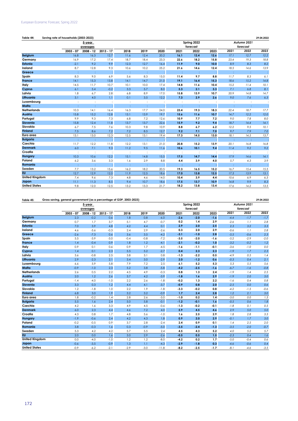| Table 44:             | Saving rate of households (2003-2023) |           |                |                      |      |      |                |             |      |         |                      | 29.04.2022 |
|-----------------------|---------------------------------------|-----------|----------------|----------------------|------|------|----------------|-------------|------|---------|----------------------|------------|
|                       |                                       | 5-year    |                |                      |      |      |                | Spring 2022 |      |         | Autumn 2021          |            |
|                       |                                       | averages  |                |                      |      |      |                | forecast    |      |         | forecast             |            |
|                       | $2003 - 07$                           | 2008 - 12 | $2013 - 17$    | 2018                 | 2019 | 2020 | 2021           | 2022        | 2023 | 2021    | 2022                 | 2023       |
| <b>Belgium</b>        | 16.8                                  | 16.3      | 12.7           | 11.6                 | 12.4 | 20.2 | 16.1           | 12.4        | 12.6 | 17.1    | 12.7                 | 12.2       |
| Germany               | 16.9                                  | 17.2      | 17.4           | 18.7                 | 18.4 | 23.3 | 22.6           | 18.2        | 15.8 | 23.4    | 19.3                 | 18.8       |
| <b>Estonia</b>        | $-2.1$                                | 9.2       | 9.9            | 12.3                 | 12.7 | 16.4 | 11.9           | 9.0         | 10.0 | 8.9     | 8.3                  | 8.2        |
| Ireland               | 8.7                                   | 12.8      | 9.3            | 10.6                 | 10.2 | 25.2 | 21.6           | 14.6        | 12.4 | 18.5    | 14.6                 | 13.9       |
| Greece                | ÷                                     | ÷         |                |                      | ÷    |      | ÷              |             |      | ÷       | ÷                    |            |
| Spain                 | 8.3                                   | 9.0       | 6.9            | 5.6                  | 8.3  | 15.0 | 11.4           | 9.7         | 8.8  | 11.7    | 8.3                  | 6.1        |
| <b>France</b>         | 14.1                                  | 15.3      | 13.8           | 14.1                 | 14.7 | 21.0 | 19.1           | 16.4        | 15.3 | 18.6    | 15.2                 | 14.8       |
| Italy                 | 14.5                                  | 11.7      | 10.7           | 10.1                 | 10.0 | 17.4 | 14.8           | 11.6        | 10.4 | 15.2    | 11.4                 | 10.1       |
| Cyprus                | 6.1                                   | 5.4       | $-0.2$         | 3.3                  | 5.7  | 8.0  | 5.3            | 2.1         | 3.3  | 7.1     | 6.8                  | 8.1        |
| Latvia                | 1.8                                   | 6.7       | 2.8            | 6.8                  | 8.9  | 17.0 | 15.8           | 13.9        | 10.7 | 20.9    | 14.8                 | 14.7       |
| Lithuania             | 3.1                                   | 4.0       | 1.1            | 0.1                  | 3.5  | 12.2 | 7.3            | 2.9         | 2.6  | 9.0     | 7.6                  | 6.3        |
| Luxembourg            |                                       | $\vdots$  |                | $\ddot{\phantom{a}}$ | t    |      | $\ddot{\cdot}$ |             | ÷    |         | $\ddot{\phantom{a}}$ |            |
| Malta                 |                                       |           |                |                      |      |      |                |             |      |         |                      |            |
| <b>Netherlands</b>    | 10.3                                  | 14.1      | 16.4           | 16.3                 | 17.7 | 24.0 | 23.4           | 19.3        | 18.3 | 22.4    | 18.7                 | 17.7       |
| Austria               | 15.8                                  | 15.2      | 12.8           | 13.1                 | 13.9 | 19.7 | 15.6           | 11.6        | 10.7 | 14.7    | 12.2                 | 12.0       |
| Portugal              | 9.9                                   | 9.3       | 7.3            | 6.8                  | 7.2  | 12.6 | 10.9           | 7.7         | 7.2  | 9.0     | 7.8                  | 8.0        |
| Slovenia              | 15.8                                  | 12.4      | 11.8           | 13.7                 | 13.7 | 22.6 | 15.9           | 9.2         | 9.4  | 18.7    | 14.4                 | 14.1       |
| Slovakia              | 6.7                                   | 7.5       | 7.6            | 10.3                 | 9.8  | 10.9 | 8.8            | 6.7         | 6.2  | 12.2    | 9.5                  | 10.1       |
| <b>Finland</b>        | 7.5                                   | 8.6       | 7.2            | 7.2                  | 8.5  | 12.7 | 9.2            | 7.1         | 7.0  | 9.7     | 7.9                  | 7.0        |
| Euro area             | 13.1                                  | 13.0      | 12.3           | 12.5                 | 13.1 | 19.4 | 17.3           | 14.5        | 13.0 | 18.1    | 14.5                 | 13.7       |
| <b>Bulgaria</b>       | ÷                                     | ÷         |                | ÷                    | ÷    |      | t              |             |      |         | ÷                    |            |
| Czechia               | 11.7                                  | 12.2      | 11.8           | 12.2                 | 13.1 | 21.0 | 20.8           | 15.2        | 13.9 | 20.1    | 16.8                 | 16.8       |
| <b>Denmark</b>        | 6.0                                   | 7.1       | 9.3            | 11.2                 | 9.5  | 11.6 | 10.6           | 10.1        | 9.4  | 11.4    | 9.2                  | 9.2        |
| Croatia               |                                       | $\vdots$  | $\ddot{\cdot}$ | t                    | ÷    | ÷    | $\vdots$       | ÷           | ÷    | $\cdot$ | $\therefore$         |            |
| Hungary               | 10.3                                  | 10.6      | 12.2           | 15.1                 | 14.8 | 15.5 | 17.5           | 14.7        | 14.4 | 17.9    | 14.6                 | 14.1       |
| Poland                | 6.2                                   | 3.6       | 3.3            | 1.6                  | 2.9  | 8.8  | 4.4            | 3.9         | 4.0  | 5.7     | 4.3                  | 3.9        |
| Romania               |                                       |           |                |                      |      |      | t              | ÷           |      |         |                      |            |
| Sweden                | 7.7                                   | 13.2      | 15.6           | 16.2                 | 18.2 | 20.5 | 19.3           | 16.5        | 15.2 | 16.7    | 15.4                 | 15.5       |
| $E_{\rm U}$           | 12.7                                  | 12.9      | 12.0           | 11.9                 | 12.5 | 18.6 | 17.0           | 13.8        | 12.5 | 17.3    | 13.9                 | 13.1       |
| <b>United Kingdom</b> | 7.4                                   | 9.6       | 7.3            | 4.8                  | 4.6  | 14.0 | 10.4           | 3.9         | 4.4  | 10.6    | 6.9                  | 6.3        |
| Japan                 | 11.1                                  | 11.3      | 8.5            | 9.4                  | 10.7 | 18.6 | 17.5           | 13.7        | 10.9 | 14.8    | 9.9                  | 8.3        |
| <b>United States</b>  | 9.8                                   | 12.0      | 12.5           | 13.2                 | 13.3 | 21.7 | 18.2           | 13.8        | 13.4 | 17.6    | 14.2                 | 13.5       |

## **Table 45: 29.04.2022 Gross saving, general government (as a percentage of GDP, 2003-2023)**

|                       |             | 5-year    |             |        |        |         |        | Spring 2022 |        |        | Autumn 2021 |        |
|-----------------------|-------------|-----------|-------------|--------|--------|---------|--------|-------------|--------|--------|-------------|--------|
|                       |             | averages  |             |        |        |         |        | forecast    |        |        | forecast    |        |
|                       | $2003 - 07$ | 2008 - 12 | $2013 - 17$ | 2018   | 2019   | 2020    | 2021   | 2022        | 2023   | 2021   | 2022        | 2023   |
| <b>Belgium</b>        | 2.3         | $-0.2$    | 0.6         | 1.8    | 0.8    | $-6.0$  | $-2.6$ | $-2.0$      | $-1.6$ | $-4.4$ | $-1.7$      | $-1.7$ |
| Germany               | 0.7         | 1.7       | 3.7         | 5.1    | 4.7    | $-0.7$  | 0.2    | 1.4         | 2.9    | $-2.6$ | 1.1         | 2.8    |
| Estonia               | 7.0         | 3.9       | 4.8         | 4.2    | 4.4    | 0.1     | 2.9    | 2.0         | 2.5    | 2.3    | 3.2         | 3.3    |
| Ireland               | 4.6         | $-5.6$    | $-0.3$      | 2.4    | 2.9    | $-2.6$  | 0.3    | 2.0         | 2.9    | $-0.6$ | 1.1         | 2.8    |
| Greece                | $-2.6$      | $-7.3$    | 0.6         | 3.6    | 3.5    | $-4.2$  | $-3.1$ | $-1.0$      | 2.8    | $-5.5$ | $-0.6$      | 2.3    |
| Spain                 | 5.5         | $-3.9$    | $-3.0$      | $-0.4$ | $-0.8$ | $-7.2$  | $-3.5$ | $-2.0$      | $-1.6$ | $-5.2$ | $-2.9$      | $-2.0$ |
| France                | 1.4         | $-0.4$    | 0.9         | 1.8    | 1.2    | $-4.1$  | $-2.1$ | $-0.2$      | 1.0    | $-3.2$ | $-0.2$      | 1.2    |
| Italy                 | 0.9         | 0.1       | 0.6         | 0.9    | 1.7    | $-4.5$  | $-1.6$ | $-1.1$      | $-0.1$ | $-3.6$ | $-1.0$      | 0.0    |
| Cyprus                | 1.4         | 0.1       | 2.3         | 5.5    | 5.2    | $-2.7$  | 0.4    | 2.3         | 2.3    | $-1.9$ | 1.7         | 2.3    |
| Latvia                | 3.6         | $-0.8$    | 2.5         | 3.8    | 3.1    | 0.8     | $-1.3$ | $-2.2$      | 0.5    | $-4.9$ | 0.5         | 1.4    |
| Lithuania             | 2.9         | $-2.3$    | 2.1         | 3.4    | 3.0    | $-2.9$  | 2.0    | $-1.2$      | 0.6    | $-0.3$ | 0.4         | 2.1    |
| Luxembourg            | 6.6         | 5.9       | 5.8         | 7.9    | 7.2    | 2.5     | 6.1    | 5.2         | 5.3    | 5.3    | 5.5         | 5.6    |
| Malta                 | $-0.9$      | $-1.0$    | 2.3         | 5.2    | 3.8    | $-5.8$  | $-4.2$ | $-2.5$      | $-1.6$ | $-6.7$ | $-1.6$      | $-0.8$ |
| <b>Netherlands</b>    | 2.6         | 0.5       | 2.2         | 4.5    | 4.9    | $-0.3$  | 0.8    | 1.3         | 2.4    | $-1.9$ | 1.4         | 2.5    |
| Austria               | 2.0         | 1.2       | 2.6         | 3.7    | 4.2    | $-3.9$  | $-1.8$ | 1.6         | 2.9    | $-1.9$ | 2.0         | 3.0    |
| Portugal              | $-1.4$      | $-4.0$    | $-1.0$      | 2.2    | 2.6    | $-1.8$  | $-0.2$ | 1.3         | 2.2    | $-1.6$ | 0.4         | 0.8    |
| Slovenia              | 3.3         | 0.3       | 1.2         | 4.4    | 4.1    | $-3.7$  | $-0.9$ | 0.8         | 2.0    | $-2.5$ | 0.0         | 0.6    |
| Slovakia              | 1.2         | $-1.8$    | 1.0         | 2.2    | 1.9    | $-1.8$  | $-3.3$ | $-0.2$      | 0.8    | $-4.2$ | $-1.5$      | $-0.6$ |
| <b>Finland</b>        | 6.8         | 3.0       | 1.9         | 3.2    | 3.2    | $-0.9$  | 1.7    | 2.4         | 2.8    | 1.2    | 2.1         | 3.0    |
| Euro area             | 1.8         | $-0.2$    | 1.4         | 2.8    | 2.6    | $-3.0$  | $-1.0$ | 0.2         | 1.4    | $-3.0$ | 0.0         | 1.3    |
| <b>Bulgaria</b>       | 5.5         | 1.6       | 2.4         | 5.0    | 5.8    | $-0.1$  | $-1.2$ | $-0.1$      | 1.6    | $-0.5$ | 0.6         | 1.8    |
| Czechia               | 4.2         | 1.6       | 3.3         | 4.9    | 4.5    | $-0.6$  | $-1.3$ | $-0.2$      | $-0.1$ | $-1.8$ | 0.1         | 0.5    |
| <b>Denmark</b>        | $6.0$       | 2.3       | 4.4         | 4.6    | 7.2    | 4.0     | 5.9    | 4.5         | 4.6    | 2.9    | 5.0         | 5.0    |
| Croatia               | 4.3         | 0.8       | 1.7         | 4.8    | 5.6    | $-1.0$  | 1.6    | 2.5         | 2.9    | 1.8    | 2.8         | 3.3    |
| Hungary               | $-1.9$      | $-0.6$    | 2.4         | 4.2    | 4.3    | 1.8     | 0.9    | 2.0         | 2.9    | $-0.1$ | 1.7         | 3.0    |
| Poland                | $-0.2$      | $-0.5$    | 0.9         | 3.7    | 2.8    | $-2.4$  | 2.4    | 0.9         | 0.1    | 1.4    | 2.5         | 2.0    |
| <b>Romania</b>        | 3.8         | $-0.3$    | 1.6         | 0.3    | $-0.9$ | $-5.0$  | $-3.5$ | $-2.4$      | $-1.3$ | $-3.5$ | $-2.0$      | $-0.7$ |
| Sweden                | 5.3         | 4.2       | 4.2         | 5.7    | 5.5    | 2.4     | 4.5    | 4.3         | 5.2    | 4.0    | 5.2         | 5.7    |
| EU                    | 2.0         | 0.0       | 1.6         | 3.0    | 2.9    | $-2.6$  | $-0.5$ | 0.5         | 1.5    | $-2.3$ | 0.4         | 1.6    |
| <b>United Kingdom</b> | 0.0         | $-4.0$    | $-1.0$      | 1.2    | 1.2    | $-8.0$  | $-4.2$ | 0.2         | 1.7    | $-5.0$ | $-0.4$      | 0.6    |
| Japan                 | $-0.6$      | $-3.5$    | $-0.9$      | 1.3    | 1.1    | $-4.3$  | $-2.9$ | $-1.8$      | 0.3    | $-4.6$ | $-0.6$      | 0.4    |
| <b>United States</b>  | $-0.9$      | $-6.2$    | $-2.1$      | $-2.9$ | $-3.0$ | $-11.8$ | $-8.2$ | $-2.5$      | $-1.7$ | $-8.1$ | $-4.6$      | $-3.5$ |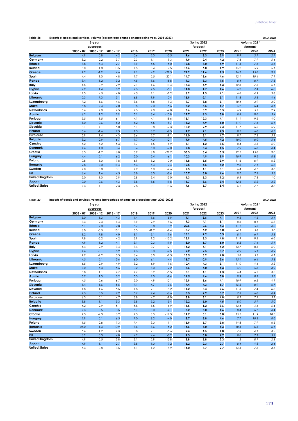| Table 46:             | Exports of goods and services, volume (percentage change on preceding year, 2003-2023) |             |             |        |        |         |        |             |      |      |             | 29.04.2022 |
|-----------------------|----------------------------------------------------------------------------------------|-------------|-------------|--------|--------|---------|--------|-------------|------|------|-------------|------------|
|                       |                                                                                        | 5-year      |             |        |        |         |        | Spring 2022 |      |      | Autumn 2021 |            |
|                       |                                                                                        | averages    |             |        |        |         |        | forecast    |      |      | forecast    |            |
|                       | $2003 - 07$                                                                            | $2008 - 12$ | $2013 - 17$ | 2018   | 2019   | 2020    | 2021   | 2022        | 2023 | 2021 | 2022        | 2023       |
| <b>Belgium</b>        | 4.9                                                                                    | 0.8         | 4.2         | 0.6    | 2.0    | $-5.5$  | 9.6    | 3.3         | 3.9  | 9.9  | 3.7         | 2.7        |
| Germany               | 8.2                                                                                    | 2.2         | 3.7         | 2.3    | 1.1    | $-9.3$  | 9.9    | 2.4         | 4.2  | 7.8  | 7.9         | 5.4        |
| Estonia               | 13.8                                                                                   | 5.4         | 2.7         | 3.9    | 6.5    | $-5.0$  | 19.8   | 3.0         | 4.9  | 11.3 | 7.6         | 4.5        |
| Ireland               | 5.0                                                                                    | 1.8         | 13.5        | 11.5   | 10.4   | 9.5     | 16.6   | 6.0         | 4.9  | 15.2 | 5.9         | 5.1        |
| Greece                | 7.2                                                                                    | $-1.9$      | 4.6         | 9.1    | 4.9    | $-21.5$ | 21.9   | 11.6        | 9.5  | 16.2 | 15.0        | 9.2        |
| Spain                 | 4.4                                                                                    | 1.0         | 4.8         | 1.7    | 2.5    | $-20.1$ | 14.7   | 13.6        | 4.6  | 12.1 | 10.4        | 7.1        |
| France                | 3.4                                                                                    | 1.2         | 3.2         | 4.5    | 1.6    | $-15.8$ | 9.3    | 8.3         | 7.5  | 8.4  | 8.7         | 7.5        |
| Italy                 | 4.5                                                                                    | $-0.9$      | 2.9         | 2.1    | 1.6    | $-13.4$ | 13.3   | 4.9         | 4.3  | 12.8 | 7.5         | 5.1        |
| Cyprus                | 2.2                                                                                    | 1.4         | 6.9         | 7.3    | 7.5    | $-5.1$  | 14.0   | 1.7         | 4.6  | 6.2  | 7.4         | 6.8        |
| Latvia                | 12.3                                                                                   | 4.5         | 4.0         | 4.5    | 2.1    | $-2.2$  | 6.2    | 1.3         | 4.1  | 6.6  | 4.9         | 3.8        |
| Lithuania             | 10.3                                                                                   | 7.3         | 5.1         | 6.8    | 9.9    | 0.4     | 15.9   | $-2.1$      | 3.1  | 11.8 | 5.3         | 4.4        |
| Luxembourg            | 7.2                                                                                    | 1.6         | 4.6         | 3.6    | 5.8    | 1.3     | 9.7    | 3.8         | 3.1  | 10.4 | 3.9         | 3.0        |
| Malta                 | 5.8                                                                                    | 7.4         | 7.0         | $-0.5$ | 7.0    | $-5.6$  | 8.2    | 5.5         | 4.7  | 5.2  | 6.4         | 4.1        |
| <b>Netherlands</b>    | 5.6                                                                                    | 2.0         | 4.5         | 4.3    | 2.0    | $-4.8$  | 6.6    | 3.9         | 3.5  | 6.9  | 5.2         | 2.9        |
| Austria               | 6.2                                                                                    | 1.2         | 2.9         | 5.1    | 3.4    | $-10.8$ | 12.7   | 6.3         | 3.8  | 8.4  | 9.0         | 5.4        |
| Portugal              | 5.5                                                                                    | 1.5         | 6.1         | 4.1    | 4.1    | $-18.6$ | 13.1   | 12.3        | 4.1  | 11.1 | 9.5         | 4.0        |
| Slovenia              | 11.0                                                                                   | 0.6         | 6.2         | 6.2    | 4.5    | $-8.7$  | 13.2   | 4.9         | 6.0  | 11.9 | 7.6         | 6.1        |
| Slovakia              | 18.1                                                                                   | 4.1         | 5.0         | 5.1    | 0.8    | $-7.3$  | 10.2   | 2.9         | 7.4  | 11.7 | 6.5         | 5.9        |
| <b>Finland</b>        | 6.6                                                                                    | $-1.6$      | 2.3         | 1.5    | 6.7    | $-7.5$  | 4.7    | 2.1         | 4.3  | 8.1  | 6.6         | 4.7        |
| Euro area             | 5.9                                                                                    | 1.4         | 4.3         | 3.6    | 2.7    | $-9.1$  | 11.0   | 5.1         | 4.7  | 9.7  | 7.3         | 5.2        |
| <b>Bulgaria</b>       | 13.2                                                                                   | 2.9         | 6.7         | 1.7    | 4.0    | $-12.1$ | 9.9    | 4.5         | 4.2  | 10.0 | 8.0         | 5.4        |
| Czechia               | 16.2                                                                                   | 4.2         | 5.3         | 3.7    | 1.5    | $-6.9$  | 5.1    | 1.2         | 3.5  | 8.4  | 4.5         | 5.9        |
| <b>Denmark</b>        | 4.6                                                                                    | 1.0         | 3.4         | 3.4    | 5.0    | $-7.0$  | 7.8    | 5.4         | 4.5  | 7.9  | 6.6         | 4.4        |
| Croatia               | 6.3                                                                                    | $-1.7$      | 6.8         | 3.7    | 6.8    | $-22.7$ | 33.3   | 8.4         | 5.5  | 22.1 | 15.0        | 9.0        |
| Hungary               | 14.4                                                                                   | 2.1         | 6.2         | 5.0    | 5.4    | $-6.1$  | 10.3   | 4.9         | 5.9  | 10.9 | 9.5         | 8.8        |
| Poland                | 10.8                                                                                   | 5.0         | 7.8         | 6.9    | 5.2    | 0.0     | 11.8   | 5.5         | 3.9  | 11.6 | 6.9         | 6.2        |
| Romania               | 12.8                                                                                   | 7.0         | 11.4        | 5.3    | 5.4    | $-9.4$  | 12.5   | 4.5         | 5.2  | 9.6  | 7.1         | 5.8        |
| Sweden                | 7.0                                                                                    | 0.8         | 3.1         | 4.2    | 6.0    | $-4.6$  | 7.5    | 4.1         | 3.1  | 6.4  | 4.7         | 3.6        |
| <b>EU</b>             | 6.4                                                                                    | 1.6         | 4.5         | 3.8    | 3.0    | $-8.4$  | 10.7   | 5.0         | 4.6  | 9.7  | 7.2         | 5.3        |
| <b>United Kingdom</b> | 5.0                                                                                    | 1.0         | 2.9         | 2.8    | 3.4    | $-13.0$ | $-1.3$ | 5.3         | 1.2  | 0.5  | 7.3         | 1.0        |
| Japan                 | 10.0                                                                                   | $-0.6$      | 4.3         | 3.8    | $-1.5$ | $-11.8$ | 11.7   | 3.6         | 3.4  | 12.6 | 5.2         | 3.2        |
| <b>United States</b>  | 7.3                                                                                    | 4.1         | 2.3         | 2.8    | $-0.1$ | $-13.6$ | 4.6    | 5.7         | 5.4  | 6.1  | 7.7         | 3.8        |

**Table 47: 29.04.2022 Imports of goods and services, volume (percentage change on preceding year, 2003-2023)**

|                       | ິ<br>sas ana scriices, roionic (perceniage enange | 5-year      |             |      | on processing you |         |        | Spring 2022 |      |        | Autumn 2021 | . <del>.</del> |
|-----------------------|---------------------------------------------------|-------------|-------------|------|-------------------|---------|--------|-------------|------|--------|-------------|----------------|
|                       |                                                   | averages    |             |      |                   |         |        | forecast    |      |        | forecast    |                |
|                       | $2003 - 07$                                       | $2008 - 12$ | $2013 - 17$ | 2018 | 2019              | 2020    | 2021   | 2022        | 2023 | 2021   | 2022        | 2023           |
| <b>Belgium</b>        | 5.0                                               | 1.3         | 4.3         | 1.4  | 1.6               | $-5.9$  | 9.1    | 3.6         | 4.1  | 9.5    | 4.5         | 3.1            |
| Germany               | 7.3                                               | 2.3         | 4.4         | 3.9  | 2.9               | $-8.6$  | 9.3    | 4.1         | 5.1  | 8.6    | 8.1         | 5.8            |
| Estonia               | 16.1                                              | 2.0         | 2.8         | 5.7  | 3.8               | 0.9     | 20.6   | $-0.6$      | 4.3  | 11.1   | 5.3         | 4.0            |
| Ireland               | 6.0                                               | $-0.5$      | 13.1        | 3.3  | 41.7              | $-7.4$  | $-3.7$ | 6.2         | 5.0  | $-4.5$ | 5.8         | 5.0            |
| Greece                | 8.2                                               | $-7.8$      | 4.0         | 8.1  | 3.1               | $-7.6$  | 16.1   | 7.9         | 5.3  | 8.1    | 6.9         | 5.2            |
| Spain                 | 7.8                                               | $-5.2$      | 4.2         | 3.9  | 1.2               | $-15.2$ | 13.9   | 8.3         | 4.8  | 11.9   | 9.2         | 6.6            |
| <b>France</b>         | 4.9                                               | 1.2         | 4.1         | 3.1  | 2.3               | $-11.9$ | 8.0    | 6.7         | 6.0  | 8.2    | 7.4         | 5.1            |
| Italy                 | 4.4                                               | $-2.9$      | 3.4         | 3.4  | $-0.7$            | $-12.1$ | 14.2   | 6.1         | 4.2  | 13.7   | 8.5         | 5.9            |
| Cyprus                | 4.6                                               | $-0.1$      | 6.9         | 4.3  | 8.3               | $-2.5$  | 9.2    | 2.5         | 3.7  | 4.9    | 5.1         | 4.9            |
| Latvia                | 17.7                                              | $-2.2$      | 3.3         | 6.4  | 3.0               | $-2.5$  | 13.5   | 3.2         | 4.0  | 5.8    | 5.5         | 4.1            |
| Lithuania             | 14.5                                              | 2.1         | 5.6         | 6.0  | 6.1               | $-4.4$  | 18.7   | $-0.9$      | 3.6  | 15.1   | 6.4         | 5.3            |
| Luxembourg            | 6.5                                               | 2.9         | 4.9         | 3.2  | 6.9               | 1.6     | 10.4   | 4.3         | 3.1  | 11.0   | 4.4         | 3.2            |
| Malta                 | 7.0                                               | 6.3         | 5.6         | 0.2  | 8.0               | $-2.2$  | 7.6    | 6.0         | 4.3  | 5.9    | 5.8         | 3.9            |
| <b>Netherlands</b>    | 5.8                                               | 1.1         | 4.7         | 4.7  | 3.2               | $-5.5$  | 5.1    | 4.1         | 4.3  | 6.4    | 6.2         | 3.3            |
| Austria               | 5.7                                               | 1.3         | 3.2         | 5.3  | 2.0               | $-9.4$  | 14.5   | 4.6         | 3.8  | 9.9    | 8.1         | 5.7            |
| Portugal              | 4.5                                               | $-2.6$      | 6.7         | 5.0  | 4.9               | $-12.1$ | 12.9   | 8.6         | 4.1  | 10.9   | 6.2         | 4.1            |
| Slovenia              | 11.4                                              | $-1.6$      | 5.5         | 7.1  | 4.7               | $-9.6$  | 17.4   | 4.3         | 5.7  | 15.5   | 8.9         | 6.7            |
| Slovakia              | 14.8                                              | 1.6         | 5.5         | 4.8  | 2.1               | $-8.2$  | 11.2   | 3.4         | 7.6  | 11.3   | 7.4         | 6.3            |
| <b>Finland</b>        | 7.5                                               | 0.5         | 2.2         | 5.7  | 2.4               | $-6.6$  | 5.3    | 2.9         | 3.7  | 7.3    | 6.6         | 4.4            |
| Euro area             | 6.3                                               | 0.1         | 4.7         | 3.8  | 4.7               | $-9.0$  | 8.8    | 5.1         | 4.8  | 8.2    | 7.2         | 5.1            |
| <b>Bulgaria</b>       | 18.8                                              | $-1.1$      | 5.3         | 5.8  | 5.2               | $-5.4$  | 12.2   | 5.0         | 4.5  | 8.0    | 5.9         | 5.0            |
| Czechia               | 14.2                                              | 2.9         | 5.1         | 5.8  | 1.5               | $-6.9$  | 11.5   | 1.2         | 3.6  | 13.4   | 4.6         | 5.4            |
| <b>Denmark</b>        | 7.3                                               | 0.5         | 3.5         | 5.1  | 3.0               | $-4.1$  | 8.2    | 5.0         | 4.6  | 8.4    | 6.7         | 4.4            |
| Croatia               | 7.3                                               | $-4.3$      | 6.2         | 7.5  | 6.5               | $-12.3$ | 14.7   | 8.1         | 8.0  | 15.1   | 11.9        | 10.3           |
| Hungary               | 12.9                                              | 0.1         | 6.5         | 7.0  | 8.2               | $-4.0$  | 8.7    | 3.8         | 4.6  | 7.7    | 10.3        | 8.6            |
| Poland                | 11.5                                              | 2.8         | 7.3         | 7.4  | 3.0               | $-1.1$  | 15.9   | 5.7         | 3.8  | 14.8   | 7.9         | 6.5            |
| Romania               | 26.0                                              | 1.3         | 10.9        | 8.6  | 8.6               | $-5.2$  | 14.6   | 5.0         | 5.3  | 10.3   | 6.3         | 6.1            |
| Sweden                | 6.6                                               | 1.2         | 4.3         | 3.8  | 2.1               | $-5.6$  | 9.4    | 4.5         | 1.8  | 7.3    | 4.1         | 3.2            |
| <b>EU</b>             | 6.9                                               | 0.3         | 4.8         | 4.2  | 4.6               | $-8.2$  | 9.3    | 5.0         | 4.7  | 8.6    | 7.1         | 5.2            |
| <b>United Kingdom</b> | 4.9                                               | 0.5         | 3.8         | 3.1  | 2.9               | $-15.8$ | 3.8    | 5.8         | 2.3  | 1.2    | 8.9         | 2.2            |
| Japan                 | 4.9                                               | 1.1         | 2.7         | 3.8  | 1.0               | $-7.2$  | 5.2    | 2.3         | 2.7  | 8.4    | 4.8         | 2.4            |
| <b>United States</b>  | 6.3                                               | 0.8         | 3.5         | 4.1  | 1.2               | $-8.9$  | 14.0   | 8.7         | 2.7  | 14.3   | 7.8         | 3.5            |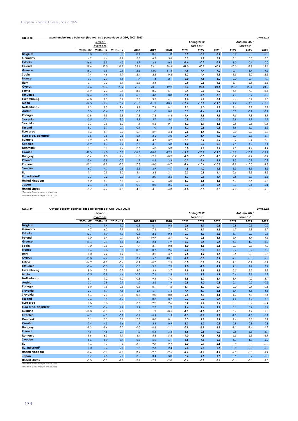## European Economic Forecast, Spring 2022

| Table 48 | ' (fob-fob.<br>2003-2023<br>া GDP∴<br>s a percentage of<br>"Nerchandise<br>e frade balance. | 29.04.2022 |
|----------|---------------------------------------------------------------------------------------------|------------|
|          |                                                                                             |            |

|                                  |             | 5-year<br>averages |             |         |         |         |         | Spring 2022<br>forecast |         |         | Autumn 2021<br>forecast |         |
|----------------------------------|-------------|--------------------|-------------|---------|---------|---------|---------|-------------------------|---------|---------|-------------------------|---------|
|                                  | $2003 - 07$ | $2008 - 12$        | $2013 - 17$ | 2018    | 2019    | 2020    | 2021    | 2022                    | 2023    | 2021    | 2022                    | 2023    |
| <b>Belgium</b>                   | 3.0         | $-0.9$             | 0.0         | $-0.4$  | 0.6     | 1.0     | 0.9     | $-0.6$                  | $-0.2$  | 0.9     | 0.8                     | 0.8     |
| Germany                          | 6.9         | 6.6                | 7.7         | 6.7     | 6.2     | 5.6     | 5.1     | 4.7                     | 5.2     | 5.1     | 5.3                     | 5.6     |
| Estonia                          | $-16.6$     | $-5.9$             | $-4.3$      | $-4.7$  | $-3.4$  | $-0.6$  | $-4.4$  | $-5.9$                  | $-5.2$  | $-1.0$  | $-0.4$                  | 0.0     |
| Ireland                          | 18.6        | 22.0               | 31.9        | 33.6    | 33.1    | 38.9    | 41.0    | 40.7                    | 40.1    | 40.0    | 39.8                    | 39.6    |
| Greece                           | $-16.3$     | $-13.9$            | $-10.9$     | $-12.6$ | $-13.0$ | $-11.8$ | $-14.9$ | $-17.4$                 | $-17.0$ | $-12.7$ | $-13.4$                 | $-14.2$ |
| Spain                            | $-7.4$      | $-4.6$             | $-1.7$      | $-2.4$  | $-2.2$  | $-0.8$  | $-1.7$  | $-4.4$                  | $-4.1$  | $-1.5$  | $-2.2$                  | $-2.5$  |
| <b>France</b>                    | $-0.7$      | $-2.3$             | $-1.5$      | $-1.7$  | $-1.4$  | $-2.1$  | $-3.0$  | $-4.5$                  | $-3.2$  | $-2.9$  | $-2.7$                  | $-1.9$  |
| Italy                            | 0.1         | $-0.2$             | 3.1         | 2.6     | 3.4     | 4.1     | 2.9     | 0.8                     | 1.3     | 3.7     | 2.6                     | 2.5     |
| Cyprus                           | $-24.6$     | $-23.3$            | $-20.2$     | $-21.0$ | $-20.1$ | $-19.2$ | $-18.3$ | $-20.4$                 | $-21.4$ | $-20.9$ | $-22.4$                 | $-24.0$ |
| Latvia                           | $-21.9$     | $-12.3$            | $-10.1$     | $-8.6$  | $-8.6$  | $-5.1$  | $-7.4$  | $-10.9$                 | $-9.9$  | $-5.8$  | $-7.3$                  | $-8.5$  |
| Lithuania                        | $-12.4$     | $-6.5$             | $-4.2$      | $-6.3$  | $-4.8$  | $-0.8$  | $-5.2$  | $-7.8$                  | $-8.3$  | $-4.1$  | $-5.1$                  | $-6.2$  |
| Luxembourg                       | $-6.8$      | 1.2                | 3.7         | 3.5     | 3.3     | 4.1     | 4.3     | 2.9                     | 3.1     | 4.4     | 3.7                     | 3.5     |
| Malta                            | $-17.5$     | $-19.6$            | $-16.7$     | $-11.8$ | $-11.9$ | $-10.5$ | $-16.6$ | $-18.9$                 | $-19.5$ | $-11.7$ | $-11.8$                 | $-11.7$ |
| <b>Netherlands</b>               | 8.2         | 8.3                | 9.6         | 9.3     | 7.4     | 8.1     | 8.1     | 6.0                     | 5.8     | 8.6     | 7.9                     | 7.7     |
| Austria                          | 0.3         | $-0.4$             | 0.3         | 0.3     | 1.0     | 0.8     | 0.1     | $-1.4$                  | $-1.1$  | 0.2     | $-0.2$                  | $-0.2$  |
| Portugal                         | $-10.9$     | $-9.9$             | $-5.8$      | $-7.8$  | $-7.8$  | $-6.4$  | $-7.4$  | $-9.9$                  | $-9.1$  | $-7.5$  | $-7.8$                  | $-8.1$  |
| <b>Slovenia</b>                  | $-3.5$      | $-2.1$             | 3.0         | 2.8     | 2.7     | 5.0     | 0.8     | $-0.7$                  | $-0.3$  | 2.8     | 1.7                     | 1.2     |
| Slovakia                         | $-3.3$      | 0.9                | 3.0         | 1.1     | $-0.5$  | 0.1     | $-1.2$  | $-3.1$                  | $-3.5$  | $-0.5$  | $-0.5$                  | $-0.4$  |
| <b>Finland</b>                   | 8.3         | 3.7                | 0.7         | 0.1     | 1.0     | 1.3     | 1.2     | 0.6                     | 0.8     | 1.8     | 2.0                     | 2.2     |
| Euro area                        | 1.3         | 1.1                | 3.3         | 2.9     | 2.9     | 3.4     | 2.8     | 1.4                     | 1.9     | 3.0     | 2.8                     | 2.9     |
| Euro area, adjusted <sup>2</sup> | 0.5         | 0.5                | 2.8         | 2.4     | 2.6     | 3.0     | 2.4     | 1.4                     | 1.9     | 3.0     | 2.8                     | 2.9     |
| <b>Bulgaria</b>                  | $-21.9$     | $-12.5$            | $-4.6$      | $-4.8$  | $-4.7$  | $-3.2$  | $-5.1$  | $-5.7$                  | $-5.9$  | $-3.4$  | $-3.4$                  | $-2.8$  |
| <b>Czechia</b>                   | $-1.2$      | 1.6                | 4.7         | 3.7     | 4.1     | 5.0     | 1.2     | $-0.3$                  | $-0.3$  | 2.5     | 1.4                     | 2.1     |
| Denmark                          | 3.1         | 3.9                | 4.7         | 3.6     | 5.3     | 5.3     | 3.8     | 2.6                     | 2.9     | 4.5     | 4.4                     | 4.4     |
| Croatia                          | $-21.3$     | $-16.0$            | $-15.8$     | $-18.3$ | $-18.8$ | $-17.3$ | $-17.7$ | $-20.7$                 | $-22.5$ | $-18.8$ | $-20.9$                 | $-23.1$ |
| Hungary                          | $-3.4$      | 1.5                | 2.4         | $-1.7$  | $-2.5$  | $-0.9$  | $-2.5$  | $-5.5$                  | $-4.3$  | $-0.7$  | $-2.2$                  | $-2.2$  |
| Poland                           | $-3.6$      | $-3.8$             | $-0.3$      | $-1.2$  | 0.3     | 2.4     | $-0.1$  | $-2.4$                  | $-2.1$  | 1.3     | 0.7                     | 0.8     |
| Romania                          | $-15.1$     | $-8.9$             | $-5.3$      | $-7.5$  | $-8.0$  | $-8.7$  | $-9.6$  | $-10.4$                 | $-10.8$ | $-9.8$  | $-10.0$                 | $-9.8$  |
| Sweden                           | 6.7         | 4.7                | 2.8         | 2.5     | 3.9     | 4.7     | 4.5     | 4.2                     | 4.9     | 3.9     | 3.3                     | 3.2     |
| <b>EU</b>                        | 1.1         | 0.9                | 3.0         | 2.4     | 2.6     | 3.1     | 2.3     | 0.9                     | 1.4     | 2.6     | 2.3                     | 2.5     |
| EU, adjusted <sup>2</sup>        | 0.3         | 0.2                | 2.3         | 1.8     | 2.0     | 2.5     | 1.7     | 0.9                     | 1.4     | 2.6     | 2.3                     | 2.5     |
| <b>United Kingdom</b>            | $-5.2$      | $-6.1$             | $-6.8$      | $-6.5$  | $-6.1$  | $-6.0$  | $-6.7$  | $-8.6$                  | $-8.8$  | $-6.1$  | $-6.5$                  | $-6.7$  |
| Japan                            | 2.4         | 0.6                | $-0.4$      | 0.2     | 0.0     | 0.6     | 0.3     | $-0.5$                  | $-0.4$  | 0.4     | 0.4                     | 0.4     |
| <b>United States</b>             | $-5.7$      | $-4.7$             | $-4.3$      | $-4.3$  | $-4.1$  | $-4.3$  | $-4.8$  | $-5.3$                  | $-5.0$  | $-4.9$  | $-5.0$                  | $-5.0$  |

<sup>1</sup> See note 7 on concepts and sources.<br><sup>2</sup> See note 8 on concepts and sources.

| <b>Belgium</b><br>Germany<br><b>Estonia</b><br>Ireland<br>Greece | $2003 - 07$<br>4.7<br>4.7<br>$-12.7$ | 5-year<br>averages<br>$2008 - 12$<br>1.4<br>6.2 | $2013 - 17$<br>1.2 | 2018   |         |         |        | Spring 2022<br>forecast |        |        | Autumn 2021 |         |
|------------------------------------------------------------------|--------------------------------------|-------------------------------------------------|--------------------|--------|---------|---------|--------|-------------------------|--------|--------|-------------|---------|
|                                                                  |                                      |                                                 |                    |        |         |         |        |                         |        |        |             |         |
|                                                                  |                                      |                                                 |                    |        |         |         |        |                         |        |        | forecast    |         |
|                                                                  |                                      |                                                 |                    |        | 2019    | 2020    | 2021   | 2022                    | 2023   | 2021   | 2022        | 2023    |
|                                                                  |                                      |                                                 |                    | $-0.8$ | 0.1     | 0.8     | 0.6    | $-1.1$                  | $-0.6$ | 0.8    | 0.3         | $0.0\,$ |
|                                                                  |                                      |                                                 | 7.9                | 8.1    | 7.6     | 7.1     | 7.2    | 6.1                     | 6.5    | 6.7    | 6.8         | 6.9     |
|                                                                  |                                      | $-1.0$                                          | 1.3                | 0.8    | 2.5     | $-0.3$  | $-0.7$ | 1.3                     | 2.3    | $-1.1$ | 0.2         | 0.5     |
|                                                                  | $-3.0$                               | $-3.4$                                          | 0.7                | 4.9    | $-19.9$ | $-2.7$  | 14.3   | 12.8                    | 13.1   | 15.4   | 14.4        | 14.6    |
|                                                                  | $-11.4$                              | $-10.4$                                         | $-1.8$             | $-3.5$ | $-2.4$  | $-7.9$  | $-8.3$ | $-8.4$                  | $-6.4$ | $-6.3$ | $-4.0$      | $-2.8$  |
| Spain                                                            | $-7.0$                               | $-3.9$                                          | 2.3                | 1.9    | 2.1     | 0.8     | 1.0    | 1.8                     | 2.1    | 0.3    | 0.8         | 1.0     |
| France                                                           | 0.4                                  | $-0.8$                                          | $-0.8$             | $-0.7$ | $-0.7$  | $-2.6$  | $-2.4$ | $-3.0$                  | $-2.0$ | $-2.4$ | $-2.2$      | $-1.0$  |
| Italy                                                            | $-1.0$                               | $-2.2$                                          | 1.9                | 2.5    | 3.2     | 3.7     | 2.5    | 1.2                     | 1.6    | 3.5    | 2.7         | 2.7     |
| Cyprus                                                           | $-15.8$                              | $-7.7$                                          | $-3.0$             | $-3.9$ | $-5.7$  | $-10.1$ | $-7.2$ | $-8.8$                  | $-7.2$ | $-9.1$ | $-7.3$      | $-5.7$  |
| Latvia                                                           | $-14.7$                              | $-1.9$                                          | $-0.4$             | $-0.2$ | $-0.7$  | 2.9     | $-0.5$ | $-3.9$                  | $-3.2$ | 1.1    | $-0.2$      | $-1.1$  |
| Lithuania                                                        | $-9.6$                               | $-3.3$                                          | 0.4                | 0.3    | 3.5     | 7.3     | 2.0    | $-1.8$                  | $-2.1$ | 2.6    | 1.9         | 1.2     |
| Luxembourg                                                       | 8.0                                  | 2.9                                             | 2.7                | 3.0    | $-2.4$  | 3.7     | 7.5    | 5.9                     | 5.5    | 5.5    | 5.2         | 5.2     |
| Malta                                                            | $-5.5$                               | $-3.8$                                          | 4.6                | 10.7   | 7.6     | 1.4     | 4.1    | 1.9                     | 1.9    | 0.4    | 1.8         | 1.9     |
| <b>Netherlands</b>                                               | 6.1                                  | 7.2                                             | 9.0                | 10.8   | 9.4     | 7.0     | 9.5    | 8.7                     | 8.7    | 8.4    | 9.0         | 8.9     |
| Austria                                                          | 2.3                                  | 2.8                                             | 2.1                | 1.0    | 2.2     | 1.9     | $-0.5$ | $-1.0$                  | $-0.8$ | $-0.1$ | $-0.2$      | $-0.5$  |
| Portugal                                                         | $-8.9$                               | $-7.8$                                          | 0.5                | 0.3    | 0.1     | $-1.2$  | $-1.1$ | $-1.7$                  | $-0.7$ | $-0.9$ | $-0.4$      | $-0.4$  |
| Slovenia                                                         | $-2.7$                               | $-1.7$                                          | 4.5                | 6.1    | 6.1     | 7.6     | 4.4    | 1.7                     | 2.6    | 5.4    | 4.8         | $4.8\,$ |
| Slovakia                                                         | $-5.4$                               | $-2.3$                                          | 0.4                | $-0.3$ | $-2.0$  | $-0.8$  | $-2.4$ | $-4.3$                  | $-4.1$ | $-1.7$ | $-1.0$      | $-1.1$  |
| <b>Finland</b>                                                   | 4.4                                  | 0.5                                             | $-1.4$             | $-1.8$ | $-0.3$  | 0.7     | 0.7    | 0.2                     | 0.4    | 1.2    | 1.2         | $1.5\,$ |
| Euro area                                                        | 0.5                                  | 0.8                                             | 3.3                | 3.6    | 2.9     | 2.6     | 3.2    | 2.4                     | 2.9    | 3.1    | 3.2         | 3.4     |
| Euro area, adjusted <sup>2</sup>                                 | 0.2                                  | $-0.4$                                          | 2.7                | 2.9    | 2.3     | 1.9     | 2.4    | 2.4                     | 2.9    | 3.1    | 3.2         | $3.4\,$ |
| <b>Bulgaria</b>                                                  | $-12.8$                              | $-6.1$                                          | 2.9                | 1.0    | 1.9     | $-0.5$  | $-1.1$ | $-1.8$                  | $-1.8$ | 0.4    | 1.2         | 2.7     |
| <b>Czechia</b>                                                   | $-4.1$                               | $-4.2$                                          | $-0.8$             | $-0.6$ | $-0.9$  | 2.5     | $-2.3$ | $-3.7$                  | $-3.8$ | $-1.2$ | $-2.5$      | $-1.7$  |
| <b>Denmark</b>                                                   | 3.1                                  | 5.2                                             | 8.1                | 7.3    | 8.8     | 8.1     | 8.3    | 7.8                     | 7.7    | 7.4    | 7.3         | 7.1     |
| Croatia                                                          | $-7.4$                               | $-4.5$                                          | 1.6                | 1.9    | 2.8     | $-0.9$  | 3.3    | 1.7                     | 0.3    | 0.8    | 0.8         | 0.3     |
| Hungary                                                          | $-9.2$                               | $-1.6$                                          | 2.2                | 0.0    | $-0.8$  | $-1.1$  | $-2.9$ | $-5.5$                  | $-3.5$ | -1.1   | $-2.4$      | $-1.9$  |
| Poland                                                           | $-4.6$                               | $-4.8$                                          | $-0.7$             | $-1.0$ | 0.8     | 3.3     | 1.6    | $-0.5$                  | $-0.2$ | 2.6    | 2.6         | 2.9     |
| Romania                                                          | $-9.6$                               | $-6.3$                                          | $-1.1$             | $-4.4$ | $-5.3$  | $-5.8$  | $-7.0$ | $-7.5$                  | $-7.3$ | $-6.5$ | $-6.3$      | $-6.1$  |
| Sweden                                                           | 6.6                                  | 6.0                                             | 3.4                | 2.6    | 5.2     | 6.1     | 5.5    | 4.8                     | 5.8    | 5.1    | 4.8         | $5.0\,$ |
| EU                                                               | 0.4                                  | 0.7                                             | 3.2                | 3.2    | 2.8     | 2.7     | 3.0    | 2.1                     | 2.6    | 3.0    | 3.0         | 3.2     |
| EU, adjusted <sup>2</sup>                                        | 0.0                                  | 0.4                                             | 2.8                | 2.7    | 2.3     | 2.4     | 2.4    | 2.1                     | 2.6    | 3.0    | 3.0         | $3.2\,$ |
| <b>United Kingdom</b>                                            | $-2.4$                               | $-3.1$                                          | $-4.8$             | $-3.9$ | $-2.7$  | $-2.5$  | $-2.6$ | $-4.6$                  | $-4.9$ | $-2.8$ | $-3.0$      | $-3.4$  |
| Japan                                                            | 3.7                                  | 2.5                                             | 2.6                | 3.5    | 3.4     | 3.0     | 3.4    | 2.5                     | 2.6    | 3.5    | 3.4         | 3.3     |
| <b>United States</b>                                             | $-5.3$                               | $-3.2$                                          | $-2.1$             | $-2.1$ | $-2.2$  | $-2.8$  | $-3.6$ | $-3.9$                  | $-3.4$ | $-3.6$ | $-3.6$      | $-3.5$  |

² See note 8 on concepts and sources.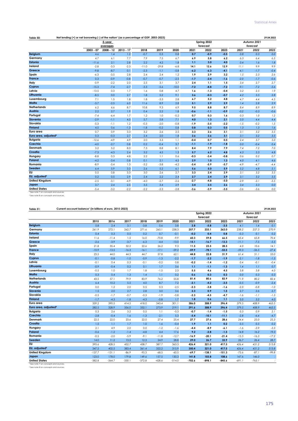|                                  |             |             |             |         |         |         |        |             |        |        |             | 29.04.2022 |
|----------------------------------|-------------|-------------|-------------|---------|---------|---------|--------|-------------|--------|--------|-------------|------------|
|                                  |             | 5-year      |             |         |         |         |        | Spring 2022 |        |        | Autumn 2021 |            |
|                                  |             | averages    |             |         |         |         |        | forecast    |        |        | forecast    |            |
|                                  | $2003 - 07$ | $2008 - 12$ | $2013 - 17$ | 2018    | 2019    | 2020    | 2021   | 2022        | 2023   | 2021   | 2022        | 2023       |
| <b>Belgium</b>                   | 4.6         | 1.4         | 1.2         | $-0.7$  | 0.3     | 0.8     | 0.7    | $-0.9$      | $-0.5$ | 0.8    | 0.3         | 0.0        |
| Germany                          | 4.7         | 6.1         | 7.7         | 7.9     | 7.5     | 6.7     | 6.9    | 5.8         | 6.2    | 6.3    | 6.4         | 6.5        |
| Estonia                          | $-11.6$     | 2.1         | 2.8         | 2.2     | 4.2     | 1.8     | 1,1    | 3.0         | 4.0    | 0.4    | 1.6         | 1.8        |
| Ireland                          | $-2.8$      | $-3.3$      | $-2.3$      | $-11.0$ | $-29.8$ | $-6.8$  | 14.1   | 12.6        | 12.9   | 11.1   | 9.9         | 9.9        |
| Greece                           | $-9.8$      | $-8.7$      | 0.1         | $-2.3$  | $-1.1$  | $-5.8$  | $-6.2$ | $-6.3$      | $-4.1$ | $-4.1$ | $-1.7$      | $-0.4$     |
| Spain                            | $-6.3$      | $-3.5$      | 2.8         | 2.4     | 2.4     | 1.2     | 1.9    | 2.9         | 3.2    | 1.5    | 2.3         | 2.6        |
| France                           | 0.3         | $-0.9$      | $-0.8$      | $-0.7$  | $-0.7$  | $-2.5$  | $-1.7$ | $-2.4$      | $-1.6$ | $-2.0$ | $-1.7$      | $-0.6$     |
| Italy                            | $-0.9$      | $-2.2$      | 2.0         | 2.5     | 3.1     | 3.7     | 2.4    | 1.1         | 1.5    | 3.4    | 2.7         | 2.7        |
| Cyprus                           | $-15.3$     | $-7.4$      | $-2.7$      | $-3.3$  | $-5.6$  | $-10.0$ | $-7.2$ | $-8.8$      | $-7.2$ | $-9.1$ | $-7.2$      | $-5.6$     |
| Latvia                           | $-13.5$     | 0.3         | 1.7         | 1.6     | 0.8     | 4.7     | 1.6    | $-1.3$      | $-0.4$ | 3.2    | 2.5         | 1.9        |
| Lithuania                        | $-8.5$      | 0.0         | 2.7         | 1.8     | 5.2     | 9.1     | 3.6    | $-0.3$      | $-0.7$ | 4.2    | 3.5         | 2.8        |
| Luxembourg                       | 7.1         | 1.5         | 1.8         | 1.8     | $-3.3$  | 2.8     | 6.7    | 5.2         | 4.8    | 4.7    | 4.4         | 4.5        |
| Malta                            | $-3.7$      | $-2.5$      | 6.0         | 11.6    | 8.9     | 2.8     | 5.1    | 2.9         | 2.9    | 1.4    | 2.8         | 2.9        |
| <b>Netherlands</b>               | 6.2         | 6.6         | 8.7         | 10.8    | 9.3     | 6.9     | 9.5    | 8.8         | 8.7    | 8.4    | 8.9         | 8.9        |
| Austria                          | 2.2         | 2.7         | 1.9         | 0.4     | 2.2     | 1.8     | $-0.6$ | $-1.1$      | $-0.9$ | $-0.2$ | $-0.3$      | $-0.6$     |
| Portugal                         | $-7.4$      | $-6.4$      | 1.7         | 1.2     | 1.0     | $-0.2$  | 0.7    | 0.3         | 1.6    | 0.3    | 1.0         | 1.2        |
| Slovenia                         | $-2.9$      | $-1.1$      | 4.5         | 5.7     | 5.8     | 7.1     | 4.0    | 1.3         | 2.1    | 5.0    | 4.4         | 4.4        |
| Slovakia                         | $-5.3$      | $-1.1$      | 1.2         | $-0.3$  | $-2.0$  | $-0.8$  | $-1.9$ | $-3.5$      | $-2.2$ | $-1.5$ | $-0.2$      | 1.5        |
| <b>Finland</b>                   | 4.5         | 0.6         | $-1.3$      | $-1.8$  | $-0.2$  | 0.8     | 0.8    | 0.3         | 0.5    | 1.3    | 1.3         | 1.6        |
| Euro area                        | 0.7         | 0.9         | 3.3         | 3.2     | 2.6     | 2.5     | 3.3    | 2.6         | 3.1    | 3.1    | 3.2         | 3.5        |
| Euro area, adjusted <sup>2</sup> | 0.3         | $-0.3$      | 2.7         | 2.4     | 2.0     | 1.8     | 2.6    | 2.6         | 3.1    | 3.1    | 3.2         | 3.5        |
| <b>Bulgaria</b>                  | $-12.6$     | $-4.9$      | 4.9         | 2.0     | 3.3     | 1.1     | $-0.4$ | 0.7         | 0.5    | 2.4    | 3.7         | 5.0        |
| Czechia                          | $-4.0$      | $-2.7$      | 0.8         | 0.2     | $-0.4$  | 3.7     | $-1.1$ | $-1.9$      | $-1.8$ | 0.0    | $-0.4$      | 0.4        |
| Denmark                          | 3.2         | 5.2         | 8.0         | 7.3     | 8.8     | 8.1     | 8.4    | 7.9         | 7.9    | 7.4    | 7.2         | 7.0        |
| Croatia                          | $-7.3$      | $-4.3$      | 2.4         | 3.2     | 4.5     | 1.3     | 5.7    | 6.2         | 4.8    | 4.3    | 5.3         | 4.8        |
| Hungary                          | $-8.8$      | 0.3         | 4.8         | 2.2     | 1.1     | 0.6     | $-0.3$ | $-3.4$      | $-0.8$ | 0.6    | 0.2         | 0.7        |
| Poland                           | $-4.2$      | $-3.4$      | 0.8         | 0.1     | 2.1     | 4.5     | 2.9    | 1.0         | 1.3    | 4.0    | 4.1         | 4.6        |
| Romania                          | $-8.9$      | $-5.4$      | 1.3         | $-3.2$  | $-3.8$  | $-4.2$  | $-5.4$ | $-5.9$      | $-5.7$ | $-4.9$ | $-4.7$      | $-4.4$     |
| Sweden                           | 6.4         | 5.9         | 3.3         | 2.6     | 5.2     | 6.1     | 5.6    | 5.0         | 5.9    | 5.2    | 4.8         | 5.1        |
| EU                               | 0.5         | 0.8         | 3.3         | 3.0     | 2.6     | 2.7     | 3.3    | 2.4         | 2.9    | 3.1    | 3.2         | 3.5        |
| EU, adjusted <sup>2</sup>        | 0.2         | 0.5         | 2.9         | 2.4     | 2.2     | 2.4     | 2.7    | 2.4         | 2.9    | 3.1    | 3.2         | 3.5        |
| <b>United Kingdom</b>            | $-2.5$      | $-3.1$      | $-4.9$      | $-4.0$  | $-2.7$  | $-2.6$  | $-2.7$ | $-4.8$      | $-5.0$ | $-2.9$ | $-3.1$      | $-3.5$     |
| Japan                            | 3.7         | 2.4         | 2.5         | 3.5     | 3.4     | 2.9     | 3.4    | 2.5         | 2.6    | 3.4    | 3.3         | 0.0        |
| <b>United States</b>             | $-5.4$      | $-3.2$      | $-2.2$      | $-2.2$  | $-2.3$  | $-2.8$  | $-3.6$ | $-3.9$      | $-3.5$ | $-3.6$ | $-3.6$      | 0.0        |

² See note 8 on concepts and sources.

| Spring 2022<br>Autumn 2021<br>forecast<br>forecast<br>2016<br>2017<br>2019<br>2015<br>2018<br>2020<br>2021<br>2022<br>2023<br>2021<br>2022<br>3.8<br>5.8<br>2.4<br>3.1<br>$-3.8$<br>0.6<br>2.8<br>$-5.8$<br>$-3.5$<br>1.4<br>4.1<br>Germany<br>261.9<br>272.1<br>262.7<br>265.1<br>257.7<br>271.6<br>238.3<br>233.1<br>262.0<br>238.2<br>257.3<br>$-0.2$<br>0.4<br><b>Estonia</b><br>0.4<br>0.7<br>$-0.1$<br>0.8<br>0.3<br>0.5<br>0.2<br>$-0.3$<br>0.1<br>Ireland<br>11.6<br>$-11.4$<br>1.5<br>16.0<br>$-70.8$<br>$-9.9$<br>60.3<br>65.4<br>59.8<br>66.5<br>65.8<br>$-2.6$<br>Greece<br>$-3.9$<br>$-3.7$<br>$-6.3$<br>$-4.4$<br>$-13.0$<br>$-15.1$<br>$-7.5$<br>$-16.7$<br>$-13.3$<br>$-11.1$<br>21.8<br>35.4<br>32.2<br>26.2<br>9.3<br>11.5<br>10.6<br>22.6<br>23.5<br>28.5<br>4.0<br>$-17.1$<br>$-59.2$<br>$-53.5$<br><b>France</b><br>$-10.9$<br>$-13.5$<br>$-16.3$<br>$-16.1$<br>$-59.9$<br>$-78.1$<br>$-59.3$<br>$-56.5$<br>23.5<br>57.8<br>62.1<br>44.8<br>51.1<br>44.0<br>44.3<br>44.7<br>22.8<br>31.9<br>61.4<br>$-0.1$<br>$-0.8$<br>$-0.9$<br>$-2.2$<br>$-1.7$<br>$-1.9$<br>$-1.0$<br>$-1.3$<br>$-2.2$<br>$-2.1$<br>$-1.8$<br>Latvia<br>$-0.2$<br>$-1.4$<br>$-1.2$<br>$-0.1$<br>0.4<br>0.3<br>$-0.1$<br>$-0.2$<br>0.8<br>0.4<br>$-0.1$<br>3.6<br>Lithuania<br>$-0.9$<br>$-0.4$<br>0.2<br>0.1<br>1.7<br>1.1<br>$-1.3$<br>1.4<br>1.1<br>$-1.1$<br>Luxembourg<br>$-0.5$<br>1.7<br>2.3<br>5.5<br>1.0<br>1.8<br>$-1.5$<br>4.6<br>4.5<br>3.8<br>3.8<br>0.2<br>Malta<br>0.3<br>0.3<br>0.3<br>0.4<br>1.3<br>1.4<br>1.1<br>0.6<br>0.3<br>0.0<br><b>Netherlands</b><br>43.5<br>57.1<br>79.9<br>83.9<br>76.2<br>55.8<br>81.4<br>80.6<br>83.9<br>71.9<br>80.2<br>6.4<br>10.2<br>8.7<br>7.2<br>$-3.5$<br>$-0.9$<br>5.5<br>4.0<br>$-2.1$<br>$-4.2$<br>$-0.5$<br>Portugal<br>$-2.3$<br>1.2<br>$-3.8$<br>$-1.6$<br>0.0<br>2.0<br>0.5<br>0.3<br>$-2.5$<br>$-2.0$<br>$-0.8$<br>3.6<br>2.3<br>0.9<br>1.5<br>1.5<br>2.0<br>2.7<br>2.8<br>3.0<br>2.7<br>2.6<br>$-0.5$<br>$-1.7$<br>$-0.7$<br>$-1.9$<br>$-2.3$<br>$-0.3$<br>$-0.8$<br>$-4.5$<br>$-4.7$<br>$-1.6$<br>$-1.1$<br>1.7<br>$-1.7$<br>$-4.3$<br>$-1.8$<br>$-4.3$<br>$-0.8$<br>1.8<br>0.6<br>1,1<br>3.0<br>3.2<br>Euro area<br>386.0<br>359.2<br>390.5<br>414.5<br>418.0<br>343.4<br>301.1<br>308.9<br>379.5<br>408.9<br>396.4<br>Euro area, adjusted <sup>2</sup><br>219.1<br>282.5<br>328.9<br>356.0<br>332.1<br>273.9<br>291.6<br>308.9<br>379.5<br>408.9<br>396.4<br><b>Bulgaria</b><br>0.3<br>2.6<br>3.2<br>0.5<br>1.1<br>$-0.3$<br>$-0.7$<br>$-1.4$<br>0.3<br>0.9<br>$-1.5$<br>5.3<br>$-5.4$<br>$-10.1$<br>$-11.1$<br>$-2.8$<br>$-0.4$<br>1.6<br>$-1.3$<br>$-2.1$<br>$-2.8$<br>$-6.4$<br>Denmark<br>22.5<br>22.0<br>27.4<br>23.6<br>22.0<br>25.4<br>27.7<br>27.6<br>28.6<br>24.4<br>25.0<br>1.5<br>1.7<br>$-0.4$<br>1.9<br>0.2<br>1.1<br>1.0<br>1.6<br>1,1<br>0.5<br>0.5<br>Hungary<br>2.1<br>4.9<br>2.0<br>0.0<br>$-1.2$<br>$-4.4$<br>$-3.9$<br>$-1.6$<br>$-8.9$<br>$-6.1$<br>$-1.6$<br>$-1.5$<br>$-0.6$<br>$-1.2$<br>$-4.8$<br>4.4<br>17.6<br>9.2<br>$-2.8$<br>14.8<br>16.2<br>$-1.4$<br>Romania<br>$-0.5$<br>$-2.0$<br>$-5.9$<br>$-9.1$<br>$-11.8$<br>$-12.7$<br>$-16.9$<br>$-20.1$<br>$-21.4$<br>$-15.5$<br>$-16.3$<br>13.5<br>24.9<br>28.8<br>29.0<br>33.9<br>14.0<br>11.2<br>12.3<br>26.7<br>26.7<br>26.4<br>426.4<br>395.6<br>321.0<br>417.5<br>428.5<br>452.7<br>438.7<br>387.7<br>363.3<br>426.4<br>451.2<br>347.5<br>402.5<br>383.4<br>361.4<br>322.2<br>315.9<br>350.4<br>417.5<br>426.4<br>451.2<br>321.0<br>$-137.7$<br>$-86.9$<br>$-95.3$<br>$-68.5$<br>$-60.5$<br>$-69.7$<br>$-138.1$<br>$-151.3$<br>$-75.6$<br>$-87.1$<br>$-131.1$ | Table 51: | Current-account balance <sup>1</sup> (in billions of euro, 2015-2023) |       |       |       |       |       |       |       |       |       |       | 29.04.2022 |
|-----------------------------------------------------------------------------------------------------------------------------------------------------------------------------------------------------------------------------------------------------------------------------------------------------------------------------------------------------------------------------------------------------------------------------------------------------------------------------------------------------------------------------------------------------------------------------------------------------------------------------------------------------------------------------------------------------------------------------------------------------------------------------------------------------------------------------------------------------------------------------------------------------------------------------------------------------------------------------------------------------------------------------------------------------------------------------------------------------------------------------------------------------------------------------------------------------------------------------------------------------------------------------------------------------------------------------------------------------------------------------------------------------------------------------------------------------------------------------------------------------------------------------------------------------------------------------------------------------------------------------------------------------------------------------------------------------------------------------------------------------------------------------------------------------------------------------------------------------------------------------------------------------------------------------------------------------------------------------------------------------------------------------------------------------------------------------------------------------------------------------------------------------------------------------------------------------------------------------------------------------------------------------------------------------------------------------------------------------------------------------------------------------------------------------------------------------------------------------------------------------------------------------------------------------------------------------------------------------------------------------------------------------------------------------------------------------------------------------------------------------------------------------------------------------------------------------------------------------------------------------------------------------------------------------------------------------------------------------------------------------------------------------------------------------------------------------------------------------------------------------------------------------------------------------------------------------------------------------------------------------------------------------------------------------------------------------------------------------------------------------------------------------------------------------------------------------------------------------------------------------------------------------------------------------------------------------------------------------|-----------|-----------------------------------------------------------------------|-------|-------|-------|-------|-------|-------|-------|-------|-------|-------|------------|
| <b>Belgium</b><br>Spain<br>Italy<br>Cyprus<br>Austria<br>Slovenia<br>Slovakia<br><b>Finland</b><br>Czechia<br>Croatia<br>Poland<br>Sweden<br><b>EU</b><br>EU, adjusted <sup>2</sup>                                                                                                                                                                                                                                                                                                                                                                                                                                                                                                                                                                                                                                                                                                                                                                                                                                                                                                                                                                                                                                                                                                                                                                                                                                                                                                                                                                                                                                                                                                                                                                                                                                                                                                                                                                                                                                                                                                                                                                                                                                                                                                                                                                                                                                                                                                                                                                                                                                                                                                                                                                                                                                                                                                                                                                                                                                                                                                                                                                                                                                                                                                                                                                                                                                                                                                                                                                                                                 |           |                                                                       |       |       |       |       |       |       |       |       |       |       |            |
|                                                                                                                                                                                                                                                                                                                                                                                                                                                                                                                                                                                                                                                                                                                                                                                                                                                                                                                                                                                                                                                                                                                                                                                                                                                                                                                                                                                                                                                                                                                                                                                                                                                                                                                                                                                                                                                                                                                                                                                                                                                                                                                                                                                                                                                                                                                                                                                                                                                                                                                                                                                                                                                                                                                                                                                                                                                                                                                                                                                                                                                                                                                                                                                                                                                                                                                                                                                                                                                                                                                                                                                                     |           |                                                                       |       |       |       |       |       |       |       |       |       |       |            |
|                                                                                                                                                                                                                                                                                                                                                                                                                                                                                                                                                                                                                                                                                                                                                                                                                                                                                                                                                                                                                                                                                                                                                                                                                                                                                                                                                                                                                                                                                                                                                                                                                                                                                                                                                                                                                                                                                                                                                                                                                                                                                                                                                                                                                                                                                                                                                                                                                                                                                                                                                                                                                                                                                                                                                                                                                                                                                                                                                                                                                                                                                                                                                                                                                                                                                                                                                                                                                                                                                                                                                                                                     |           |                                                                       |       |       |       |       |       |       |       |       |       |       | 2023       |
|                                                                                                                                                                                                                                                                                                                                                                                                                                                                                                                                                                                                                                                                                                                                                                                                                                                                                                                                                                                                                                                                                                                                                                                                                                                                                                                                                                                                                                                                                                                                                                                                                                                                                                                                                                                                                                                                                                                                                                                                                                                                                                                                                                                                                                                                                                                                                                                                                                                                                                                                                                                                                                                                                                                                                                                                                                                                                                                                                                                                                                                                                                                                                                                                                                                                                                                                                                                                                                                                                                                                                                                                     |           |                                                                       |       |       |       |       |       |       |       |       |       |       | 0.1        |
|                                                                                                                                                                                                                                                                                                                                                                                                                                                                                                                                                                                                                                                                                                                                                                                                                                                                                                                                                                                                                                                                                                                                                                                                                                                                                                                                                                                                                                                                                                                                                                                                                                                                                                                                                                                                                                                                                                                                                                                                                                                                                                                                                                                                                                                                                                                                                                                                                                                                                                                                                                                                                                                                                                                                                                                                                                                                                                                                                                                                                                                                                                                                                                                                                                                                                                                                                                                                                                                                                                                                                                                                     |           |                                                                       |       |       |       |       |       |       |       |       |       |       | 270.9      |
| <b>United Kingdom</b>                                                                                                                                                                                                                                                                                                                                                                                                                                                                                                                                                                                                                                                                                                                                                                                                                                                                                                                                                                                                                                                                                                                                                                                                                                                                                                                                                                                                                                                                                                                                                                                                                                                                                                                                                                                                                                                                                                                                                                                                                                                                                                                                                                                                                                                                                                                                                                                                                                                                                                                                                                                                                                                                                                                                                                                                                                                                                                                                                                                                                                                                                                                                                                                                                                                                                                                                                                                                                                                                                                                                                                               |           |                                                                       |       |       |       |       |       |       |       |       |       |       | 0.2        |
|                                                                                                                                                                                                                                                                                                                                                                                                                                                                                                                                                                                                                                                                                                                                                                                                                                                                                                                                                                                                                                                                                                                                                                                                                                                                                                                                                                                                                                                                                                                                                                                                                                                                                                                                                                                                                                                                                                                                                                                                                                                                                                                                                                                                                                                                                                                                                                                                                                                                                                                                                                                                                                                                                                                                                                                                                                                                                                                                                                                                                                                                                                                                                                                                                                                                                                                                                                                                                                                                                                                                                                                                     |           |                                                                       |       |       |       |       |       |       |       |       |       |       | 70.4       |
|                                                                                                                                                                                                                                                                                                                                                                                                                                                                                                                                                                                                                                                                                                                                                                                                                                                                                                                                                                                                                                                                                                                                                                                                                                                                                                                                                                                                                                                                                                                                                                                                                                                                                                                                                                                                                                                                                                                                                                                                                                                                                                                                                                                                                                                                                                                                                                                                                                                                                                                                                                                                                                                                                                                                                                                                                                                                                                                                                                                                                                                                                                                                                                                                                                                                                                                                                                                                                                                                                                                                                                                                     |           |                                                                       |       |       |       |       |       |       |       |       |       |       | $-5.5$     |
|                                                                                                                                                                                                                                                                                                                                                                                                                                                                                                                                                                                                                                                                                                                                                                                                                                                                                                                                                                                                                                                                                                                                                                                                                                                                                                                                                                                                                                                                                                                                                                                                                                                                                                                                                                                                                                                                                                                                                                                                                                                                                                                                                                                                                                                                                                                                                                                                                                                                                                                                                                                                                                                                                                                                                                                                                                                                                                                                                                                                                                                                                                                                                                                                                                                                                                                                                                                                                                                                                                                                                                                                     |           |                                                                       |       |       |       |       |       |       |       |       |       |       | 14.1       |
|                                                                                                                                                                                                                                                                                                                                                                                                                                                                                                                                                                                                                                                                                                                                                                                                                                                                                                                                                                                                                                                                                                                                                                                                                                                                                                                                                                                                                                                                                                                                                                                                                                                                                                                                                                                                                                                                                                                                                                                                                                                                                                                                                                                                                                                                                                                                                                                                                                                                                                                                                                                                                                                                                                                                                                                                                                                                                                                                                                                                                                                                                                                                                                                                                                                                                                                                                                                                                                                                                                                                                                                                     |           |                                                                       |       |       |       |       |       |       |       |       |       |       | $-27.4$    |
|                                                                                                                                                                                                                                                                                                                                                                                                                                                                                                                                                                                                                                                                                                                                                                                                                                                                                                                                                                                                                                                                                                                                                                                                                                                                                                                                                                                                                                                                                                                                                                                                                                                                                                                                                                                                                                                                                                                                                                                                                                                                                                                                                                                                                                                                                                                                                                                                                                                                                                                                                                                                                                                                                                                                                                                                                                                                                                                                                                                                                                                                                                                                                                                                                                                                                                                                                                                                                                                                                                                                                                                                     |           |                                                                       |       |       |       |       |       |       |       |       |       |       | 53.0       |
|                                                                                                                                                                                                                                                                                                                                                                                                                                                                                                                                                                                                                                                                                                                                                                                                                                                                                                                                                                                                                                                                                                                                                                                                                                                                                                                                                                                                                                                                                                                                                                                                                                                                                                                                                                                                                                                                                                                                                                                                                                                                                                                                                                                                                                                                                                                                                                                                                                                                                                                                                                                                                                                                                                                                                                                                                                                                                                                                                                                                                                                                                                                                                                                                                                                                                                                                                                                                                                                                                                                                                                                                     |           |                                                                       |       |       |       |       |       |       |       |       |       |       | $-1.5$     |
|                                                                                                                                                                                                                                                                                                                                                                                                                                                                                                                                                                                                                                                                                                                                                                                                                                                                                                                                                                                                                                                                                                                                                                                                                                                                                                                                                                                                                                                                                                                                                                                                                                                                                                                                                                                                                                                                                                                                                                                                                                                                                                                                                                                                                                                                                                                                                                                                                                                                                                                                                                                                                                                                                                                                                                                                                                                                                                                                                                                                                                                                                                                                                                                                                                                                                                                                                                                                                                                                                                                                                                                                     |           |                                                                       |       |       |       |       |       |       |       |       |       |       | $-0.4$     |
|                                                                                                                                                                                                                                                                                                                                                                                                                                                                                                                                                                                                                                                                                                                                                                                                                                                                                                                                                                                                                                                                                                                                                                                                                                                                                                                                                                                                                                                                                                                                                                                                                                                                                                                                                                                                                                                                                                                                                                                                                                                                                                                                                                                                                                                                                                                                                                                                                                                                                                                                                                                                                                                                                                                                                                                                                                                                                                                                                                                                                                                                                                                                                                                                                                                                                                                                                                                                                                                                                                                                                                                                     |           |                                                                       |       |       |       |       |       |       |       |       |       |       | 0.7        |
|                                                                                                                                                                                                                                                                                                                                                                                                                                                                                                                                                                                                                                                                                                                                                                                                                                                                                                                                                                                                                                                                                                                                                                                                                                                                                                                                                                                                                                                                                                                                                                                                                                                                                                                                                                                                                                                                                                                                                                                                                                                                                                                                                                                                                                                                                                                                                                                                                                                                                                                                                                                                                                                                                                                                                                                                                                                                                                                                                                                                                                                                                                                                                                                                                                                                                                                                                                                                                                                                                                                                                                                                     |           |                                                                       |       |       |       |       |       |       |       |       |       |       | 4.0        |
|                                                                                                                                                                                                                                                                                                                                                                                                                                                                                                                                                                                                                                                                                                                                                                                                                                                                                                                                                                                                                                                                                                                                                                                                                                                                                                                                                                                                                                                                                                                                                                                                                                                                                                                                                                                                                                                                                                                                                                                                                                                                                                                                                                                                                                                                                                                                                                                                                                                                                                                                                                                                                                                                                                                                                                                                                                                                                                                                                                                                                                                                                                                                                                                                                                                                                                                                                                                                                                                                                                                                                                                                     |           |                                                                       |       |       |       |       |       |       |       |       |       |       | 0.3        |
|                                                                                                                                                                                                                                                                                                                                                                                                                                                                                                                                                                                                                                                                                                                                                                                                                                                                                                                                                                                                                                                                                                                                                                                                                                                                                                                                                                                                                                                                                                                                                                                                                                                                                                                                                                                                                                                                                                                                                                                                                                                                                                                                                                                                                                                                                                                                                                                                                                                                                                                                                                                                                                                                                                                                                                                                                                                                                                                                                                                                                                                                                                                                                                                                                                                                                                                                                                                                                                                                                                                                                                                                     |           |                                                                       |       |       |       |       |       |       |       |       |       |       | 82.4       |
|                                                                                                                                                                                                                                                                                                                                                                                                                                                                                                                                                                                                                                                                                                                                                                                                                                                                                                                                                                                                                                                                                                                                                                                                                                                                                                                                                                                                                                                                                                                                                                                                                                                                                                                                                                                                                                                                                                                                                                                                                                                                                                                                                                                                                                                                                                                                                                                                                                                                                                                                                                                                                                                                                                                                                                                                                                                                                                                                                                                                                                                                                                                                                                                                                                                                                                                                                                                                                                                                                                                                                                                                     |           |                                                                       |       |       |       |       |       |       |       |       |       |       | $-2.4$     |
|                                                                                                                                                                                                                                                                                                                                                                                                                                                                                                                                                                                                                                                                                                                                                                                                                                                                                                                                                                                                                                                                                                                                                                                                                                                                                                                                                                                                                                                                                                                                                                                                                                                                                                                                                                                                                                                                                                                                                                                                                                                                                                                                                                                                                                                                                                                                                                                                                                                                                                                                                                                                                                                                                                                                                                                                                                                                                                                                                                                                                                                                                                                                                                                                                                                                                                                                                                                                                                                                                                                                                                                                     |           |                                                                       |       |       |       |       |       |       |       |       |       |       | $-1.0$     |
|                                                                                                                                                                                                                                                                                                                                                                                                                                                                                                                                                                                                                                                                                                                                                                                                                                                                                                                                                                                                                                                                                                                                                                                                                                                                                                                                                                                                                                                                                                                                                                                                                                                                                                                                                                                                                                                                                                                                                                                                                                                                                                                                                                                                                                                                                                                                                                                                                                                                                                                                                                                                                                                                                                                                                                                                                                                                                                                                                                                                                                                                                                                                                                                                                                                                                                                                                                                                                                                                                                                                                                                                     |           |                                                                       |       |       |       |       |       |       |       |       |       |       | 2.7        |
|                                                                                                                                                                                                                                                                                                                                                                                                                                                                                                                                                                                                                                                                                                                                                                                                                                                                                                                                                                                                                                                                                                                                                                                                                                                                                                                                                                                                                                                                                                                                                                                                                                                                                                                                                                                                                                                                                                                                                                                                                                                                                                                                                                                                                                                                                                                                                                                                                                                                                                                                                                                                                                                                                                                                                                                                                                                                                                                                                                                                                                                                                                                                                                                                                                                                                                                                                                                                                                                                                                                                                                                                     |           |                                                                       |       |       |       |       |       |       |       |       |       |       | $-1.3$     |
|                                                                                                                                                                                                                                                                                                                                                                                                                                                                                                                                                                                                                                                                                                                                                                                                                                                                                                                                                                                                                                                                                                                                                                                                                                                                                                                                                                                                                                                                                                                                                                                                                                                                                                                                                                                                                                                                                                                                                                                                                                                                                                                                                                                                                                                                                                                                                                                                                                                                                                                                                                                                                                                                                                                                                                                                                                                                                                                                                                                                                                                                                                                                                                                                                                                                                                                                                                                                                                                                                                                                                                                                     |           |                                                                       |       |       |       |       |       |       |       |       |       |       | 4.0        |
|                                                                                                                                                                                                                                                                                                                                                                                                                                                                                                                                                                                                                                                                                                                                                                                                                                                                                                                                                                                                                                                                                                                                                                                                                                                                                                                                                                                                                                                                                                                                                                                                                                                                                                                                                                                                                                                                                                                                                                                                                                                                                                                                                                                                                                                                                                                                                                                                                                                                                                                                                                                                                                                                                                                                                                                                                                                                                                                                                                                                                                                                                                                                                                                                                                                                                                                                                                                                                                                                                                                                                                                                     |           |                                                                       |       |       |       |       |       |       |       |       |       |       | 463.5      |
|                                                                                                                                                                                                                                                                                                                                                                                                                                                                                                                                                                                                                                                                                                                                                                                                                                                                                                                                                                                                                                                                                                                                                                                                                                                                                                                                                                                                                                                                                                                                                                                                                                                                                                                                                                                                                                                                                                                                                                                                                                                                                                                                                                                                                                                                                                                                                                                                                                                                                                                                                                                                                                                                                                                                                                                                                                                                                                                                                                                                                                                                                                                                                                                                                                                                                                                                                                                                                                                                                                                                                                                                     |           |                                                                       |       |       |       |       |       |       |       |       |       |       | 463.5      |
|                                                                                                                                                                                                                                                                                                                                                                                                                                                                                                                                                                                                                                                                                                                                                                                                                                                                                                                                                                                                                                                                                                                                                                                                                                                                                                                                                                                                                                                                                                                                                                                                                                                                                                                                                                                                                                                                                                                                                                                                                                                                                                                                                                                                                                                                                                                                                                                                                                                                                                                                                                                                                                                                                                                                                                                                                                                                                                                                                                                                                                                                                                                                                                                                                                                                                                                                                                                                                                                                                                                                                                                                     |           |                                                                       |       |       |       |       |       |       |       |       |       |       | 2.1        |
|                                                                                                                                                                                                                                                                                                                                                                                                                                                                                                                                                                                                                                                                                                                                                                                                                                                                                                                                                                                                                                                                                                                                                                                                                                                                                                                                                                                                                                                                                                                                                                                                                                                                                                                                                                                                                                                                                                                                                                                                                                                                                                                                                                                                                                                                                                                                                                                                                                                                                                                                                                                                                                                                                                                                                                                                                                                                                                                                                                                                                                                                                                                                                                                                                                                                                                                                                                                                                                                                                                                                                                                                     |           |                                                                       |       |       |       |       |       |       |       |       |       |       | $-4.7$     |
|                                                                                                                                                                                                                                                                                                                                                                                                                                                                                                                                                                                                                                                                                                                                                                                                                                                                                                                                                                                                                                                                                                                                                                                                                                                                                                                                                                                                                                                                                                                                                                                                                                                                                                                                                                                                                                                                                                                                                                                                                                                                                                                                                                                                                                                                                                                                                                                                                                                                                                                                                                                                                                                                                                                                                                                                                                                                                                                                                                                                                                                                                                                                                                                                                                                                                                                                                                                                                                                                                                                                                                                                     |           |                                                                       |       |       |       |       |       |       |       |       |       |       | 25.3       |
|                                                                                                                                                                                                                                                                                                                                                                                                                                                                                                                                                                                                                                                                                                                                                                                                                                                                                                                                                                                                                                                                                                                                                                                                                                                                                                                                                                                                                                                                                                                                                                                                                                                                                                                                                                                                                                                                                                                                                                                                                                                                                                                                                                                                                                                                                                                                                                                                                                                                                                                                                                                                                                                                                                                                                                                                                                                                                                                                                                                                                                                                                                                                                                                                                                                                                                                                                                                                                                                                                                                                                                                                     |           |                                                                       |       |       |       |       |       |       |       |       |       |       | 0.2        |
|                                                                                                                                                                                                                                                                                                                                                                                                                                                                                                                                                                                                                                                                                                                                                                                                                                                                                                                                                                                                                                                                                                                                                                                                                                                                                                                                                                                                                                                                                                                                                                                                                                                                                                                                                                                                                                                                                                                                                                                                                                                                                                                                                                                                                                                                                                                                                                                                                                                                                                                                                                                                                                                                                                                                                                                                                                                                                                                                                                                                                                                                                                                                                                                                                                                                                                                                                                                                                                                                                                                                                                                                     |           |                                                                       |       |       |       |       |       |       |       |       |       |       | $-3.3$     |
|                                                                                                                                                                                                                                                                                                                                                                                                                                                                                                                                                                                                                                                                                                                                                                                                                                                                                                                                                                                                                                                                                                                                                                                                                                                                                                                                                                                                                                                                                                                                                                                                                                                                                                                                                                                                                                                                                                                                                                                                                                                                                                                                                                                                                                                                                                                                                                                                                                                                                                                                                                                                                                                                                                                                                                                                                                                                                                                                                                                                                                                                                                                                                                                                                                                                                                                                                                                                                                                                                                                                                                                                     |           |                                                                       |       |       |       |       |       |       |       |       |       |       | 19.3       |
|                                                                                                                                                                                                                                                                                                                                                                                                                                                                                                                                                                                                                                                                                                                                                                                                                                                                                                                                                                                                                                                                                                                                                                                                                                                                                                                                                                                                                                                                                                                                                                                                                                                                                                                                                                                                                                                                                                                                                                                                                                                                                                                                                                                                                                                                                                                                                                                                                                                                                                                                                                                                                                                                                                                                                                                                                                                                                                                                                                                                                                                                                                                                                                                                                                                                                                                                                                                                                                                                                                                                                                                                     |           |                                                                       |       |       |       |       |       |       |       |       |       |       | $-17.2$    |
|                                                                                                                                                                                                                                                                                                                                                                                                                                                                                                                                                                                                                                                                                                                                                                                                                                                                                                                                                                                                                                                                                                                                                                                                                                                                                                                                                                                                                                                                                                                                                                                                                                                                                                                                                                                                                                                                                                                                                                                                                                                                                                                                                                                                                                                                                                                                                                                                                                                                                                                                                                                                                                                                                                                                                                                                                                                                                                                                                                                                                                                                                                                                                                                                                                                                                                                                                                                                                                                                                                                                                                                                     |           |                                                                       |       |       |       |       |       |       |       |       |       |       | 28.7       |
|                                                                                                                                                                                                                                                                                                                                                                                                                                                                                                                                                                                                                                                                                                                                                                                                                                                                                                                                                                                                                                                                                                                                                                                                                                                                                                                                                                                                                                                                                                                                                                                                                                                                                                                                                                                                                                                                                                                                                                                                                                                                                                                                                                                                                                                                                                                                                                                                                                                                                                                                                                                                                                                                                                                                                                                                                                                                                                                                                                                                                                                                                                                                                                                                                                                                                                                                                                                                                                                                                                                                                                                                     |           |                                                                       |       |       |       |       |       |       |       |       |       |       | 513.8      |
|                                                                                                                                                                                                                                                                                                                                                                                                                                                                                                                                                                                                                                                                                                                                                                                                                                                                                                                                                                                                                                                                                                                                                                                                                                                                                                                                                                                                                                                                                                                                                                                                                                                                                                                                                                                                                                                                                                                                                                                                                                                                                                                                                                                                                                                                                                                                                                                                                                                                                                                                                                                                                                                                                                                                                                                                                                                                                                                                                                                                                                                                                                                                                                                                                                                                                                                                                                                                                                                                                                                                                                                                     |           |                                                                       |       |       |       |       |       |       |       |       |       |       | 513.8      |
|                                                                                                                                                                                                                                                                                                                                                                                                                                                                                                                                                                                                                                                                                                                                                                                                                                                                                                                                                                                                                                                                                                                                                                                                                                                                                                                                                                                                                                                                                                                                                                                                                                                                                                                                                                                                                                                                                                                                                                                                                                                                                                                                                                                                                                                                                                                                                                                                                                                                                                                                                                                                                                                                                                                                                                                                                                                                                                                                                                                                                                                                                                                                                                                                                                                                                                                                                                                                                                                                                                                                                                                                     |           |                                                                       |       |       |       |       |       |       |       |       |       |       | $-99.8$    |
|                                                                                                                                                                                                                                                                                                                                                                                                                                                                                                                                                                                                                                                                                                                                                                                                                                                                                                                                                                                                                                                                                                                                                                                                                                                                                                                                                                                                                                                                                                                                                                                                                                                                                                                                                                                                                                                                                                                                                                                                                                                                                                                                                                                                                                                                                                                                                                                                                                                                                                                                                                                                                                                                                                                                                                                                                                                                                                                                                                                                                                                                                                                                                                                                                                                                                                                                                                                                                                                                                                                                                                                                     | Japan     | 123.0                                                                 | 178.0 | 179.8 | 149.6 | 157.5 | 130.3 | 141.8 | 103.8 | 108.6 | 147.6 | 146.0 |            |
| <b>United States</b><br>$-382.8$<br>$-372.8$<br>$-428.6$<br>$-702.6$<br>$-691.1$<br>$-364.7$<br>$-330.1$<br>$-514.0$<br>-898.1<br>$-845.6$<br>-763.1                                                                                                                                                                                                                                                                                                                                                                                                                                                                                                                                                                                                                                                                                                                                                                                                                                                                                                                                                                                                                                                                                                                                                                                                                                                                                                                                                                                                                                                                                                                                                                                                                                                                                                                                                                                                                                                                                                                                                                                                                                                                                                                                                                                                                                                                                                                                                                                                                                                                                                                                                                                                                                                                                                                                                                                                                                                                                                                                                                                                                                                                                                                                                                                                                                                                                                                                                                                                                                                |           |                                                                       |       |       |       |       |       |       |       |       |       |       |            |

² See note 8 on concepts and sources.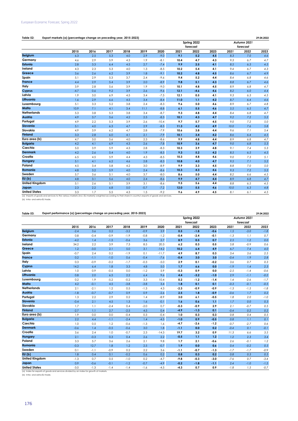#### **Table 52: 29.04.2022 Export markets (a) (percentage change on preceding year, 2015-2023)**

|                                                                                                                                                           |        |      |      |      |        |         |      | Spring 2022 |      |      | Autumn 2021 |      |
|-----------------------------------------------------------------------------------------------------------------------------------------------------------|--------|------|------|------|--------|---------|------|-------------|------|------|-------------|------|
|                                                                                                                                                           |        |      |      |      |        |         |      | forecast    |      |      | forecast    |      |
|                                                                                                                                                           | 2015   | 2016 | 2017 | 2018 | 2019   | 2020    | 2021 | 2022        | 2023 | 2021 | 2022        | 2023 |
| <b>Belgium</b>                                                                                                                                            | 6.3    | 2.5  | 5.3  | 4.0  | 2.9    | $-9.0$  | 9.1  | 5.2         | 4.5  | 8.3  | 7.0         | 4.6  |
| Germany                                                                                                                                                   | 4.6    | 2.9  | 5.9  | 4.3  | 1.9    | $-8.1$  | 10.4 | 4.7         | 4.3  | 9.3  | 6.7         | 4.7  |
| <b>Estonia</b>                                                                                                                                            | 2.8    | 3.3  | 6.4  | 4.5  | 2.7    | $-7.4$  | 9.9  | 2.5         | 4.1  | 8.5  | 6.3         | 4.5  |
| Ireland                                                                                                                                                   | 4.3    | 2.3  | 5.3  | 4.0  | 1.3    | $-8.5$  | 10.2 | 5.4         | 4.1  | 9.4  | 6.7         | 4.3  |
| Greece                                                                                                                                                    | 3.6    | 2.6  | 6.2  | 3.9  | 1.8    | $-9.1$  | 10.2 | 4.8         | 4.5  | 8.6  | 6.7         | 4.9  |
| Spain                                                                                                                                                     | 5.1    | 2.9  | 5.3  | 3.7  | 2.4    | $-9.6$  | 9.4  | 5.2         | 4.4  | 8.4  | 6.8         | 4.6  |
| France                                                                                                                                                    | 4.4    | 2.9  | 5.4  | 3.9  | 2.0    | $-8.9$  | 9.8  | 5.1         | 4.3  | 8.8  | 6.7         | 4.6  |
| Italy                                                                                                                                                     | 3.9    | 2.8  | 5.6  | 3.9  | 1.9    | $-9.0$  | 10.1 | 4.8         | 4.5  | 8.9  | 6.8         | 4.7  |
| Cyprus                                                                                                                                                    | $-4.7$ | 0.6  | 9.2  | 3.9  | 2.6    | $-9.6$  | 12.1 | $-4.6$      | 4.6  | 8.2  | 6.0         | 4.4  |
| Latvia                                                                                                                                                    | 1.9    | 3.0  | 6.9  | 4.5  | 3.4    | $-7.5$  | 12.1 | 0.5         | 4.1  | 9.3  | 6.3         | 4.5  |
| Lithuania                                                                                                                                                 | 1.6    | 2.9  | 6.6  | 4.5  | 3.4    | $-8.4$  | 11.0 | 1.1         | 4.2  | 8.7  | 6.4         | 4.6  |
| Luxembourg                                                                                                                                                | 5.1    | 3.3  | 5.2  | 3.8  | 2.4    | $-8.3$  | 9.6  | 5.0         | 4.6  | 8.9  | 6.7         | 4.8  |
| Malta                                                                                                                                                     | 10.9   | 7.1  | 4.1  | 3.4  | 11.1   | $-8.8$  | 6.1  | 5.5         | 4.6  | 5.5  | 6.5         | 4.7  |
| <b>Netherlands</b>                                                                                                                                        | 5.3    | 3.8  | 5.3  | 3.8  | 3.4    | $-8.7$  | 9.3  | 4.8         | 4.4  | 8.4  | 6.8         | 4.7  |
| Austria                                                                                                                                                   | 4.9    | 3.7  | 5.6  | 4.2  | 2.5    | $-8.3$  | 10.1 | 4.3         | 4.7  | 9.2  | 7.2         | 5.2  |
| Portugal                                                                                                                                                  | 4.9    | 2.2  | 5.3  | 3.9  | 2.6    | $-10.4$ | 9.7  | 5.7         | 4.5  | 9.0  | 7.2         | 5.0  |
| Slovenia                                                                                                                                                  | 5.1    | 4.0  | 6.3  | 4.7  | 2.9    | $-8.5$  | 11.3 | 4.2         | 4.9  | 10.0 | 7.6         | 5.8  |
| Slovakia                                                                                                                                                  | 4.9    | 3.9  | 6.2  | 4.7  | 2.8    | $-7.9$  | 10.6 | 3.8         | 4.4  | 9.6  | 7.1         | 5.4  |
| <b>Finland</b>                                                                                                                                            | 3.3    | 2.8  | 6.0  | 4.1  | 2.1    | $-7.9$  | 10.1 | 3.4         | 4.2  | 8.6  | 6.4         | 4.5  |
| Euro area (b)                                                                                                                                             | 4.7    | 3.0  | 5.6  | 4.0  | 2.3    | $-8.6$  | 9.9  | 4.8         | 4.4  | 8.9  | 6.8         | 4.7  |
| <b>Bulgaria</b>                                                                                                                                           | 4.2    | 4.1  | 6.9  | 4.3  | 2.6    | $-7.8$  | 10.9 | 3.6         | 4.7  | 9.0  | 6.8         | 5.3  |
| Czechia                                                                                                                                                   | 5.0    | 3.9  | 5.9  | 4.3  | 2.8    | $-8.3$  | 10.3 | 3.9         | 4.8  | 9.1  | 7.4         | 5.3  |
| <b>Denmark</b>                                                                                                                                            | 4.2    | 2.6  | 5.4  | 4.0  | 1.9    | $-8.5$  | 9.3  | 5.2         | 4.2  | 8.5  | 6.5         | 4.5  |
| Croatia                                                                                                                                                   | 6.5    | 4.5  | 5.9  | 4.4  | 4.3    | $-8.5$  | 10.3 | 4.8         | 4.6  | 9.0  | 7.3         | 5.1  |
| <b>Hungary</b>                                                                                                                                            | 5.1    | 4.1  | 6.2  | 4.6  | 2.8    | $-8.3$  | 10.8 | 4.0         | 4.7  | 9.5  | 7.1         | 5.2  |
| Poland                                                                                                                                                    | 4.5    | 3.4  | 5.8  | 4.2  | 3.0    | $-8.9$  | 9.9  | 3.3         | 4.5  | 8.8  | 7.0         | 5.0  |
| Romania                                                                                                                                                   | 4.8    | 3.2  | 5.9  | 4.0  | 2.4    | $-8.6$  | 10.3 | 4.3         | 4.6  | 9.3  | 7.2         | 5.2  |
| Sweden                                                                                                                                                    | 5.7    | 3.6  | 5.1  | 4.0  | 3.7    | $-8.0$  | 8.6  | 5.0         | 4.4  | 8.2  | 6.6         | 4.5  |
| EU(b)                                                                                                                                                     | 4.8    | 3.1  | 5.6  | 4.0  | 2.4    | $-8.6$  | 9.9  | 4.7         | 4.4  | 8.9  | 6.8         | 4.7  |
| <b>United Kingdom</b>                                                                                                                                     | 5.1    | 2.6  | 5.1  | 3.9  | 3.1    | $-8.6$  | 9.5  | 5.6         | 4.4  | 8.8  | 6.5         | 4.5  |
| Japan                                                                                                                                                     | 2.3    | 2.2  | 6.8  | 5.0  | $-0.7$ | $-7.2$  | 12.0 | 5.5         | 4.6  | 10.0 | 6.3         | 4.8  |
| <b>United States</b>                                                                                                                                      | 3.3    | 1.7  | 5.5  | 4.3  | 1.5    | $-9.2$  | 9.6  | 4.9         | 4.5  | 8.1  | 6.1         | 4.5  |
| (a) Imports of goods and services to the various markets (incl. EU-markets) weighted according to their share in country's exports of goods and services. |        |      |      |      |        |         |      |             |      |      |             |      |
| (b) Intra- and extra-EU trade.                                                                                                                            |        |      |      |      |        |         |      |             |      |      |             |      |

|                       |        |        |        |        |        |         |        | Spring 2022 |        |        | Autumn 2021 |        |
|-----------------------|--------|--------|--------|--------|--------|---------|--------|-------------|--------|--------|-------------|--------|
|                       |        |        |        |        |        |         |        | forecast    |        |        | forecast    |        |
|                       | 2015   | 2016   | 2017   | 2018   | 2019   | 2020    | 2021   | 2022        | 2023   | 2021   | 2022        | 2023   |
| <b>Belgium</b>        | $-2.4$ | 3.6    | 0.2    | $-3.2$ | $-0.9$ | 3.9     | 0.5    | $-1.8$      | $-0.6$ | 1.5    | $-3.0$      | $-1.8$ |
| Germany               | 0.8    | $-0.4$ | $-0.9$ | $-1.9$ | $-0.8$ | $-1.2$  | $-0.4$ | $-2.4$      | $-0.1$ | $-1.3$ | 1.1         | 0.7    |
| <b>Estonia</b>        | $-4.2$ | 1.4    | $-1.5$ | $-0.6$ | 3.6    | 2.7     | 8.9    | 0.5         | 0.7    | 2.5    | 1.2         | 0.0    |
| Ireland               | 34.2   | 2.2    | 3.9    | 7.3    | 8.5    | 20.3    | 6.2    | 0.3         | 0.5    | 5.8    | $-0.9$      | 0.6    |
| Greece                | 1.2    | $-3.0$ | 2.1    | 5.0    | 3.1    | $-14.2$ | 10.2   | 6.4         | 4.9    | 6.7    | 7.4         | 4.0    |
| Spain                 | $-0.7$ | 2.4    | 0.2    | $-1.9$ | 0.1    | $-11.7$ | 4.9    | 8.7         | 0.3    | 3.4    | 3.6         | 2.5    |
| <b>France</b>         | 0.2    | $-1.1$ | $-1.0$ | 0.6    | $-0.4$ | $-7.6$  | $-0.4$ | 3.0         | 3.0    | $-0.4$ | 1.9         | 2.8    |
| Italy                 | 0.3    | $-0.9$ | $-0.2$ | $-1.7$ | $-0.3$ | $-5.0$  | 2.9    | 0.1         | $-0.2$ | 3.6    | 0.7         | 0.3    |
| Cyprus                | 14.2   | 6.4    | 1.8    | 3.3    | 4.8    | 5.0     | 1.7    | 6.6         | 0.0    | $-1.9$ | 1.4         | 2.3    |
| Latvia                | 1.0    | 0.9    | $-0.5$ | 0.0    | $-1.2$ | 5.9     | $-5.3$ | 0.9         | 0.0    | $-2.5$ | $-1.4$      | $-0.6$ |
| Lithuania             | 0.8    | 2.0    | 6.5    | 2.2    | 6.4    | 9.6     | 4.4    | $-3.2$      | $-1.0$ | 2.9    | $-1.1$      | $-0.2$ |
| Luxembourg            | 0.2    | 1.9    | $-5.2$ | $-0.2$ | 3.3    | 10.4    | 0.2    | $-1.2$      | $-1.4$ | 1.4    | $-2.6$      | $-1.7$ |
| Malta                 | 4.2    | $-0.1$ | 4.5    | $-3.8$ | $-3.8$ | 3.4     | 1.8    | 0.1         | 0.1    | $-0.3$ | $-0.1$      | $-0.5$ |
| <b>Netherlands</b>    | 2.1    | $-2.1$ | 1.2    | 0.5    | $-1.3$ | 4.3     | $-2.3$ | $-0.9$      | $-0.9$ | $-1.3$ | $-1.5$      | $-1.8$ |
| Austria               | $-1.8$ | $-0.7$ | $-0.7$ | 0.9    | 0.9    | $-2.6$  | 2.5    | 1.8         | $-0.9$ | $-0.6$ | 1.7         | 0.2    |
| Portugal              | 1.3    | 2.2    | 2.9    | 0.2    | 1.4    | $-8.9$  | 3.0    | 6.1         | $-0.5$ | 1.8    | 2.0         | $-1.0$ |
| Slovenia              | $-0.4$ | 2.1    | 4.5    | 1.3    | 1.6    | $-0.1$  | 1.6    | 0.6         | 1,1    | 1.7    | 0.0         | 0.3    |
| Slovakia              | 1.7    | 1.1    | $-2.4$ | 0.4    | $-2.0$ | 0.7     | $-0.3$ | $-0.9$      | 2.9    | 2.1    | $-0.7$      | 0.5    |
| <b>Finland</b>        | $-2.7$ | 1.1    | 2.7    | $-2.5$ | 4.5    | 0.4     | $-4.9$ | $-1.3$      | 0.1    | $-0.4$ | 0.2         | 0.2    |
| Euro area (b)         | 1.9    | 0.0    | 0.0    | $-0.4$ | 0.3    | $-0.4$  | 1.0    | 0.3         | 0.3    | 0.8    | 0.4         | 0.5    |
| <b>Bulgaria</b>       | 2.2    | 4.4    | $-1.1$ | $-2.4$ | 1.4    | $-4.5$  | $-1.0$ | 0.9         | $-0.5$ | 0.8    | 1.1         | 0.1    |
| Czechia               | 1.0    | 0.5    | 1.2    | $-0.6$ | $-1.3$ | 1.6     | $-4.7$ | $-2.6$      | $-1.2$ | $-0.7$ | $-2.7$      | 0.6    |
| <b>Denmark</b>        | $-0.6$ | 1.4    | $-0.5$ | $-0.6$ | 3.0    | 1.8     | $-1.1$ | 0.0         | 0.2    | $-0.4$ | 0.1         | $-0.1$ |
| Croatia               | 3.6    | 2.4    | 1.0    | $-0.7$ | 2.3    | $-14.3$ | 19.7   | 3.2         | 0.9    | 11.3   | 6.6         | 3.5    |
| Hungary               | 2.1    | $-0.3$ | 0.3    | 0.4    | 2.6    | 2.2     | $-0.5$ | 1.1         | 1.2    | 1.2    | 2.3         | 3.4    |
| Poland                | 3.3    | 5.7    | 3.6    | 2.6    | 2.1    | 9.8     | 1.7    | 2.1         | $-0.6$ | 2.6    | $-0.1$      | 1.2    |
| <b>Romania</b>        | $-0.3$ | 12.7   | 1.8    | 1.2    | 2.5    | $-0.7$  | 1.9    | 0.0         | 0.6    | 0.4    | $-0.2$      | 0.5    |
| Sweden                | 0.1    | $-1.1$ | $-0.9$ | 0.2    | 2.2    | 3.6     | $-1.1$ | $-0.7$      | -1.3   | $-1.7$ | $-1.7$      | $-0.9$ |
| EU(b)                 | 1.8    | 0.4    | 0.1    | $-0.2$ | 0.6    | 0.2     | 0.8    | 0.3         | 0.2    | 0.8    | 0.3         | 0.5    |
| <b>United Kingdom</b> | $-1.3$ | 0.7    | 0.5    | $-1.0$ | 0.2    | $-4.7$  | $-9.8$ | $-0.3$      | $-3.0$ | $-7.6$ | 0.7         | $-3.4$ |
| Japan                 | 0.9    | $-0.6$ | $-0.1$ | $-1.2$ | $-0.7$ | $-4.9$  | $-0.2$ | $-1.8$      | $-1.1$ | 2.4    | $-1.0$      | $-1.5$ |
| <b>United States</b>  | $-3.0$ | $-1.3$ | $-1.4$ | $-1.4$ | $-1.6$ | $-4.5$  | $-4.3$ | 0.7         | 0.9    | $-1.8$ | 1.5         | $-0.7$ |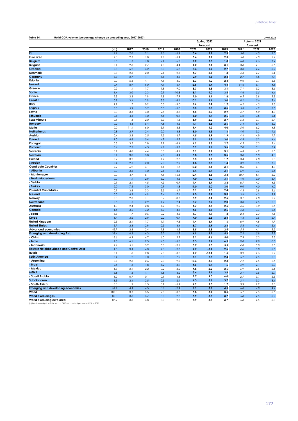| Table 54:                                                  | World GDP, volume (percentage change on preceding year, 2017-2023)<br>Spring 2022 |            |                |            |                  |             |            |            |                         |            |            |  |
|------------------------------------------------------------|-----------------------------------------------------------------------------------|------------|----------------|------------|------------------|-------------|------------|------------|-------------------------|------------|------------|--|
|                                                            |                                                                                   |            |                |            |                  |             | forecast   |            | Autumn 2021<br>forecast |            |            |  |
|                                                            | ( a )                                                                             | 2017       | 2018           | 2019       | 2020             | 2021        | 2022       | 2023       | 2021                    | 2022       | 2023       |  |
| <b>EU</b>                                                  | 14.9                                                                              | 2.8        | 2.1            | 1.8        | $-5.9$           | 5.4         | 2.7        | 2.3        | 5.0                     | 4.3        | 2.5        |  |
| Euro area                                                  | 12.0                                                                              | 2.6        | 1.8            | 1.6        | $-6.4$           | 5.4         | 2.7        | 2.3        | 5.0                     | 4.3        | 2.4        |  |
| <b>Belgium</b>                                             | 0.5                                                                               | 1.6        | 1.8            | 2.1        | $-5.7$           | 6.2         | 2.0        | 1.8        | 6.0                     | 2.6        | 1.9        |  |
| <b>Bulgaria</b>                                            | 0.1                                                                               | 2.8        | 2.7            | 4.0        | $-4.4$           | 4.2         | 2.1        | 3.1        | 3.8                     | 4.1        | 3.5        |  |
| Czechia                                                    | 0.3                                                                               | 5.2        | 3.2            | 3.0        | $-5.8$           | 3.3         | 1.9        | 2.7        | 3.0                     | 4.4        | 3.2        |  |
| Denmark                                                    | 0.3                                                                               | 2.8        | 2.0            | 2.1        | $-2.1$           | 4.7         | 2.6        | 1.8        | 4.3                     | 2.7        | 2.4        |  |
| Germany                                                    | 3.3                                                                               | 2.7        | 1.1            | 1.1        | $-4.6$           | 2.9         | 1.6        | 2.4        | 2.7                     | 4.6        | 1.7        |  |
| Estonia                                                    | 0.0                                                                               | 5.8        | 4.1            | 4.1        | $-3.0$           | 8.3         | 1.0        | 2.4        | 9.0                     | 3.7        | 3.5        |  |
| Ireland                                                    | 0.4                                                                               | 8.9        | 9.0            | 4.9        | 5.9              | 13.5        | 5.4        | 4.4        | 14.6                    | 5.1        | 4.1        |  |
| Greece                                                     | 0.2                                                                               | 1.1        | 1.7            | 1.8        | $-9.0$           | 8.3         | 3.5        | 3.1        | 7.1                     | 5.2        | 3.6        |  |
| Spain                                                      | 1.4                                                                               | 3.0        | 2.3            | 2.1        | $-10.8$          | 5.1         | 4.0        | 3.4        | 4.6                     | 5.5        | 4.4        |  |
| France                                                     | 2.3                                                                               | 2.3        | 1.9            | 1.8        | $-7.9$           | 7.0         | 3.1        | 1.8        | 6.5                     | 3.8        | 2.3        |  |
| Croatia                                                    | 0.1                                                                               | 3.4        | 2.9            | 3.5        | $-8.1$           | 10.2        | 3.4        | 3.0        | 8.1                     | 5.6        | 3.4        |  |
| Italy                                                      | 1.9                                                                               | 1.7        | 0.9            | 0.5        | $-9.0$           | 6.6         | 2.4        | 1.9        | 6.2                     | 4.3        | 2.3        |  |
| Cyprus                                                     | 0.0                                                                               | 5.9        | 5.7            | 5.3        | $-5.0$           | 5.5         | 2.3        | 3.5        | 5.4                     | 4.2        | 3.5        |  |
| Latvia                                                     | 0.0                                                                               | 3.3        | 4.0            | 2.5        | $-3.8$           | 4.5         | 2.0        | 2.9        | 4.7                     | 5.0        | 4.0        |  |
| Lithuania                                                  | 0.1                                                                               | 4.3        | 4.0            | 4.6        | $-0.1$           | 5.0         | 1.7        | 2.6        | 5.0                     | 3.6        | 3.4        |  |
| Luxembourg                                                 | 0.1                                                                               | 1.3        | 2.0            | 3.3        | $-1.8$           | 6.9         | 2.2        | 2.7        | 5.8                     | 3.7        | 2.7        |  |
| Hungary                                                    | 0.2                                                                               | 4.3        | 5.4            | 4.6        | $-4.5$           | 7.1         | 3.6        | 2.6        | 7.4                     | 5.4        | 3.2        |  |
| Malta                                                      | 0.0                                                                               | 11.1       | 6.0            | 5.9        | $-8.3$           | 9.4         | 4.2        | 4.0        | 5.0                     | 6.2        | 4.8        |  |
| <b>Netherlands</b>                                         | 0.8                                                                               | 2.9        | 2.4            | 2.0        | $-3.8$           | 5.0         | 3.3        | 1.6        | 4.0                     | 3.3        | 1.6        |  |
| Austria                                                    | 0.4                                                                               | 2.3        | 2.5            | 1.5        | -6.7             | 4.5         | 3.9        | 1.9        | 4.4                     | 4.9        | 1.9        |  |
| Poland                                                     | 1.0                                                                               | 4.8        | 5.4            | 4.7        | $-2.2$           | 5.9         | 3.7        | 3.0        | 4.9                     | 5.2        | 4.4        |  |
| Portugal                                                   | 0.3                                                                               | 3.5        | 2.8            | 2.7        | $-8.4$           | 4.9         | 5.8        | 2.7        | 4.5                     | 5.3        | 2.4        |  |
| Romania                                                    | 0.4                                                                               | 7.3        | 4.5            | 4.2        | $-3.7$           | 5.9         | 2.6        | 3.6        | 7.0                     | 5.1        | 5.2        |  |
| Slovenia                                                   | 0.1                                                                               | 4.8        | 4.4            | 3.3        | $-4.2$           | 8.1         | 3.7        | 3.1        | 6.4                     | 4.2        | 3.5        |  |
| Slovakia<br>Finland                                        | 0.1                                                                               | 3.0        | 3.8            | 2.6        | $-4.4$           | 3.0         | 2.3        | 3.6        | 3.8                     | 5.3        | 4.3        |  |
|                                                            | 0.2                                                                               | 3.2        | 1.1            | 1.2        | $-2.3$           | 3.5         | 1.6        | 1.7        | 3.4                     | 2.8        | 2.0        |  |
| Sweden<br><b>Candidate Countries</b>                       | 0.4<br>2.2                                                                        | 2.6<br>6.9 | 2.0<br>3.1     | 2.0<br>1.1 | $-2.9$<br>1.3    | 4.8<br>10.2 | 2.3<br>2.1 | 1.4<br>3.1 | 3.9<br>8.6              | 3.5<br>4.1 | 1.7<br>4.0 |  |
| - Albania                                                  | 0.0                                                                               | 3.8        | 4.0            | 2.1        | $-3.5$           | 8.4         | 2.7        | 3.1        | 6.9                     | 3.7        | 3.6        |  |
| <b>Montenegro</b>                                          | 0.0                                                                               | 4.7        | 5.1            | 4.1        | $-15.3$          | 12.4        | 3.8        | 3.4        | 10.7                    | 6.4        | 3.2        |  |
| North Macedonia                                            | 0.0                                                                               | 1.1        | 2.9            | 3.2        | $-4.5$           | 4.0         | 3.0        | 3.1        | 4.0                     | 3.9        | 3.7        |  |
| Serbia                                                     | 0.1                                                                               | 2.1        | 4.5            | 4.3        | $-0.9$           | 7.4         | 3.4        | 3.8        | 6.7                     | 4.3        | 4.3        |  |
| - Turkey                                                   | 2.0                                                                               | 7.5        | 3.0            | 0.9        | 1.8              | 11.0        | 2.0        | 3.0        | 9.0                     | 4.0        | 4.0        |  |
| <b>Potential Candidates</b>                                | 0.1                                                                               | 3.8        | 3.3            | 3.5        | $-4.7$           | 8.1         | 2.3        | 2.4        | 4.3                     | 2.8        | 2.6        |  |
| Iceland                                                    | 0.0                                                                               | 4.2        | 4.9            | 2.4        | $-7.1$           | 4.3         | 3.4        | 3.3        | 3.4                     | 4.3        | 3.1        |  |
| Norway                                                     | 0.3                                                                               | 2.3        | 1.1            | 0.7        | $-0.7$           | 3.9         | 3.4        | 2.6        | 3.1                     | 2.8        | 2.2        |  |
| <b>Switzerland</b>                                         | 0.5                                                                               | 1.6        | 2.9            | 1.2        | $-2.4$           | 3.7         | 2.2        | 2.0        | 3.0                     | 2.5        | 2.3        |  |
| Australia                                                  | 1.0                                                                               | 2.4        | 2.8            | 1.9        | $-2.2$           | 4.7         | 3.8        | 2.5        | 4.5                     | 3.0        | 2.5        |  |
| Canada                                                     | 1.4                                                                               | 3.5        | 3.2            | 1.9        | $-4.8$           | 4.6         | 3.8        | 2.5        | 4.8                     | 3.4        | 2.5        |  |
| Japan                                                      | 3.8                                                                               | 1.7        | 0.6            | $-0.2$     | $-4.5$           | 1.7         | 1.9        | 1.8        | 2.4                     | 2.3        | 1.1        |  |
| Korea                                                      | 1.7                                                                               | 3.2        | 2.9            | 2.2        | $-0.9$           | 4.0         | 2.6        | 2.4        | 4.3                     | 3.5        | 2.7        |  |
| <b>United Kingdom</b>                                      | 2.3                                                                               | 2.1        | 1.7            | 1.7        | $-9.3$           | 7.4         | 3.4        | 1.6        | 6.9                     | 4.8        | 1.7        |  |
| <b>United States</b>                                       | 15.7                                                                              | 2.3        | 2.9            | 2.3        | $-3.4$           | 5.7         | 2.9        | 2.3        | 5.8                     | 4.5        | 2.4        |  |
| <b>Advanced economies</b>                                  | 45.7                                                                              | 2.8        | 2.4            | 1.8        | $-4.3$           | 5.5         | 2.8        | 2.4        | 5.3                     | 4.1        | 2.5        |  |
| <b>Emerging and developing Asia</b>                        | 33.4                                                                              | 6.3        | 6.3            | 5.2        | $-1.2$           | 6.9         | 5.2        | 5.3        | 7.2                     | 5.8        | 5.3        |  |
| - China                                                    | 18.6                                                                              | 6.9        | 6.7            | 6.0        | 2.2              | 8.1         | 4.6        | 5.0        | 7.9                     | 5.3        | 5.3        |  |
| - India                                                    | 7.0                                                                               | 6.1        | 7.3            | 4.5        | $-6.6$           | 8.3         | 7.4        | 6.5        | 9.0                     | 7.8        | 6.0        |  |
| <b>Indonesia</b>                                           | 2.4                                                                               | 5.1        | 5.2            | 5.0        | $-2.1$           | 3.7         | 5.0        | 5.5        | 4.0                     | 5.0        | 5.5        |  |
| <b>Eastern Neighbourhood and Central Asia</b>              | 1.5                                                                               | 3.4        | 4.0            | 4.0        | $-2.6$           | 4.7         | $-8.2$     | 2.6        | 4.6                     | 3.8        | 3.5        |  |
| Russia                                                     | 3.1                                                                               | 1.8        | 2.8            | 2.0        | $-3.0$           | 4.7         | $-10.4$    | 1.5        | 3.9                     | 2.6        | 2.2        |  |
| Latin America                                              | 7.4                                                                               | 1.2        | 1.0            | $-0.3$     | $-7.2$           | 6.1         | 2.3        | 2.4        | 5.2                     | 2.5        | 2.3        |  |
| Argentina                                                  | 0.7                                                                               | $2.8\,$    | $-2.6$         | $-2.0$     | $-9.9$           | 10.3        | 3.0        | 2.3        | 7.2                     | 2.5        | 2.5        |  |
| <b>Brazil</b>                                              | 2.4                                                                               | 1.3        | 1.8            | 1.2        | $-3.9$           | 4.6         | 0.7        | 1.5        | 4.9                     | 2.1        | 2.3        |  |
| - Mexico                                                   | 1.8                                                                               | 2.1        | 2.2            | $-0.2$     | $-8.2$           | 4.8         | $2.2\,$    | 2.6        | 5.9                     | 2.5        | 2.4        |  |
| <b>MENA</b>                                                | 5.6                                                                               | 1.8        | 1.1            | 1.6        | $-3.2$           | 3,4         | 5.4        | 3.8        | 3.1                     | 3.5        | 2.9        |  |
| - Saudi Arabia                                             | 1.2                                                                               | $-0.7$     | 0.1            | $0.1$      | $-4.3$           | 2.7         | 9.0        | $6.0\,$    | 2.7                     | 3.7        | 2.3        |  |
| Sub-Saharan                                                | 3.3                                                                               | 2.4        | 2.5            | 2.5        | $-2.1$           | 4.3         | 3.6        | 3.7        | 3.1                     | 3.3        | 3.4        |  |
| - South Africa<br><b>Emerging and developing economies</b> | 0.6                                                                               | 1.2        | 1.5            | 0.1        | $-6.4$           | 4.9         | $2.0\,$    | 1.7        | 3.9                     | 2.2        | 1.8        |  |
| World                                                      | 54.1                                                                              | 4.4        | 4.5            | 3.6        | $-2.4$           | 6.1         | 3.6        | 4.5        | 6.0                     | 4.8        | 4.4        |  |
| <b>World excluding EU</b>                                  | 100.0<br>85.0                                                                     | 3.6<br>3.8 | $3.5\,$<br>3.7 | 2.8<br>3.0 | $-3.3$<br>$-2.8$ | 5.8<br>5.9  | 3.2<br>3.3 | 3.5<br>3.7 | 5.7<br>5.8              | 4.5<br>4.5 | 3.5<br>3.7 |  |
| World excluding euro area                                  | 87.9                                                                              | 3.8        | 3.8            | 3.0        | $-2.8$           | 5.9         | 3.3        | 3.7        | 5.8                     | 4.5        | 3.7        |  |
|                                                            |                                                                                   |            |                |            |                  |             |            |            |                         |            |            |  |

**World excluding euro area** (a) Relative weights in %, based on GDP (at constant prices and PPS) in 2021.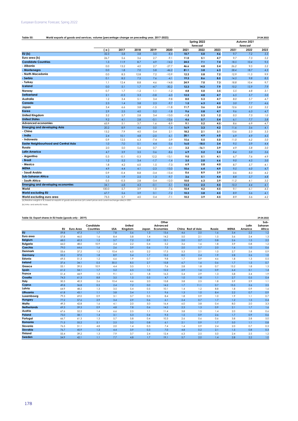## European Economic Forecast, Spring 2022

| Table 55:<br>World exports of goods and services, volume (percentage change on preceding year, 2017-2023) |       |         |        |        |         |        |             |      |      |             | 29.04.2022 |
|-----------------------------------------------------------------------------------------------------------|-------|---------|--------|--------|---------|--------|-------------|------|------|-------------|------------|
|                                                                                                           |       |         |        |        |         |        | Spring 2022 |      |      | Autumn 2021 |            |
|                                                                                                           |       |         |        |        |         |        | forecast    |      |      | forecast    |            |
|                                                                                                           | ( a ) | 2017    | 2018   | 2019   | 2020    | 2021   | 2022        | 2023 | 2021 | 2022        | 2023       |
| EU(b)                                                                                                     | 32.3  | 5.8     | 3.8    | 3.0    | $-8.4$  | 10.7   | 5.0         | 4.6  | 9.7  | 7.2         | 5.3        |
| Euro area (b)                                                                                             | 26.7  | 5.6     | 3.6    | 2.7    | $-9.1$  | 11.0   | 5.1         | 4.7  | 9.7  | 7.3         | 5.2        |
| <b>Candidate Countries</b>                                                                                | 1.3   | 11.9    | 8.7    | 4.9    | $-14.2$ | 24.5   | 7.1         | 7.4  | 18.5 | 10.4        | 9.5        |
| - Albania                                                                                                 | 0.0   | 13.2    | 4.0    | 2.7    | $-27.7$ | 46.6   | 4.8         | 5.4  | 26.2 | 9.5         | 5.2        |
| - Montenegro                                                                                              | 0.0   | 1.8     | 7.0    | 5.8    | $-46.2$ | 81.1   | 3.8         | 6.3  | 58.4 | 18.7        | 4.3        |
| - North Macedonia                                                                                         | 0.0   | 8.3     | 12.8   | 7.2    | $-10.9$ | 12.3   | 5.8         | 7.2  | 12.9 | 11.5        | 9.9        |
| - Serbia                                                                                                  | 0.1   | 8.2     | 7.5    | 7.6    | $-4.1$  | 19.3   | 8.6         | 8.5  | 14.5 | 9.8         | 8.5        |
| - Turkey                                                                                                  | 1.1   | 12.4    | 8.8    | 4.6    | $-14.8$ | 24.9   | 7.0         | 7.3  | 18.8 | 10.4        | 9.7        |
| <b>Iceland</b>                                                                                            | 0.0   | 5.1     | 1.7    | $-4.7$ | $-30.2$ | 12.3   | 14.3        | 7.9  | 10.2 | 15.9        | 7.9        |
| Norway                                                                                                    | 0.7   | 1.7     | $-1.2$ | 1.1    | $-1.2$  | 4.8    | 5.0         | 3.5  | 5.5  | 4.8         | 3.1        |
| <b>Switzerland</b>                                                                                        | 2.1   | $-0.3$  | 3.3    | $-0.8$ | $-6.0$  | 12.5   | 4.8         | 4.7  | 6.5  | 5.7         | 5.0        |
| Australia                                                                                                 | 1.2   | 3.4     | 5.1    | 3.4    | $-9.8$  | 8.0    | 5.3         | 4.7  | 8.0  | 5.7         | 4.7        |
| Canada                                                                                                    | 2.3   | 1.4     | 3.8    | 2.3    | $-9.7$  | 1.5    | 6.3         | 4.5  | 3.0  | 7.7         | 4.6        |
| Japan                                                                                                     | 3.4   | 6.6     | 3.8    | $-1.5$ | $-11.8$ | 11.7   | 3.6         | 3.4  | 12.6 | 5.2         | 3.2        |
| Korea                                                                                                     | 2.9   | 2.5     | 4.0    | 0.2    | $-1.8$  | 9.6    | 5.8         | 4.7  | 9.6  | 6.3         | 4.7        |
| <b>United Kingdom</b>                                                                                     | 3.2   | 5.7     | 2.8    | 3.4    | $-13.0$ | $-1.3$ | 5.3         | 1.2  | 0.5  | 7.3         | 1.0        |
| <b>United States</b>                                                                                      | 9.2   | 4.1     | 2.8    | $-0.1$ | $-13.6$ | 4.6    | 5.7         | 5.4  | 6.1  | 7.7         | 3.8        |
| <b>Advanced economies</b>                                                                                 | 65.9  | 5.1     | 3.7    | 1.6    | $-8.9$  | 9.1    | 5.2         | 4.5  | 8.6  | 6.9         | 4.7        |
| <b>Emerging and developing Asia</b>                                                                       | 20.2  | 8.9     | 4.6    | 0.0    | $-1.4$  | 16.9   | 3.3         | 4.2  | 11.6 | 3.6         | 4.1        |
| - China                                                                                                   | 13.2  | 7.9     | 4.0    | 0.4    | 2.1     | 18.2   | 2.1         | 3.1  | 13.6 | 2.3         | 3.3        |
| - India                                                                                                   | 2.4   | 10.1    | 4.8    | $-2.0$ | $-6.1$  | 20.1   | 4.9         | 6.0  | 6.9  | 4.9         | 4.5        |
| - Indonesia                                                                                               | 0.9   | 12.5    | 6.3    | $-7.4$ | $-3.9$  | 15.6   | 5.5         | 5.0  | 11.0 | 6.2         | 5.0        |
| <b>Easter Neighbourhood and Central Asia</b>                                                              | 1.0   | 7.0     | 5.1    | 4.4    | $-3.6$  | 16.0   | $-18.5$     | 3.4  | 9.5  | 3.9         | 4.4        |
| Russia                                                                                                    | 2.0   | 5.0     | 5.6    | 0.7    | $-4.1$  | 3.2    | $-16.1$     | 3.9  | 4.9  | 5.8         | 3.0        |
| <b>Latin America</b>                                                                                      | 4.7   | 3.9     | 3.5    | 0.6    | $-8.6$  | 6.9    | 5.2         | 5.4  | 8.4  | 5.0         | 3.6        |
| - Argentina                                                                                               | 0.3   | $-0.1$  | $-0.3$ | 12.2   | $-13.1$ | 9.0    | 5.1         | 4.1  | 6.7  | 7.6         | 4.9        |
| - Brazil                                                                                                  | 1.2   | 5.2     | 3.4    | $-1.7$ | $-1.4$  | 3.5    | 2.0         | 6.6  | 9.0  | 4.5         | 3.0        |
| - Mexico                                                                                                  | 1.8   | $4.2\,$ | 6.0    | 1.5    | $-7.3$  | 6.9    | 5.8         | 4.0  | 8.7  | 5.7         | 4.1        |
| <b>MENA</b>                                                                                               | 4.9   | 4.4     | 4.1    | $-2.3$ | $-13.0$ | 10.6   | 6.4         | 4.9  | 9.5  | 6.0         | 4.7        |
| - Saudi Arabia                                                                                            | 0.9   | $-0.4$  | 8.8    | $-3.4$ | $-13.4$ | 0.6    | 8.9         | 3.9  | 0.6  | 8.3         | 4.2        |
| <b>Sub-Saharan Africa</b>                                                                                 | 1.3   | 1.9     | 2.5    | 1.3    | $-9.7$  | 3.6    | 5.1         | 4.4  | 8.8  | 5.7         | 4.8        |
| - South Africa                                                                                            | 0.5   | $-0.3$  | 2.8    | $-3.4$ | $-12.0$ | 10.0   | 6.3         | 3.9  | 11.2 | 4.1         | 3.2        |
| <b>Emerging and developing economies</b>                                                                  | 34.1  | 6.8     | 4.3    | $-0.1$ | $-5.1$  | 13.3   | 2.3         | 4.5  | 10.3 | 4.4         | 4.1        |
| World                                                                                                     | 100.0 | 5.7     | 3.9    | 1.0    | $-7.6$  | 10.4   | 4.2         | 4.5  | 9.1  | 6.1         | 4.5        |
| <b>World excluding EU</b>                                                                                 | 67.7  | 5.6     | 3.9    | 0.1    | $-7.2$  | 10.3   | 3.8         | 4.5  | 8.9  | 5.6         | 4.1        |
| World excluding euro area                                                                                 | 73.3  | 5.7     | 4.0    | 0.4    | $-7.1$  | 10.2   | 3.9         | 4.5  | 8.9  | 5.6         | 4.2        |

(b) Intra- and extra-EU trade.

## **Table 56: Export shares in EU trade (goods only - 2019)**

|                    |      |                  |           |            |         |       | Other            |     |                    |        |             |         | Sub-    |
|--------------------|------|------------------|-----------|------------|---------|-------|------------------|-----|--------------------|--------|-------------|---------|---------|
|                    |      |                  | Candidate |            | United  |       | Advanced         |     |                    |        |             | Latin   | Saharan |
|                    | EU   | <b>Euro Area</b> | Countries | <b>USA</b> | Kingdom | Japan | <b>Economies</b> |     | China Rest of Asia | Russia | <b>MENA</b> | America | Africa  |
| EU                 | 59.8 | 47.3             | 1.7       | 7.8        | 5.6     | 1.3   | 13.6             | 4.6 | 2.0                | 1.6    | 3.4         | 2.2     | 1.2     |
| Euro area          | 57.8 | 46.0             | 1.6       | 8.4        | 5.8     | 1.4   | 14.2             | 5.0 | 2.1                | 1.5    | 3.6         | 2.4     | 1.3     |
| <b>Belgium</b>     | 68.0 | 60.3             | 1.2       | 5.7        | 7.2     | 0.9   | 12.1             | 2.0 | 2.7                | 0.8    | 2.6         | 1.5     | 2.2     |
| <b>Bulgaria</b>    | 66.0 | 48.0             | 10.9      | 2.4        | 2.2     | 0.4   | 5.2              | 3.6 | 1.6                | 1.8    | 3.9         | 0.8     | 1.2     |
| Czechia            | 79.0 | 64.6             | 1.6       | 2.6        | 3.9     | 0.6   | 7.5              | 2.0 | 0.7                | 2.0    | 1.6         | 1.0     | 0.6     |
| <b>Denmark</b>     | 53.6 | 37.2             | 1.2       | 10.4       | 6.5     | 2.2   | 17.5             | 5.3 | 2.1                | 1.0    | 2.7         | 2.6     | 0.9     |
| Germany            | 53.2 | 37.0             | 1.8       | 8.9        | 5.4     | 1.7   | 15.2             | 8.0 | 2.4                | 1.9    | 2.8         | 2.6     | 1.0     |
| Estonia            | 69.5 | 51.3             | 1.2       | 6.6        | 1.9     | 0.7   | 9.8              | 1.7 | 0.9                | 4.6    | 1.8         | 1.3     | 0.5     |
| Ireland            | 37.6 | 34.1             | 0.5       | 30.5       | 8.5     | 2.7   | 15.8             | 6.7 | 1.6                | 0.6    | 1.7         | 1.5     | 0.7     |
| Greece             | 53.1 | 39.5             | 10.9      | 4.4        | 3.5     | 1.1   | 7.6              | 2.8 | 1.8                | 0.7    | 13.2        | 1.8     | 1.3     |
| Spain              | 61.2 | 54.1             | 1.7       | 5.2        | 6.5     | 1.0   | 12.2             | 2.9 | 1.6                | 0.9    | 6.4         | 5.1     | 1.4     |
| France             | 51.4 | 44.9             | 1.3       | 9.1        | 6.1     | 1.8   | 16.3             | 5.4 | 2.9                | 1.3    | 5.8         | 2.4     | 1.9     |
| Croatia            | 74.3 | 61.3             | 8.8       | 3.5        | 1.5     | 0.5   | 4.7              | 1.0 | 1.8                | 1.1    | 2.7         | 0.5     | 0.4     |
| Italy              | 50.3 | 40.3             | 2.6       | 10.4       | 4.6     | 2.0   | 15.8             | 3.8 | 2.5                | 1.8    | 5.9         | 2.9     | 1.1     |
| Cyprus             | 49.8 | 36.8             | 0.5       | 2.4        | 7.2     | 0.0   | 14.2             | 1.7 | 11.1               | 0.7    | 13.5        | 2.6     | 2.5     |
| Latvia             | 64.9 | 48.2             | 1.3       | 3.5        | 5.4     | 0.5   | 10.1             | 1.4 | 1.2                | 8.8    | 1.8         | 0.9     | 1.6     |
| Lithuania          | 61.8 | 43.1             | 1.1       | 3.8        | 3.4     | 1.1   | 9.6              | 1.3 | 1.0                | 8.4    | 2.2         | 0.7     | 0.9     |
| Luxembourg         | 79.3 | 69.0             | 0.9       | 3.1        | 3.7     | 0.5   | 8.4              | 1.8 | 0.9                | 1.0    | 1.9         | 1.1     | 0.7     |
| <b>Hungary</b>     | 77.2 | 57.6             | 2.9       | 3.4        | 2.9     | 0.6   | 6.1              | 2.4 | 0.7                | 1.7    | 1.2         | 1.5     | 0.4     |
| Malta              | 49.3 | 42.8             | 1.6       | 4.1        | 2.0     | 5.0   | 16.4             | 6.0 | 3.8                | 0.4    | 8.0         | 2.0     | 3.3     |
| <b>Netherlands</b> | 69.3 | 59.3             | 0.9       | 4.8        | 7.8     | 0.6   | 14.2             | 2.3 | 1.3                | 0.9    | 2.1         | 1.7     | 1.6     |
| Austria            | 67.6 | 52.2             | 1.4       | 6.6        | 2.5     | 1.1   | 11.4             | 3.8 | 1.5                | 1.4    | 2.0         | 1.8     | 0.6     |
| Poland             | 75.0 | 58.1             | 1.4       | 3.1        | 5.3     | 0.4   | 9.3              | 1.5 | 0.9                | 2.6    | 1.7         | 0.9     | 0.6     |
| Portugal           | 66.7 | 61.3             | 1.3       | 5.7        | 5.8     | 0.4   | 10.3             | 2.6 | 0.6                | 0.6    | 3.8         | 2.8     | 5.0     |
| Romania            | 71.5 | 55.2             | 5.1       | 2.5        | 3.2     | 0.8   | 6.1              | 2.1 | 0.9                | 1.7    | 5.0         | 1.1     | 0.8     |
| Slovenia           | 76.5 | 51.1             | 4.8       | 2.0        | 1.4     | 0.3   | 7.4              | 1.4 | 0.9                | 2.4    | 2.0         | 0.7     | 0.3     |
| Slovakia           | 76.7 | 45.9             | 1.3       | 4.4        | 3.9     | 0.3   | 7.0              | 4.8 | 0.2                | 2.1    | 1.5         | 0.8     | 0.3     |
| <b>Finland</b>     | 55.4 | 39.2             | 1.3       | 7.9        | 3.7     | 2.4   | 12.4             | 6.3 | 2.5                | 5.0    | 2.4         | 2.5     | 1.2     |
| Sweden             | 54.9 | 42.1             | 1.1       | 7.7        | 4.8     | 1.7   | 19.1             | 5.7 | 2.0                | 1.4    | 2.8         | 2.2     | 1.0     |

**29.04.2022**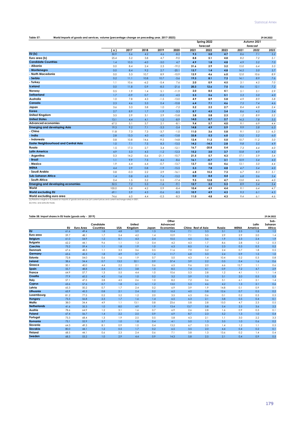| Table 57:                                    | World imports of goods and services, volume (percentage change on preceding year, 2017-2023) |        |        |         |         |      |             |      |             |          |      |  |
|----------------------------------------------|----------------------------------------------------------------------------------------------|--------|--------|---------|---------|------|-------------|------|-------------|----------|------|--|
|                                              |                                                                                              |        |        |         |         |      | Spring 2022 |      | Autumn 2021 |          |      |  |
|                                              |                                                                                              |        |        |         |         |      | forecast    |      |             | forecast |      |  |
|                                              | ( a )                                                                                        | 2017   | 2018   | 2019    | 2020    | 2021 | 2022        | 2023 | 2021        | 2022     | 2023 |  |
| EU(b)                                        | 30.9                                                                                         | 5.6    | 4.2    | 4.6     | $-8.2$  | 9.3  | 5.0         | 4.7  | 8.6         | 7.1      | 5.2  |  |
| Euro area (b)                                | 25.4                                                                                         | 5.2    | 3.8    | 4.7     | $-9.0$  | 8.8  | 5.1         | 4.8  | 8.2         | 7.2      | 5.1  |  |
| <b>Candidate Countries</b>                   | 1.4                                                                                          | 10.5   | $-4.0$ | $-3.0$  | 4.7     | 4.9  | 1.8         | 4.8  | 4.9         | 5.2      | 7.0  |  |
| - Albania                                    | 0.0                                                                                          | 8.4    | 2.4    | 2.3     | $-19.2$ | 31.6 | 2.9         | 3.2  | 15.0        | 6.4      | 3.3  |  |
| - Montenegro                                 | 0.0                                                                                          | 8.4    | 9.2    | 2.7     | $-20.1$ | 13.7 | 1,4         | 4.8  | 14.5        | 5.0      | 3.7  |  |
| - North Macedonia                            | 0.0                                                                                          | 5.3    | 10.7   | 8.9     | $-10.9$ | 13.9 | 4.6         | 6.0  | 12.0        | 10.6     | 8.9  |  |
| - Serbia                                     | 0.2                                                                                          | 11.1   | 10.8   | 10.7    | $-3.6$  | 19.3 | 8.1         | 7.3  | 14.1        | 8.9      | 7.6  |  |
| - Turkey                                     | 1.1                                                                                          | 10.6   | $-6.2$ | $-5.4$  | 7.6     | 2.0  | 0.9         | 4.5  | 3.1         | 4.5      | 7.0  |  |
| Iceland                                      | 0.0                                                                                          | 11.8   | 0.9    | $-8.5$  | $-21.6$ | 20.3 | 12.6        | 7.5  | 8.6         | 12.1     | 7.2  |  |
| Norway                                       | 0.5                                                                                          | 1.9    | 1.4    | 5.1     | $-11.9$ | 2.0  | 8.5         | 4.1  | 5.1         | 5.1      | 2.9  |  |
| Switzerland                                  | 1.7                                                                                          | $-0.9$ | 0.7    | $-0.2$  | $-4.5$  | 5.3  | 5.6         | 5.1  | 5.3         | 5.0      | 4.0  |  |
| Australia                                    | 1.0                                                                                          | 7.8    | 4.3    | $-1.5$  | $-13.0$ | 4.9  | 8.9         | 5.8  | 4.9         | 8.9      | 5.8  |  |
| Canada                                       | 2.3                                                                                          | 4.6    | 3.3    | 0.4     | $-10.8$ | 6.4  | 7.1         | 4.6  | 7.5         | 7.4      | 4.6  |  |
| Japan                                        | 3.6                                                                                          | 3.3    | 3.8    | 1.0     | $-7.2$  | 5.2  | 2.3         | 2.7  | 8.4         | 4.8      | 2.4  |  |
| Korea                                        | 2.7                                                                                          | 8.9    | 1.7    | $-1.9$  | $-3.3$  | 8.7  | 4.5         | 3.4  | 8.6         | 4.5      | 3.4  |  |
| <b>United Kingdom</b>                        | 3.5                                                                                          | 2.9    | 3.1    | 2.9     | $-15.8$ | 3.8  | 5.8         | 2.3  | 1.2         | 8.9      | 2.2  |  |
| <b>United States</b>                         | 13.1                                                                                         | 4.4    | 4.1    | 1.2     | $-8.9$  | 14.0 | 8.7         | 2.7  | 14.3        | 7.8      | 3.5  |  |
| <b>Advanced economies</b>                    | 67.5                                                                                         | 5.1    | 3.7    | 2.1     | $-8.1$  | 9.4  | 5.7         | 4.0  | 9.1         | 6.9      | 4.4  |  |
| <b>Emerging and developing Asia</b>          | 19.3                                                                                         | 9.2    | 7.1    | $-3.3$  | $-5.4$  | 14.8 | 4.9         | 5.9  | 9.9         | 5.8      | 6.3  |  |
| - China                                      | 11.8                                                                                         | 7.3    | 7.3    | $-3.7$  | $-1.0$  | 11.0 | 3.6         | 5.8  | 9.1         | 5.3      | 6.3  |  |
| - India                                      | 2.8                                                                                          | 13.3   | 4.0    | $-4.0$  | $-13.8$ | 33.8 | 5.3         | 6.0  | 13.2        | 5.2      | 6.0  |  |
| - Indonesia                                  | 0.8                                                                                          | 10.8   | 14.6   | $-9.5$  | $-14.8$ | 12.4 | 11.2        | 5.0  | 10.7        | 11.2     | 5.0  |  |
| <b>Easter Neighbourhood and Central Asia</b> | 1.0                                                                                          | 7.1    | 7.5    | 8.3     | $-13.5$ | 14.2 | $-14.3$     | 2.8  | 9.8         | 5.5      | 4.9  |  |
| Russia                                       | 1.5                                                                                          | 17.3   | 2.7    | 3.4     | $-12.1$ | 16.7 | $-25.8$     | 5.4  | 7.3         | 4.4      | 4.0  |  |
| <b>Latin America</b>                         | 4.9                                                                                          | 5.3    | 4.5    | $-1.2$  | $-12.3$ | 15.2 | 3.0         | 3.7  | 10.8        | 4.9      | 4.2  |  |
| - Argentina                                  | 0.3                                                                                          | 14.2   | $-5.6$ | $-21.1$ | $-10.7$ | 21.5 | 5.7         | 4.3  | 17.1        | 5.9      | 5.4  |  |
| - Brazil                                     | 1.1                                                                                          | 9.9    | 7.5    | 4.6     | $-8.6$  | 16.1 | $-0.7$      | 3.1  | 10.9        | 5.4      | 4.0  |  |
| - Mexico                                     | 1.9                                                                                          | 6.4    | 6.4    | $-0.7$  | $-13.7$ | 13.7 | 5.0         | 4.6  | 13.1        | 5.0      | 4.4  |  |
| <b>MENA</b>                                  | 4.4                                                                                          | 2.9    | 0.8    | $-1.9$  | $-15.5$ | 5.3  | 7.8         | 4.8  | 4.7         | 5.4      | 4.0  |  |
| - Saudi Arabia                               | 0.8                                                                                          | $-0.3$ | 2.2    | 2.9     | $-16.1$ | 6.8  | 15.2        | 7.3  | 6.7         | 8.3      | 5.1  |  |
| <b>Sub-Saharan Africa</b>                    | 1.4                                                                                          | 0.8    | 6.3    | 7.6     | $-13.2$ | 0.0  | 8.4         | 4.4  | 6.8         | 3.6      | 3.4  |  |
| - South Africa                               | 0.4                                                                                          | 1.5    | 3.2    | 0.5     | $-17.4$ | 9.5  | 12.8        | 4.7  | 13.0        | 4.6      | 4.0  |  |
| <b>Emerging and developing economies</b>     | 32.5                                                                                         | 7.2    | 5.3    | $-1.6$  | $-9.1$  | 12.7 | 3.2         | 5.3  | 8.9         | 5.4      | 5.4  |  |
| World                                        | 100.0                                                                                        | 5.8    | 4.2    | 0.9     | $-8.4$  | 10.4 | 4.9         | 4.4  | 9.1         | 6.4      | 4.7  |  |
| <b>World excluding EU</b>                    | 69.1                                                                                         | 5.9    | 4.3    | $-0.6$  | $-8.5$  | 10.9 | 4.9         | 4.3  | 9.3         | 6.1      | 4.5  |  |
| World excluding euro area                    | 74.6                                                                                         | 6.0    | 4.4    | $-0.3$  | $-8.3$  | 11.0 | 4.8         | 4.3  | 9.4         | 6.1      | 4.6  |  |

**World excluding euro area** (a) Relative weights in %, based on imports of goods and services (at current prices and current exchange rates) in 2021.

(b) Intra- and extra-EU trade.

## **Table 58: Import shares in EU trade (goods only - 2019)**

| Table 58: Import shares in EU trade (goods only - 2019) |      |                  | Candidate |            | United  |       | Other<br>Advanced |      |                    |        |             | Latin   | 29.04.2022<br>Sub-<br>Saharan |
|---------------------------------------------------------|------|------------------|-----------|------------|---------|-------|-------------------|------|--------------------|--------|-------------|---------|-------------------------------|
|                                                         | EU   | <b>Euro Area</b> | Countries | <b>USA</b> | Kingdom | Japan | <b>Economies</b>  |      | China Rest of Asia | Russia | <b>MENA</b> | America | Africa                        |
| $\overline{EU}$                                         | 61.6 | 49.4             | 1.8       | 4.8        | 3.9     | 1.3   | 10.4              | 7.1  | 3.3                | 3.1    | 2.5         | 1.8     | 1.2                           |
| Euro area                                               | 59.7 | 48.1             | 1.7       | 5.4        | 4.2     | 1.4   | 10.9              | 7.1  | 3.5                | 2.9    | 2.9         | 2.0     | 1.4                           |
| <b>Belgium</b>                                          | 61.0 | 54.9             | 1.2       | 8.1        | 4.3     | 2.4   | 10.5              | 4.5  | 3.6                | 1.9    | 2.3         | 2.4     | 1.9                           |
| <b>Bulgaria</b>                                         | 62.2 | 44.1             | 9.6       | 1.1        | 1.3     | 0.4   | 4.2               | 4.3  | 1.7                | 8.6    | 2.8         | 1.2     | 0.3                           |
| Czechia                                                 | 75.2 | 59.4             | 1.1       | 1.8        | 1.9     | 1.0   | 6.3               | 8.5  | 1.6                | 2.3    | 0.3         | 0.3     | 0.2                           |
| <b>Denmark</b>                                          | 67.6 | 48.3             | 1.1       | 3.3        | 3.6     | 0.5   | 11.6              | 7.0  | 3.2                | 2.4    | 0.7         | 1.8     | 0.5                           |
| Germany                                                 | 63.6 | 45.3             | 1.8       | 4.9        | 3.7     | 1.6   | 11.7              | 6.8  | 3.3                | 2.4    | 0.9         | 1.5     | 1.0                           |
| Estonia                                                 | 72.8 | 54.0             | 0.6       | 1.6        | 1.9     | 0.7   | 5.0               | 4.3  | 1.4                | 10.4   | 0.2         | 0.3     | 0.8                           |
| Ireland                                                 | 38.6 | 34.4             | 0.7       | 13.2       | 32.1    | 0.9   | 37.4              | 3.9  | 2.2                | 0.5    | 0.4         | 1.6     | 0.6                           |
| Greece                                                  | 50.1 | 40.0             | 4.4       | 2.2        | 2.1     | 0.6   | 6.5               | 9.6  | 2.0                | 6.6    | 12.7        | 1.1     | 0.6                           |
| Spain                                                   | 55.7 | 48.8             | 2.4       | 4.1        | 3.8     | 1.0   | 8.5               | 7.4  | 4.1                | 0.9    | 7.2         | 4.7     | 2.9                           |
| <b>France</b>                                           | 64.9 | 57.7             | 1.3       | 5.5        | 4.4     | 1.0   | 10.6              | 5.3  | 2.8                | 1.2    | 4.1         | 1.1     | 1.4                           |
| Croatia                                                 | 77.9 | 60.2             | 4.2       | 1.6        | 1.0     | 0.2   | 3.2               | 3.9  | 1.0                | 3.1    | 2.0         | 0.5     | 0.3                           |
| Italy                                                   | 57.1 | 47.5             | 2.8       | 4.5        | 2.6     | 1.0   | 8.2               | 7.2  | 3.6                | 3.1    | 6.1         | 2.1     | 1.4                           |
| Cyprus                                                  | 63.6 | 57.6             | 0.7       | 1.8        | 6.1     | 1.2   | 13.0              | 5.3  | 4.6                | 4.2    | 1.3         | 2.1     | 0.6                           |
| Latvia                                                  | 65.3 | 50.2             | 0.7       | 1.7        | 2.4     | 0.2   | 6.9               | 3.9  | 1.9                | 14.8   | 0.1         | 0.9     | 0.1                           |
| Lithuania                                               | 65.9 | 45.3             | 0.8       | 2.1        | 2.4     | 0.2   | 6.2               | 4.0  | 0.8                | 12.6   | 0.7         | 0.5     | 0.2                           |
| Luxembourg                                              | 81.2 | 77.5             | 0.2       | 5.2        | 1.2     | 2.0   | 3.5               | 6.3  | 0.6                | 0.1    | 0.2         | 0.3     | 0.3                           |
| Hungary                                                 | 73.3 | 56.8             | 2.3       | 1.7        | 1.6     | 1.4   | 6.5               | 6.3  | 2.1                | 3.8    | 0.5         | 0.4     | 0.1                           |
| Malta                                                   | 38.0 | 34.4             | 4.9       | 1.1        | 13.1    | 0.8   | 23.6              | 5.8  | 2.8                | 15.0   | 4.7         | 2.3     | 0.5                           |
| <b>Netherlands</b>                                      | 41.6 | 35.3             | 1.0       | 8.0        | 4.9     | 1.9   | 13.4              | 13.7 | 5.8                | 5.4    | 2.5         | 3.6     | 2.2                           |
| Austria                                                 | 78.6 | 64.9             | 1.2       | 3.1        | 1.6     | 0.7   | 6.9               | 2.6  | 2.8                | 1.6    | 0.9         | 0.3     | 0.1                           |
| Poland                                                  | 67.4 | 56.7             | 1.4       | 2.2        | 2.5     | 0.9   | 6.9               | 8.7  | 2.3                | 5.2    | 1.3         | 1.0     | 0.4                           |
| Portugal                                                | 73.3 | 68.4             | 1.3       | 1.9        | 2.5     | 0.5   | 5.8               | 4.3  | 2.1                | 1.1    | 3.0         | 2.2     | 3.3                           |
| Romania                                                 | 73.1 | 52.9             | 5.7       | 1.0        | 1.8     | 0.4   | 4.1               | 5.0  | 1.3                | 3.5    | 1.0         | 0.6     | 0.2                           |
| Slovenia                                                | 64.3 | 49.3             | 8.1       | 0.9        | 1.0     | 0.4   | 13.2              | 6.7  | 2.3                | 1.4    | 1.2         | 1.1     | 0.3                           |
| Slovakia                                                | 80.0 | 44.1             | 1.2       | 0.5        | 1.7     | 0.2   | 6.5               | 3.5  | 2.0                | 4.4    | 0.4         | 0.2     | 0.1                           |
| <b>Finland</b>                                          | 68.5 | 44.1             | 0.6       | 2.3        | 2.4     | 0.6   | 7.1               | 3.8  | 1.3                | 13.6   | 0.2         | 1.4     | 0.4                           |
| Sweden                                                  | 68.5 | 53.2             | 1.0       | 2.9        | 4.4     | 0.9   | 14.3              | 5.8  | 2.5                | 2.1    | 0.4         | 0.9     | 0.5                           |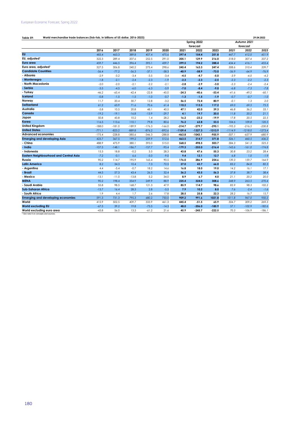## **Table 59: 29.04.2022 World merchandise trade balances (fob-fob, in billions of US dollar, 2016-2023)**

|                                                  |          |          |          |          |          |           | Spring 2022 |           | Autumn 2021 |           |           |  |
|--------------------------------------------------|----------|----------|----------|----------|----------|-----------|-------------|-----------|-------------|-----------|-----------|--|
|                                                  |          |          |          |          |          |           | forecast    |           | forecast    |           |           |  |
|                                                  | 2016     | 2017     | 2018     | 2019     | 2020     | 2021      | 2022        | 2023      | 2021        | 2022      | 2023      |  |
| <b>EU</b>                                        | 483.4    | 463.3    | 389.8    | 407.4    | 475.6    | 397.4     | 154.4       | 251.8     | 447.7       | 412.0     | 451.9     |  |
| EU, adjusted <sup>1</sup>                        | 322.3    | 289.4    | 207.6    | 252.5    | 291.0    | 205.1     | 129.9       | 216.0     | 318.0       | 307.4     | 337.2     |  |
| Euro area                                        | 459.7    | 446.5    | 396.4    | 395.1    | 439.7    | 399.5     | 194.2       | 288.4     | 434.4       | 416.1     | 455.4     |  |
| Euro area, adjusted'                             | 327.5    | 306.8    | 240.2    | 275.4    | 298.6    | 245.4     | 163.3       | 247.4     | 308.6       | 310.4     | 339.7     |  |
| <b>Candidate Countries</b>                       | $-56.4$  | $-77.2$  | $-56.3$  | $-37.1$  | $-58.3$  | $-40.9$   | $-58.9$     | $-73.0$   | $-56.9$     | $-64.9$   | $-76.9$   |  |
| <b>Albania</b>                                   | $-2.9$   | $-3.2$   | $-3.4$   | $-3.5$   | $-3.4$   | $-4.5$    | $-4.7$      | $-5.0$    | $-3.9$      | $-4.0$    | $-4.2$    |  |
| - Montenegro                                     | $-1.8$   | $-2.1$   | $-2.4$   | $-2.3$   | $-1.9$   | $-2.3$    | $-2.3$      | $-2.5$    | $-2.3$      | $-2.2$    | $-2.3$    |  |
| - North Macedonia                                | $-2.0$   | $-2.0$   | $-2.1$   | $-2.2$   | $-2.1$   | $-2.8$    | $-2.9$      | $-3.0$    | $-2.3$      | $-2.4$    | $-2.4$    |  |
| - Serbia                                         | $-3.5$   | $-4.5$   | $-6.0$   | $-6.3$   | $-5.9$   | $-7.0$    | $-8.4$      | $-9.0$    | $-6.8$      | $-7.3$    | $-7.8$    |  |
| - Turkey                                         | $-46.2$  | $-65.4$  | $-42.4$  | $-22.8$  | $-45.0$  | $-24.3$   | $-40.6$     | $-53.4$   | $-41.6$     | $-49.2$   | $-60.1$   |  |
| <b>Iceland</b>                                   | $-0.8$   | $-1.5$   | $-1.5$   | $-1.0$   | $-0.7$   | $-1.3$    | $-1.5$      | $-1.9$    | $-0.7$      | $-0.7$    | $-1.0$    |  |
| Norway                                           | 11.7     | 20.4     | 30.7     | 12.8     | $-3.2$   | 56.5      | 72.4        | 80.9      | $-0.1$      | 1.3       | 2.0       |  |
| <b>Switzerland</b>                               | 61.2     | 63.9     | 71.6     | 70.6     | 61.4     | 110.2     | 113.5       | 117.2     | 69.0        | 69.5      | 75.5      |  |
| Australia                                        | $-5.8$   | 10.5     | 20.8     | 48.1     | 40.5     | 47.1      | 42.0        | 39.3      | 46.8        | 36.2      | 33.1      |  |
| Canada                                           | $-19.2$  | $-19.1$  | $-16.8$  | $-13.9$  | $-29.7$  | 4.1       | 19.7        | 20.5      | 11.8        | 20.2      | 21.1      |  |
| Japan                                            | 50.8     | 43.8     | 10.2     | 1.4      | 28.2     | 16.2      | $-23.2$     | $-19.9$   | 17.8        | 20.5      | 22.5      |  |
| Korea                                            | 116.5    | 113.6    | 110.1    | 79.8     | 80.6     | 76.2      | 62.8        | 53.5      | 104.6       | 109.8     | 120.5     |  |
| <b>United Kingdom</b>                            | $-188.0$ | $-181.0$ | $-189.9$ | $-176.3$ | $-166.0$ | $-214.7$  | $-279.7$    | $-295.1$  | $-195.3$    | $-216.5$  | $-230.8$  |  |
| <b>United States</b>                             | $-771.1$ | $-823.2$ | $-889.8$ | $-876.2$ | $-892.6$ | $-1109.4$ | $-1327.3$   | $-1313.9$ | $-1114.9$   | $-1218.0$ | $-1273.4$ |  |
| <b>Advanced economies</b>                        | $-175.4$ | $-228.8$ | $-385.6$ | $-346.3$ | $-288.8$ | $-463.8$  | $-1043.1$   | $-955.9$  | $-507.1$    | $-657.9$  | $-680.9$  |  |
| <b>Emerging and developing Asia</b>              | 423.7    | 367.5    | 199.2    | 259.9    | 512.6    | 463.5     | 314.7       | 371.8     | 526.1       | 460.5     | 436.2     |  |
| - China                                          | 488.9    | 475.9    | 380.1    | 393.0    | 515.0    | 568.5     | 498.5       | 503.7     | 584.3       | 541.3     | 525.3     |  |
| - India                                          | $-107.5$ | $-148.1$ | $-186.7$ | $-157.7$ | $-95.4$  | $-179.3$  | $-255.0$    | $-216.4$  | $-145.6$    | $-161.0$  | $-174.8$  |  |
| - Indonesia                                      | 15.3     | 18.8     | $-0.2$   | 3.5      | 28.3     | 43.8      | 47.6        | 55.3      | 30.8        | 23.2      | 28.4      |  |
| <b>Eastern Neighbourhood and Central Asia</b>    | $-7.2$   | $-0.1$   | 6.6      | $-5.0$   | $-9.0$   | 9.4       | 12.1        | 12.7      | 6.8         | 1.0       | $-1.9$    |  |
| Russia                                           | 90.2     | 114.7    | 195.9    | 165.4    | 90.5     | 176.0     | 286.9       | 254.6     | 139.3       | 159.7     | 164.9     |  |
| <b>Latin America</b>                             | 8.2      | 34.3     | 10.4     | 7.3      | 72.5     | 27.0      | 43.7        | 66.0      | 83.2        | 84.8      | 82.3      |  |
| - Argentina                                      | 4.4      | $-5.4$   | $-0.7$   | 18.2     | 14.6     | 16.8      | 18.0        | 19.0      | 14.2        | 16.1      | 17.1      |  |
| - Brazil                                         | 44.5     | 57.3     | 43.4     | 26.5     | 32.4     | 36.2      | 43.5        | 56.3      | 37.8        | 38.7      | 38.4      |  |
| - Mexico                                         | $-13.1$  | $-11.0$  | $-13.8$  | 5.2      | 34.0     | 8.9       | 6.7         | 4.0       | 21.1        | 20.2      | 20.0      |  |
| <b>MENA</b>                                      | 90.2     | 198.4    | 354.9    | 249.9    | 88.9     | 225.4     | 324.0       | 308.6     | 248.9       | 263.5     | 270.4     |  |
| - Saudi Arabia                                   | 55.8     | 98.5     | 168.7    | 121.3    | 47.9     | 85.9      | 114.7       | 98.6      | 85.9        | 98.3      | 102.2     |  |
| <b>Sub-Saharan Africa</b>                        | $-13.7$  | 16.4     | 28.3     | 2.8      | $-5.5$   | 7.9       | 10.2        | 8.0       | 7.6         | $-2.4$    | $-1.6$    |  |
| - South Africa                                   | 1.9      | 4.4      | 1.7      | 2.6      | 17.8     | 28.5      | 25.8        | 22.3      | 28.2        | 16.7      | 15.7      |  |
| <b>Emerging and developing economies</b>         | 591.3    | 731.3    | 795.3    | 680.2    | 750.0    | 909.2     | 991.6       | 1021.8    | 1011.8      | 967.0     | 950.2     |  |
| World                                            | 415.9    | 502.5    | 409.7    | 333.9    | 461.3    | 445.4     | $-51.5$     | 65.9      | 504.7       | 309.2     | 269.3     |  |
| <b>World excluding EU</b>                        | $-67.5$  | 39.2     | 19.8     | $-73.5$  | $-14.3$  | 48.0      | $-206.0$    | $-185.9$  | 57.1        | $-102.9$  | $-182.6$  |  |
| World excluding euro area                        | $-43.8$  | 56.0     | 13.3     | $-61.2$  | 21.6     | 45.9      | $-245.7$    | $-222.5$  | 70.3        | $-106.9$  | $-186.1$  |  |
| <sup>1</sup> See note 8 on concepts and sources. |          |          |          |          |          |           |             |           |             |           |           |  |